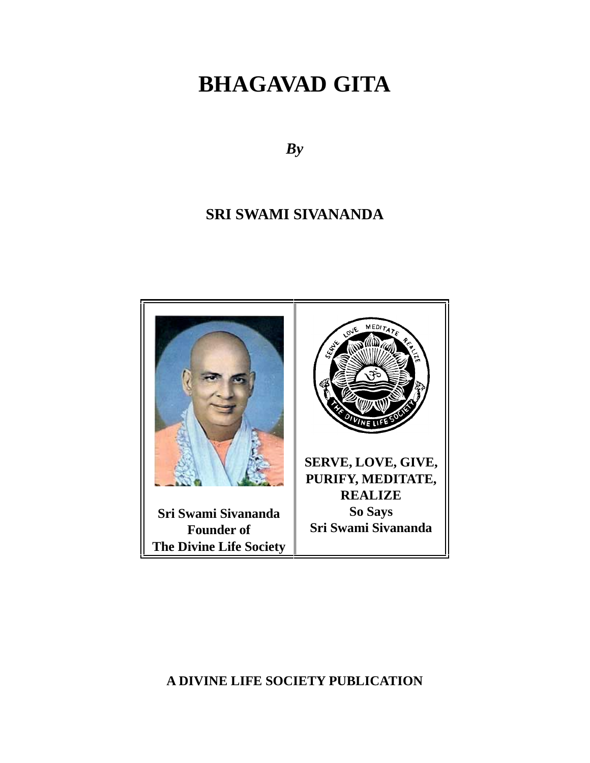# **BHAGAVAD GITA**

*By*

# **SRI SWAMI SIVANANDA**



**A DIVINE LIFE SOCIETY PUBLICATION**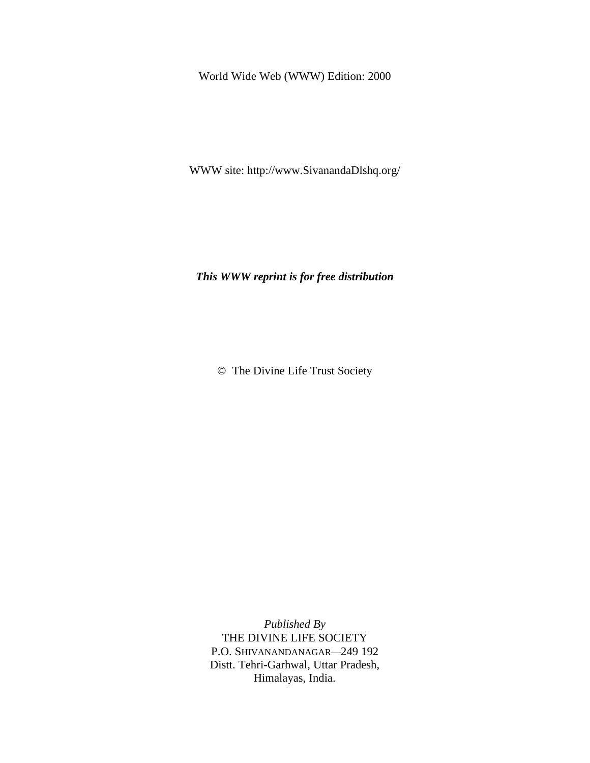World Wide Web (WWW) Edition: 2000

WWW site: http://www.SivanandaDlshq.org/

*This WWW reprint is for free distribution*

© The Divine Life Trust Society

*Published By* THE DIVINE LIFE SOCIETY P.O. SHIVANANDANAGAR—249 192 Distt. Tehri-Garhwal, Uttar Pradesh, Himalayas, India.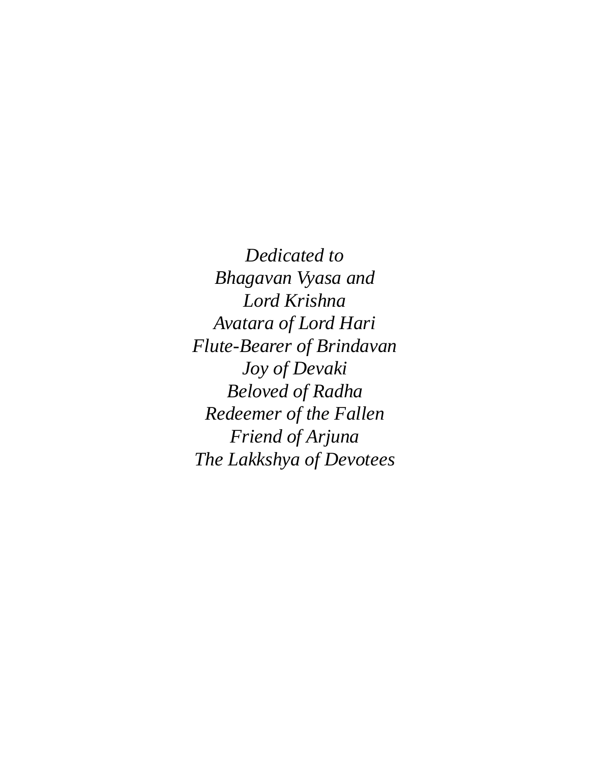*Dedicated to Bhagavan Vyasa and Lord Krishna Avatara of Lord Hari Flute-Bearer of Brindavan Joy of Devaki Beloved of Radha Redeemer of the Fallen Friend of Arjuna The Lakkshya of Devotees*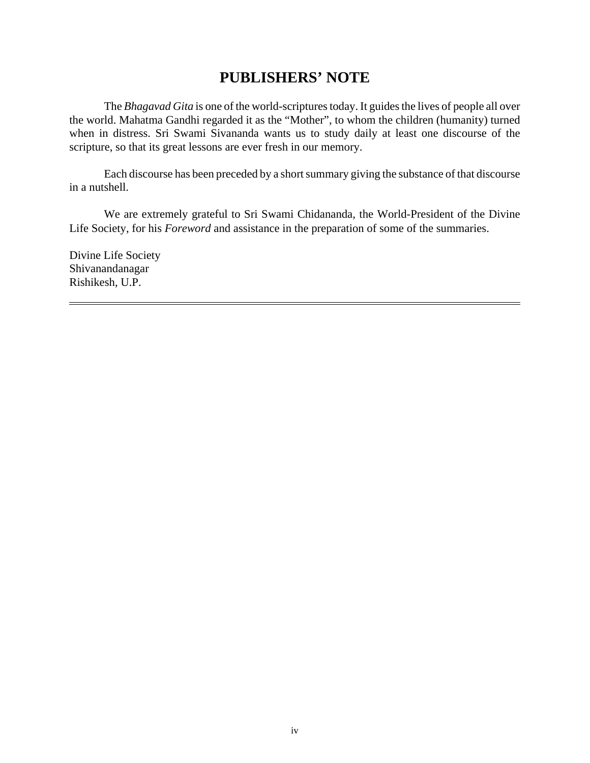# **PUBLISHERS' NOTE**

The *Bhagavad Gita* is one of the world-scriptures today. It guides the lives of people all over the world. Mahatma Gandhi regarded it as the "Mother", to whom the children (humanity) turned when in distress. Sri Swami Sivananda wants us to study daily at least one discourse of the scripture, so that its great lessons are ever fresh in our memory.

Each discourse has been preceded by a short summary giving the substance of that discourse in a nutshell.

We are extremely grateful to Sri Swami Chidananda, the World-President of the Divine Life Society, for his *Foreword* and assistance in the preparation of some of the summaries.

Divine Life Society Shivanandanagar Rishikesh, U.P.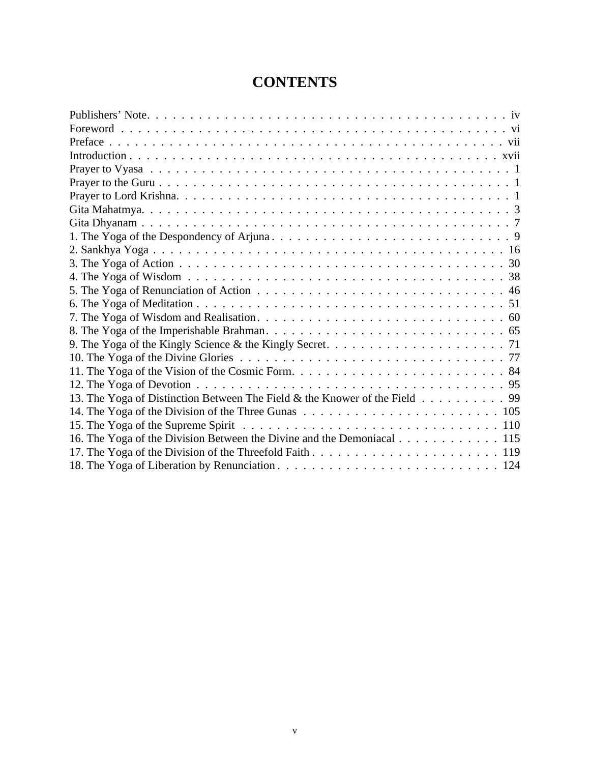# **CONTENTS**

| 12. The Yoga of Devotion $\ldots \ldots \ldots \ldots \ldots \ldots \ldots \ldots \ldots \ldots \ldots \ldots$ |
|----------------------------------------------------------------------------------------------------------------|
| 13. The Yoga of Distinction Between The Field & the Knower of the Field 99                                     |
|                                                                                                                |
|                                                                                                                |
| 16. The Yoga of the Division Between the Divine and the Demoniacal 115                                         |
|                                                                                                                |
|                                                                                                                |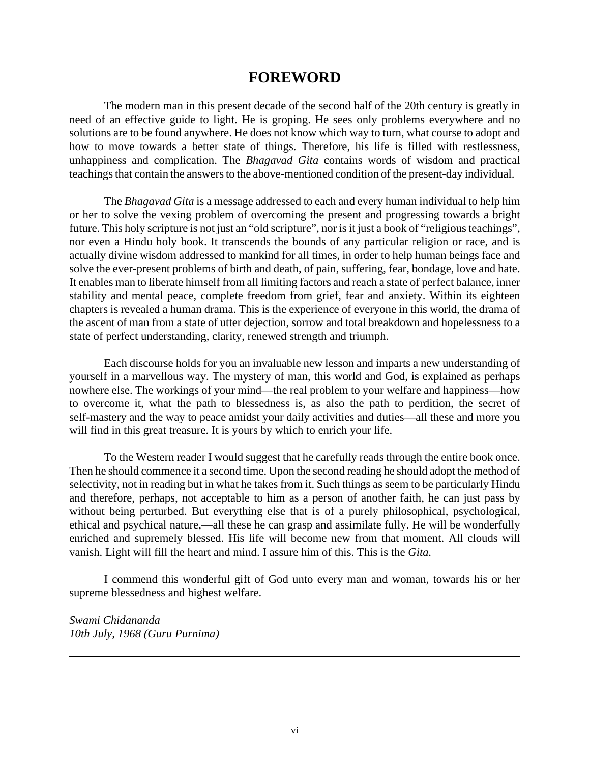# **FOREWORD**

The modern man in this present decade of the second half of the 20th century is greatly in need of an effective guide to light. He is groping. He sees only problems everywhere and no solutions are to be found anywhere. He does not know which way to turn, what course to adopt and how to move towards a better state of things. Therefore, his life is filled with restlessness, unhappiness and complication. The *Bhagavad Gita* contains words of wisdom and practical teachings that contain the answers to the above-mentioned condition of the present-day individual.

The *Bhagavad Gita* is a message addressed to each and every human individual to help him or her to solve the vexing problem of overcoming the present and progressing towards a bright future. This holy scripture is not just an "old scripture", nor is it just a book of "religious teachings", nor even a Hindu holy book. It transcends the bounds of any particular religion or race, and is actually divine wisdom addressed to mankind for all times, in order to help human beings face and solve the ever-present problems of birth and death, of pain, suffering, fear, bondage, love and hate. It enables man to liberate himself from all limiting factors and reach a state of perfect balance, inner stability and mental peace, complete freedom from grief, fear and anxiety. Within its eighteen chapters is revealed a human drama. This is the experience of everyone in this world, the drama of the ascent of man from a state of utter dejection, sorrow and total breakdown and hopelessness to a state of perfect understanding, clarity, renewed strength and triumph.

Each discourse holds for you an invaluable new lesson and imparts a new understanding of yourself in a marvellous way. The mystery of man, this world and God, is explained as perhaps nowhere else. The workings of your mind—the real problem to your welfare and happiness—how to overcome it, what the path to blessedness is, as also the path to perdition, the secret of self-mastery and the way to peace amidst your daily activities and duties—all these and more you will find in this great treasure. It is yours by which to enrich your life.

To the Western reader I would suggest that he carefully reads through the entire book once. Then he should commence it a second time. Upon the second reading he should adopt the method of selectivity, not in reading but in what he takes from it. Such things as seem to be particularly Hindu and therefore, perhaps, not acceptable to him as a person of another faith, he can just pass by without being perturbed. But everything else that is of a purely philosophical, psychological, ethical and psychical nature,—all these he can grasp and assimilate fully. He will be wonderfully enriched and supremely blessed. His life will become new from that moment. All clouds will vanish. Light will fill the heart and mind. I assure him of this. This is the *Gita.*

I commend this wonderful gift of God unto every man and woman, towards his or her supreme blessedness and highest welfare.

*Swami Chidananda 10th July, 1968 (Guru Purnima)*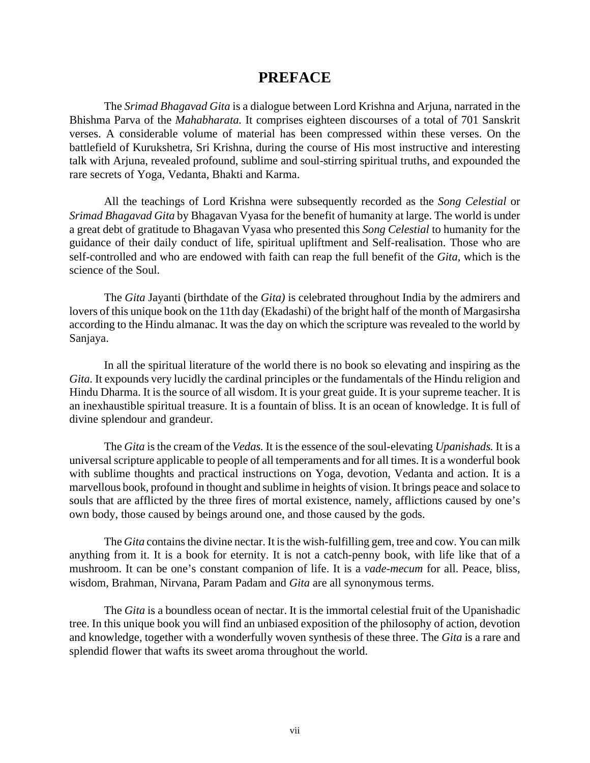### **PREFACE**

The *Srimad Bhagavad Gita* is a dialogue between Lord Krishna and Arjuna, narrated in the Bhishma Parva of the *Mahabharata.* It comprises eighteen discourses of a total of 701 Sanskrit verses. A considerable volume of material has been compressed within these verses. On the battlefield of Kurukshetra, Sri Krishna, during the course of His most instructive and interesting talk with Arjuna, revealed profound, sublime and soul-stirring spiritual truths, and expounded the rare secrets of Yoga, Vedanta, Bhakti and Karma.

All the teachings of Lord Krishna were subsequently recorded as the *Song Celestial* or *Srimad Bhagavad Gita* by Bhagavan Vyasa for the benefit of humanity at large. The world is under a great debt of gratitude to Bhagavan Vyasa who presented this *Song Celestial* to humanity for the guidance of their daily conduct of life, spiritual upliftment and Self-realisation. Those who are self-controlled and who are endowed with faith can reap the full benefit of the *Gita,* which is the science of the Soul.

The *Gita* Jayanti (birthdate of the *Gita)* is celebrated throughout India by the admirers and lovers of this unique book on the 11th day (Ekadashi) of the bright half of the month of Margasirsha according to the Hindu almanac. It was the day on which the scripture was revealed to the world by Sanjaya.

In all the spiritual literature of the world there is no book so elevating and inspiring as the *Gita.* It expounds very lucidly the cardinal principles or the fundamentals of the Hindu religion and Hindu Dharma. It is the source of all wisdom. It is your great guide. It is your supreme teacher. It is an inexhaustible spiritual treasure. It is a fountain of bliss. It is an ocean of knowledge. It is full of divine splendour and grandeur.

The *Gita* is the cream of the *Vedas.* It is the essence of the soul-elevating *Upanishads.* It is a universal scripture applicable to people of all temperaments and for all times. It is a wonderful book with sublime thoughts and practical instructions on Yoga, devotion, Vedanta and action. It is a marvellous book, profound in thought and sublime in heights of vision. It brings peace and solace to souls that are afflicted by the three fires of mortal existence, namely, afflictions caused by one's own body, those caused by beings around one, and those caused by the gods.

The *Gita* contains the divine nectar. It is the wish-fulfilling gem, tree and cow. You can milk anything from it. It is a book for eternity. It is not a catch-penny book, with life like that of a mushroom. It can be one's constant companion of life. It is a *vade-mecum* for all. Peace, bliss, wisdom, Brahman, Nirvana, Param Padam and *Gita* are all synonymous terms.

The *Gita* is a boundless ocean of nectar. It is the immortal celestial fruit of the Upanishadic tree. In this unique book you will find an unbiased exposition of the philosophy of action, devotion and knowledge, together with a wonderfully woven synthesis of these three. The *Gita* is a rare and splendid flower that wafts its sweet aroma throughout the world.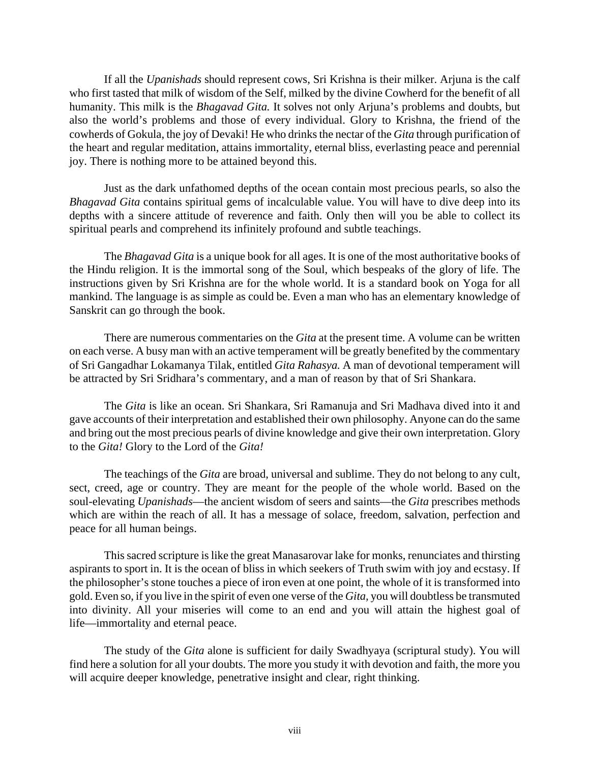If all the *Upanishads* should represent cows, Sri Krishna is their milker. Arjuna is the calf who first tasted that milk of wisdom of the Self, milked by the divine Cowherd for the benefit of all humanity. This milk is the *Bhagavad Gita.* It solves not only Arjuna's problems and doubts, but also the world's problems and those of every individual. Glory to Krishna, the friend of the cowherds of Gokula, the joy of Devaki! He who drinks the nectar of the *Gita* through purification of the heart and regular meditation, attains immortality, eternal bliss, everlasting peace and perennial joy. There is nothing more to be attained beyond this.

Just as the dark unfathomed depths of the ocean contain most precious pearls, so also the *Bhagavad Gita* contains spiritual gems of incalculable value. You will have to dive deep into its depths with a sincere attitude of reverence and faith. Only then will you be able to collect its spiritual pearls and comprehend its infinitely profound and subtle teachings.

The *Bhagavad Gita* is a unique book for all ages. It is one of the most authoritative books of the Hindu religion. It is the immortal song of the Soul, which bespeaks of the glory of life. The instructions given by Sri Krishna are for the whole world. It is a standard book on Yoga for all mankind. The language is as simple as could be. Even a man who has an elementary knowledge of Sanskrit can go through the book.

There are numerous commentaries on the *Gita* at the present time. A volume can be written on each verse. A busy man with an active temperament will be greatly benefited by the commentary of Sri Gangadhar Lokamanya Tilak, entitled *Gita Rahasya.* A man of devotional temperament will be attracted by Sri Sridhara's commentary, and a man of reason by that of Sri Shankara.

The *Gita* is like an ocean. Sri Shankara, Sri Ramanuja and Sri Madhava dived into it and gave accounts of their interpretation and established their own philosophy. Anyone can do the same and bring out the most precious pearls of divine knowledge and give their own interpretation. Glory to the *Gita!* Glory to the Lord of the *Gita!*

The teachings of the *Gita* are broad, universal and sublime. They do not belong to any cult, sect, creed, age or country. They are meant for the people of the whole world. Based on the soul-elevating *Upanishads*—the ancient wisdom of seers and saints—the *Gita* prescribes methods which are within the reach of all. It has a message of solace, freedom, salvation, perfection and peace for all human beings.

This sacred scripture is like the great Manasarovar lake for monks, renunciates and thirsting aspirants to sport in. It is the ocean of bliss in which seekers of Truth swim with joy and ecstasy. If the philosopher's stone touches a piece of iron even at one point, the whole of it is transformed into gold. Even so, if you live in the spirit of even one verse of the *Gita,* you will doubtless be transmuted into divinity. All your miseries will come to an end and you will attain the highest goal of life—immortality and eternal peace.

The study of the *Gita* alone is sufficient for daily Swadhyaya (scriptural study). You will find here a solution for all your doubts. The more you study it with devotion and faith, the more you will acquire deeper knowledge, penetrative insight and clear, right thinking.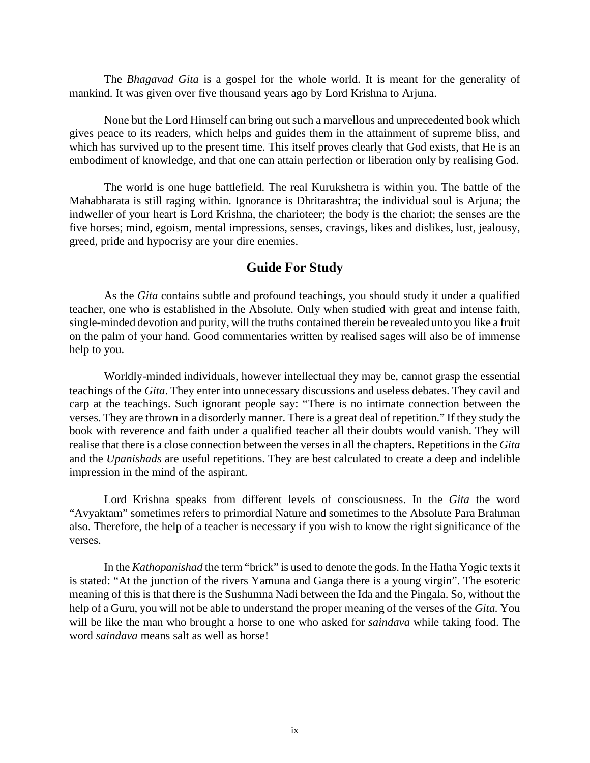The *Bhagavad Gita* is a gospel for the whole world. It is meant for the generality of mankind. It was given over five thousand years ago by Lord Krishna to Arjuna.

None but the Lord Himself can bring out such a marvellous and unprecedented book which gives peace to its readers, which helps and guides them in the attainment of supreme bliss, and which has survived up to the present time. This itself proves clearly that God exists, that He is an embodiment of knowledge, and that one can attain perfection or liberation only by realising God.

The world is one huge battlefield. The real Kurukshetra is within you. The battle of the Mahabharata is still raging within. Ignorance is Dhritarashtra; the individual soul is Arjuna; the indweller of your heart is Lord Krishna, the charioteer; the body is the chariot; the senses are the five horses; mind, egoism, mental impressions, senses, cravings, likes and dislikes, lust, jealousy, greed, pride and hypocrisy are your dire enemies.

### **Guide For Study**

As the *Gita* contains subtle and profound teachings, you should study it under a qualified teacher, one who is established in the Absolute. Only when studied with great and intense faith, single-minded devotion and purity, will the truths contained therein be revealed unto you like a fruit on the palm of your hand. Good commentaries written by realised sages will also be of immense help to you.

Worldly-minded individuals, however intellectual they may be, cannot grasp the essential teachings of the *Gita*. They enter into unnecessary discussions and useless debates. They cavil and carp at the teachings. Such ignorant people say: "There is no intimate connection between the verses. They are thrown in a disorderly manner. There is a great deal of repetition." If they study the book with reverence and faith under a qualified teacher all their doubts would vanish. They will realise that there is a close connection between the verses in all the chapters. Repetitions in the *Gita* and the *Upanishads* are useful repetitions. They are best calculated to create a deep and indelible impression in the mind of the aspirant.

Lord Krishna speaks from different levels of consciousness. In the *Gita* the word "Avyaktam" sometimes refers to primordial Nature and sometimes to the Absolute Para Brahman also. Therefore, the help of a teacher is necessary if you wish to know the right significance of the verses.

In the *Kathopanishad* the term "brick" is used to denote the gods. In the Hatha Yogic texts it is stated: "At the junction of the rivers Yamuna and Ganga there is a young virgin". The esoteric meaning of this is that there is the Sushumna Nadi between the Ida and the Pingala. So, without the help of a Guru, you will not be able to understand the proper meaning of the verses of the *Gita.* You will be like the man who brought a horse to one who asked for *saindava* while taking food. The word *saindava* means salt as well as horse!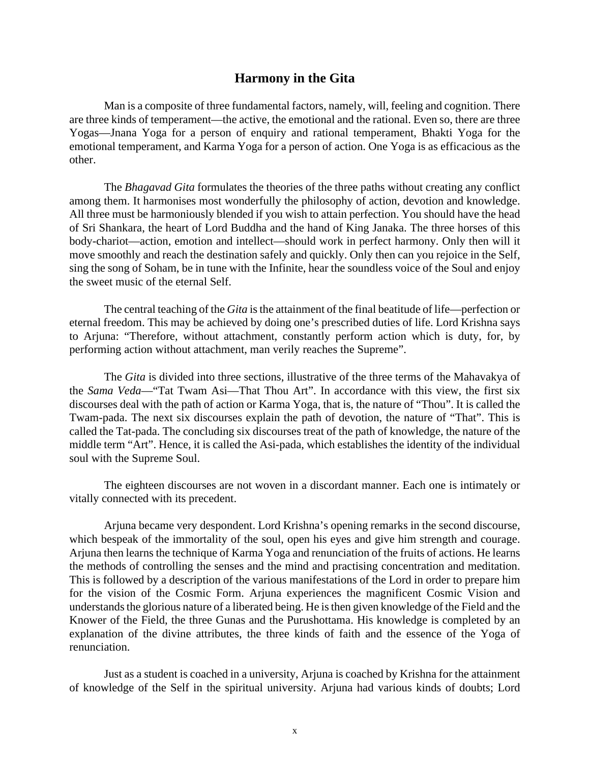### **Harmony in the Gita**

Man is a composite of three fundamental factors, namely, will, feeling and cognition. There are three kinds of temperament—the active, the emotional and the rational. Even so, there are three Yogas—Jnana Yoga for a person of enquiry and rational temperament, Bhakti Yoga for the emotional temperament, and Karma Yoga for a person of action. One Yoga is as efficacious as the other.

The *Bhagavad Gita* formulates the theories of the three paths without creating any conflict among them. It harmonises most wonderfully the philosophy of action, devotion and knowledge. All three must be harmoniously blended if you wish to attain perfection. You should have the head of Sri Shankara, the heart of Lord Buddha and the hand of King Janaka. The three horses of this body-chariot—action, emotion and intellect—should work in perfect harmony. Only then will it move smoothly and reach the destination safely and quickly. Only then can you rejoice in the Self, sing the song of Soham, be in tune with the Infinite, hear the soundless voice of the Soul and enjoy the sweet music of the eternal Self.

The central teaching of the *Gita* is the attainment of the final beatitude of life—perfection or eternal freedom. This may be achieved by doing one's prescribed duties of life. Lord Krishna says to Arjuna: "Therefore, without attachment, constantly perform action which is duty, for, by performing action without attachment, man verily reaches the Supreme".

The *Gita* is divided into three sections, illustrative of the three terms of the Mahavakya of the *Sama Veda*—"Tat Twam Asi—That Thou Art". In accordance with this view, the first six discourses deal with the path of action or Karma Yoga, that is, the nature of "Thou". It is called the Twam-pada. The next six discourses explain the path of devotion, the nature of "That". This is called the Tat-pada. The concluding six discourses treat of the path of knowledge, the nature of the middle term "Art". Hence, it is called the Asi-pada, which establishes the identity of the individual soul with the Supreme Soul.

The eighteen discourses are not woven in a discordant manner. Each one is intimately or vitally connected with its precedent.

Arjuna became very despondent. Lord Krishna's opening remarks in the second discourse, which bespeak of the immortality of the soul, open his eyes and give him strength and courage. Arjuna then learns the technique of Karma Yoga and renunciation of the fruits of actions. He learns the methods of controlling the senses and the mind and practising concentration and meditation. This is followed by a description of the various manifestations of the Lord in order to prepare him for the vision of the Cosmic Form. Arjuna experiences the magnificent Cosmic Vision and understands the glorious nature of a liberated being. He is then given knowledge of the Field and the Knower of the Field, the three Gunas and the Purushottama. His knowledge is completed by an explanation of the divine attributes, the three kinds of faith and the essence of the Yoga of renunciation.

Just as a student is coached in a university, Arjuna is coached by Krishna for the attainment of knowledge of the Self in the spiritual university. Arjuna had various kinds of doubts; Lord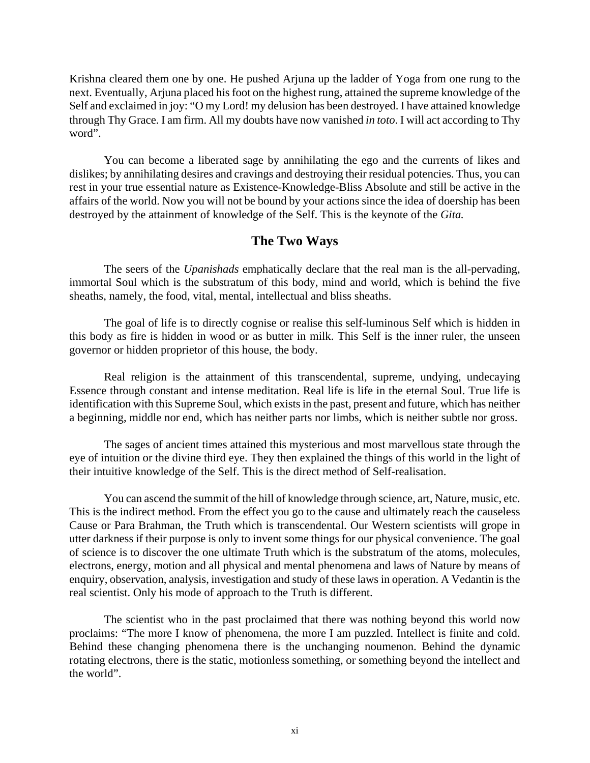Krishna cleared them one by one. He pushed Arjuna up the ladder of Yoga from one rung to the next. Eventually, Arjuna placed his foot on the highest rung, attained the supreme knowledge of the Self and exclaimed in joy: "O my Lord! my delusion has been destroyed. I have attained knowledge through Thy Grace. I am firm. All my doubts have now vanished *in toto*. I will act according to Thy word".

You can become a liberated sage by annihilating the ego and the currents of likes and dislikes; by annihilating desires and cravings and destroying their residual potencies. Thus, you can rest in your true essential nature as Existence-Knowledge-Bliss Absolute and still be active in the affairs of the world. Now you will not be bound by your actions since the idea of doership has been destroyed by the attainment of knowledge of the Self. This is the keynote of the *Gita.*

### **The Two Ways**

The seers of the *Upanishads* emphatically declare that the real man is the all-pervading, immortal Soul which is the substratum of this body, mind and world, which is behind the five sheaths, namely, the food, vital, mental, intellectual and bliss sheaths.

The goal of life is to directly cognise or realise this self-luminous Self which is hidden in this body as fire is hidden in wood or as butter in milk. This Self is the inner ruler, the unseen governor or hidden proprietor of this house, the body.

Real religion is the attainment of this transcendental, supreme, undying, undecaying Essence through constant and intense meditation. Real life is life in the eternal Soul. True life is identification with this Supreme Soul, which exists in the past, present and future, which has neither a beginning, middle nor end, which has neither parts nor limbs, which is neither subtle nor gross.

The sages of ancient times attained this mysterious and most marvellous state through the eye of intuition or the divine third eye. They then explained the things of this world in the light of their intuitive knowledge of the Self. This is the direct method of Self-realisation.

You can ascend the summit of the hill of knowledge through science, art, Nature, music, etc. This is the indirect method. From the effect you go to the cause and ultimately reach the causeless Cause or Para Brahman, the Truth which is transcendental. Our Western scientists will grope in utter darkness if their purpose is only to invent some things for our physical convenience. The goal of science is to discover the one ultimate Truth which is the substratum of the atoms, molecules, electrons, energy, motion and all physical and mental phenomena and laws of Nature by means of enquiry, observation, analysis, investigation and study of these laws in operation. A Vedantin is the real scientist. Only his mode of approach to the Truth is different.

The scientist who in the past proclaimed that there was nothing beyond this world now proclaims: "The more I know of phenomena, the more I am puzzled. Intellect is finite and cold. Behind these changing phenomena there is the unchanging noumenon. Behind the dynamic rotating electrons, there is the static, motionless something, or something beyond the intellect and the world".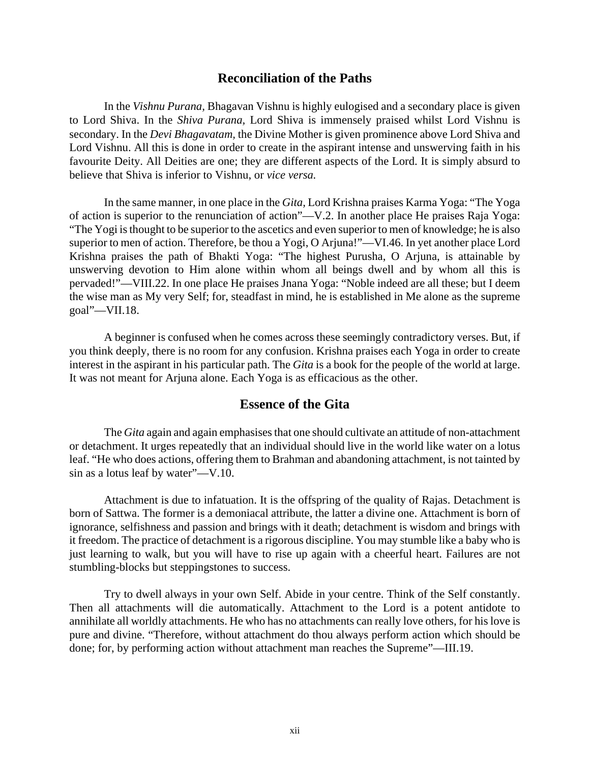### **Reconciliation of the Paths**

In the *Vishnu Purana,* Bhagavan Vishnu is highly eulogised and a secondary place is given to Lord Shiva. In the *Shiva Purana,* Lord Shiva is immensely praised whilst Lord Vishnu is secondary. In the *Devi Bhagavatam,* the Divine Mother is given prominence above Lord Shiva and Lord Vishnu. All this is done in order to create in the aspirant intense and unswerving faith in his favourite Deity. All Deities are one; they are different aspects of the Lord. It is simply absurd to believe that Shiva is inferior to Vishnu, or *vice versa.*

In the same manner, in one place in the *Gita,* Lord Krishna praises Karma Yoga: "The Yoga of action is superior to the renunciation of action"—V.2. In another place He praises Raja Yoga: "The Yogi is thought to be superior to the ascetics and even superior to men of knowledge; he is also superior to men of action. Therefore, be thou a Yogi, O Arjuna!"—VI.46. In yet another place Lord Krishna praises the path of Bhakti Yoga: "The highest Purusha, O Arjuna, is attainable by unswerving devotion to Him alone within whom all beings dwell and by whom all this is pervaded!"—VIII.22. In one place He praises Jnana Yoga: "Noble indeed are all these; but I deem the wise man as My very Self; for, steadfast in mind, he is established in Me alone as the supreme goal"—VII.18.

A beginner is confused when he comes across these seemingly contradictory verses. But, if you think deeply, there is no room for any confusion. Krishna praises each Yoga in order to create interest in the aspirant in his particular path. The *Gita* is a book for the people of the world at large. It was not meant for Arjuna alone. Each Yoga is as efficacious as the other.

### **Essence of the Gita**

The *Gita* again and again emphasises that one should cultivate an attitude of non-attachment or detachment. It urges repeatedly that an individual should live in the world like water on a lotus leaf. "He who does actions, offering them to Brahman and abandoning attachment, is not tainted by sin as a lotus leaf by water"—V.10.

Attachment is due to infatuation. It is the offspring of the quality of Rajas. Detachment is born of Sattwa. The former is a demoniacal attribute, the latter a divine one. Attachment is born of ignorance, selfishness and passion and brings with it death; detachment is wisdom and brings with it freedom. The practice of detachment is a rigorous discipline. You may stumble like a baby who is just learning to walk, but you will have to rise up again with a cheerful heart. Failures are not stumbling-blocks but steppingstones to success.

Try to dwell always in your own Self. Abide in your centre. Think of the Self constantly. Then all attachments will die automatically. Attachment to the Lord is a potent antidote to annihilate all worldly attachments. He who has no attachments can really love others, for his love is pure and divine. "Therefore, without attachment do thou always perform action which should be done; for, by performing action without attachment man reaches the Supreme"—III.19.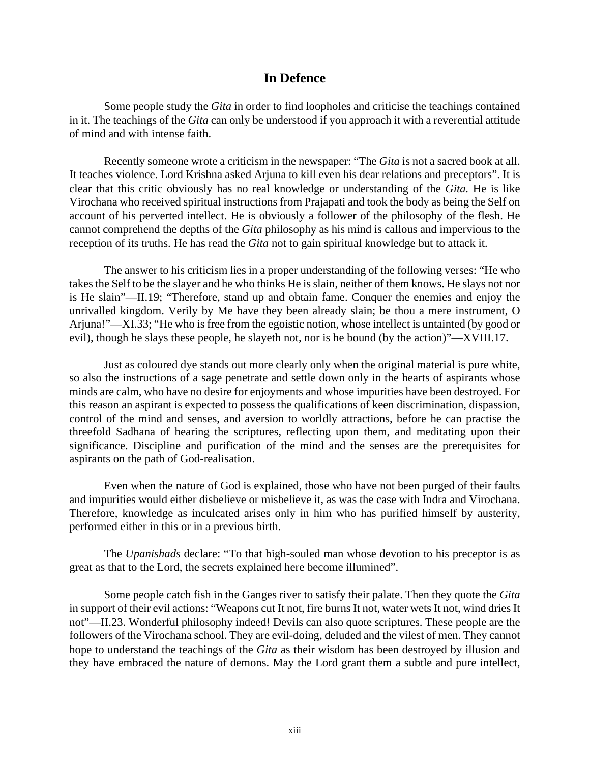### **In Defence**

Some people study the *Gita* in order to find loopholes and criticise the teachings contained in it. The teachings of the *Gita* can only be understood if you approach it with a reverential attitude of mind and with intense faith.

Recently someone wrote a criticism in the newspaper: "The *Gita* is not a sacred book at all. It teaches violence. Lord Krishna asked Arjuna to kill even his dear relations and preceptors". It is clear that this critic obviously has no real knowledge or understanding of the *Gita.* He is like Virochana who received spiritual instructions from Prajapati and took the body as being the Self on account of his perverted intellect. He is obviously a follower of the philosophy of the flesh. He cannot comprehend the depths of the *Gita* philosophy as his mind is callous and impervious to the reception of its truths. He has read the *Gita* not to gain spiritual knowledge but to attack it.

The answer to his criticism lies in a proper understanding of the following verses: "He who takes the Self to be the slayer and he who thinks He is slain, neither of them knows. He slays not nor is He slain"—II.19; "Therefore, stand up and obtain fame. Conquer the enemies and enjoy the unrivalled kingdom. Verily by Me have they been already slain; be thou a mere instrument, O Arjuna!"—XI.33; "He who is free from the egoistic notion, whose intellect is untainted (by good or evil), though he slays these people, he slayeth not, nor is he bound (by the action)"—XVIII.17.

Just as coloured dye stands out more clearly only when the original material is pure white, so also the instructions of a sage penetrate and settle down only in the hearts of aspirants whose minds are calm, who have no desire for enjoyments and whose impurities have been destroyed. For this reason an aspirant is expected to possess the qualifications of keen discrimination, dispassion, control of the mind and senses, and aversion to worldly attractions, before he can practise the threefold Sadhana of hearing the scriptures, reflecting upon them, and meditating upon their significance. Discipline and purification of the mind and the senses are the prerequisites for aspirants on the path of God-realisation.

Even when the nature of God is explained, those who have not been purged of their faults and impurities would either disbelieve or misbelieve it, as was the case with Indra and Virochana. Therefore, knowledge as inculcated arises only in him who has purified himself by austerity, performed either in this or in a previous birth.

The *Upanishads* declare: "To that high-souled man whose devotion to his preceptor is as great as that to the Lord, the secrets explained here become illumined".

Some people catch fish in the Ganges river to satisfy their palate. Then they quote the *Gita* in support of their evil actions: "Weapons cut It not, fire burns It not, water wets It not, wind dries It not"—II.23. Wonderful philosophy indeed! Devils can also quote scriptures. These people are the followers of the Virochana school. They are evil-doing, deluded and the vilest of men. They cannot hope to understand the teachings of the *Gita* as their wisdom has been destroyed by illusion and they have embraced the nature of demons. May the Lord grant them a subtle and pure intellect,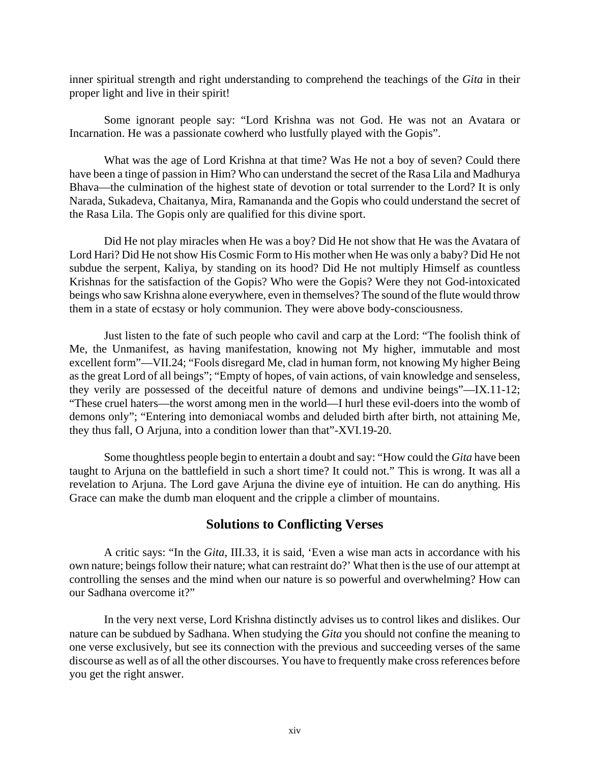inner spiritual strength and right understanding to comprehend the teachings of the *Gita* in their proper light and live in their spirit!

Some ignorant people say: "Lord Krishna was not God. He was not an Avatara or Incarnation. He was a passionate cowherd who lustfully played with the Gopis".

What was the age of Lord Krishna at that time? Was He not a boy of seven? Could there have been a tinge of passion in Him? Who can understand the secret of the Rasa Lila and Madhurya Bhava—the culmination of the highest state of devotion or total surrender to the Lord? It is only Narada, Sukadeva, Chaitanya, Mira, Ramananda and the Gopis who could understand the secret of the Rasa Lila. The Gopis only are qualified for this divine sport.

Did He not play miracles when He was a boy? Did He not show that He was the Avatara of Lord Hari? Did He not show His Cosmic Form to His mother when He was only a baby? Did He not subdue the serpent, Kaliya, by standing on its hood? Did He not multiply Himself as countless Krishnas for the satisfaction of the Gopis? Who were the Gopis? Were they not God-intoxicated beings who saw Krishna alone everywhere, even in themselves? The sound of the flute would throw them in a state of ecstasy or holy communion. They were above body-consciousness.

Just listen to the fate of such people who cavil and carp at the Lord: "The foolish think of Me, the Unmanifest, as having manifestation, knowing not My higher, immutable and most excellent form"—VII.24; "Fools disregard Me, clad in human form, not knowing My higher Being as the great Lord of all beings"; "Empty of hopes, of vain actions, of vain knowledge and senseless, they verily are possessed of the deceitful nature of demons and undivine beings"—IX.11-12; "These cruel haters—the worst among men in the world—I hurl these evil-doers into the womb of demons only"; "Entering into demoniacal wombs and deluded birth after birth, not attaining Me, they thus fall, O Arjuna, into a condition lower than that"-XVI.19-20.

Some thoughtless people begin to entertain a doubt and say: "How could the *Gita* have been taught to Arjuna on the battlefield in such a short time? It could not." This is wrong. It was all a revelation to Arjuna. The Lord gave Arjuna the divine eye of intuition. He can do anything. His Grace can make the dumb man eloquent and the cripple a climber of mountains.

### **Solutions to Conflicting Verses**

A critic says: "In the *Gita*, III.33, it is said, 'Even a wise man acts in accordance with his own nature; beings follow their nature; what can restraint do?' What then is the use of our attempt at controlling the senses and the mind when our nature is so powerful and overwhelming? How can our Sadhana overcome it?"

In the very next verse, Lord Krishna distinctly advises us to control likes and dislikes. Our nature can be subdued by Sadhana. When studying the *Gita* you should not confine the meaning to one verse exclusively, but see its connection with the previous and succeeding verses of the same discourse as well as of all the other discourses. You have to frequently make cross references before you get the right answer.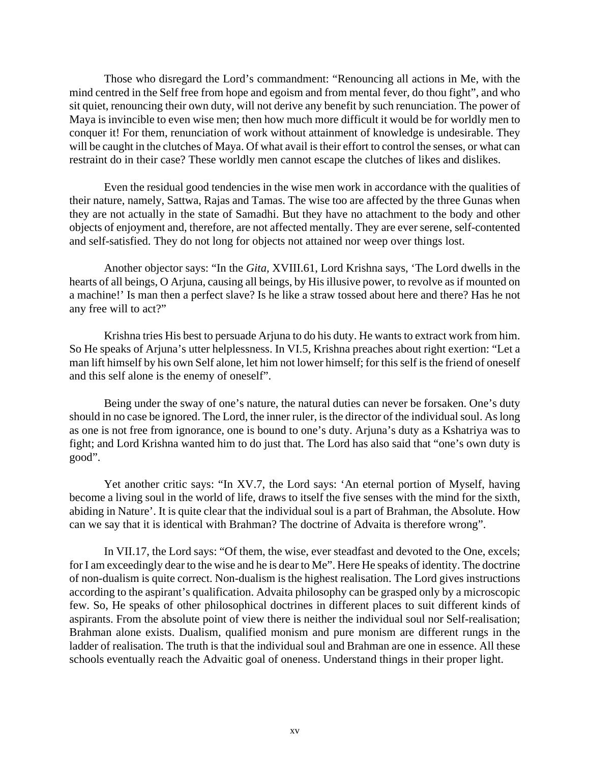Those who disregard the Lord's commandment: "Renouncing all actions in Me, with the mind centred in the Self free from hope and egoism and from mental fever, do thou fight", and who sit quiet, renouncing their own duty, will not derive any benefit by such renunciation. The power of Maya is invincible to even wise men; then how much more difficult it would be for worldly men to conquer it! For them, renunciation of work without attainment of knowledge is undesirable. They will be caught in the clutches of Maya. Of what avail is their effort to control the senses, or what can restraint do in their case? These worldly men cannot escape the clutches of likes and dislikes.

Even the residual good tendencies in the wise men work in accordance with the qualities of their nature, namely, Sattwa, Rajas and Tamas. The wise too are affected by the three Gunas when they are not actually in the state of Samadhi. But they have no attachment to the body and other objects of enjoyment and, therefore, are not affected mentally. They are ever serene, self-contented and self-satisfied. They do not long for objects not attained nor weep over things lost.

Another objector says: "In the *Gita,* XVIII.61, Lord Krishna says, 'The Lord dwells in the hearts of all beings, O Arjuna, causing all beings, by His illusive power, to revolve as if mounted on a machine!' Is man then a perfect slave? Is he like a straw tossed about here and there? Has he not any free will to act?"

Krishna tries His best to persuade Arjuna to do his duty. He wants to extract work from him. So He speaks of Arjuna's utter helplessness. In VI.5, Krishna preaches about right exertion: "Let a man lift himself by his own Self alone, let him not lower himself; for this self is the friend of oneself and this self alone is the enemy of oneself".

Being under the sway of one's nature, the natural duties can never be forsaken. One's duty should in no case be ignored. The Lord, the inner ruler, is the director of the individual soul. As long as one is not free from ignorance, one is bound to one's duty. Arjuna's duty as a Kshatriya was to fight; and Lord Krishna wanted him to do just that. The Lord has also said that "one's own duty is good".

Yet another critic says: "In XV.7, the Lord says: 'An eternal portion of Myself, having become a living soul in the world of life, draws to itself the five senses with the mind for the sixth, abiding in Nature'. It is quite clear that the individual soul is a part of Brahman, the Absolute. How can we say that it is identical with Brahman? The doctrine of Advaita is therefore wrong".

In VII.17, the Lord says: "Of them, the wise, ever steadfast and devoted to the One, excels; for I am exceedingly dear to the wise and he is dear to Me". Here He speaks of identity. The doctrine of non-dualism is quite correct. Non-dualism is the highest realisation. The Lord gives instructions according to the aspirant's qualification. Advaita philosophy can be grasped only by a microscopic few. So, He speaks of other philosophical doctrines in different places to suit different kinds of aspirants. From the absolute point of view there is neither the individual soul nor Self-realisation; Brahman alone exists. Dualism, qualified monism and pure monism are different rungs in the ladder of realisation. The truth is that the individual soul and Brahman are one in essence. All these schools eventually reach the Advaitic goal of oneness. Understand things in their proper light.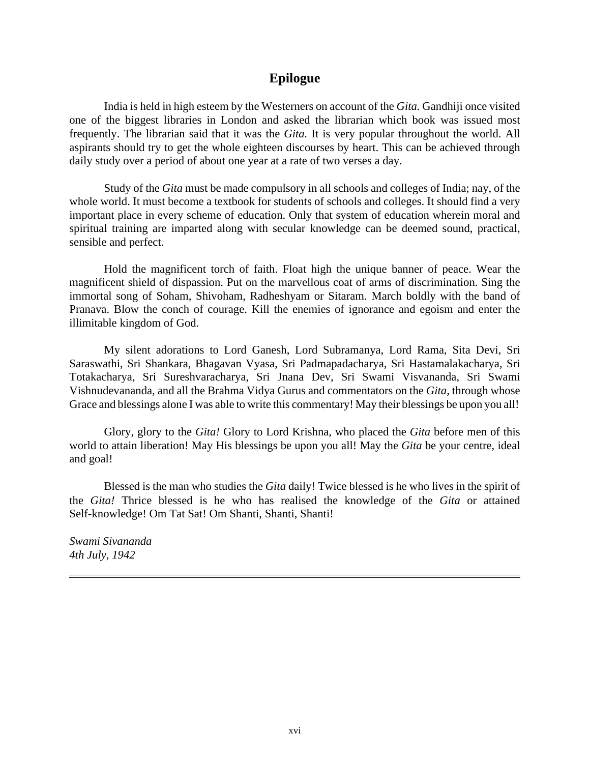### **Epilogue**

India is held in high esteem by the Westerners on account of the *Gita.* Gandhiji once visited one of the biggest libraries in London and asked the librarian which book was issued most frequently. The librarian said that it was the *Gita.* It is very popular throughout the world. All aspirants should try to get the whole eighteen discourses by heart. This can be achieved through daily study over a period of about one year at a rate of two verses a day.

Study of the *Gita* must be made compulsory in all schools and colleges of India; nay, of the whole world. It must become a textbook for students of schools and colleges. It should find a very important place in every scheme of education. Only that system of education wherein moral and spiritual training are imparted along with secular knowledge can be deemed sound, practical, sensible and perfect.

Hold the magnificent torch of faith. Float high the unique banner of peace. Wear the magnificent shield of dispassion. Put on the marvellous coat of arms of discrimination. Sing the immortal song of Soham, Shivoham, Radheshyam or Sitaram. March boldly with the band of Pranava. Blow the conch of courage. Kill the enemies of ignorance and egoism and enter the illimitable kingdom of God.

My silent adorations to Lord Ganesh, Lord Subramanya, Lord Rama, Sita Devi, Sri Saraswathi, Sri Shankara, Bhagavan Vyasa, Sri Padmapadacharya, Sri Hastamalakacharya, Sri Totakacharya, Sri Sureshvaracharya, Sri Jnana Dev, Sri Swami Visvananda, Sri Swami Vishnudevananda, and all the Brahma Vidya Gurus and commentators on the *Gita,* through whose Grace and blessings alone I was able to write this commentary! May their blessings be upon you all!

Glory, glory to the *Gita!* Glory to Lord Krishna, who placed the *Gita* before men of this world to attain liberation! May His blessings be upon you all! May the *Gita* be your centre, ideal and goal!

Blessed is the man who studies the *Gita* daily! Twice blessed is he who lives in the spirit of the *Gita!* Thrice blessed is he who has realised the knowledge of the *Gita* or attained Self-knowledge! Om Tat Sat! Om Shanti, Shanti, Shanti!

*Swami Sivananda 4th July, 1942*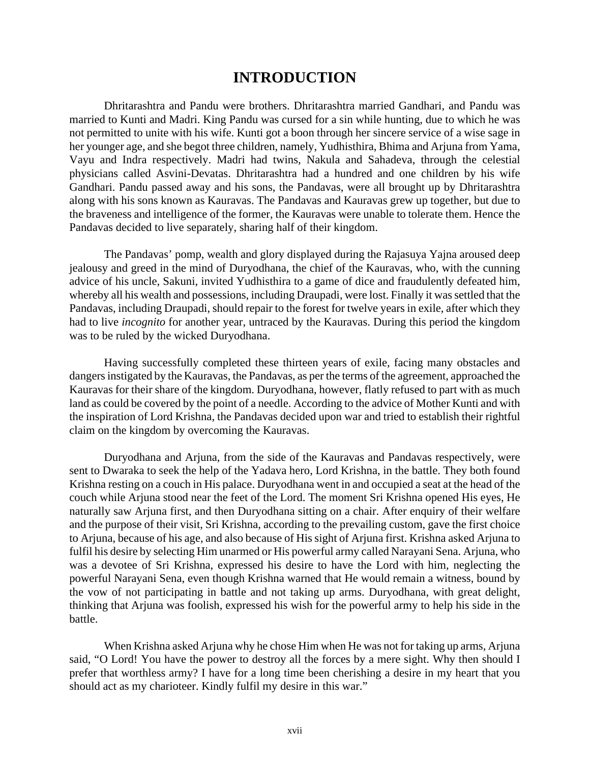# **INTRODUCTION**

Dhritarashtra and Pandu were brothers. Dhritarashtra married Gandhari, and Pandu was married to Kunti and Madri. King Pandu was cursed for a sin while hunting, due to which he was not permitted to unite with his wife. Kunti got a boon through her sincere service of a wise sage in her younger age, and she begot three children, namely, Yudhisthira, Bhima and Arjuna from Yama, Vayu and Indra respectively. Madri had twins, Nakula and Sahadeva, through the celestial physicians called Asvini-Devatas. Dhritarashtra had a hundred and one children by his wife Gandhari. Pandu passed away and his sons, the Pandavas, were all brought up by Dhritarashtra along with his sons known as Kauravas. The Pandavas and Kauravas grew up together, but due to the braveness and intelligence of the former, the Kauravas were unable to tolerate them. Hence the Pandavas decided to live separately, sharing half of their kingdom.

The Pandavas' pomp, wealth and glory displayed during the Rajasuya Yajna aroused deep jealousy and greed in the mind of Duryodhana, the chief of the Kauravas, who, with the cunning advice of his uncle, Sakuni, invited Yudhisthira to a game of dice and fraudulently defeated him, whereby all his wealth and possessions, including Draupadi, were lost. Finally it was settled that the Pandavas, including Draupadi, should repair to the forest for twelve years in exile, after which they had to live *incognito* for another year, untraced by the Kauravas. During this period the kingdom was to be ruled by the wicked Duryodhana.

Having successfully completed these thirteen years of exile, facing many obstacles and dangers instigated by the Kauravas, the Pandavas, as per the terms of the agreement, approached the Kauravas for their share of the kingdom. Duryodhana, however, flatly refused to part with as much land as could be covered by the point of a needle. According to the advice of Mother Kunti and with the inspiration of Lord Krishna, the Pandavas decided upon war and tried to establish their rightful claim on the kingdom by overcoming the Kauravas.

Duryodhana and Arjuna, from the side of the Kauravas and Pandavas respectively, were sent to Dwaraka to seek the help of the Yadava hero, Lord Krishna, in the battle. They both found Krishna resting on a couch in His palace. Duryodhana went in and occupied a seat at the head of the couch while Arjuna stood near the feet of the Lord. The moment Sri Krishna opened His eyes, He naturally saw Arjuna first, and then Duryodhana sitting on a chair. After enquiry of their welfare and the purpose of their visit, Sri Krishna, according to the prevailing custom, gave the first choice to Arjuna, because of his age, and also because of His sight of Arjuna first. Krishna asked Arjuna to fulfil his desire by selecting Him unarmed or His powerful army called Narayani Sena. Arjuna, who was a devotee of Sri Krishna, expressed his desire to have the Lord with him, neglecting the powerful Narayani Sena, even though Krishna warned that He would remain a witness, bound by the vow of not participating in battle and not taking up arms. Duryodhana, with great delight, thinking that Arjuna was foolish, expressed his wish for the powerful army to help his side in the battle.

When Krishna asked Arjuna why he chose Him when He was not for taking up arms, Arjuna said, "O Lord! You have the power to destroy all the forces by a mere sight. Why then should I prefer that worthless army? I have for a long time been cherishing a desire in my heart that you should act as my charioteer. Kindly fulfil my desire in this war."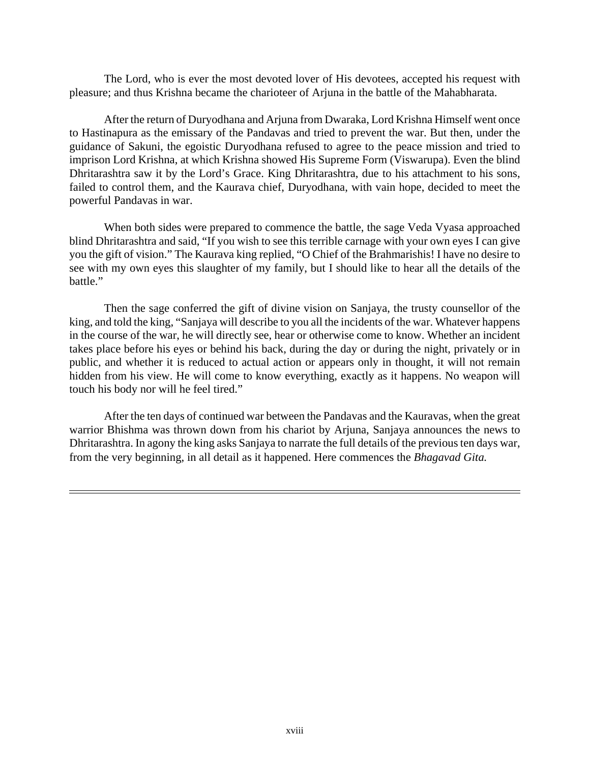The Lord, who is ever the most devoted lover of His devotees, accepted his request with pleasure; and thus Krishna became the charioteer of Arjuna in the battle of the Mahabharata.

After the return of Duryodhana and Arjuna from Dwaraka, Lord Krishna Himself went once to Hastinapura as the emissary of the Pandavas and tried to prevent the war. But then, under the guidance of Sakuni, the egoistic Duryodhana refused to agree to the peace mission and tried to imprison Lord Krishna, at which Krishna showed His Supreme Form (Viswarupa). Even the blind Dhritarashtra saw it by the Lord's Grace. King Dhritarashtra, due to his attachment to his sons, failed to control them, and the Kaurava chief, Duryodhana, with vain hope, decided to meet the powerful Pandavas in war.

When both sides were prepared to commence the battle, the sage Veda Vyasa approached blind Dhritarashtra and said, "If you wish to see this terrible carnage with your own eyes I can give you the gift of vision." The Kaurava king replied, "O Chief of the Brahmarishis! I have no desire to see with my own eyes this slaughter of my family, but I should like to hear all the details of the battle."

Then the sage conferred the gift of divine vision on Sanjaya, the trusty counsellor of the king, and told the king, "Sanjaya will describe to you all the incidents of the war. Whatever happens in the course of the war, he will directly see, hear or otherwise come to know. Whether an incident takes place before his eyes or behind his back, during the day or during the night, privately or in public, and whether it is reduced to actual action or appears only in thought, it will not remain hidden from his view. He will come to know everything, exactly as it happens. No weapon will touch his body nor will he feel tired."

After the ten days of continued war between the Pandavas and the Kauravas, when the great warrior Bhishma was thrown down from his chariot by Arjuna, Sanjaya announces the news to Dhritarashtra. In agony the king asks Sanjaya to narrate the full details of the previous ten days war, from the very beginning, in all detail as it happened. Here commences the *Bhagavad Gita.*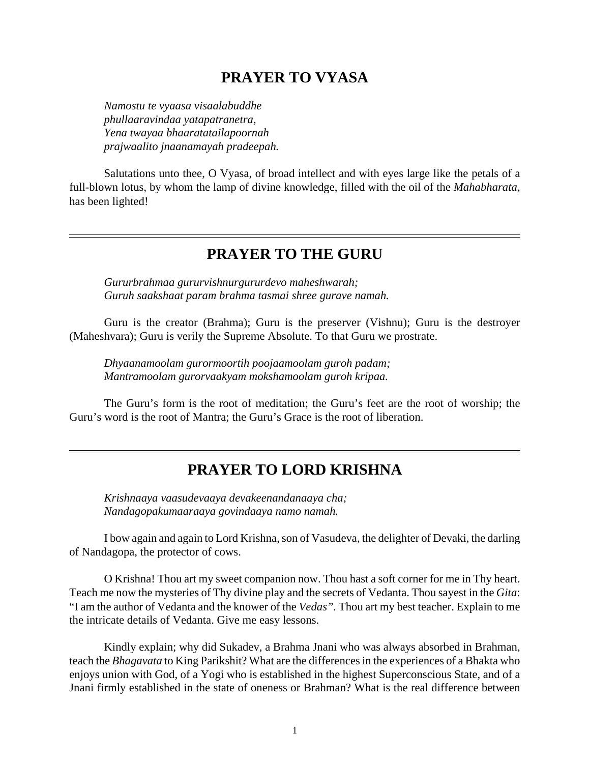# **PRAYER TO VYASA**

*Namostu te vyaasa visaalabuddhe phullaaravindaa yatapatranetra, Yena twayaa bhaaratatailapoornah prajwaalito jnaanamayah pradeepah.*

Salutations unto thee, O Vyasa, of broad intellect and with eyes large like the petals of a full-blown lotus, by whom the lamp of divine knowledge, filled with the oil of the *Mahabharata,* has been lighted!

# **PRAYER TO THE GURU**

*Gururbrahmaa gururvishnurgururdevo maheshwarah; Guruh saakshaat param brahma tasmai shree gurave namah.*

Guru is the creator (Brahma); Guru is the preserver (Vishnu); Guru is the destroyer (Maheshvara); Guru is verily the Supreme Absolute. To that Guru we prostrate.

*Dhyaanamoolam gurormoortih poojaamoolam guroh padam; Mantramoolam gurorvaakyam mokshamoolam guroh kripaa.*

The Guru's form is the root of meditation; the Guru's feet are the root of worship; the Guru's word is the root of Mantra; the Guru's Grace is the root of liberation.

# **PRAYER TO LORD KRISHNA**

*Krishnaaya vaasudevaaya devakeenandanaaya cha; Nandagopakumaaraaya govindaaya namo namah.*

I bow again and again to Lord Krishna, son of Vasudeva, the delighter of Devaki, the darling of Nandagopa, the protector of cows.

O Krishna! Thou art my sweet companion now. Thou hast a soft corner for me in Thy heart. Teach me now the mysteries of Thy divine play and the secrets of Vedanta. Thou sayest in the *Gita*: "I am the author of Vedanta and the knower of the *Vedas".* Thou art my best teacher. Explain to me the intricate details of Vedanta. Give me easy lessons.

Kindly explain; why did Sukadev, a Brahma Jnani who was always absorbed in Brahman, teach the *Bhagavata* to King Parikshit? What are the differences in the experiences of a Bhakta who enjoys union with God, of a Yogi who is established in the highest Superconscious State, and of a Jnani firmly established in the state of oneness or Brahman? What is the real difference between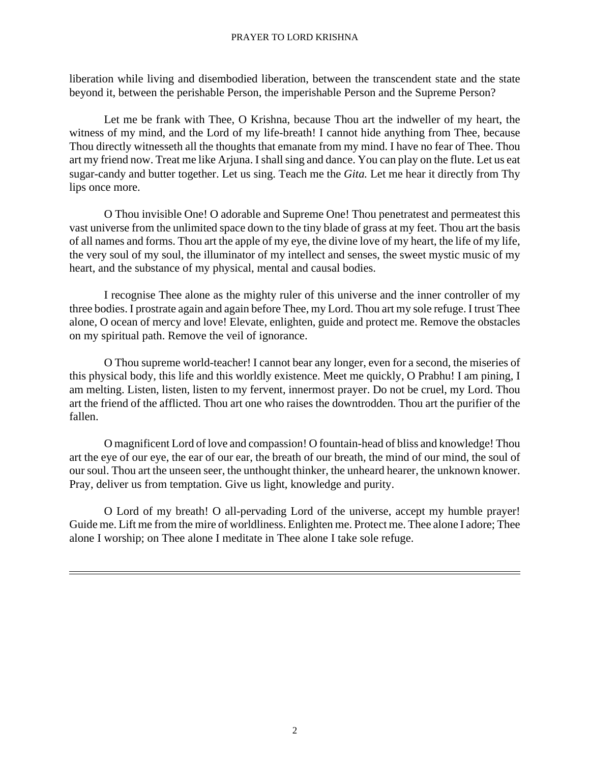#### PRAYER TO LORD KRISHNA

liberation while living and disembodied liberation, between the transcendent state and the state beyond it, between the perishable Person, the imperishable Person and the Supreme Person?

Let me be frank with Thee, O Krishna, because Thou art the indweller of my heart, the witness of my mind, and the Lord of my life-breath! I cannot hide anything from Thee, because Thou directly witnesseth all the thoughts that emanate from my mind. I have no fear of Thee. Thou art my friend now. Treat me like Arjuna. I shall sing and dance. You can play on the flute. Let us eat sugar-candy and butter together. Let us sing. Teach me the *Gita.* Let me hear it directly from Thy lips once more.

O Thou invisible One! O adorable and Supreme One! Thou penetratest and permeatest this vast universe from the unlimited space down to the tiny blade of grass at my feet. Thou art the basis of all names and forms. Thou art the apple of my eye, the divine love of my heart, the life of my life, the very soul of my soul, the illuminator of my intellect and senses, the sweet mystic music of my heart, and the substance of my physical, mental and causal bodies.

I recognise Thee alone as the mighty ruler of this universe and the inner controller of my three bodies. I prostrate again and again before Thee, my Lord. Thou art my sole refuge. I trust Thee alone, O ocean of mercy and love! Elevate, enlighten, guide and protect me. Remove the obstacles on my spiritual path. Remove the veil of ignorance.

O Thou supreme world-teacher! I cannot bear any longer, even for a second, the miseries of this physical body, this life and this worldly existence. Meet me quickly, O Prabhu! I am pining, I am melting. Listen, listen, listen to my fervent, innermost prayer. Do not be cruel, my Lord. Thou art the friend of the afflicted. Thou art one who raises the downtrodden. Thou art the purifier of the fallen.

O magnificent Lord of love and compassion! O fountain-head of bliss and knowledge! Thou art the eye of our eye, the ear of our ear, the breath of our breath, the mind of our mind, the soul of our soul. Thou art the unseen seer, the unthought thinker, the unheard hearer, the unknown knower. Pray, deliver us from temptation. Give us light, knowledge and purity.

O Lord of my breath! O all-pervading Lord of the universe, accept my humble prayer! Guide me. Lift me from the mire of worldliness. Enlighten me. Protect me. Thee alone I adore; Thee alone I worship; on Thee alone I meditate in Thee alone I take sole refuge.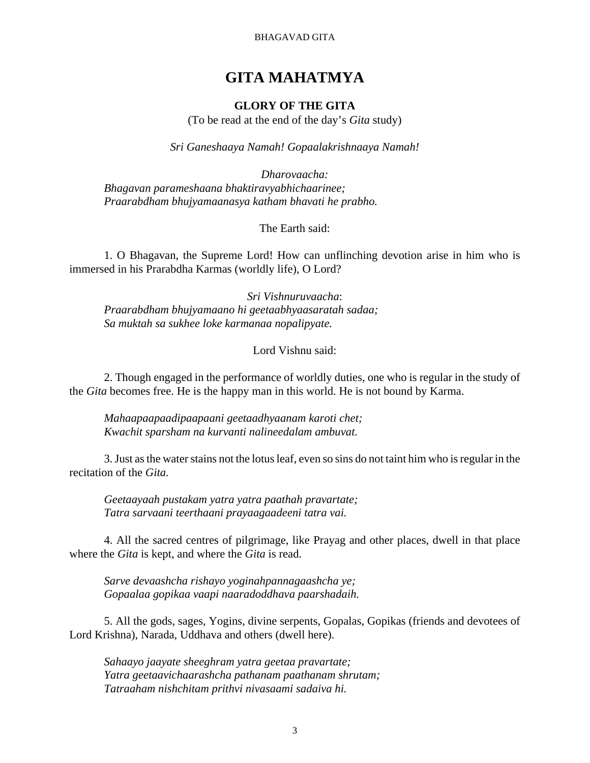BHAGAVAD GITA

# **GITA MAHATMYA**

### **GLORY OF THE GITA**

(To be read at the end of the day's *Gita* study)

*Sri Ganeshaaya Namah! Gopaalakrishnaaya Namah!*

*Dharovaacha: Bhagavan parameshaana bhaktiravyabhichaarinee; Praarabdham bhujyamaanasya katham bhavati he prabho.*

The Earth said:

1. O Bhagavan, the Supreme Lord! How can unflinching devotion arise in him who is immersed in his Prarabdha Karmas (worldly life), O Lord?

*Sri Vishnuruvaacha*: *Praarabdham bhujyamaano hi geetaabhyaasaratah sadaa; Sa muktah sa sukhee loke karmanaa nopalipyate.*

Lord Vishnu said:

2. Though engaged in the performance of worldly duties, one who is regular in the study of the *Gita* becomes free. He is the happy man in this world. He is not bound by Karma.

*Mahaapaapaadipaapaani geetaadhyaanam karoti chet; Kwachit sparsham na kurvanti nalineedalam ambuvat.*

3. Just as the water stains not the lotus leaf, even so sins do not taint him who is regular in the recitation of the *Gita.*

*Geetaayaah pustakam yatra yatra paathah pravartate; Tatra sarvaani teerthaani prayaagaadeeni tatra vai.*

4. All the sacred centres of pilgrimage, like Prayag and other places, dwell in that place where the *Gita* is kept, and where the *Gita* is read.

*Sarve devaashcha rishayo yoginahpannagaashcha ye; Gopaalaa gopikaa vaapi naaradoddhava paarshadaih.*

5. All the gods, sages, Yogins, divine serpents, Gopalas, Gopikas (friends and devotees of Lord Krishna), Narada, Uddhava and others (dwell here).

*Sahaayo jaayate sheeghram yatra geetaa pravartate; Yatra geetaavichaarashcha pathanam paathanam shrutam; Tatraaham nishchitam prithvi nivasaami sadaiva hi.*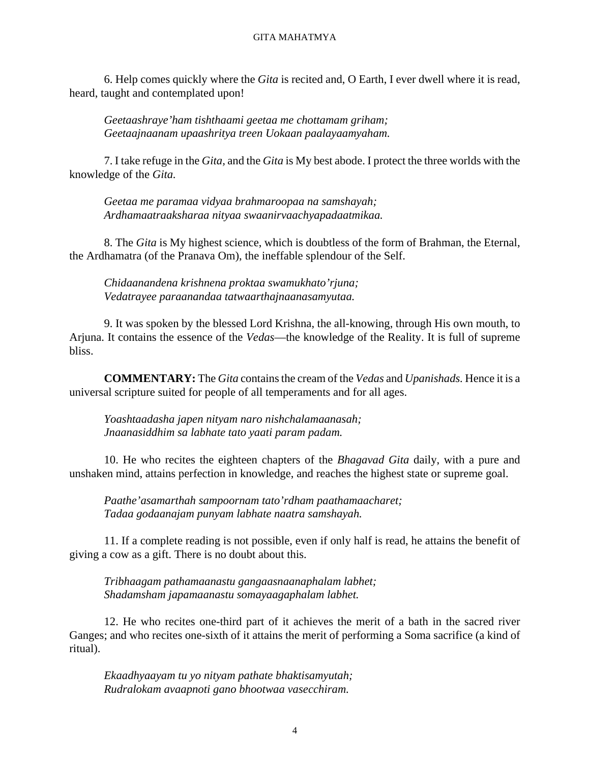#### GITA MAHATMYA

6. Help comes quickly where the *Gita* is recited and, O Earth, I ever dwell where it is read, heard, taught and contemplated upon!

*Geetaashraye'ham tishthaami geetaa me chottamam griham; Geetaajnaanam upaashritya treen Uokaan paalayaamyaham.*

7. I take refuge in the *Gita,* and the *Gita* is My best abode. I protect the three worlds with the knowledge of the *Gita.*

*Geetaa me paramaa vidyaa brahmaroopaa na samshayah; Ardhamaatraaksharaa nityaa swaanirvaachyapadaatmikaa.*

8. The *Gita* is My highest science, which is doubtless of the form of Brahman, the Eternal, the Ardhamatra (of the Pranava Om), the ineffable splendour of the Self.

*Chidaanandena krishnena proktaa swamukhato'rjuna; Vedatrayee paraanandaa tatwaarthajnaanasamyutaa.*

9. It was spoken by the blessed Lord Krishna, the all-knowing, through His own mouth, to Arjuna. It contains the essence of the *Vedas*—the knowledge of the Reality. It is full of supreme bliss.

**COMMENTARY:** The *Gita* contains the cream of the *Vedas* and *Upanishads.* Hence it is a universal scripture suited for people of all temperaments and for all ages.

*Yoashtaadasha japen nityam naro nishchalamaanasah; Jnaanasiddhim sa labhate tato yaati param padam.*

10. He who recites the eighteen chapters of the *Bhagavad Gita* daily, with a pure and unshaken mind, attains perfection in knowledge, and reaches the highest state or supreme goal.

*Paathe'asamarthah sampoornam tato'rdham paathamaacharet; Tadaa godaanajam punyam labhate naatra samshayah.*

11. If a complete reading is not possible, even if only half is read, he attains the benefit of giving a cow as a gift. There is no doubt about this.

*Tribhaagam pathamaanastu gangaasnaanaphalam labhet; Shadamsham japamaanastu somayaagaphalam labhet.*

12. He who recites one-third part of it achieves the merit of a bath in the sacred river Ganges; and who recites one-sixth of it attains the merit of performing a Soma sacrifice (a kind of ritual).

*Ekaadhyaayam tu yo nityam pathate bhaktisamyutah; Rudralokam avaapnoti gano bhootwaa vasecchiram.*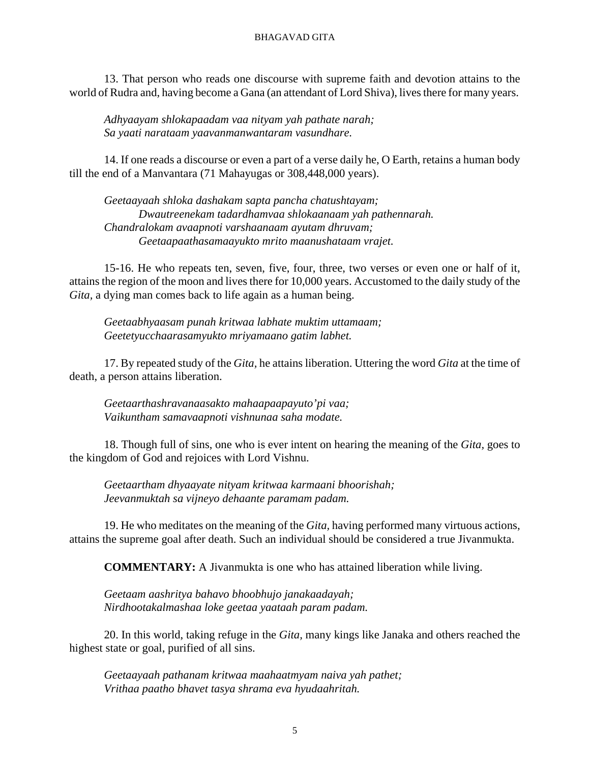#### BHAGAVAD GITA

13. That person who reads one discourse with supreme faith and devotion attains to the world of Rudra and, having become a Gana (an attendant of Lord Shiva), lives there for many years.

*Adhyaayam shlokapaadam vaa nityam yah pathate narah; Sa yaati narataam yaavanmanwantaram vasundhare.*

14. If one reads a discourse or even a part of a verse daily he, O Earth, retains a human body till the end of a Manvantara (71 Mahayugas or 308,448,000 years).

*Geetaayaah shloka dashakam sapta pancha chatushtayam; Dwautreenekam tadardhamvaa shlokaanaam yah pathennarah. Chandralokam avaapnoti varshaanaam ayutam dhruvam; Geetaapaathasamaayukto mrito maanushataam vrajet.*

15-16. He who repeats ten, seven, five, four, three, two verses or even one or half of it, attains the region of the moon and lives there for 10,000 years. Accustomed to the daily study of the *Gita,* a dying man comes back to life again as a human being.

*Geetaabhyaasam punah kritwaa labhate muktim uttamaam; Geetetyucchaarasamyukto mriyamaano gatim labhet.*

17. By repeated study of the *Gita,* he attains liberation. Uttering the word *Gita* at the time of death, a person attains liberation.

*Geetaarthashravanaasakto mahaapaapayuto'pi vaa; Vaikuntham samavaapnoti vishnunaa saha modate.*

18. Though full of sins, one who is ever intent on hearing the meaning of the *Gita,* goes to the kingdom of God and rejoices with Lord Vishnu.

*Geetaartham dhyaayate nityam kritwaa karmaani bhoorishah; Jeevanmuktah sa vijneyo dehaante paramam padam.*

19. He who meditates on the meaning of the *Gita,* having performed many virtuous actions, attains the supreme goal after death. Such an individual should be considered a true Jivanmukta.

**COMMENTARY:** A Jivanmukta is one who has attained liberation while living.

*Geetaam aashritya bahavo bhoobhujo janakaadayah; Nirdhootakalmashaa loke geetaa yaataah param padam.*

20. In this world, taking refuge in the *Gita,* many kings like Janaka and others reached the highest state or goal, purified of all sins.

*Geetaayaah pathanam kritwaa maahaatmyam naiva yah pathet; Vrithaa paatho bhavet tasya shrama eva hyudaahritah.*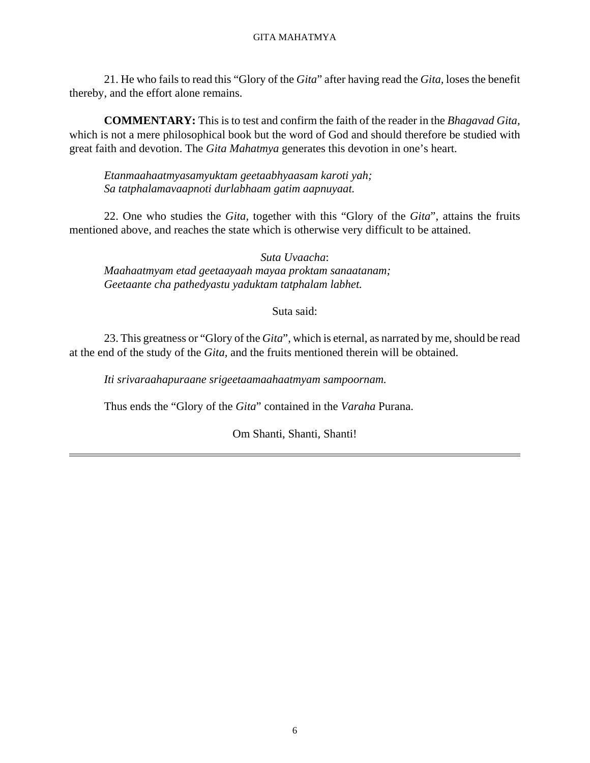#### GITA MAHATMYA

21. He who fails to read this "Glory of the *Gita*" after having read the *Gita,* loses the benefit thereby, and the effort alone remains.

**COMMENTARY:** This is to test and confirm the faith of the reader in the *Bhagavad Gita,* which is not a mere philosophical book but the word of God and should therefore be studied with great faith and devotion. The *Gita Mahatmya* generates this devotion in one's heart.

*Etanmaahaatmyasamyuktam geetaabhyaasam karoti yah; Sa tatphalamavaapnoti durlabhaam gatim aapnuyaat.*

22. One who studies the *Gita,* together with this "Glory of the *Gita*", attains the fruits mentioned above, and reaches the state which is otherwise very difficult to be attained.

*Suta Uvaacha*: *Maahaatmyam etad geetaayaah mayaa proktam sanaatanam; Geetaante cha pathedyastu yaduktam tatphalam labhet.*

#### Suta said:

23. This greatness or "Glory of the *Gita*", which is eternal, as narrated by me, should be read at the end of the study of the *Gita,* and the fruits mentioned therein will be obtained.

*Iti srivaraahapuraane srigeetaamaahaatmyam sampoornam.*

Thus ends the "Glory of the *Gita*" contained in the *Varaha* Purana.

Om Shanti, Shanti, Shanti!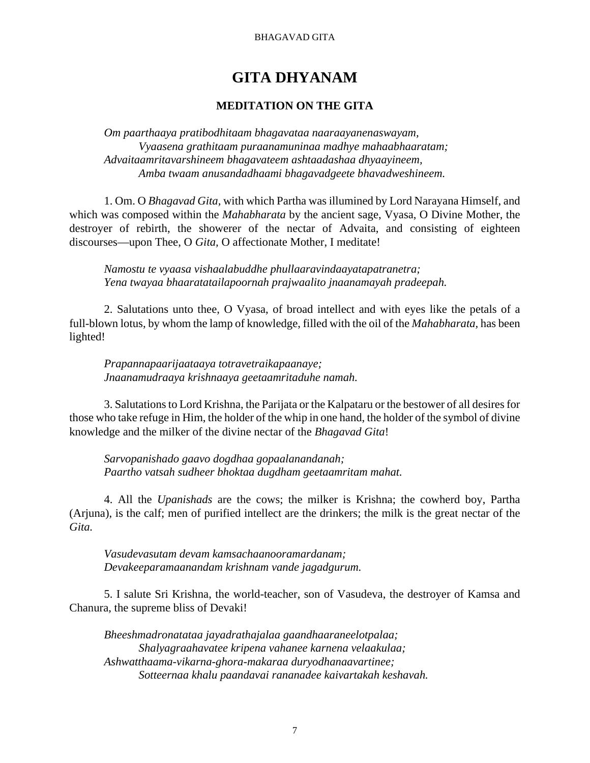#### BHAGAVAD GITA

# **GITA DHYANAM**

### **MEDITATION ON THE GITA**

*Om paarthaaya pratibodhitaam bhagavataa naaraayanenaswayam, Vyaasena grathitaam puraanamuninaa madhye mahaabhaaratam; Advaitaamritavarshineem bhagavateem ashtaadashaa dhyaayineem, Amba twaam anusandadhaami bhagavadgeete bhavadweshineem.*

1. Om. O *Bhagavad Gita,* with which Partha was illumined by Lord Narayana Himself, and which was composed within the *Mahabharata* by the ancient sage, Vyasa, O Divine Mother, the destroyer of rebirth, the showerer of the nectar of Advaita, and consisting of eighteen discourses—upon Thee, O *Gita,* O affectionate Mother, I meditate!

*Namostu te vyaasa vishaalabuddhe phullaaravindaayatapatranetra; Yena twayaa bhaaratatailapoornah prajwaalito jnaanamayah pradeepah.*

2. Salutations unto thee, O Vyasa, of broad intellect and with eyes like the petals of a full-blown lotus, by whom the lamp of knowledge, filled with the oil of the *Mahabharata,* has been lighted!

*Prapannapaarijaataaya totravetraikapaanaye; Jnaanamudraaya krishnaaya geetaamritaduhe namah.*

3. Salutations to Lord Krishna, the Parijata or the Kalpataru or the bestower of all desires for those who take refuge in Him, the holder of the whip in one hand, the holder of the symbol of divine knowledge and the milker of the divine nectar of the *Bhagavad Gita*!

*Sarvopanishado gaavo dogdhaa gopaalanandanah; Paartho vatsah sudheer bhoktaa dugdham geetaamritam mahat.*

4. All the *Upanishads* are the cows; the milker is Krishna; the cowherd boy, Partha (Arjuna), is the calf; men of purified intellect are the drinkers; the milk is the great nectar of the *Gita.*

*Vasudevasutam devam kamsachaanooramardanam; Devakeeparamaanandam krishnam vande jagadgurum.*

5. I salute Sri Krishna, the world-teacher, son of Vasudeva, the destroyer of Kamsa and Chanura, the supreme bliss of Devaki!

*Bheeshmadronatataa jayadrathajalaa gaandhaaraneelotpalaa; Shalyagraahavatee kripena vahanee karnena velaakulaa; Ashwatthaama-vikarna-ghora-makaraa duryodhanaavartinee; Sotteernaa khalu paandavai rananadee kaivartakah keshavah.*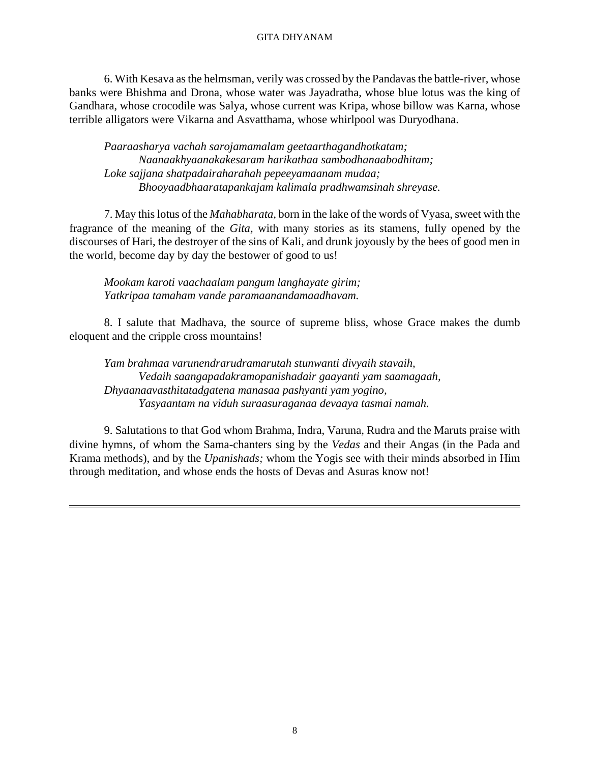#### GITA DHYANAM

6. With Kesava as the helmsman, verily was crossed by the Pandavas the battle-river, whose banks were Bhishma and Drona, whose water was Jayadratha, whose blue lotus was the king of Gandhara, whose crocodile was Salya, whose current was Kripa, whose billow was Karna, whose terrible alligators were Vikarna and Asvatthama, whose whirlpool was Duryodhana.

*Paaraasharya vachah sarojamamalam geetaarthagandhotkatam; Naanaakhyaanakakesaram harikathaa sambodhanaabodhitam; Loke sajjana shatpadairaharahah pepeeyamaanam mudaa; Bhooyaadbhaaratapankajam kalimala pradhwamsinah shreyase.*

7. May this lotus of the *Mahabharata,* born in the lake of the words of Vyasa, sweet with the fragrance of the meaning of the *Gita,* with many stories as its stamens, fully opened by the discourses of Hari, the destroyer of the sins of Kali, and drunk joyously by the bees of good men in the world, become day by day the bestower of good to us!

*Mookam karoti vaachaalam pangum langhayate girim; Yatkripaa tamaham vande paramaanandamaadhavam.*

8. I salute that Madhava, the source of supreme bliss, whose Grace makes the dumb eloquent and the cripple cross mountains!

*Yam brahmaa varunendrarudramarutah stunwanti divyaih stavaih, Vedaih saangapadakramopanishadair gaayanti yam saamagaah, Dhyaanaavasthitatadgatena manasaa pashyanti yam yogino, Yasyaantam na viduh suraasuraganaa devaaya tasmai namah.*

9. Salutations to that God whom Brahma, Indra, Varuna, Rudra and the Maruts praise with divine hymns, of whom the Sama-chanters sing by the *Vedas* and their Angas (in the Pada and Krama methods), and by the *Upanishads;* whom the Yogis see with their minds absorbed in Him through meditation, and whose ends the hosts of Devas and Asuras know not!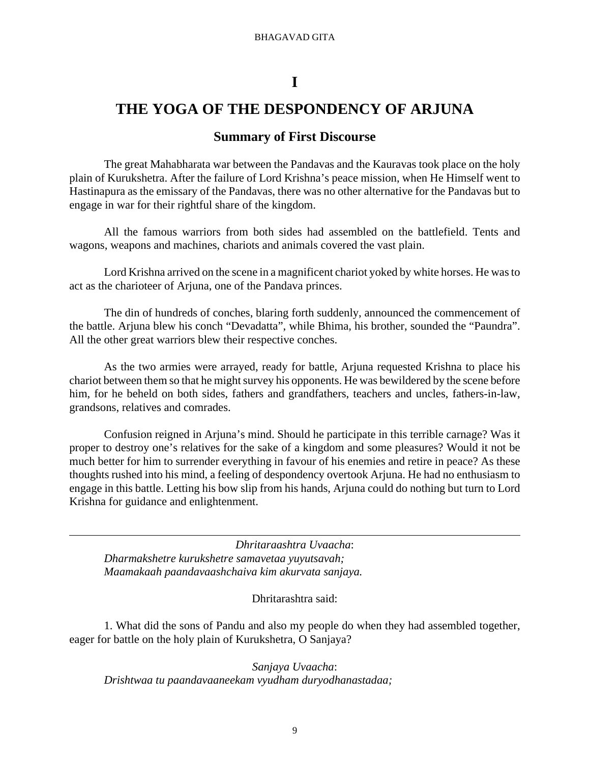# **I**

# **THE YOGA OF THE DESPONDENCY OF ARJUNA**

### **Summary of First Discourse**

The great Mahabharata war between the Pandavas and the Kauravas took place on the holy plain of Kurukshetra. After the failure of Lord Krishna's peace mission, when He Himself went to Hastinapura as the emissary of the Pandavas, there was no other alternative for the Pandavas but to engage in war for their rightful share of the kingdom.

All the famous warriors from both sides had assembled on the battlefield. Tents and wagons, weapons and machines, chariots and animals covered the vast plain.

Lord Krishna arrived on the scene in a magnificent chariot yoked by white horses. He was to act as the charioteer of Arjuna, one of the Pandava princes.

The din of hundreds of conches, blaring forth suddenly, announced the commencement of the battle. Arjuna blew his conch "Devadatta", while Bhima, his brother, sounded the "Paundra". All the other great warriors blew their respective conches.

As the two armies were arrayed, ready for battle, Arjuna requested Krishna to place his chariot between them so that he might survey his opponents. He was bewildered by the scene before him, for he beheld on both sides, fathers and grandfathers, teachers and uncles, fathers-in-law, grandsons, relatives and comrades.

Confusion reigned in Arjuna's mind. Should he participate in this terrible carnage? Was it proper to destroy one's relatives for the sake of a kingdom and some pleasures? Would it not be much better for him to surrender everything in favour of his enemies and retire in peace? As these thoughts rushed into his mind, a feeling of despondency overtook Arjuna. He had no enthusiasm to engage in this battle. Letting his bow slip from his hands, Arjuna could do nothing but turn to Lord Krishna for guidance and enlightenment.

*Dhritaraashtra Uvaacha*: *Dharmakshetre kurukshetre samavetaa yuyutsavah; Maamakaah paandavaashchaiva kim akurvata sanjaya.*

Dhritarashtra said:

1. What did the sons of Pandu and also my people do when they had assembled together, eager for battle on the holy plain of Kurukshetra, O Sanjaya?

*Sanjaya Uvaacha*: *Drishtwaa tu paandavaaneekam vyudham duryodhanastadaa;*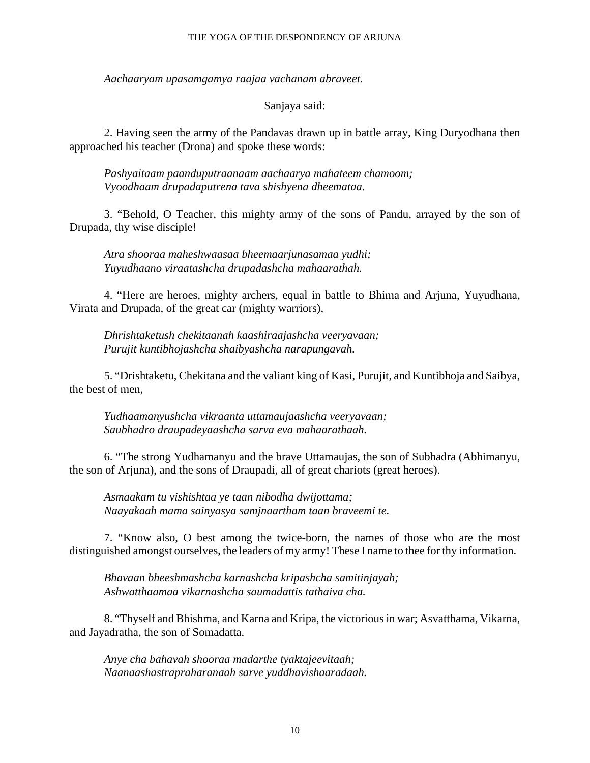#### THE YOGA OF THE DESPONDENCY OF ARJUNA

*Aachaaryam upasamgamya raajaa vachanam abraveet.*

#### Sanjaya said:

2. Having seen the army of the Pandavas drawn up in battle array, King Duryodhana then approached his teacher (Drona) and spoke these words:

*Pashyaitaam paanduputraanaam aachaarya mahateem chamoom; Vyoodhaam drupadaputrena tava shishyena dheemataa.*

3. "Behold, O Teacher, this mighty army of the sons of Pandu, arrayed by the son of Drupada, thy wise disciple!

*Atra shooraa maheshwaasaa bheemaarjunasamaa yudhi; Yuyudhaano viraatashcha drupadashcha mahaarathah.*

4. "Here are heroes, mighty archers, equal in battle to Bhima and Arjuna, Yuyudhana, Virata and Drupada, of the great car (mighty warriors),

*Dhrishtaketush chekitaanah kaashiraajashcha veeryavaan; Purujit kuntibhojashcha shaibyashcha narapungavah.*

5. "Drishtaketu, Chekitana and the valiant king of Kasi, Purujit, and Kuntibhoja and Saibya, the best of men,

*Yudhaamanyushcha vikraanta uttamaujaashcha veeryavaan; Saubhadro draupadeyaashcha sarva eva mahaarathaah.*

6. "The strong Yudhamanyu and the brave Uttamaujas, the son of Subhadra (Abhimanyu, the son of Arjuna), and the sons of Draupadi, all of great chariots (great heroes).

*Asmaakam tu vishishtaa ye taan nibodha dwijottama; Naayakaah mama sainyasya samjnaartham taan braveemi te.*

7. "Know also, O best among the twice-born, the names of those who are the most distinguished amongst ourselves, the leaders of my army! These I name to thee for thy information.

*Bhavaan bheeshmashcha karnashcha kripashcha samitinjayah; Ashwatthaamaa vikarnashcha saumadattis tathaiva cha.*

8. "Thyself and Bhishma, and Karna and Kripa, the victorious in war; Asvatthama, Vikarna, and Jayadratha, the son of Somadatta.

*Anye cha bahavah shooraa madarthe tyaktajeevitaah; Naanaashastrapraharanaah sarve yuddhavishaaradaah.*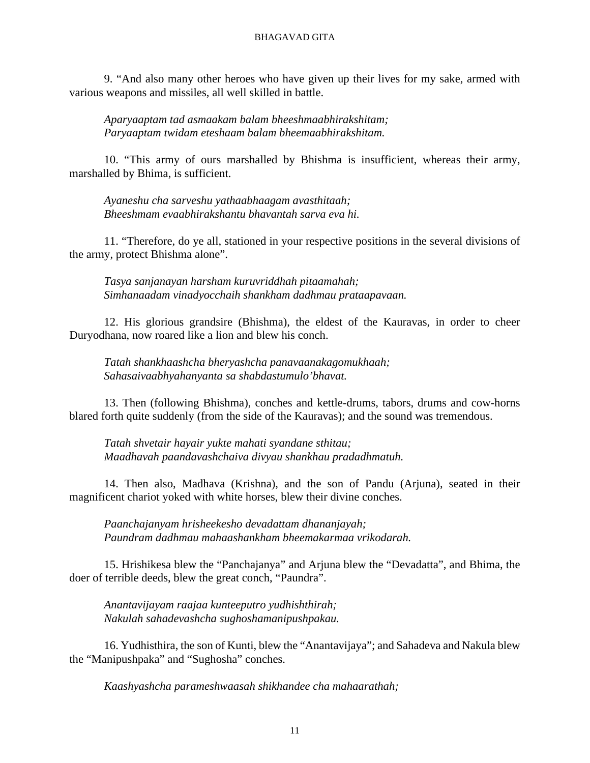9. "And also many other heroes who have given up their lives for my sake, armed with various weapons and missiles, all well skilled in battle.

*Aparyaaptam tad asmaakam balam bheeshmaabhirakshitam; Paryaaptam twidam eteshaam balam bheemaabhirakshitam.*

10. "This army of ours marshalled by Bhishma is insufficient, whereas their army, marshalled by Bhima, is sufficient.

*Ayaneshu cha sarveshu yathaabhaagam avasthitaah; Bheeshmam evaabhirakshantu bhavantah sarva eva hi.*

11. "Therefore, do ye all, stationed in your respective positions in the several divisions of the army, protect Bhishma alone".

*Tasya sanjanayan harsham kuruvriddhah pitaamahah; Simhanaadam vinadyocchaih shankham dadhmau prataapavaan.*

12. His glorious grandsire (Bhishma), the eldest of the Kauravas, in order to cheer Duryodhana, now roared like a lion and blew his conch.

*Tatah shankhaashcha bheryashcha panavaanakagomukhaah; Sahasaivaabhyahanyanta sa shabdastumulo'bhavat.*

13. Then (following Bhishma), conches and kettle-drums, tabors, drums and cow-horns blared forth quite suddenly (from the side of the Kauravas); and the sound was tremendous.

*Tatah shvetair hayair yukte mahati syandane sthitau; Maadhavah paandavashchaiva divyau shankhau pradadhmatuh.*

14. Then also, Madhava (Krishna), and the son of Pandu (Arjuna), seated in their magnificent chariot yoked with white horses, blew their divine conches.

*Paanchajanyam hrisheekesho devadattam dhananjayah; Paundram dadhmau mahaashankham bheemakarmaa vrikodarah.*

15. Hrishikesa blew the "Panchajanya" and Arjuna blew the "Devadatta", and Bhima, the doer of terrible deeds, blew the great conch, "Paundra".

*Anantavijayam raajaa kunteeputro yudhishthirah; Nakulah sahadevashcha sughoshamanipushpakau.*

16. Yudhisthira, the son of Kunti, blew the "Anantavijaya"; and Sahadeva and Nakula blew the "Manipushpaka" and "Sughosha" conches.

*Kaashyashcha parameshwaasah shikhandee cha mahaarathah;*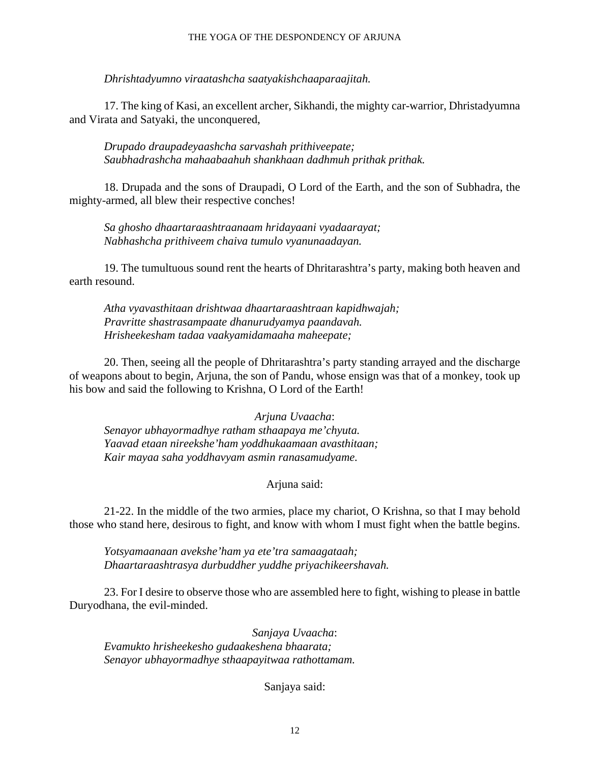#### THE YOGA OF THE DESPONDENCY OF ARJUNA

*Dhrishtadyumno viraatashcha saatyakishchaaparaajitah.*

17. The king of Kasi, an excellent archer, Sikhandi, the mighty car-warrior, Dhristadyumna and Virata and Satyaki, the unconquered,

*Drupado draupadeyaashcha sarvashah prithiveepate; Saubhadrashcha mahaabaahuh shankhaan dadhmuh prithak prithak.*

18. Drupada and the sons of Draupadi, O Lord of the Earth, and the son of Subhadra, the mighty-armed, all blew their respective conches!

*Sa ghosho dhaartaraashtraanaam hridayaani vyadaarayat; Nabhashcha prithiveem chaiva tumulo vyanunaadayan.*

19. The tumultuous sound rent the hearts of Dhritarashtra's party, making both heaven and earth resound.

*Atha vyavasthitaan drishtwaa dhaartaraashtraan kapidhwajah; Pravritte shastrasampaate dhanurudyamya paandavah. Hrisheekesham tadaa vaakyamidamaaha maheepate;*

20. Then, seeing all the people of Dhritarashtra's party standing arrayed and the discharge of weapons about to begin, Arjuna, the son of Pandu, whose ensign was that of a monkey, took up his bow and said the following to Krishna, O Lord of the Earth!

*Arjuna Uvaacha*: *Senayor ubhayormadhye ratham sthaapaya me'chyuta. Yaavad etaan nireekshe'ham yoddhukaamaan avasthitaan; Kair mayaa saha yoddhavyam asmin ranasamudyame.*

#### Arjuna said:

21-22. In the middle of the two armies, place my chariot, O Krishna, so that I may behold those who stand here, desirous to fight, and know with whom I must fight when the battle begins.

*Yotsyamaanaan avekshe'ham ya ete'tra samaagataah; Dhaartaraashtrasya durbuddher yuddhe priyachikeershavah.*

23. For I desire to observe those who are assembled here to fight, wishing to please in battle Duryodhana, the evil-minded.

*Sanjaya Uvaacha*: *Evamukto hrisheekesho gudaakeshena bhaarata; Senayor ubhayormadhye sthaapayitwaa rathottamam.*

Sanjaya said: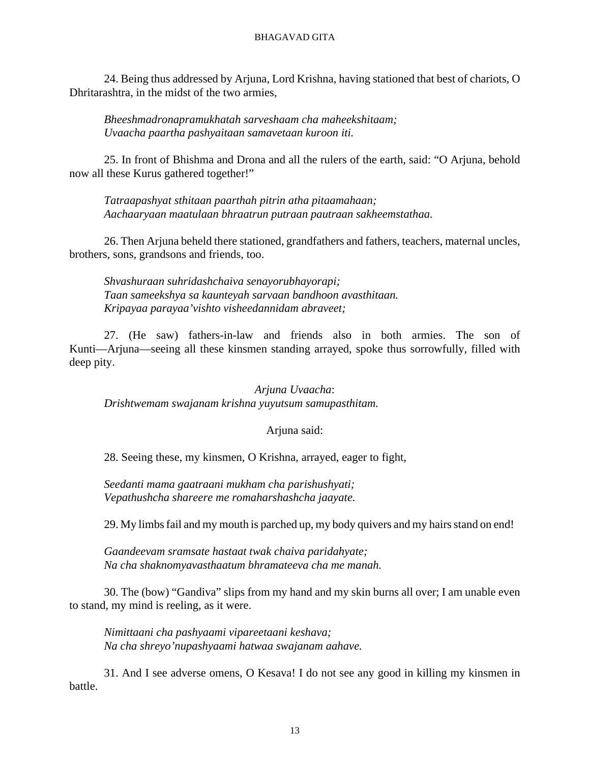#### BHAGAVAD GITA

24. Being thus addressed by Arjuna, Lord Krishna, having stationed that best of chariots, O Dhritarashtra, in the midst of the two armies,

*Bheeshmadronapramukhatah sarveshaam cha maheekshitaam; Uvaacha paartha pashyaitaan samavetaan kuroon iti.*

25. In front of Bhishma and Drona and all the rulers of the earth, said: "O Arjuna, behold now all these Kurus gathered together!"

*Tatraapashyat sthitaan paarthah pitrin atha pitaamahaan; Aachaaryaan maatulaan bhraatrun putraan pautraan sakheemstathaa.*

26. Then Arjuna beheld there stationed, grandfathers and fathers, teachers, maternal uncles, brothers, sons, grandsons and friends, too.

*Shvashuraan suhridashchaiva senayorubhayorapi; Taan sameekshya sa kaunteyah sarvaan bandhoon avasthitaan. Kripayaa parayaa'vishto visheedannidam abraveet;*

27. (He saw) fathers-in-law and friends also in both armies. The son of Kunti—Arjuna—seeing all these kinsmen standing arrayed, spoke thus sorrowfully, filled with deep pity.

*Arjuna Uvaacha*: *Drishtwemam swajanam krishna yuyutsum samupasthitam.*

#### Arjuna said:

28. Seeing these, my kinsmen, O Krishna, arrayed, eager to fight,

*Seedanti mama gaatraani mukham cha parishushyati; Vepathushcha shareere me romaharshashcha jaayate.*

29. My limbs fail and my mouth is parched up, my body quivers and my hairs stand on end!

*Gaandeevam sramsate hastaat twak chaiva paridahyate; Na cha shaknomyavasthaatum bhramateeva cha me manah.*

30. The (bow) "Gandiva" slips from my hand and my skin burns all over; I am unable even to stand, my mind is reeling, as it were.

*Nimittaani cha pashyaami vipareetaani keshava; Na cha shreyo'nupashyaami hatwaa swajanam aahave.*

31. And I see adverse omens, O Kesava! I do not see any good in killing my kinsmen in battle.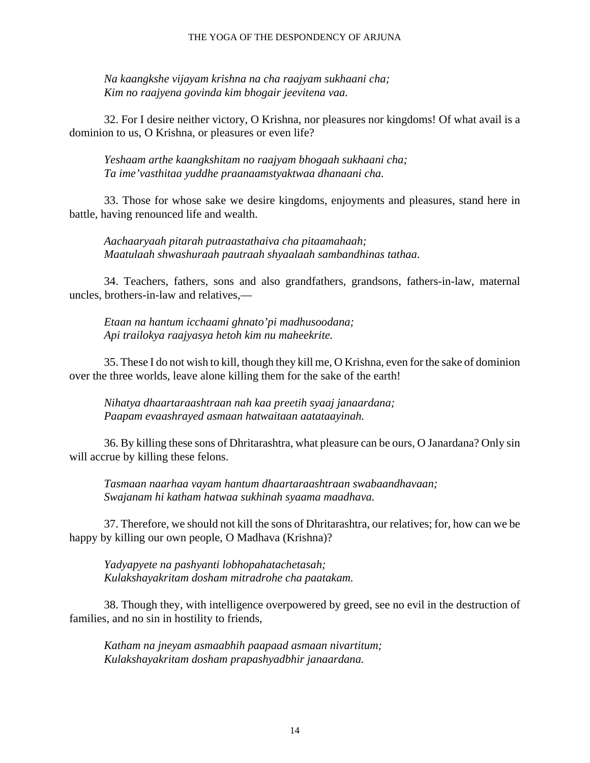*Na kaangkshe vijayam krishna na cha raajyam sukhaani cha; Kim no raajyena govinda kim bhogair jeevitena vaa.*

32. For I desire neither victory, O Krishna, nor pleasures nor kingdoms! Of what avail is a dominion to us, O Krishna, or pleasures or even life?

*Yeshaam arthe kaangkshitam no raajyam bhogaah sukhaani cha; Ta ime'vasthitaa yuddhe praanaamstyaktwaa dhanaani cha.*

33. Those for whose sake we desire kingdoms, enjoyments and pleasures, stand here in battle, having renounced life and wealth.

*Aachaaryaah pitarah putraastathaiva cha pitaamahaah; Maatulaah shwashuraah pautraah shyaalaah sambandhinas tathaa.*

34. Teachers, fathers, sons and also grandfathers, grandsons, fathers-in-law, maternal uncles, brothers-in-law and relatives,—

*Etaan na hantum icchaami ghnato'pi madhusoodana; Api trailokya raajyasya hetoh kim nu maheekrite.*

35. These I do not wish to kill, though they kill me, O Krishna, even for the sake of dominion over the three worlds, leave alone killing them for the sake of the earth!

*Nihatya dhaartaraashtraan nah kaa preetih syaaj janaardana; Paapam evaashrayed asmaan hatwaitaan aatataayinah.*

36. By killing these sons of Dhritarashtra, what pleasure can be ours, O Janardana? Only sin will accrue by killing these felons.

*Tasmaan naarhaa vayam hantum dhaartaraashtraan swabaandhavaan; Swajanam hi katham hatwaa sukhinah syaama maadhava.*

37. Therefore, we should not kill the sons of Dhritarashtra, our relatives; for, how can we be happy by killing our own people, O Madhava (Krishna)?

*Yadyapyete na pashyanti lobhopahatachetasah; Kulakshayakritam dosham mitradrohe cha paatakam.*

38. Though they, with intelligence overpowered by greed, see no evil in the destruction of families, and no sin in hostility to friends,

*Katham na jneyam asmaabhih paapaad asmaan nivartitum; Kulakshayakritam dosham prapashyadbhir janaardana.*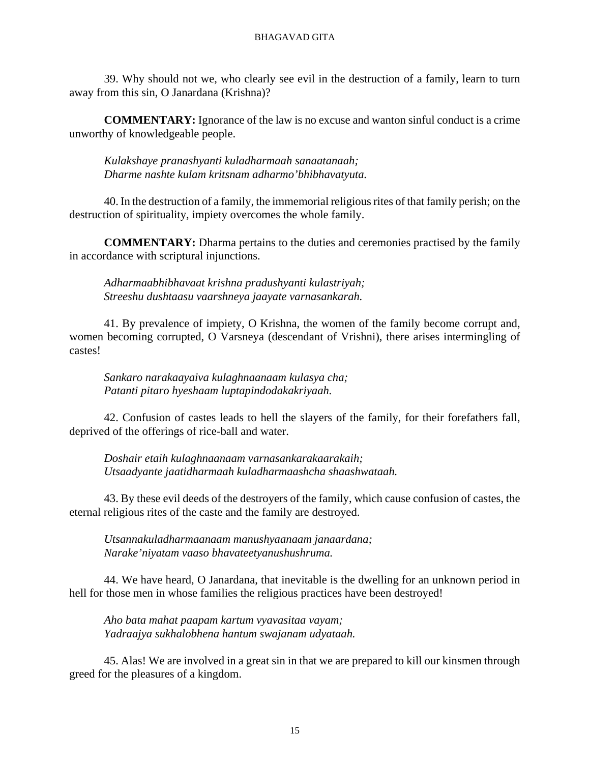39. Why should not we, who clearly see evil in the destruction of a family, learn to turn away from this sin, O Janardana (Krishna)?

**COMMENTARY:** Ignorance of the law is no excuse and wanton sinful conduct is a crime unworthy of knowledgeable people.

*Kulakshaye pranashyanti kuladharmaah sanaatanaah; Dharme nashte kulam kritsnam adharmo'bhibhavatyuta.*

40. In the destruction of a family, the immemorial religious rites of that family perish; on the destruction of spirituality, impiety overcomes the whole family.

**COMMENTARY:** Dharma pertains to the duties and ceremonies practised by the family in accordance with scriptural injunctions.

*Adharmaabhibhavaat krishna pradushyanti kulastriyah; Streeshu dushtaasu vaarshneya jaayate varnasankarah.*

41. By prevalence of impiety, O Krishna, the women of the family become corrupt and, women becoming corrupted, O Varsneya (descendant of Vrishni), there arises intermingling of castes!

*Sankaro narakaayaiva kulaghnaanaam kulasya cha; Patanti pitaro hyeshaam luptapindodakakriyaah.*

42. Confusion of castes leads to hell the slayers of the family, for their forefathers fall, deprived of the offerings of rice-ball and water.

*Doshair etaih kulaghnaanaam varnasankarakaarakaih; Utsaadyante jaatidharmaah kuladharmaashcha shaashwataah.*

43. By these evil deeds of the destroyers of the family, which cause confusion of castes, the eternal religious rites of the caste and the family are destroyed.

*Utsannakuladharmaanaam manushyaanaam janaardana; Narake'niyatam vaaso bhavateetyanushushruma.*

44. We have heard, O Janardana, that inevitable is the dwelling for an unknown period in hell for those men in whose families the religious practices have been destroyed!

*Aho bata mahat paapam kartum vyavasitaa vayam; Yadraajya sukhalobhena hantum swajanam udyataah.*

45. Alas! We are involved in a great sin in that we are prepared to kill our kinsmen through greed for the pleasures of a kingdom.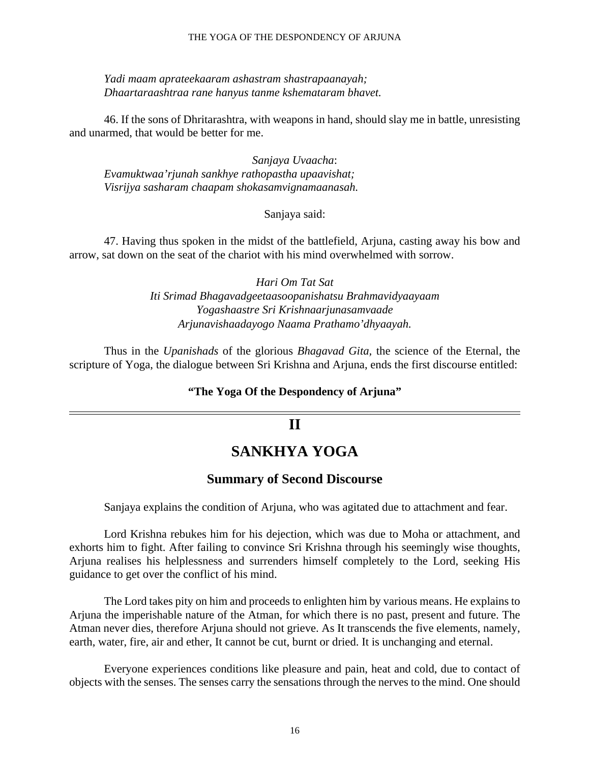#### THE YOGA OF THE DESPONDENCY OF ARJUNA

*Yadi maam aprateekaaram ashastram shastrapaanayah; Dhaartaraashtraa rane hanyus tanme kshemataram bhavet.*

46. If the sons of Dhritarashtra, with weapons in hand, should slay me in battle, unresisting and unarmed, that would be better for me.

*Sanjaya Uvaacha*: *Evamuktwaa'rjunah sankhye rathopastha upaavishat; Visrijya sasharam chaapam shokasamvignamaanasah.*

#### Sanjaya said:

47. Having thus spoken in the midst of the battlefield, Arjuna, casting away his bow and arrow, sat down on the seat of the chariot with his mind overwhelmed with sorrow.

> *Hari Om Tat Sat Iti Srimad Bhagavadgeetaasoopanishatsu Brahmavidyaayaam Yogashaastre Sri Krishnaarjunasamvaade Arjunavishaadayogo Naama Prathamo'dhyaayah.*

Thus in the *Upanishads* of the glorious *Bhagavad Gita,* the science of the Eternal, the scripture of Yoga, the dialogue between Sri Krishna and Arjuna, ends the first discourse entitled:

#### **"The Yoga Of the Despondency of Arjuna"**

### **II**

# **SANKHYA YOGA**

#### **Summary of Second Discourse**

Sanjaya explains the condition of Arjuna, who was agitated due to attachment and fear.

Lord Krishna rebukes him for his dejection, which was due to Moha or attachment, and exhorts him to fight. After failing to convince Sri Krishna through his seemingly wise thoughts, Arjuna realises his helplessness and surrenders himself completely to the Lord, seeking His guidance to get over the conflict of his mind.

The Lord takes pity on him and proceeds to enlighten him by various means. He explains to Arjuna the imperishable nature of the Atman, for which there is no past, present and future. The Atman never dies, therefore Arjuna should not grieve. As It transcends the five elements, namely, earth, water, fire, air and ether, It cannot be cut, burnt or dried. It is unchanging and eternal.

Everyone experiences conditions like pleasure and pain, heat and cold, due to contact of objects with the senses. The senses carry the sensations through the nerves to the mind. One should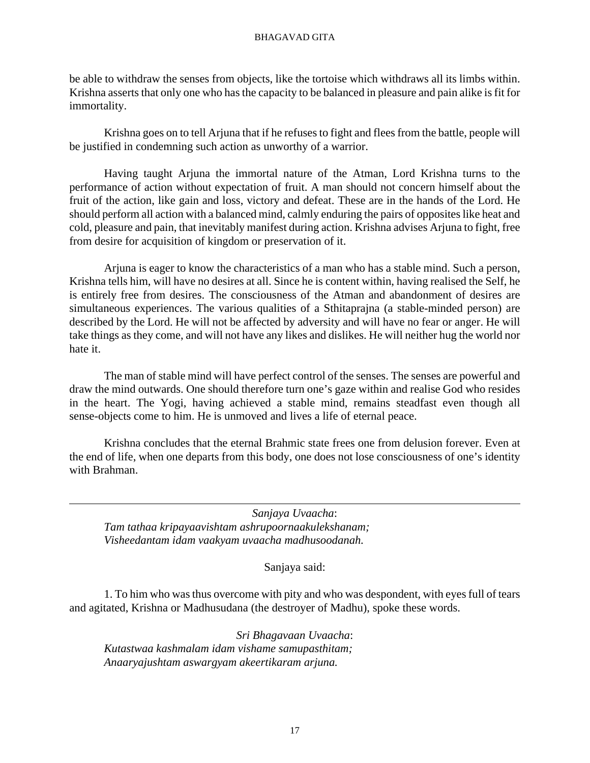be able to withdraw the senses from objects, like the tortoise which withdraws all its limbs within. Krishna asserts that only one who has the capacity to be balanced in pleasure and pain alike is fit for immortality.

Krishna goes on to tell Arjuna that if he refuses to fight and flees from the battle, people will be justified in condemning such action as unworthy of a warrior.

Having taught Arjuna the immortal nature of the Atman, Lord Krishna turns to the performance of action without expectation of fruit. A man should not concern himself about the fruit of the action, like gain and loss, victory and defeat. These are in the hands of the Lord. He should perform all action with a balanced mind, calmly enduring the pairs of opposites like heat and cold, pleasure and pain, that inevitably manifest during action. Krishna advises Arjuna to fight, free from desire for acquisition of kingdom or preservation of it.

Arjuna is eager to know the characteristics of a man who has a stable mind. Such a person, Krishna tells him, will have no desires at all. Since he is content within, having realised the Self, he is entirely free from desires. The consciousness of the Atman and abandonment of desires are simultaneous experiences. The various qualities of a Sthitaprajna (a stable-minded person) are described by the Lord. He will not be affected by adversity and will have no fear or anger. He will take things as they come, and will not have any likes and dislikes. He will neither hug the world nor hate it.

The man of stable mind will have perfect control of the senses. The senses are powerful and draw the mind outwards. One should therefore turn one's gaze within and realise God who resides in the heart. The Yogi, having achieved a stable mind, remains steadfast even though all sense-objects come to him. He is unmoved and lives a life of eternal peace.

Krishna concludes that the eternal Brahmic state frees one from delusion forever. Even at the end of life, when one departs from this body, one does not lose consciousness of one's identity with Brahman.

*Sanjaya Uvaacha*: *Tam tathaa kripayaavishtam ashrupoornaakulekshanam; Visheedantam idam vaakyam uvaacha madhusoodanah.*

Sanjaya said:

1. To him who was thus overcome with pity and who was despondent, with eyes full of tears and agitated, Krishna or Madhusudana (the destroyer of Madhu), spoke these words.

*Sri Bhagavaan Uvaacha*: *Kutastwaa kashmalam idam vishame samupasthitam; Anaaryajushtam aswargyam akeertikaram arjuna.*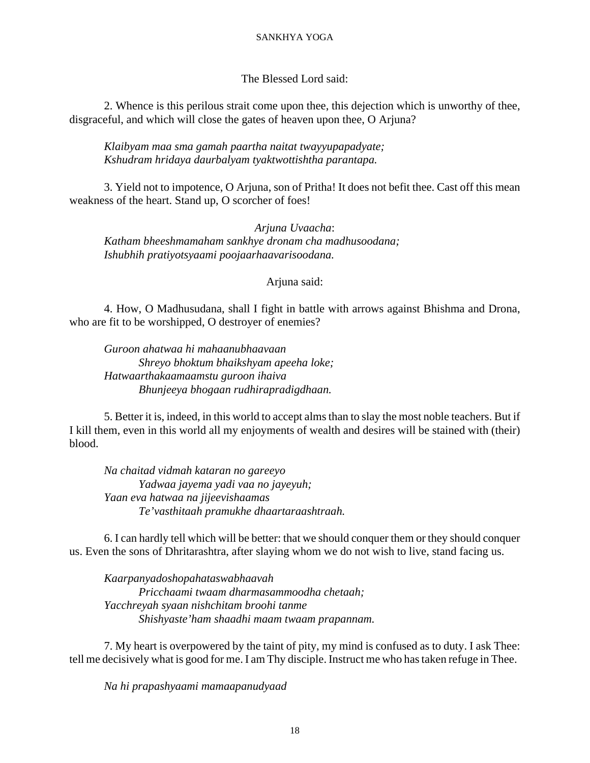#### SANKHYA YOGA

#### The Blessed Lord said:

2. Whence is this perilous strait come upon thee, this dejection which is unworthy of thee, disgraceful, and which will close the gates of heaven upon thee, O Arjuna?

*Klaibyam maa sma gamah paartha naitat twayyupapadyate; Kshudram hridaya daurbalyam tyaktwottishtha parantapa.*

3. Yield not to impotence, O Arjuna, son of Pritha! It does not befit thee. Cast off this mean weakness of the heart. Stand up, O scorcher of foes!

*Arjuna Uvaacha*: *Katham bheeshmamaham sankhye dronam cha madhusoodana; Ishubhih pratiyotsyaami poojaarhaavarisoodana.*

#### Arjuna said:

4. How, O Madhusudana, shall I fight in battle with arrows against Bhishma and Drona, who are fit to be worshipped, O destroyer of enemies?

*Guroon ahatwaa hi mahaanubhaavaan Shreyo bhoktum bhaikshyam apeeha loke; Hatwaarthakaamaamstu guroon ihaiva Bhunjeeya bhogaan rudhirapradigdhaan.*

5. Better it is, indeed, in this world to accept alms than to slay the most noble teachers. But if I kill them, even in this world all my enjoyments of wealth and desires will be stained with (their) blood.

*Na chaitad vidmah kataran no gareeyo Yadwaa jayema yadi vaa no jayeyuh; Yaan eva hatwaa na jijeevishaamas Te'vasthitaah pramukhe dhaartaraashtraah.*

6. I can hardly tell which will be better: that we should conquer them or they should conquer us. Even the sons of Dhritarashtra, after slaying whom we do not wish to live, stand facing us.

*Kaarpanyadoshopahataswabhaavah Pricchaami twaam dharmasammoodha chetaah; Yacchreyah syaan nishchitam broohi tanme Shishyaste'ham shaadhi maam twaam prapannam.*

7. My heart is overpowered by the taint of pity, my mind is confused as to duty. I ask Thee: tell me decisively what is good for me. I am Thy disciple. Instruct me who has taken refuge in Thee.

*Na hi prapashyaami mamaapanudyaad*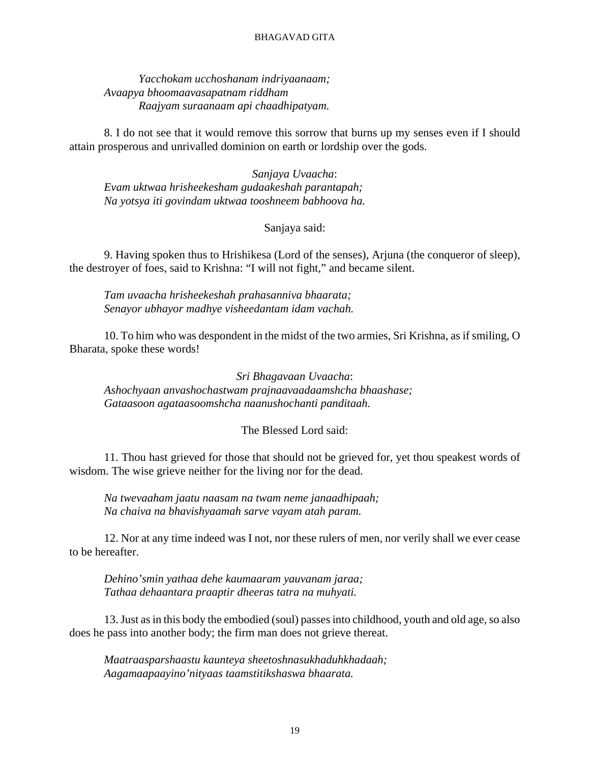*Yacchokam ucchoshanam indriyaanaam; Avaapya bhoomaavasapatnam riddham Raajyam suraanaam api chaadhipatyam.*

8. I do not see that it would remove this sorrow that burns up my senses even if I should attain prosperous and unrivalled dominion on earth or lordship over the gods.

*Sanjaya Uvaacha*: *Evam uktwaa hrisheekesham gudaakeshah parantapah; Na yotsya iti govindam uktwaa tooshneem babhoova ha.*

#### Sanjaya said:

9. Having spoken thus to Hrishikesa (Lord of the senses), Arjuna (the conqueror of sleep), the destroyer of foes, said to Krishna: "I will not fight," and became silent.

*Tam uvaacha hrisheekeshah prahasanniva bhaarata; Senayor ubhayor madhye visheedantam idam vachah.*

10. To him who was despondent in the midst of the two armies, Sri Krishna, as if smiling, O Bharata, spoke these words!

*Sri Bhagavaan Uvaacha*: *Ashochyaan anvashochastwam prajnaavaadaamshcha bhaashase; Gataasoon agataasoomshcha naanushochanti panditaah.*

#### The Blessed Lord said:

11. Thou hast grieved for those that should not be grieved for, yet thou speakest words of wisdom. The wise grieve neither for the living nor for the dead.

*Na twevaaham jaatu naasam na twam neme janaadhipaah; Na chaiva na bhavishyaamah sarve vayam atah param.*

12. Nor at any time indeed was I not, nor these rulers of men, nor verily shall we ever cease to be hereafter.

*Dehino'smin yathaa dehe kaumaaram yauvanam jaraa; Tathaa dehaantara praaptir dheeras tatra na muhyati.*

13. Just as in this body the embodied (soul) passes into childhood, youth and old age, so also does he pass into another body; the firm man does not grieve thereat.

*Maatraasparshaastu kaunteya sheetoshnasukhaduhkhadaah; Aagamaapaayino'nityaas taamstitikshaswa bhaarata.*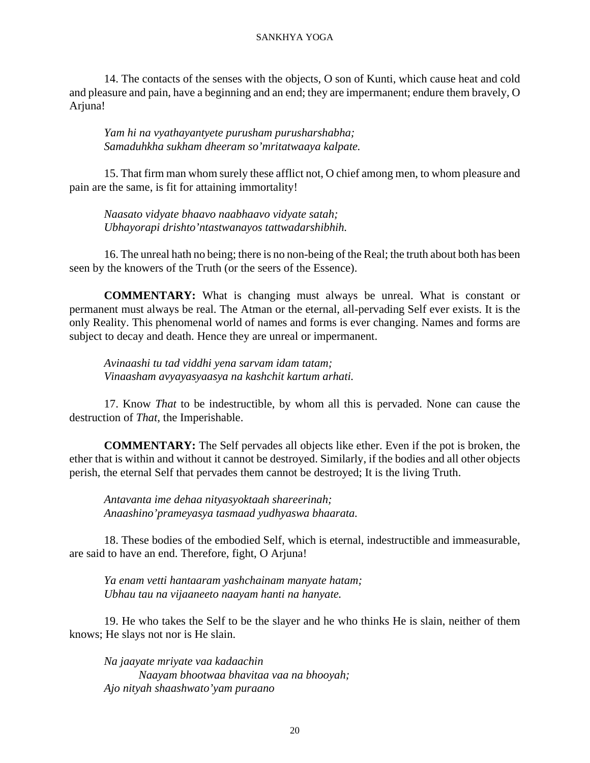#### SANKHYA YOGA

14. The contacts of the senses with the objects, O son of Kunti, which cause heat and cold and pleasure and pain, have a beginning and an end; they are impermanent; endure them bravely, O Arjuna!

*Yam hi na vyathayantyete purusham purusharshabha; Samaduhkha sukham dheeram so'mritatwaaya kalpate.*

15. That firm man whom surely these afflict not, O chief among men, to whom pleasure and pain are the same, is fit for attaining immortality!

*Naasato vidyate bhaavo naabhaavo vidyate satah; Ubhayorapi drishto'ntastwanayos tattwadarshibhih.*

16. The unreal hath no being; there is no non-being of the Real; the truth about both has been seen by the knowers of the Truth (or the seers of the Essence).

**COMMENTARY:** What is changing must always be unreal. What is constant or permanent must always be real. The Atman or the eternal, all-pervading Self ever exists. It is the only Reality. This phenomenal world of names and forms is ever changing. Names and forms are subject to decay and death. Hence they are unreal or impermanent.

*Avinaashi tu tad viddhi yena sarvam idam tatam; Vinaasham avyayasyaasya na kashchit kartum arhati.*

17. Know *That* to be indestructible, by whom all this is pervaded. None can cause the destruction of *That,* the Imperishable.

**COMMENTARY:** The Self pervades all objects like ether. Even if the pot is broken, the ether that is within and without it cannot be destroyed. Similarly, if the bodies and all other objects perish, the eternal Self that pervades them cannot be destroyed; It is the living Truth.

*Antavanta ime dehaa nityasyoktaah shareerinah; Anaashino'prameyasya tasmaad yudhyaswa bhaarata.*

18. These bodies of the embodied Self, which is eternal, indestructible and immeasurable, are said to have an end. Therefore, fight, O Arjuna!

*Ya enam vetti hantaaram yashchainam manyate hatam; Ubhau tau na vijaaneeto naayam hanti na hanyate.*

19. He who takes the Self to be the slayer and he who thinks He is slain, neither of them knows; He slays not nor is He slain.

*Na jaayate mriyate vaa kadaachin Naayam bhootwaa bhavitaa vaa na bhooyah; Ajo nityah shaashwato'yam puraano*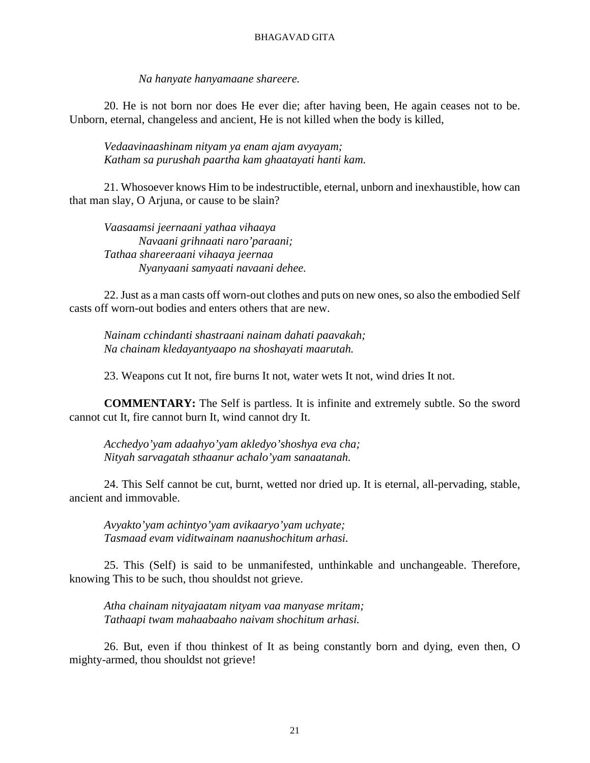*Na hanyate hanyamaane shareere.*

20. He is not born nor does He ever die; after having been, He again ceases not to be. Unborn, eternal, changeless and ancient, He is not killed when the body is killed,

*Vedaavinaashinam nityam ya enam ajam avyayam; Katham sa purushah paartha kam ghaatayati hanti kam.*

21. Whosoever knows Him to be indestructible, eternal, unborn and inexhaustible, how can that man slay, O Arjuna, or cause to be slain?

*Vaasaamsi jeernaani yathaa vihaaya Navaani grihnaati naro'paraani; Tathaa shareeraani vihaaya jeernaa Nyanyaani samyaati navaani dehee.*

22. Just as a man casts off worn-out clothes and puts on new ones, so also the embodied Self casts off worn-out bodies and enters others that are new.

*Nainam cchindanti shastraani nainam dahati paavakah; Na chainam kledayantyaapo na shoshayati maarutah.*

23. Weapons cut It not, fire burns It not, water wets It not, wind dries It not.

**COMMENTARY:** The Self is partless. It is infinite and extremely subtle. So the sword cannot cut It, fire cannot burn It, wind cannot dry It.

*Acchedyo'yam adaahyo'yam akledyo'shoshya eva cha; Nityah sarvagatah sthaanur achalo'yam sanaatanah.*

24. This Self cannot be cut, burnt, wetted nor dried up. It is eternal, all-pervading, stable, ancient and immovable.

*Avyakto'yam achintyo'yam avikaaryo'yam uchyate; Tasmaad evam viditwainam naanushochitum arhasi.*

25. This (Self) is said to be unmanifested, unthinkable and unchangeable. Therefore, knowing This to be such, thou shouldst not grieve.

*Atha chainam nityajaatam nityam vaa manyase mritam; Tathaapi twam mahaabaaho naivam shochitum arhasi.*

26. But, even if thou thinkest of It as being constantly born and dying, even then, O mighty-armed, thou shouldst not grieve!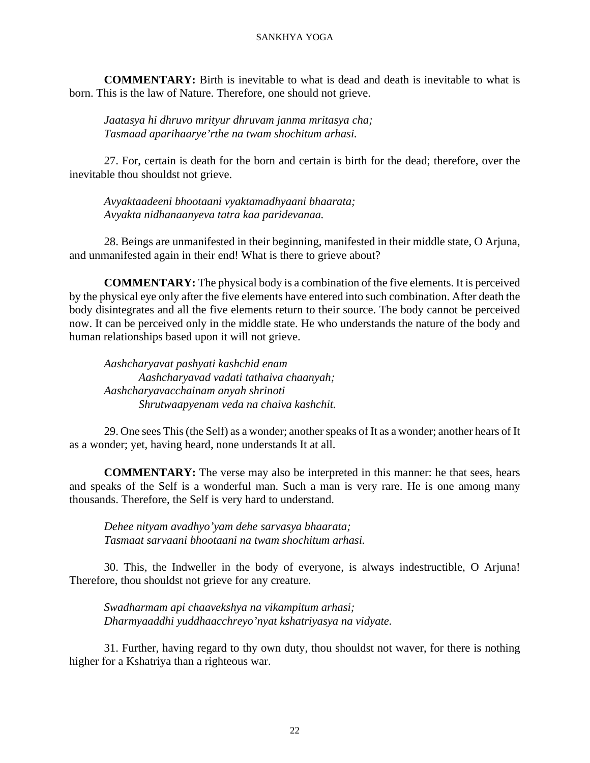#### SANKHYA YOGA

**COMMENTARY:** Birth is inevitable to what is dead and death is inevitable to what is born. This is the law of Nature. Therefore, one should not grieve.

*Jaatasya hi dhruvo mrityur dhruvam janma mritasya cha; Tasmaad aparihaarye'rthe na twam shochitum arhasi.*

27. For, certain is death for the born and certain is birth for the dead; therefore, over the inevitable thou shouldst not grieve.

*Avyaktaadeeni bhootaani vyaktamadhyaani bhaarata; Avyakta nidhanaanyeva tatra kaa paridevanaa.*

28. Beings are unmanifested in their beginning, manifested in their middle state, O Arjuna, and unmanifested again in their end! What is there to grieve about?

**COMMENTARY:** The physical body is a combination of the five elements. It is perceived by the physical eye only after the five elements have entered into such combination. After death the body disintegrates and all the five elements return to their source. The body cannot be perceived now. It can be perceived only in the middle state. He who understands the nature of the body and human relationships based upon it will not grieve.

*Aashcharyavat pashyati kashchid enam Aashcharyavad vadati tathaiva chaanyah; Aashcharyavacchainam anyah shrinoti Shrutwaapyenam veda na chaiva kashchit.*

29. One sees This (the Self) as a wonder; another speaks of It as a wonder; another hears of It as a wonder; yet, having heard, none understands It at all.

**COMMENTARY:** The verse may also be interpreted in this manner: he that sees, hears and speaks of the Self is a wonderful man. Such a man is very rare. He is one among many thousands. Therefore, the Self is very hard to understand.

*Dehee nityam avadhyo'yam dehe sarvasya bhaarata; Tasmaat sarvaani bhootaani na twam shochitum arhasi.*

30. This, the Indweller in the body of everyone, is always indestructible, O Arjuna! Therefore, thou shouldst not grieve for any creature.

*Swadharmam api chaavekshya na vikampitum arhasi; Dharmyaaddhi yuddhaacchreyo'nyat kshatriyasya na vidyate.*

31. Further, having regard to thy own duty, thou shouldst not waver, for there is nothing higher for a Kshatriya than a righteous war.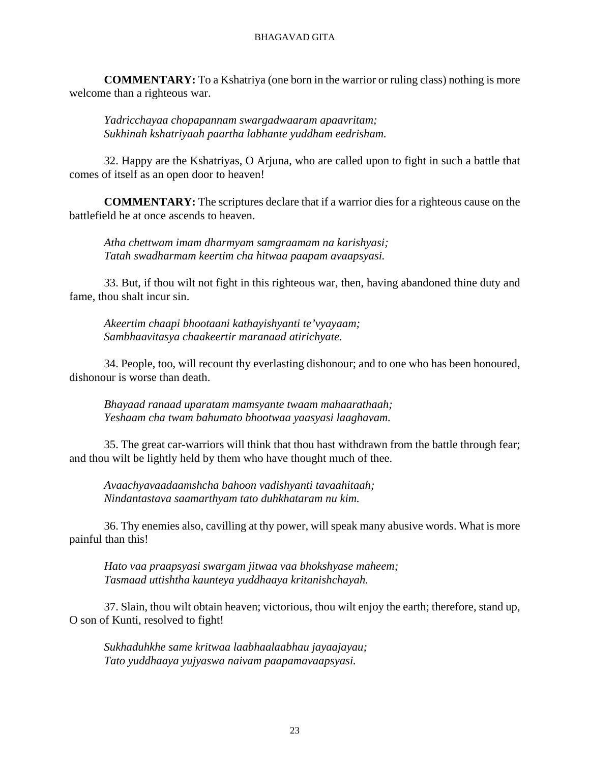**COMMENTARY:** To a Kshatriya (one born in the warrior or ruling class) nothing is more welcome than a righteous war.

*Yadricchayaa chopapannam swargadwaaram apaavritam; Sukhinah kshatriyaah paartha labhante yuddham eedrisham.*

32. Happy are the Kshatriyas, O Arjuna, who are called upon to fight in such a battle that comes of itself as an open door to heaven!

**COMMENTARY:** The scriptures declare that if a warrior dies for a righteous cause on the battlefield he at once ascends to heaven.

*Atha chettwam imam dharmyam samgraamam na karishyasi; Tatah swadharmam keertim cha hitwaa paapam avaapsyasi.*

33. But, if thou wilt not fight in this righteous war, then, having abandoned thine duty and fame, thou shalt incur sin.

*Akeertim chaapi bhootaani kathayishyanti te'vyayaam; Sambhaavitasya chaakeertir maranaad atirichyate.*

34. People, too, will recount thy everlasting dishonour; and to one who has been honoured, dishonour is worse than death.

*Bhayaad ranaad uparatam mamsyante twaam mahaarathaah; Yeshaam cha twam bahumato bhootwaa yaasyasi laaghavam.*

35. The great car-warriors will think that thou hast withdrawn from the battle through fear; and thou wilt be lightly held by them who have thought much of thee.

*Avaachyavaadaamshcha bahoon vadishyanti tavaahitaah; Nindantastava saamarthyam tato duhkhataram nu kim.*

36. Thy enemies also, cavilling at thy power, will speak many abusive words. What is more painful than this!

*Hato vaa praapsyasi swargam jitwaa vaa bhokshyase maheem; Tasmaad uttishtha kaunteya yuddhaaya kritanishchayah.*

37. Slain, thou wilt obtain heaven; victorious, thou wilt enjoy the earth; therefore, stand up, O son of Kunti, resolved to fight!

*Sukhaduhkhe same kritwaa laabhaalaabhau jayaajayau; Tato yuddhaaya yujyaswa naivam paapamavaapsyasi.*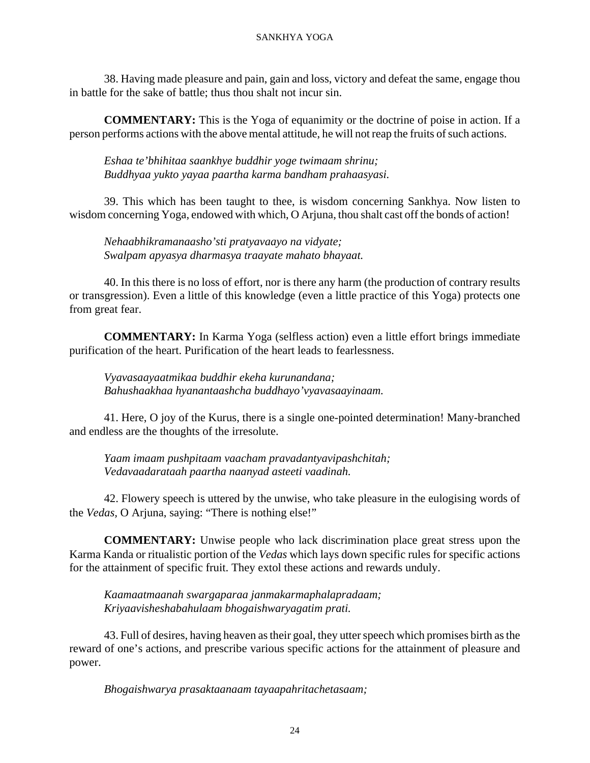38. Having made pleasure and pain, gain and loss, victory and defeat the same, engage thou in battle for the sake of battle; thus thou shalt not incur sin.

**COMMENTARY:** This is the Yoga of equanimity or the doctrine of poise in action. If a person performs actions with the above mental attitude, he will not reap the fruits of such actions.

*Eshaa te'bhihitaa saankhye buddhir yoge twimaam shrinu; Buddhyaa yukto yayaa paartha karma bandham prahaasyasi.*

39. This which has been taught to thee, is wisdom concerning Sankhya. Now listen to wisdom concerning Yoga, endowed with which, O Arjuna, thou shalt cast off the bonds of action!

*Nehaabhikramanaasho'sti pratyavaayo na vidyate; Swalpam apyasya dharmasya traayate mahato bhayaat.*

40. In this there is no loss of effort, nor is there any harm (the production of contrary results or transgression). Even a little of this knowledge (even a little practice of this Yoga) protects one from great fear.

**COMMENTARY:** In Karma Yoga (selfless action) even a little effort brings immediate purification of the heart. Purification of the heart leads to fearlessness.

*Vyavasaayaatmikaa buddhir ekeha kurunandana; Bahushaakhaa hyanantaashcha buddhayo'vyavasaayinaam.*

41. Here, O joy of the Kurus, there is a single one-pointed determination! Many-branched and endless are the thoughts of the irresolute.

*Yaam imaam pushpitaam vaacham pravadantyavipashchitah; Vedavaadarataah paartha naanyad asteeti vaadinah.*

42. Flowery speech is uttered by the unwise, who take pleasure in the eulogising words of the *Vedas,* O Arjuna, saying: "There is nothing else!"

**COMMENTARY:** Unwise people who lack discrimination place great stress upon the Karma Kanda or ritualistic portion of the *Vedas* which lays down specific rules for specific actions for the attainment of specific fruit. They extol these actions and rewards unduly.

*Kaamaatmaanah swargaparaa janmakarmaphalapradaam; Kriyaavisheshabahulaam bhogaishwaryagatim prati.*

43. Full of desires, having heaven as their goal, they utter speech which promises birth as the reward of one's actions, and prescribe various specific actions for the attainment of pleasure and power.

*Bhogaishwarya prasaktaanaam tayaapahritachetasaam;*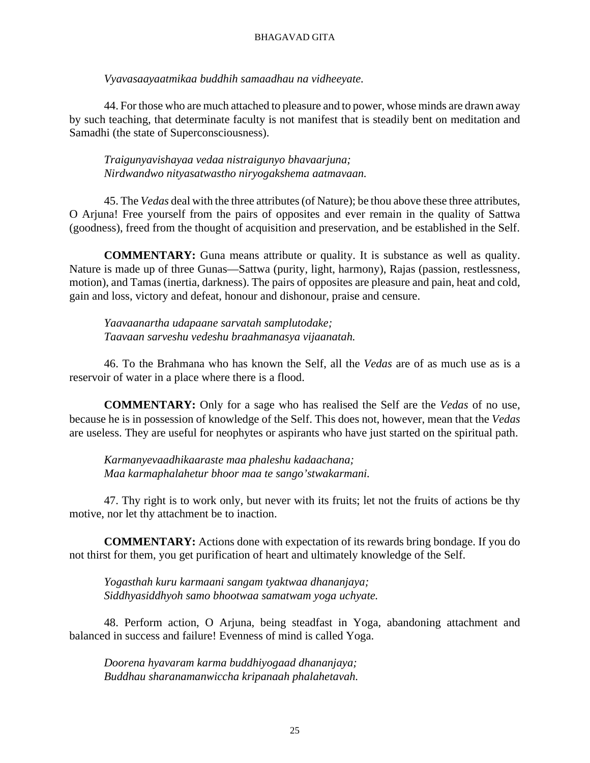*Vyavasaayaatmikaa buddhih samaadhau na vidheeyate.*

44. For those who are much attached to pleasure and to power, whose minds are drawn away by such teaching, that determinate faculty is not manifest that is steadily bent on meditation and Samadhi (the state of Superconsciousness).

*Traigunyavishayaa vedaa nistraigunyo bhavaarjuna; Nirdwandwo nityasatwastho niryogakshema aatmavaan.*

45. The *Vedas* deal with the three attributes (of Nature); be thou above these three attributes, O Arjuna! Free yourself from the pairs of opposites and ever remain in the quality of Sattwa (goodness), freed from the thought of acquisition and preservation, and be established in the Self.

**COMMENTARY:** Guna means attribute or quality. It is substance as well as quality. Nature is made up of three Gunas—Sattwa (purity, light, harmony), Rajas (passion, restlessness, motion), and Tamas (inertia, darkness). The pairs of opposites are pleasure and pain, heat and cold, gain and loss, victory and defeat, honour and dishonour, praise and censure.

*Yaavaanartha udapaane sarvatah samplutodake; Taavaan sarveshu vedeshu braahmanasya vijaanatah.*

46. To the Brahmana who has known the Self, all the *Vedas* are of as much use as is a reservoir of water in a place where there is a flood.

**COMMENTARY:** Only for a sage who has realised the Self are the *Vedas* of no use, because he is in possession of knowledge of the Self. This does not, however, mean that the *Vedas* are useless. They are useful for neophytes or aspirants who have just started on the spiritual path.

*Karmanyevaadhikaaraste maa phaleshu kadaachana; Maa karmaphalahetur bhoor maa te sango'stwakarmani.*

47. Thy right is to work only, but never with its fruits; let not the fruits of actions be thy motive, nor let thy attachment be to inaction.

**COMMENTARY:** Actions done with expectation of its rewards bring bondage. If you do not thirst for them, you get purification of heart and ultimately knowledge of the Self.

*Yogasthah kuru karmaani sangam tyaktwaa dhananjaya; Siddhyasiddhyoh samo bhootwaa samatwam yoga uchyate.*

48. Perform action, O Arjuna, being steadfast in Yoga, abandoning attachment and balanced in success and failure! Evenness of mind is called Yoga.

*Doorena hyavaram karma buddhiyogaad dhananjaya; Buddhau sharanamanwiccha kripanaah phalahetavah.*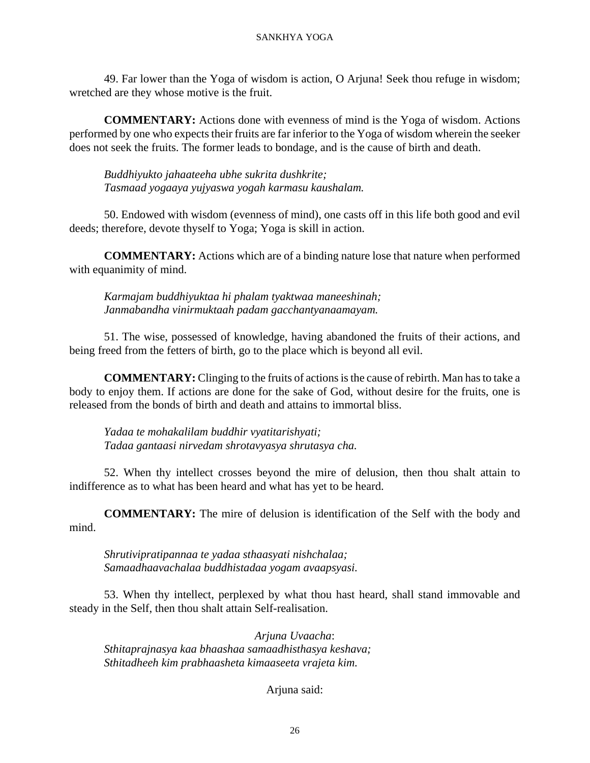49. Far lower than the Yoga of wisdom is action, O Arjuna! Seek thou refuge in wisdom; wretched are they whose motive is the fruit.

**COMMENTARY:** Actions done with evenness of mind is the Yoga of wisdom. Actions performed by one who expects their fruits are far inferior to the Yoga of wisdom wherein the seeker does not seek the fruits. The former leads to bondage, and is the cause of birth and death.

*Buddhiyukto jahaateeha ubhe sukrita dushkrite; Tasmaad yogaaya yujyaswa yogah karmasu kaushalam.*

50. Endowed with wisdom (evenness of mind), one casts off in this life both good and evil deeds; therefore, devote thyself to Yoga; Yoga is skill in action.

**COMMENTARY:** Actions which are of a binding nature lose that nature when performed with equanimity of mind.

*Karmajam buddhiyuktaa hi phalam tyaktwaa maneeshinah; Janmabandha vinirmuktaah padam gacchantyanaamayam.*

51. The wise, possessed of knowledge, having abandoned the fruits of their actions, and being freed from the fetters of birth, go to the place which is beyond all evil.

**COMMENTARY:** Clinging to the fruits of actions is the cause of rebirth. Man has to take a body to enjoy them. If actions are done for the sake of God, without desire for the fruits, one is released from the bonds of birth and death and attains to immortal bliss.

*Yadaa te mohakalilam buddhir vyatitarishyati; Tadaa gantaasi nirvedam shrotavyasya shrutasya cha.*

52. When thy intellect crosses beyond the mire of delusion, then thou shalt attain to indifference as to what has been heard and what has yet to be heard.

**COMMENTARY:** The mire of delusion is identification of the Self with the body and mind.

*Shrutivipratipannaa te yadaa sthaasyati nishchalaa; Samaadhaavachalaa buddhistadaa yogam avaapsyasi.*

53. When thy intellect, perplexed by what thou hast heard, shall stand immovable and steady in the Self, then thou shalt attain Self-realisation.

*Arjuna Uvaacha*: *Sthitaprajnasya kaa bhaashaa samaadhisthasya keshava; Sthitadheeh kim prabhaasheta kimaaseeta vrajeta kim.*

Arjuna said: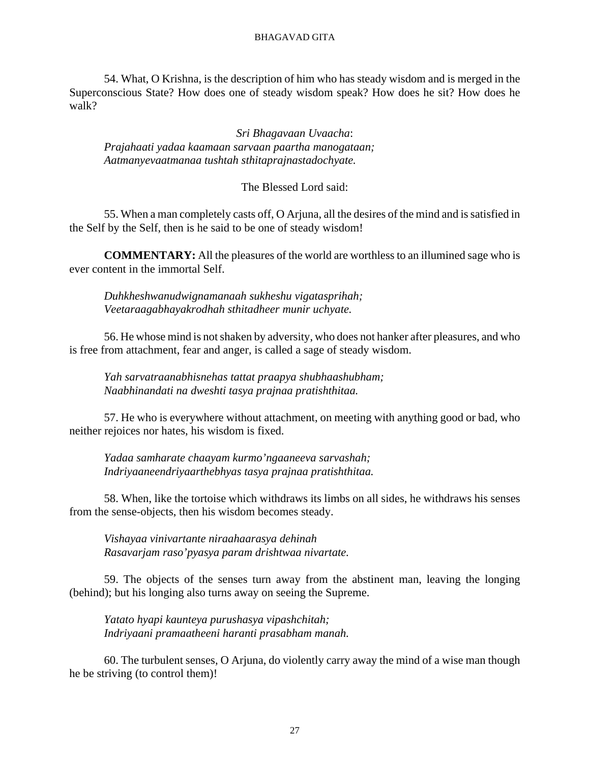54. What, O Krishna, is the description of him who has steady wisdom and is merged in the Superconscious State? How does one of steady wisdom speak? How does he sit? How does he walk?

*Sri Bhagavaan Uvaacha*: *Prajahaati yadaa kaamaan sarvaan paartha manogataan; Aatmanyevaatmanaa tushtah sthitaprajnastadochyate.*

### The Blessed Lord said:

55. When a man completely casts off, O Arjuna, all the desires of the mind and is satisfied in the Self by the Self, then is he said to be one of steady wisdom!

**COMMENTARY:** All the pleasures of the world are worthless to an illumined sage who is ever content in the immortal Self.

*Duhkheshwanudwignamanaah sukheshu vigatasprihah; Veetaraagabhayakrodhah sthitadheer munir uchyate.*

56. He whose mind is not shaken by adversity, who does not hanker after pleasures, and who is free from attachment, fear and anger, is called a sage of steady wisdom.

*Yah sarvatraanabhisnehas tattat praapya shubhaashubham; Naabhinandati na dweshti tasya prajnaa pratishthitaa.*

57. He who is everywhere without attachment, on meeting with anything good or bad, who neither rejoices nor hates, his wisdom is fixed.

*Yadaa samharate chaayam kurmo'ngaaneeva sarvashah; Indriyaaneendriyaarthebhyas tasya prajnaa pratishthitaa.*

58. When, like the tortoise which withdraws its limbs on all sides, he withdraws his senses from the sense-objects, then his wisdom becomes steady.

*Vishayaa vinivartante niraahaarasya dehinah Rasavarjam raso'pyasya param drishtwaa nivartate.*

59. The objects of the senses turn away from the abstinent man, leaving the longing (behind); but his longing also turns away on seeing the Supreme.

*Yatato hyapi kaunteya purushasya vipashchitah; Indriyaani pramaatheeni haranti prasabham manah.*

60. The turbulent senses, O Arjuna, do violently carry away the mind of a wise man though he be striving (to control them)!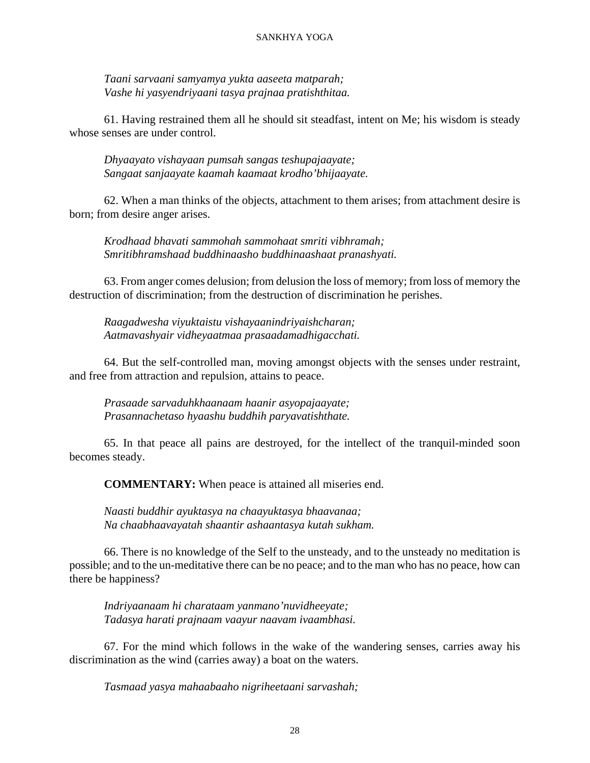#### SANKHYA YOGA

*Taani sarvaani samyamya yukta aaseeta matparah; Vashe hi yasyendriyaani tasya prajnaa pratishthitaa.*

61. Having restrained them all he should sit steadfast, intent on Me; his wisdom is steady whose senses are under control.

*Dhyaayato vishayaan pumsah sangas teshupajaayate; Sangaat sanjaayate kaamah kaamaat krodho'bhijaayate.*

62. When a man thinks of the objects, attachment to them arises; from attachment desire is born; from desire anger arises.

*Krodhaad bhavati sammohah sammohaat smriti vibhramah; Smritibhramshaad buddhinaasho buddhinaashaat pranashyati.*

63. From anger comes delusion; from delusion the loss of memory; from loss of memory the destruction of discrimination; from the destruction of discrimination he perishes.

*Raagadwesha viyuktaistu vishayaanindriyaishcharan; Aatmavashyair vidheyaatmaa prasaadamadhigacchati.*

64. But the self-controlled man, moving amongst objects with the senses under restraint, and free from attraction and repulsion, attains to peace.

*Prasaade sarvaduhkhaanaam haanir asyopajaayate; Prasannachetaso hyaashu buddhih paryavatishthate.*

65. In that peace all pains are destroyed, for the intellect of the tranquil-minded soon becomes steady.

**COMMENTARY:** When peace is attained all miseries end.

*Naasti buddhir ayuktasya na chaayuktasya bhaavanaa; Na chaabhaavayatah shaantir ashaantasya kutah sukham.*

66. There is no knowledge of the Self to the unsteady, and to the unsteady no meditation is possible; and to the un-meditative there can be no peace; and to the man who has no peace, how can there be happiness?

*Indriyaanaam hi charataam yanmano'nuvidheeyate; Tadasya harati prajnaam vaayur naavam ivaambhasi.*

67. For the mind which follows in the wake of the wandering senses, carries away his discrimination as the wind (carries away) a boat on the waters.

*Tasmaad yasya mahaabaaho nigriheetaani sarvashah;*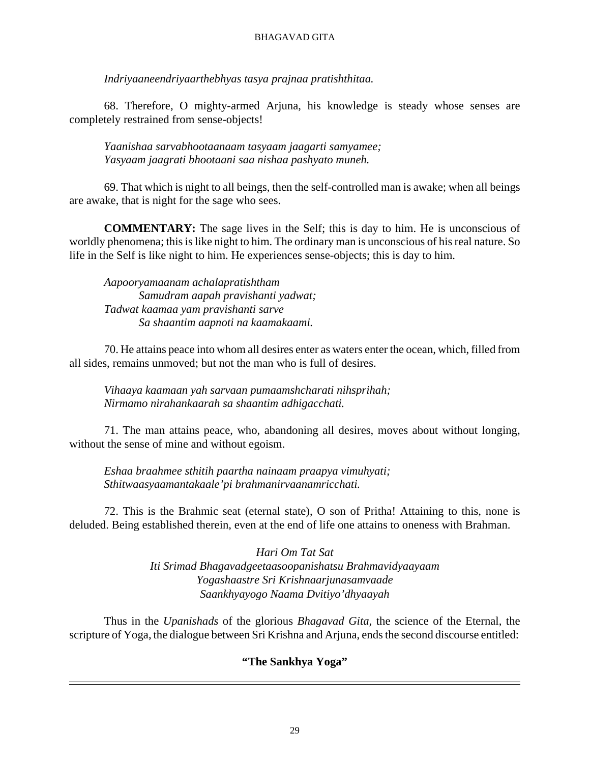*Indriyaaneendriyaarthebhyas tasya prajnaa pratishthitaa.*

68. Therefore, O mighty-armed Arjuna, his knowledge is steady whose senses are completely restrained from sense-objects!

*Yaanishaa sarvabhootaanaam tasyaam jaagarti samyamee; Yasyaam jaagrati bhootaani saa nishaa pashyato muneh.*

69. That which is night to all beings, then the self-controlled man is awake; when all beings are awake, that is night for the sage who sees.

**COMMENTARY:** The sage lives in the Self; this is day to him. He is unconscious of worldly phenomena; this is like night to him. The ordinary man is unconscious of his real nature. So life in the Self is like night to him. He experiences sense-objects; this is day to him.

*Aapooryamaanam achalapratishtham Samudram aapah pravishanti yadwat; Tadwat kaamaa yam pravishanti sarve Sa shaantim aapnoti na kaamakaami.*

70. He attains peace into whom all desires enter as waters enter the ocean, which, filled from all sides, remains unmoved; but not the man who is full of desires.

*Vihaaya kaamaan yah sarvaan pumaamshcharati nihsprihah; Nirmamo nirahankaarah sa shaantim adhigacchati.*

71. The man attains peace, who, abandoning all desires, moves about without longing, without the sense of mine and without egoism.

*Eshaa braahmee sthitih paartha nainaam praapya vimuhyati; Sthitwaasyaamantakaale'pi brahmanirvaanamricchati.*

72. This is the Brahmic seat (eternal state), O son of Pritha! Attaining to this, none is deluded. Being established therein, even at the end of life one attains to oneness with Brahman.

> *Hari Om Tat Sat Iti Srimad Bhagavadgeetaasoopanishatsu Brahmavidyaayaam Yogashaastre Sri Krishnaarjunasamvaade Saankhyayogo Naama Dvitiyo'dhyaayah*

Thus in the *Upanishads* of the glorious *Bhagavad Gita,* the science of the Eternal, the scripture of Yoga, the dialogue between Sri Krishna and Arjuna, ends the second discourse entitled:

## **"The Sankhya Yoga"**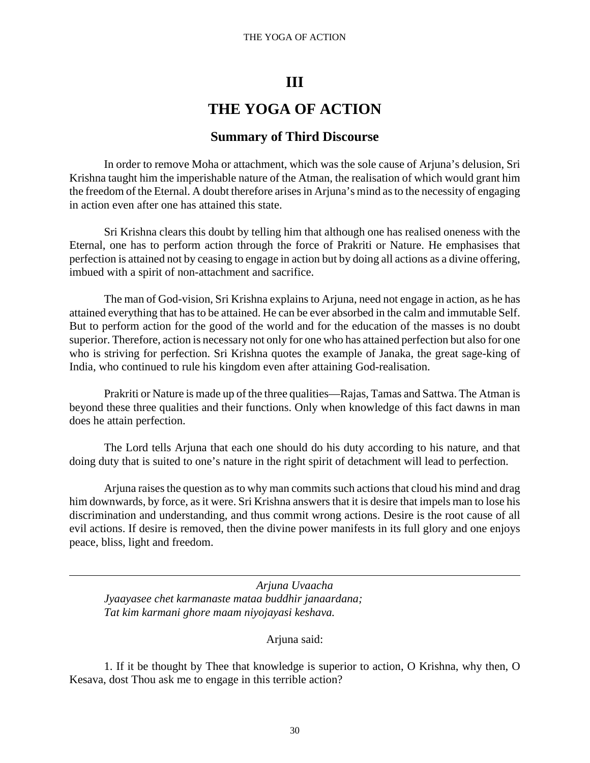#### THE YOGA OF ACTION

## **III**

# **THE YOGA OF ACTION**

## **Summary of Third Discourse**

In order to remove Moha or attachment, which was the sole cause of Arjuna's delusion, Sri Krishna taught him the imperishable nature of the Atman, the realisation of which would grant him the freedom of the Eternal. A doubt therefore arises in Arjuna's mind as to the necessity of engaging in action even after one has attained this state.

Sri Krishna clears this doubt by telling him that although one has realised oneness with the Eternal, one has to perform action through the force of Prakriti or Nature. He emphasises that perfection is attained not by ceasing to engage in action but by doing all actions as a divine offering, imbued with a spirit of non-attachment and sacrifice.

The man of God-vision, Sri Krishna explains to Arjuna, need not engage in action, as he has attained everything that has to be attained. He can be ever absorbed in the calm and immutable Self. But to perform action for the good of the world and for the education of the masses is no doubt superior. Therefore, action is necessary not only for one who has attained perfection but also for one who is striving for perfection. Sri Krishna quotes the example of Janaka, the great sage-king of India, who continued to rule his kingdom even after attaining God-realisation.

Prakriti or Nature is made up of the three qualities—Rajas, Tamas and Sattwa. The Atman is beyond these three qualities and their functions. Only when knowledge of this fact dawns in man does he attain perfection.

The Lord tells Arjuna that each one should do his duty according to his nature, and that doing duty that is suited to one's nature in the right spirit of detachment will lead to perfection.

Arjuna raises the question as to why man commits such actions that cloud his mind and drag him downwards, by force, as it were. Sri Krishna answers that it is desire that impels man to lose his discrimination and understanding, and thus commit wrong actions. Desire is the root cause of all evil actions. If desire is removed, then the divine power manifests in its full glory and one enjoys peace, bliss, light and freedom.

*Arjuna Uvaacha Jyaayasee chet karmanaste mataa buddhir janaardana; Tat kim karmani ghore maam niyojayasi keshava.*

Arjuna said:

1. If it be thought by Thee that knowledge is superior to action, O Krishna, why then, O Kesava, dost Thou ask me to engage in this terrible action?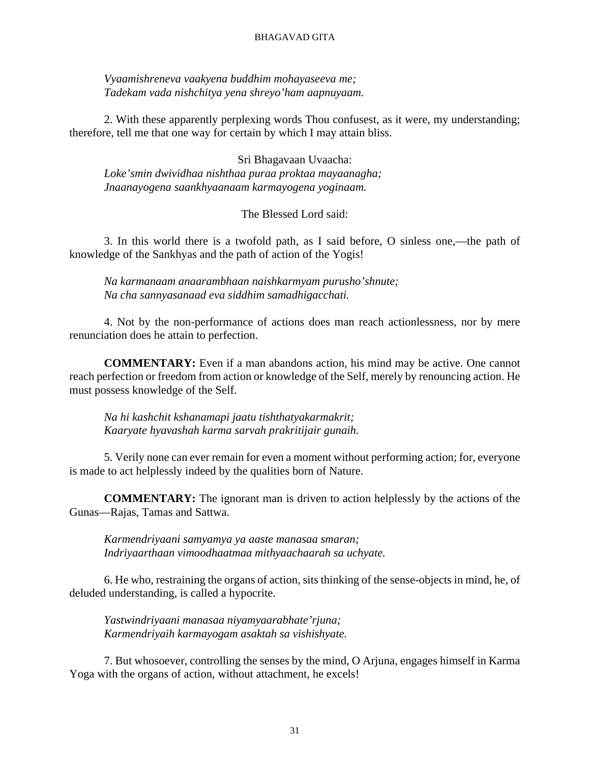*Vyaamishreneva vaakyena buddhim mohayaseeva me; Tadekam vada nishchitya yena shreyo'ham aapnuyaam.*

2. With these apparently perplexing words Thou confusest, as it were, my understanding; therefore, tell me that one way for certain by which I may attain bliss.

Sri Bhagavaan Uvaacha: *Loke'smin dwividhaa nishthaa puraa proktaa mayaanagha; Jnaanayogena saankhyaanaam karmayogena yoginaam.*

#### The Blessed Lord said:

3. In this world there is a twofold path, as I said before, O sinless one,—the path of knowledge of the Sankhyas and the path of action of the Yogis!

*Na karmanaam anaarambhaan naishkarmyam purusho'shnute; Na cha sannyasanaad eva siddhim samadhigacchati.*

4. Not by the non-performance of actions does man reach actionlessness, nor by mere renunciation does he attain to perfection.

**COMMENTARY:** Even if a man abandons action, his mind may be active. One cannot reach perfection or freedom from action or knowledge of the Self, merely by renouncing action. He must possess knowledge of the Self.

*Na hi kashchit kshanamapi jaatu tishthatyakarmakrit; Kaaryate hyavashah karma sarvah prakritijair gunaih.*

5. Verily none can ever remain for even a moment without performing action; for, everyone is made to act helplessly indeed by the qualities born of Nature.

**COMMENTARY:** The ignorant man is driven to action helplessly by the actions of the Gunas—Rajas, Tamas and Sattwa.

*Karmendriyaani samyamya ya aaste manasaa smaran; Indriyaarthaan vimoodhaatmaa mithyaachaarah sa uchyate.*

6. He who, restraining the organs of action, sits thinking of the sense-objects in mind, he, of deluded understanding, is called a hypocrite.

*Yastwindriyaani manasaa niyamyaarabhate'rjuna; Karmendriyaih karmayogam asaktah sa vishishyate.*

7. But whosoever, controlling the senses by the mind, O Arjuna, engages himself in Karma Yoga with the organs of action, without attachment, he excels!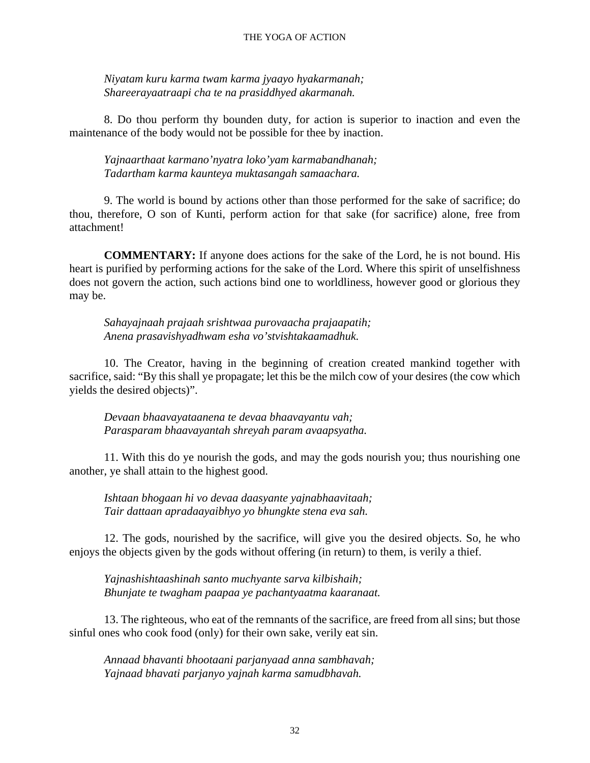#### THE YOGA OF ACTION

*Niyatam kuru karma twam karma jyaayo hyakarmanah; Shareerayaatraapi cha te na prasiddhyed akarmanah.*

8. Do thou perform thy bounden duty, for action is superior to inaction and even the maintenance of the body would not be possible for thee by inaction.

*Yajnaarthaat karmano'nyatra loko'yam karmabandhanah; Tadartham karma kaunteya muktasangah samaachara.*

9. The world is bound by actions other than those performed for the sake of sacrifice; do thou, therefore, O son of Kunti, perform action for that sake (for sacrifice) alone, free from attachment!

**COMMENTARY:** If anyone does actions for the sake of the Lord, he is not bound. His heart is purified by performing actions for the sake of the Lord. Where this spirit of unselfishness does not govern the action, such actions bind one to worldliness, however good or glorious they may be.

*Sahayajnaah prajaah srishtwaa purovaacha prajaapatih; Anena prasavishyadhwam esha vo'stvishtakaamadhuk.*

10. The Creator, having in the beginning of creation created mankind together with sacrifice, said: "By this shall ye propagate; let this be the milch cow of your desires (the cow which yields the desired objects)".

*Devaan bhaavayataanena te devaa bhaavayantu vah; Parasparam bhaavayantah shreyah param avaapsyatha.*

11. With this do ye nourish the gods, and may the gods nourish you; thus nourishing one another, ye shall attain to the highest good.

*Ishtaan bhogaan hi vo devaa daasyante yajnabhaavitaah; Tair dattaan apradaayaibhyo yo bhungkte stena eva sah.*

12. The gods, nourished by the sacrifice, will give you the desired objects. So, he who enjoys the objects given by the gods without offering (in return) to them, is verily a thief.

*Yajnashishtaashinah santo muchyante sarva kilbishaih; Bhunjate te twagham paapaa ye pachantyaatma kaaranaat.*

13. The righteous, who eat of the remnants of the sacrifice, are freed from all sins; but those sinful ones who cook food (only) for their own sake, verily eat sin.

*Annaad bhavanti bhootaani parjanyaad anna sambhavah; Yajnaad bhavati parjanyo yajnah karma samudbhavah.*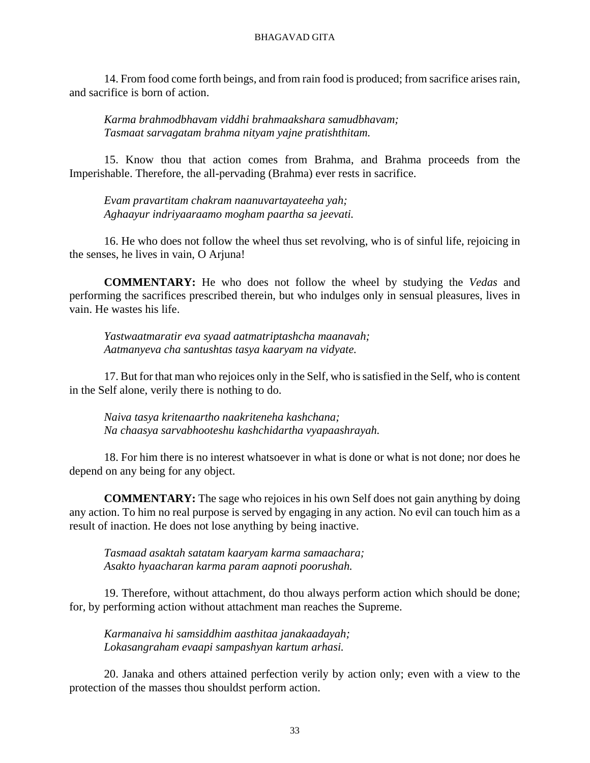14. From food come forth beings, and from rain food is produced; from sacrifice arises rain, and sacrifice is born of action.

*Karma brahmodbhavam viddhi brahmaakshara samudbhavam; Tasmaat sarvagatam brahma nityam yajne pratishthitam.*

15. Know thou that action comes from Brahma, and Brahma proceeds from the Imperishable. Therefore, the all-pervading (Brahma) ever rests in sacrifice.

*Evam pravartitam chakram naanuvartayateeha yah; Aghaayur indriyaaraamo mogham paartha sa jeevati.*

16. He who does not follow the wheel thus set revolving, who is of sinful life, rejoicing in the senses, he lives in vain, O Arjuna!

**COMMENTARY:** He who does not follow the wheel by studying the *Vedas* and performing the sacrifices prescribed therein, but who indulges only in sensual pleasures, lives in vain. He wastes his life.

*Yastwaatmaratir eva syaad aatmatriptashcha maanavah; Aatmanyeva cha santushtas tasya kaaryam na vidyate.*

17. But for that man who rejoices only in the Self, who is satisfied in the Self, who is content in the Self alone, verily there is nothing to do.

*Naiva tasya kritenaartho naakriteneha kashchana; Na chaasya sarvabhooteshu kashchidartha vyapaashrayah.*

18. For him there is no interest whatsoever in what is done or what is not done; nor does he depend on any being for any object.

**COMMENTARY:** The sage who rejoices in his own Self does not gain anything by doing any action. To him no real purpose is served by engaging in any action. No evil can touch him as a result of inaction. He does not lose anything by being inactive.

*Tasmaad asaktah satatam kaaryam karma samaachara; Asakto hyaacharan karma param aapnoti poorushah.*

19. Therefore, without attachment, do thou always perform action which should be done; for, by performing action without attachment man reaches the Supreme.

*Karmanaiva hi samsiddhim aasthitaa janakaadayah; Lokasangraham evaapi sampashyan kartum arhasi.*

20. Janaka and others attained perfection verily by action only; even with a view to the protection of the masses thou shouldst perform action.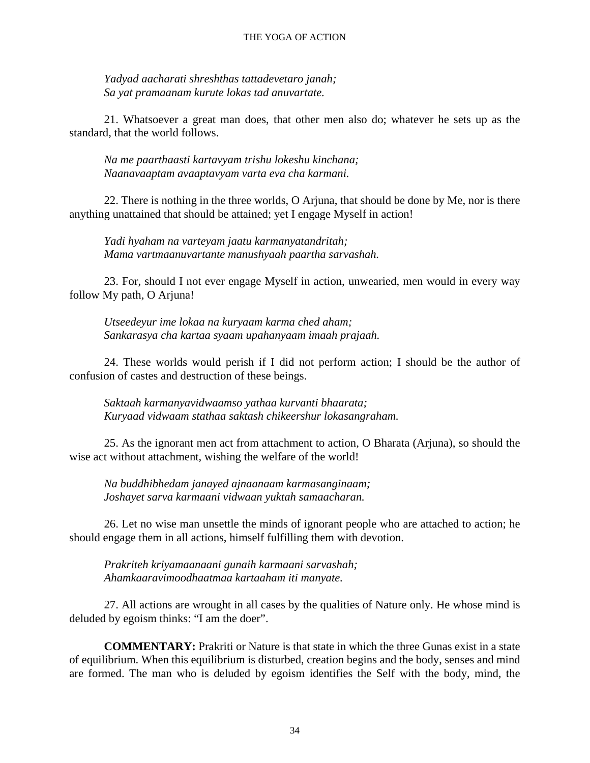*Yadyad aacharati shreshthas tattadevetaro janah; Sa yat pramaanam kurute lokas tad anuvartate.*

21. Whatsoever a great man does, that other men also do; whatever he sets up as the standard, that the world follows.

*Na me paarthaasti kartavyam trishu lokeshu kinchana; Naanavaaptam avaaptavyam varta eva cha karmani.*

22. There is nothing in the three worlds, O Arjuna, that should be done by Me, nor is there anything unattained that should be attained; yet I engage Myself in action!

*Yadi hyaham na varteyam jaatu karmanyatandritah; Mama vartmaanuvartante manushyaah paartha sarvashah.*

23. For, should I not ever engage Myself in action, unwearied, men would in every way follow My path, O Arjuna!

*Utseedeyur ime lokaa na kuryaam karma ched aham; Sankarasya cha kartaa syaam upahanyaam imaah prajaah.*

24. These worlds would perish if I did not perform action; I should be the author of confusion of castes and destruction of these beings.

*Saktaah karmanyavidwaamso yathaa kurvanti bhaarata; Kuryaad vidwaam stathaa saktash chikeershur lokasangraham.*

25. As the ignorant men act from attachment to action, O Bharata (Arjuna), so should the wise act without attachment, wishing the welfare of the world!

*Na buddhibhedam janayed ajnaanaam karmasanginaam; Joshayet sarva karmaani vidwaan yuktah samaacharan.*

26. Let no wise man unsettle the minds of ignorant people who are attached to action; he should engage them in all actions, himself fulfilling them with devotion.

*Prakriteh kriyamaanaani gunaih karmaani sarvashah; Ahamkaaravimoodhaatmaa kartaaham iti manyate.*

27. All actions are wrought in all cases by the qualities of Nature only. He whose mind is deluded by egoism thinks: "I am the doer".

**COMMENTARY:** Prakriti or Nature is that state in which the three Gunas exist in a state of equilibrium. When this equilibrium is disturbed, creation begins and the body, senses and mind are formed. The man who is deluded by egoism identifies the Self with the body, mind, the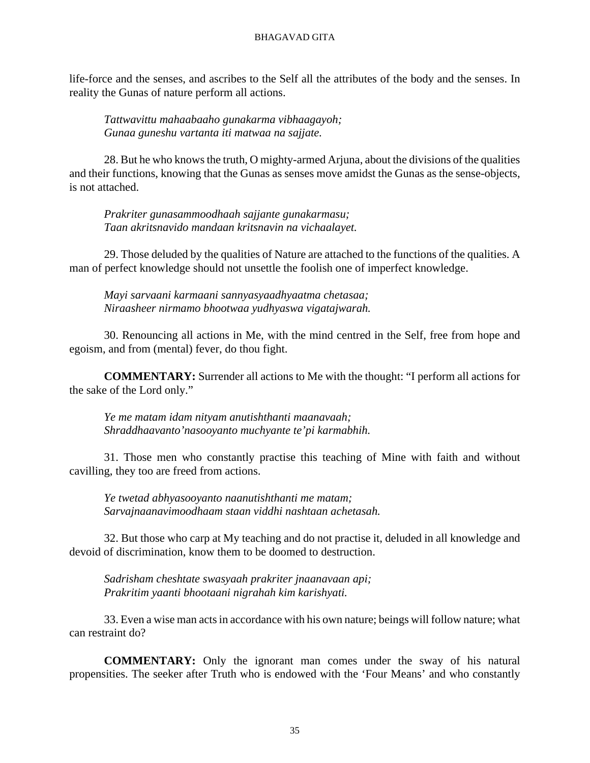life-force and the senses, and ascribes to the Self all the attributes of the body and the senses. In reality the Gunas of nature perform all actions.

*Tattwavittu mahaabaaho gunakarma vibhaagayoh; Gunaa guneshu vartanta iti matwaa na sajjate.*

28. But he who knows the truth, O mighty-armed Arjuna, about the divisions of the qualities and their functions, knowing that the Gunas as senses move amidst the Gunas as the sense-objects, is not attached.

*Prakriter gunasammoodhaah sajjante gunakarmasu; Taan akritsnavido mandaan kritsnavin na vichaalayet.*

29. Those deluded by the qualities of Nature are attached to the functions of the qualities. A man of perfect knowledge should not unsettle the foolish one of imperfect knowledge.

*Mayi sarvaani karmaani sannyasyaadhyaatma chetasaa; Niraasheer nirmamo bhootwaa yudhyaswa vigatajwarah.*

30. Renouncing all actions in Me, with the mind centred in the Self, free from hope and egoism, and from (mental) fever, do thou fight.

**COMMENTARY:** Surrender all actions to Me with the thought: "I perform all actions for the sake of the Lord only."

*Ye me matam idam nityam anutishthanti maanavaah; Shraddhaavanto'nasooyanto muchyante te'pi karmabhih.*

31. Those men who constantly practise this teaching of Mine with faith and without cavilling, they too are freed from actions.

*Ye twetad abhyasooyanto naanutishthanti me matam; Sarvajnaanavimoodhaam staan viddhi nashtaan achetasah.*

32. But those who carp at My teaching and do not practise it, deluded in all knowledge and devoid of discrimination, know them to be doomed to destruction.

*Sadrisham cheshtate swasyaah prakriter jnaanavaan api; Prakritim yaanti bhootaani nigrahah kim karishyati.*

33. Even a wise man acts in accordance with his own nature; beings will follow nature; what can restraint do?

**COMMENTARY:** Only the ignorant man comes under the sway of his natural propensities. The seeker after Truth who is endowed with the 'Four Means' and who constantly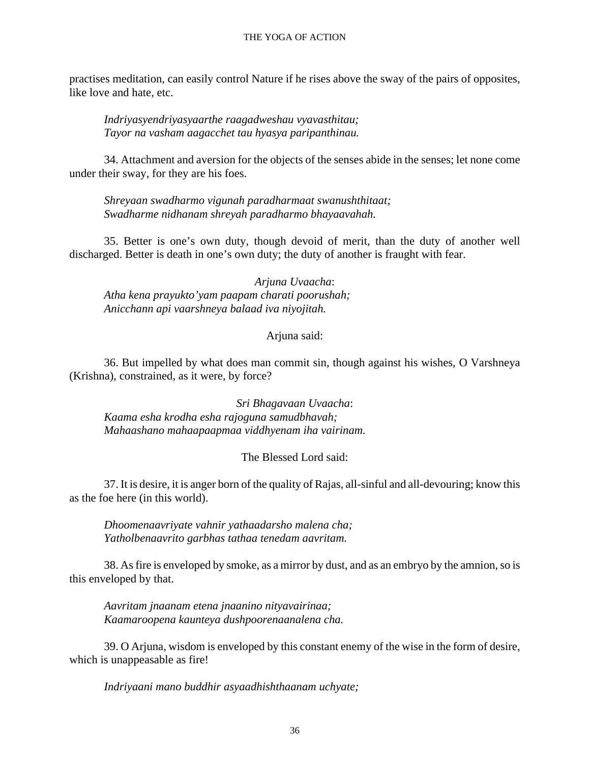#### THE YOGA OF ACTION

practises meditation, can easily control Nature if he rises above the sway of the pairs of opposites, like love and hate, etc.

*Indriyasyendriyasyaarthe raagadweshau vyavasthitau; Tayor na vasham aagacchet tau hyasya paripanthinau.*

34. Attachment and aversion for the objects of the senses abide in the senses; let none come under their sway, for they are his foes.

*Shreyaan swadharmo vigunah paradharmaat swanushthitaat; Swadharme nidhanam shreyah paradharmo bhayaavahah.*

35. Better is one's own duty, though devoid of merit, than the duty of another well discharged. Better is death in one's own duty; the duty of another is fraught with fear.

*Arjuna Uvaacha*: *Atha kena prayukto'yam paapam charati poorushah; Anicchann api vaarshneya balaad iva niyojitah.*

#### Arjuna said:

36. But impelled by what does man commit sin, though against his wishes, O Varshneya (Krishna), constrained, as it were, by force?

*Sri Bhagavaan Uvaacha*: *Kaama esha krodha esha rajoguna samudbhavah; Mahaashano mahaapaapmaa viddhyenam iha vairinam.*

#### The Blessed Lord said:

37. It is desire, it is anger born of the quality of Rajas, all-sinful and all-devouring; know this as the foe here (in this world).

*Dhoomenaavriyate vahnir yathaadarsho malena cha; Yatholbenaavrito garbhas tathaa tenedam aavritam.*

38. As fire is enveloped by smoke, as a mirror by dust, and as an embryo by the amnion, so is this enveloped by that.

*Aavritam jnaanam etena jnaanino nityavairinaa; Kaamaroopena kaunteya dushpoorenaanalena cha.*

39. O Arjuna, wisdom is enveloped by this constant enemy of the wise in the form of desire, which is unappeasable as fire!

*Indriyaani mano buddhir asyaadhishthaanam uchyate;*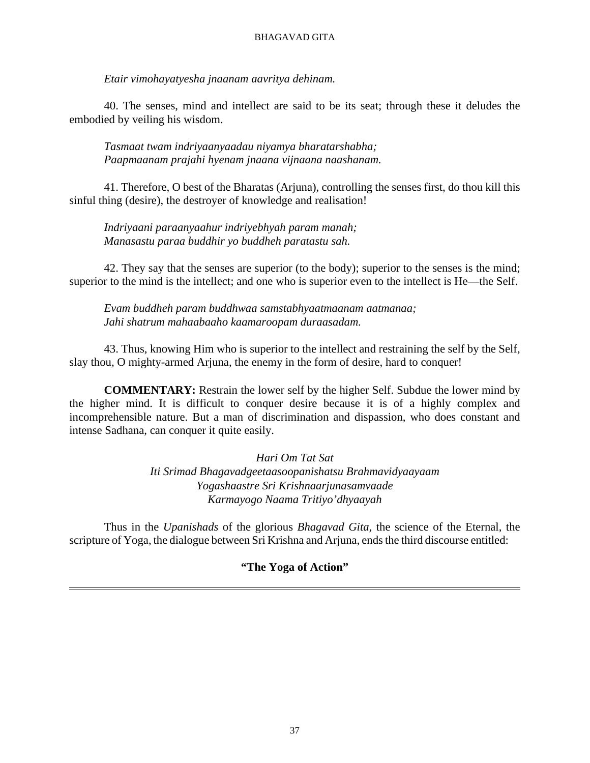*Etair vimohayatyesha jnaanam aavritya dehinam.*

40. The senses, mind and intellect are said to be its seat; through these it deludes the embodied by veiling his wisdom.

*Tasmaat twam indriyaanyaadau niyamya bharatarshabha; Paapmaanam prajahi hyenam jnaana vijnaana naashanam.*

41. Therefore, O best of the Bharatas (Arjuna), controlling the senses first, do thou kill this sinful thing (desire), the destroyer of knowledge and realisation!

*Indriyaani paraanyaahur indriyebhyah param manah; Manasastu paraa buddhir yo buddheh paratastu sah.*

42. They say that the senses are superior (to the body); superior to the senses is the mind; superior to the mind is the intellect; and one who is superior even to the intellect is He—the Self.

*Evam buddheh param buddhwaa samstabhyaatmaanam aatmanaa; Jahi shatrum mahaabaaho kaamaroopam duraasadam.*

43. Thus, knowing Him who is superior to the intellect and restraining the self by the Self, slay thou, O mighty-armed Arjuna, the enemy in the form of desire, hard to conquer!

**COMMENTARY:** Restrain the lower self by the higher Self. Subdue the lower mind by the higher mind. It is difficult to conquer desire because it is of a highly complex and incomprehensible nature. But a man of discrimination and dispassion, who does constant and intense Sadhana, can conquer it quite easily.

> *Hari Om Tat Sat Iti Srimad Bhagavadgeetaasoopanishatsu Brahmavidyaayaam Yogashaastre Sri Krishnaarjunasamvaade Karmayogo Naama Tritiyo'dhyaayah*

Thus in the *Upanishads* of the glorious *Bhagavad Gita,* the science of the Eternal, the scripture of Yoga, the dialogue between Sri Krishna and Arjuna, ends the third discourse entitled:

## **"The Yoga of Action"**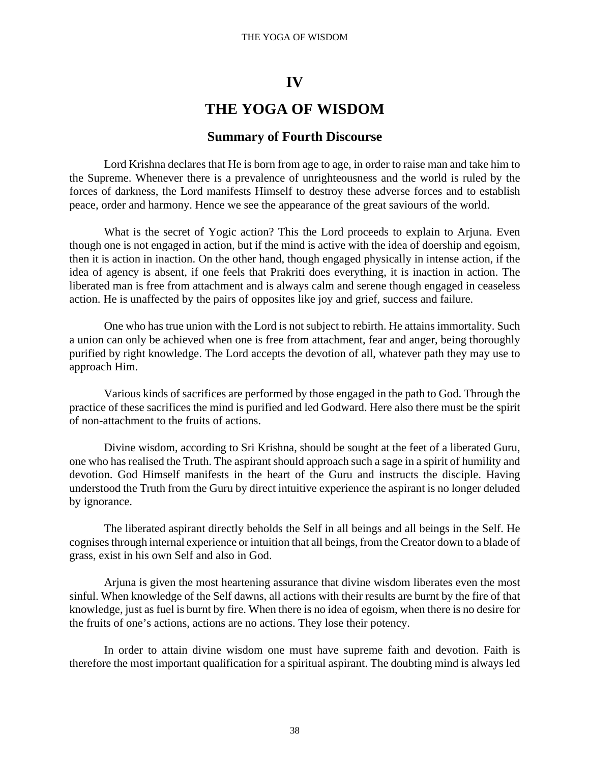#### THE YOGA OF WISDOM

## **IV**

# **THE YOGA OF WISDOM**

## **Summary of Fourth Discourse**

Lord Krishna declares that He is born from age to age, in order to raise man and take him to the Supreme. Whenever there is a prevalence of unrighteousness and the world is ruled by the forces of darkness, the Lord manifests Himself to destroy these adverse forces and to establish peace, order and harmony. Hence we see the appearance of the great saviours of the world.

What is the secret of Yogic action? This the Lord proceeds to explain to Arjuna. Even though one is not engaged in action, but if the mind is active with the idea of doership and egoism, then it is action in inaction. On the other hand, though engaged physically in intense action, if the idea of agency is absent, if one feels that Prakriti does everything, it is inaction in action. The liberated man is free from attachment and is always calm and serene though engaged in ceaseless action. He is unaffected by the pairs of opposites like joy and grief, success and failure.

One who has true union with the Lord is not subject to rebirth. He attains immortality. Such a union can only be achieved when one is free from attachment, fear and anger, being thoroughly purified by right knowledge. The Lord accepts the devotion of all, whatever path they may use to approach Him.

Various kinds of sacrifices are performed by those engaged in the path to God. Through the practice of these sacrifices the mind is purified and led Godward. Here also there must be the spirit of non-attachment to the fruits of actions.

Divine wisdom, according to Sri Krishna, should be sought at the feet of a liberated Guru, one who has realised the Truth. The aspirant should approach such a sage in a spirit of humility and devotion. God Himself manifests in the heart of the Guru and instructs the disciple. Having understood the Truth from the Guru by direct intuitive experience the aspirant is no longer deluded by ignorance.

The liberated aspirant directly beholds the Self in all beings and all beings in the Self. He cognises through internal experience or intuition that all beings, from the Creator down to a blade of grass, exist in his own Self and also in God.

Arjuna is given the most heartening assurance that divine wisdom liberates even the most sinful. When knowledge of the Self dawns, all actions with their results are burnt by the fire of that knowledge, just as fuel is burnt by fire. When there is no idea of egoism, when there is no desire for the fruits of one's actions, actions are no actions. They lose their potency.

In order to attain divine wisdom one must have supreme faith and devotion. Faith is therefore the most important qualification for a spiritual aspirant. The doubting mind is always led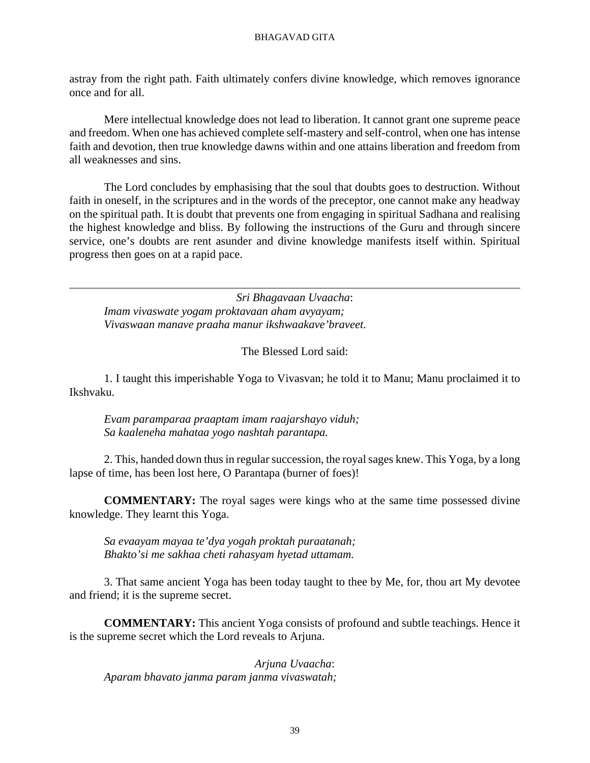astray from the right path. Faith ultimately confers divine knowledge, which removes ignorance once and for all.

Mere intellectual knowledge does not lead to liberation. It cannot grant one supreme peace and freedom. When one has achieved complete self-mastery and self-control, when one has intense faith and devotion, then true knowledge dawns within and one attains liberation and freedom from all weaknesses and sins.

The Lord concludes by emphasising that the soul that doubts goes to destruction. Without faith in oneself, in the scriptures and in the words of the preceptor, one cannot make any headway on the spiritual path. It is doubt that prevents one from engaging in spiritual Sadhana and realising the highest knowledge and bliss. By following the instructions of the Guru and through sincere service, one's doubts are rent asunder and divine knowledge manifests itself within. Spiritual progress then goes on at a rapid pace.

*Sri Bhagavaan Uvaacha*: *Imam vivaswate yogam proktavaan aham avyayam; Vivaswaan manave praaha manur ikshwaakave'braveet.*

The Blessed Lord said:

1. I taught this imperishable Yoga to Vivasvan; he told it to Manu; Manu proclaimed it to Ikshvaku.

*Evam paramparaa praaptam imam raajarshayo viduh; Sa kaaleneha mahataa yogo nashtah parantapa.*

2. This, handed down thus in regular succession, the royal sages knew. This Yoga, by a long lapse of time, has been lost here, O Parantapa (burner of foes)!

**COMMENTARY:** The royal sages were kings who at the same time possessed divine knowledge. They learnt this Yoga.

*Sa evaayam mayaa te'dya yogah proktah puraatanah; Bhakto'si me sakhaa cheti rahasyam hyetad uttamam.*

3. That same ancient Yoga has been today taught to thee by Me, for, thou art My devotee and friend; it is the supreme secret.

**COMMENTARY:** This ancient Yoga consists of profound and subtle teachings. Hence it is the supreme secret which the Lord reveals to Arjuna.

*Arjuna Uvaacha*: *Aparam bhavato janma param janma vivaswatah;*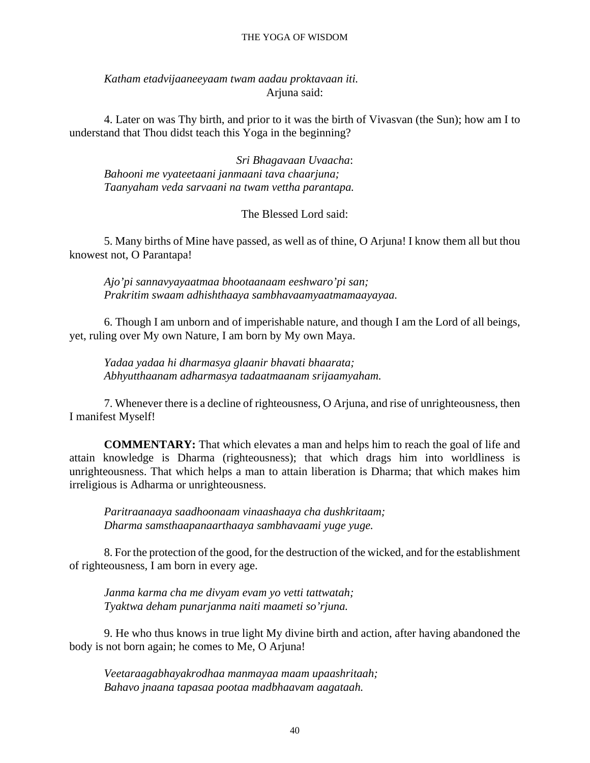#### THE YOGA OF WISDOM

*Katham etadvijaaneeyaam twam aadau proktavaan iti.* Arjuna said:

4. Later on was Thy birth, and prior to it was the birth of Vivasvan (the Sun); how am I to understand that Thou didst teach this Yoga in the beginning?

*Sri Bhagavaan Uvaacha*: *Bahooni me vyateetaani janmaani tava chaarjuna; Taanyaham veda sarvaani na twam vettha parantapa.*

The Blessed Lord said:

5. Many births of Mine have passed, as well as of thine, O Arjuna! I know them all but thou knowest not, O Parantapa!

*Ajo'pi sannavyayaatmaa bhootaanaam eeshwaro'pi san; Prakritim swaam adhishthaaya sambhavaamyaatmamaayayaa.*

6. Though I am unborn and of imperishable nature, and though I am the Lord of all beings, yet, ruling over My own Nature, I am born by My own Maya.

*Yadaa yadaa hi dharmasya glaanir bhavati bhaarata; Abhyutthaanam adharmasya tadaatmaanam srijaamyaham.*

7. Whenever there is a decline of righteousness, O Arjuna, and rise of unrighteousness, then I manifest Myself!

**COMMENTARY:** That which elevates a man and helps him to reach the goal of life and attain knowledge is Dharma (righteousness); that which drags him into worldliness is unrighteousness. That which helps a man to attain liberation is Dharma; that which makes him irreligious is Adharma or unrighteousness.

*Paritraanaaya saadhoonaam vinaashaaya cha dushkritaam; Dharma samsthaapanaarthaaya sambhavaami yuge yuge.*

8. For the protection of the good, for the destruction of the wicked, and for the establishment of righteousness, I am born in every age.

*Janma karma cha me divyam evam yo vetti tattwatah; Tyaktwa deham punarjanma naiti maameti so'rjuna.*

9. He who thus knows in true light My divine birth and action, after having abandoned the body is not born again; he comes to Me, O Arjuna!

*Veetaraagabhayakrodhaa manmayaa maam upaashritaah; Bahavo jnaana tapasaa pootaa madbhaavam aagataah.*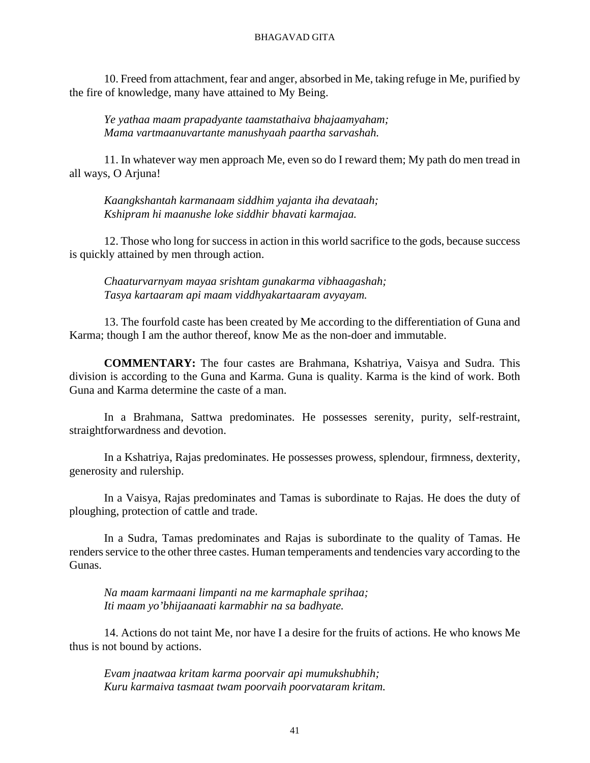10. Freed from attachment, fear and anger, absorbed in Me, taking refuge in Me, purified by the fire of knowledge, many have attained to My Being.

*Ye yathaa maam prapadyante taamstathaiva bhajaamyaham; Mama vartmaanuvartante manushyaah paartha sarvashah.*

11. In whatever way men approach Me, even so do I reward them; My path do men tread in all ways, O Arjuna!

*Kaangkshantah karmanaam siddhim yajanta iha devataah; Kshipram hi maanushe loke siddhir bhavati karmajaa.*

12. Those who long for success in action in this world sacrifice to the gods, because success is quickly attained by men through action.

*Chaaturvarnyam mayaa srishtam gunakarma vibhaagashah; Tasya kartaaram api maam viddhyakartaaram avyayam.*

13. The fourfold caste has been created by Me according to the differentiation of Guna and Karma; though I am the author thereof, know Me as the non-doer and immutable.

**COMMENTARY:** The four castes are Brahmana, Kshatriya, Vaisya and Sudra. This division is according to the Guna and Karma. Guna is quality. Karma is the kind of work. Both Guna and Karma determine the caste of a man.

In a Brahmana, Sattwa predominates. He possesses serenity, purity, self-restraint, straightforwardness and devotion.

In a Kshatriya, Rajas predominates. He possesses prowess, splendour, firmness, dexterity, generosity and rulership.

In a Vaisya, Rajas predominates and Tamas is subordinate to Rajas. He does the duty of ploughing, protection of cattle and trade.

In a Sudra, Tamas predominates and Rajas is subordinate to the quality of Tamas. He renders service to the other three castes. Human temperaments and tendencies vary according to the Gunas.

*Na maam karmaani limpanti na me karmaphale sprihaa; Iti maam yo'bhijaanaati karmabhir na sa badhyate.*

14. Actions do not taint Me, nor have I a desire for the fruits of actions. He who knows Me thus is not bound by actions.

*Evam jnaatwaa kritam karma poorvair api mumukshubhih; Kuru karmaiva tasmaat twam poorvaih poorvataram kritam.*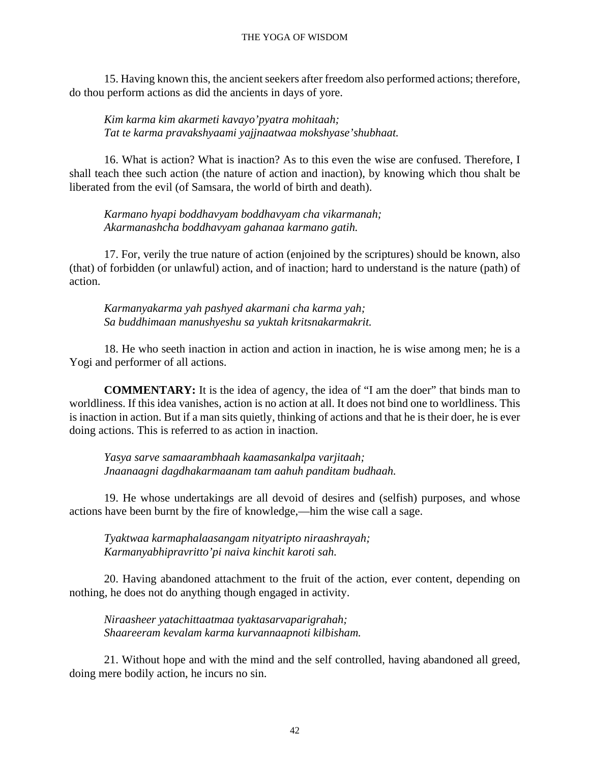15. Having known this, the ancient seekers after freedom also performed actions; therefore, do thou perform actions as did the ancients in days of yore.

*Kim karma kim akarmeti kavayo'pyatra mohitaah; Tat te karma pravakshyaami yajjnaatwaa mokshyase'shubhaat.*

16. What is action? What is inaction? As to this even the wise are confused. Therefore, I shall teach thee such action (the nature of action and inaction), by knowing which thou shalt be liberated from the evil (of Samsara, the world of birth and death).

*Karmano hyapi boddhavyam boddhavyam cha vikarmanah; Akarmanashcha boddhavyam gahanaa karmano gatih.*

17. For, verily the true nature of action (enjoined by the scriptures) should be known, also (that) of forbidden (or unlawful) action, and of inaction; hard to understand is the nature (path) of action.

*Karmanyakarma yah pashyed akarmani cha karma yah; Sa buddhimaan manushyeshu sa yuktah kritsnakarmakrit.*

18. He who seeth inaction in action and action in inaction, he is wise among men; he is a Yogi and performer of all actions.

**COMMENTARY:** It is the idea of agency, the idea of "I am the doer" that binds man to worldliness. If this idea vanishes, action is no action at all. It does not bind one to worldliness. This is inaction in action. But if a man sits quietly, thinking of actions and that he is their doer, he is ever doing actions. This is referred to as action in inaction.

*Yasya sarve samaarambhaah kaamasankalpa varjitaah; Jnaanaagni dagdhakarmaanam tam aahuh panditam budhaah.*

19. He whose undertakings are all devoid of desires and (selfish) purposes, and whose actions have been burnt by the fire of knowledge,—him the wise call a sage.

*Tyaktwaa karmaphalaasangam nityatripto niraashrayah; Karmanyabhipravritto'pi naiva kinchit karoti sah.*

20. Having abandoned attachment to the fruit of the action, ever content, depending on nothing, he does not do anything though engaged in activity.

*Niraasheer yatachittaatmaa tyaktasarvaparigrahah; Shaareeram kevalam karma kurvannaapnoti kilbisham.*

21. Without hope and with the mind and the self controlled, having abandoned all greed, doing mere bodily action, he incurs no sin.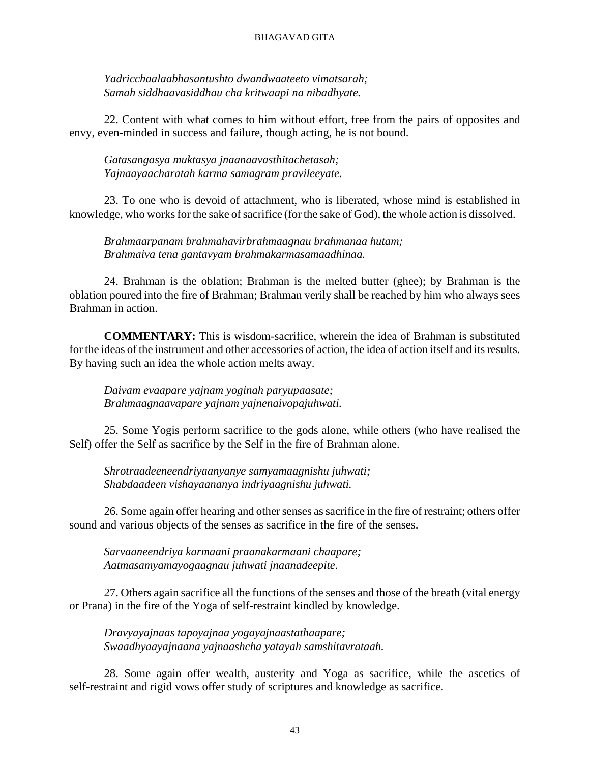*Yadricchaalaabhasantushto dwandwaateeto vimatsarah; Samah siddhaavasiddhau cha kritwaapi na nibadhyate.*

22. Content with what comes to him without effort, free from the pairs of opposites and envy, even-minded in success and failure, though acting, he is not bound.

*Gatasangasya muktasya jnaanaavasthitachetasah; Yajnaayaacharatah karma samagram pravileeyate.*

23. To one who is devoid of attachment, who is liberated, whose mind is established in knowledge, who works for the sake of sacrifice (for the sake of God), the whole action is dissolved.

*Brahmaarpanam brahmahavirbrahmaagnau brahmanaa hutam; Brahmaiva tena gantavyam brahmakarmasamaadhinaa.*

24. Brahman is the oblation; Brahman is the melted butter (ghee); by Brahman is the oblation poured into the fire of Brahman; Brahman verily shall be reached by him who always sees Brahman in action.

**COMMENTARY:** This is wisdom-sacrifice, wherein the idea of Brahman is substituted for the ideas of the instrument and other accessories of action, the idea of action itself and its results. By having such an idea the whole action melts away.

*Daivam evaapare yajnam yoginah paryupaasate; Brahmaagnaavapare yajnam yajnenaivopajuhwati.*

25. Some Yogis perform sacrifice to the gods alone, while others (who have realised the Self) offer the Self as sacrifice by the Self in the fire of Brahman alone.

*Shrotraadeeneendriyaanyanye samyamaagnishu juhwati; Shabdaadeen vishayaananya indriyaagnishu juhwati.*

26. Some again offer hearing and other senses as sacrifice in the fire of restraint; others offer sound and various objects of the senses as sacrifice in the fire of the senses.

*Sarvaaneendriya karmaani praanakarmaani chaapare; Aatmasamyamayogaagnau juhwati jnaanadeepite.*

27. Others again sacrifice all the functions of the senses and those of the breath (vital energy or Prana) in the fire of the Yoga of self-restraint kindled by knowledge.

*Dravyayajnaas tapoyajnaa yogayajnaastathaapare; Swaadhyaayajnaana yajnaashcha yatayah samshitavrataah.*

28. Some again offer wealth, austerity and Yoga as sacrifice, while the ascetics of self-restraint and rigid vows offer study of scriptures and knowledge as sacrifice.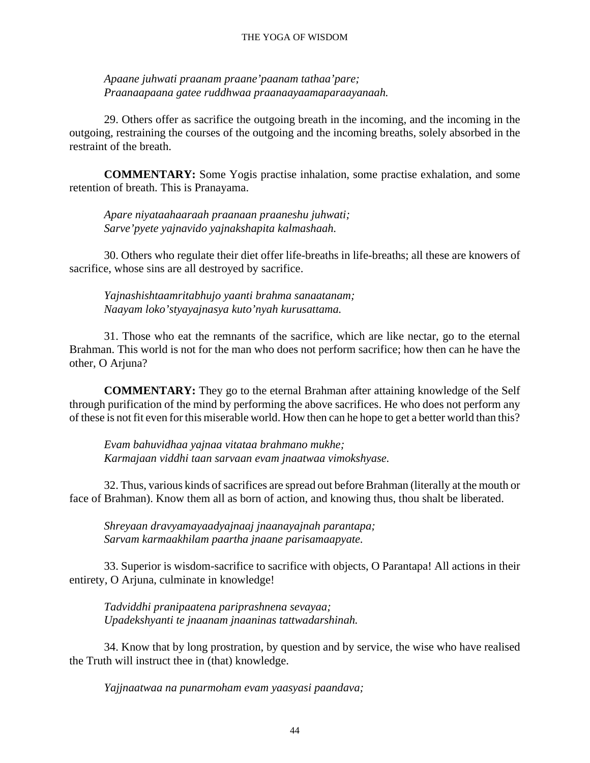#### THE YOGA OF WISDOM

*Apaane juhwati praanam praane'paanam tathaa'pare; Praanaapaana gatee ruddhwaa praanaayaamaparaayanaah.*

29. Others offer as sacrifice the outgoing breath in the incoming, and the incoming in the outgoing, restraining the courses of the outgoing and the incoming breaths, solely absorbed in the restraint of the breath.

**COMMENTARY:** Some Yogis practise inhalation, some practise exhalation, and some retention of breath. This is Pranayama.

*Apare niyataahaaraah praanaan praaneshu juhwati; Sarve'pyete yajnavido yajnakshapita kalmashaah.*

30. Others who regulate their diet offer life-breaths in life-breaths; all these are knowers of sacrifice, whose sins are all destroyed by sacrifice.

*Yajnashishtaamritabhujo yaanti brahma sanaatanam; Naayam loko'styayajnasya kuto'nyah kurusattama.*

31. Those who eat the remnants of the sacrifice, which are like nectar, go to the eternal Brahman. This world is not for the man who does not perform sacrifice; how then can he have the other, O Arjuna?

**COMMENTARY:** They go to the eternal Brahman after attaining knowledge of the Self through purification of the mind by performing the above sacrifices. He who does not perform any of these is not fit even for this miserable world. How then can he hope to get a better world than this?

*Evam bahuvidhaa yajnaa vitataa brahmano mukhe; Karmajaan viddhi taan sarvaan evam jnaatwaa vimokshyase.*

32. Thus, various kinds of sacrifices are spread out before Brahman (literally at the mouth or face of Brahman). Know them all as born of action, and knowing thus, thou shalt be liberated.

*Shreyaan dravyamayaadyajnaaj jnaanayajnah parantapa; Sarvam karmaakhilam paartha jnaane parisamaapyate.*

33. Superior is wisdom-sacrifice to sacrifice with objects, O Parantapa! All actions in their entirety, O Arjuna, culminate in knowledge!

*Tadviddhi pranipaatena pariprashnena sevayaa; Upadekshyanti te jnaanam jnaaninas tattwadarshinah.*

34. Know that by long prostration, by question and by service, the wise who have realised the Truth will instruct thee in (that) knowledge.

*Yajjnaatwaa na punarmoham evam yaasyasi paandava;*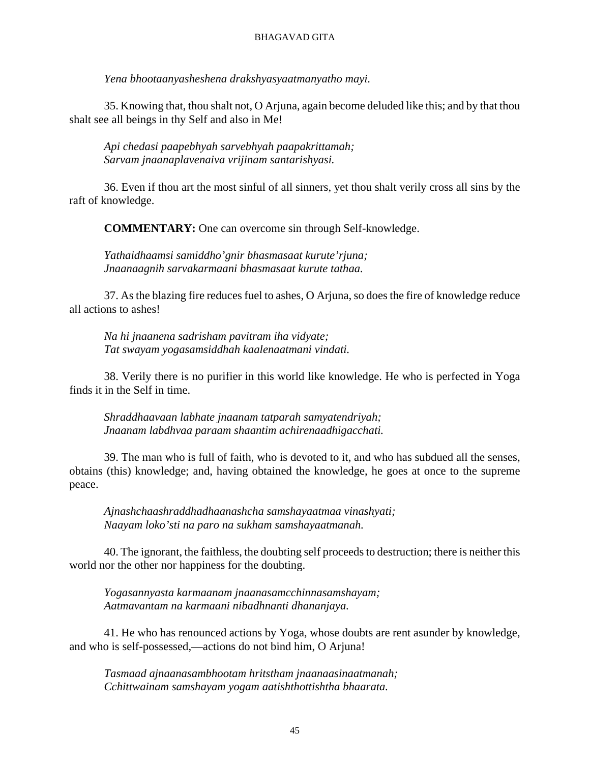*Yena bhootaanyasheshena drakshyasyaatmanyatho mayi.*

35. Knowing that, thou shalt not, O Arjuna, again become deluded like this; and by that thou shalt see all beings in thy Self and also in Me!

*Api chedasi paapebhyah sarvebhyah paapakrittamah; Sarvam jnaanaplavenaiva vrijinam santarishyasi.*

36. Even if thou art the most sinful of all sinners, yet thou shalt verily cross all sins by the raft of knowledge.

**COMMENTARY:** One can overcome sin through Self-knowledge.

*Yathaidhaamsi samiddho'gnir bhasmasaat kurute'rjuna; Jnaanaagnih sarvakarmaani bhasmasaat kurute tathaa.*

37. As the blazing fire reduces fuel to ashes, O Arjuna, so does the fire of knowledge reduce all actions to ashes!

*Na hi jnaanena sadrisham pavitram iha vidyate; Tat swayam yogasamsiddhah kaalenaatmani vindati.*

38. Verily there is no purifier in this world like knowledge. He who is perfected in Yoga finds it in the Self in time.

*Shraddhaavaan labhate jnaanam tatparah samyatendriyah; Jnaanam labdhvaa paraam shaantim achirenaadhigacchati.*

39. The man who is full of faith, who is devoted to it, and who has subdued all the senses, obtains (this) knowledge; and, having obtained the knowledge, he goes at once to the supreme peace.

*Ajnashchaashraddhadhaanashcha samshayaatmaa vinashyati; Naayam loko'sti na paro na sukham samshayaatmanah.*

40. The ignorant, the faithless, the doubting self proceeds to destruction; there is neither this world nor the other nor happiness for the doubting.

*Yogasannyasta karmaanam jnaanasamcchinnasamshayam; Aatmavantam na karmaani nibadhnanti dhananjaya.*

41. He who has renounced actions by Yoga, whose doubts are rent asunder by knowledge, and who is self-possessed,—actions do not bind him, O Arjuna!

*Tasmaad ajnaanasambhootam hritstham jnaanaasinaatmanah; Cchittwainam samshayam yogam aatishthottishtha bhaarata.*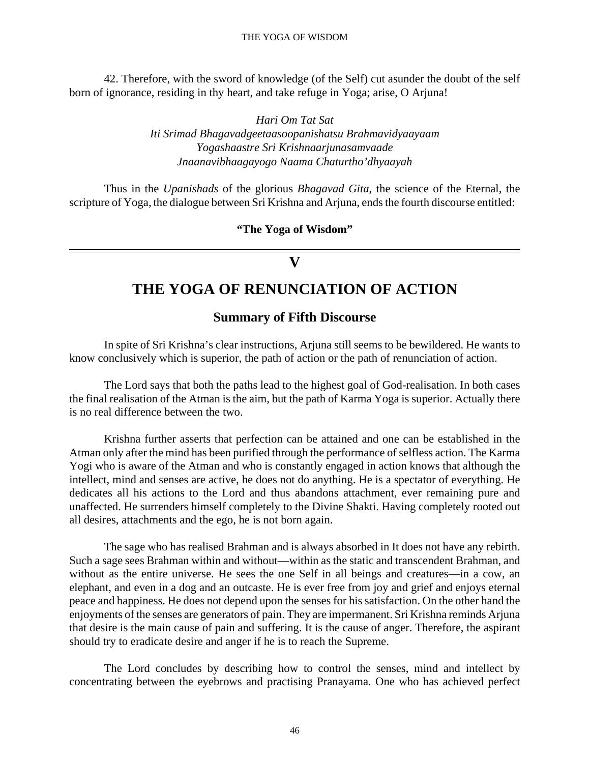42. Therefore, with the sword of knowledge (of the Self) cut asunder the doubt of the self born of ignorance, residing in thy heart, and take refuge in Yoga; arise, O Arjuna!

> *Hari Om Tat Sat Iti Srimad Bhagavadgeetaasoopanishatsu Brahmavidyaayaam Yogashaastre Sri Krishnaarjunasamvaade Jnaanavibhaagayogo Naama Chaturtho'dhyaayah*

Thus in the *Upanishads* of the glorious *Bhagavad Gita,* the science of the Eternal, the scripture of Yoga, the dialogue between Sri Krishna and Arjuna, ends the fourth discourse entitled:

**"The Yoga of Wisdom"**

## **V**

# **THE YOGA OF RENUNCIATION OF ACTION**

## **Summary of Fifth Discourse**

In spite of Sri Krishna's clear instructions, Arjuna still seems to be bewildered. He wants to know conclusively which is superior, the path of action or the path of renunciation of action.

The Lord says that both the paths lead to the highest goal of God-realisation. In both cases the final realisation of the Atman is the aim, but the path of Karma Yoga is superior. Actually there is no real difference between the two.

Krishna further asserts that perfection can be attained and one can be established in the Atman only after the mind has been purified through the performance of selfless action. The Karma Yogi who is aware of the Atman and who is constantly engaged in action knows that although the intellect, mind and senses are active, he does not do anything. He is a spectator of everything. He dedicates all his actions to the Lord and thus abandons attachment, ever remaining pure and unaffected. He surrenders himself completely to the Divine Shakti. Having completely rooted out all desires, attachments and the ego, he is not born again.

The sage who has realised Brahman and is always absorbed in It does not have any rebirth. Such a sage sees Brahman within and without—within as the static and transcendent Brahman, and without as the entire universe. He sees the one Self in all beings and creatures—in a cow, an elephant, and even in a dog and an outcaste. He is ever free from joy and grief and enjoys eternal peace and happiness. He does not depend upon the senses for his satisfaction. On the other hand the enjoyments of the senses are generators of pain. They are impermanent. Sri Krishna reminds Arjuna that desire is the main cause of pain and suffering. It is the cause of anger. Therefore, the aspirant should try to eradicate desire and anger if he is to reach the Supreme.

The Lord concludes by describing how to control the senses, mind and intellect by concentrating between the eyebrows and practising Pranayama. One who has achieved perfect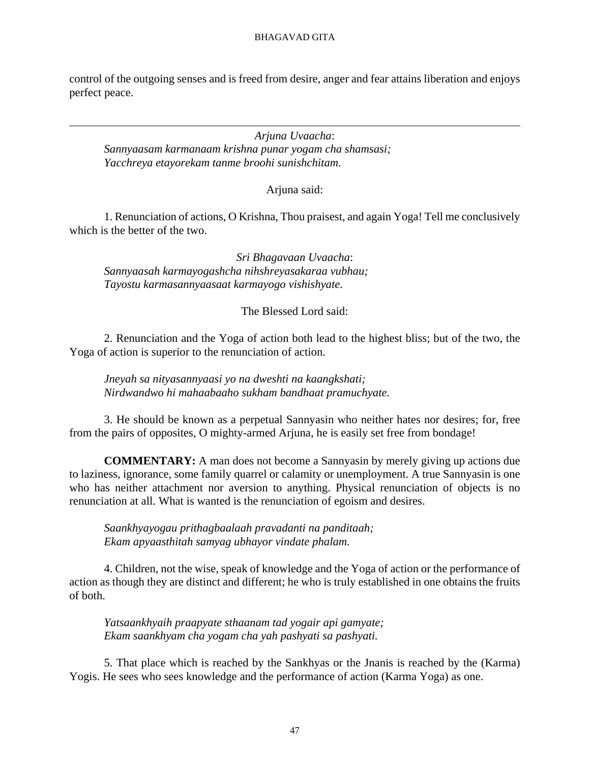control of the outgoing senses and is freed from desire, anger and fear attains liberation and enjoys perfect peace.

*Arjuna Uvaacha*: *Sannyaasam karmanaam krishna punar yogam cha shamsasi; Yacchreya etayorekam tanme broohi sunishchitam.*

Arjuna said:

1. Renunciation of actions, O Krishna, Thou praisest, and again Yoga! Tell me conclusively which is the better of the two.

*Sri Bhagavaan Uvaacha*: *Sannyaasah karmayogashcha nihshreyasakaraa vubhau; Tayostu karmasannyaasaat karmayogo vishishyate.*

The Blessed Lord said:

2. Renunciation and the Yoga of action both lead to the highest bliss; but of the two, the Yoga of action is superior to the renunciation of action.

*Jneyah sa nityasannyaasi yo na dweshti na kaangkshati; Nirdwandwo hi mahaabaaho sukham bandhaat pramuchyate.*

3. He should be known as a perpetual Sannyasin who neither hates nor desires; for, free from the pairs of opposites, O mighty-armed Arjuna, he is easily set free from bondage!

**COMMENTARY:** A man does not become a Sannyasin by merely giving up actions due to laziness, ignorance, some family quarrel or calamity or unemployment. A true Sannyasin is one who has neither attachment nor aversion to anything. Physical renunciation of objects is no renunciation at all. What is wanted is the renunciation of egoism and desires.

*Saankhyayogau prithagbaalaah pravadanti na panditaah; Ekam apyaasthitah samyag ubhayor vindate phalam.*

4. Children, not the wise, speak of knowledge and the Yoga of action or the performance of action as though they are distinct and different; he who is truly established in one obtains the fruits of both.

*Yatsaankhyaih praapyate sthaanam tad yogair api gamyate; Ekam saankhyam cha yogam cha yah pashyati sa pashyati.*

5. That place which is reached by the Sankhyas or the Jnanis is reached by the (Karma) Yogis. He sees who sees knowledge and the performance of action (Karma Yoga) as one.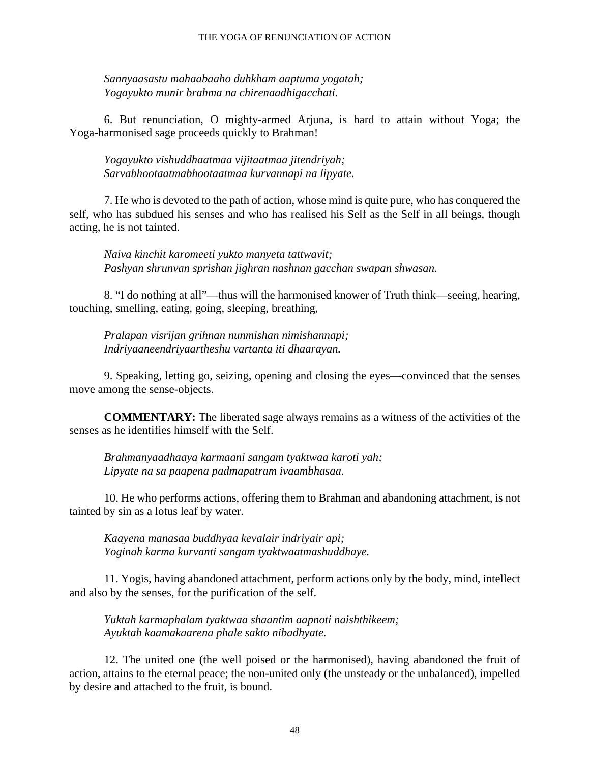*Sannyaasastu mahaabaaho duhkham aaptuma yogatah; Yogayukto munir brahma na chirenaadhigacchati.*

6. But renunciation, O mighty-armed Arjuna, is hard to attain without Yoga; the Yoga-harmonised sage proceeds quickly to Brahman!

*Yogayukto vishuddhaatmaa vijitaatmaa jitendriyah; Sarvabhootaatmabhootaatmaa kurvannapi na lipyate.*

7. He who is devoted to the path of action, whose mind is quite pure, who has conquered the self, who has subdued his senses and who has realised his Self as the Self in all beings, though acting, he is not tainted.

*Naiva kinchit karomeeti yukto manyeta tattwavit; Pashyan shrunvan sprishan jighran nashnan gacchan swapan shwasan.*

8. "I do nothing at all"—thus will the harmonised knower of Truth think—seeing, hearing, touching, smelling, eating, going, sleeping, breathing,

*Pralapan visrijan grihnan nunmishan nimishannapi; Indriyaaneendriyaartheshu vartanta iti dhaarayan.*

9. Speaking, letting go, seizing, opening and closing the eyes—convinced that the senses move among the sense-objects.

**COMMENTARY:** The liberated sage always remains as a witness of the activities of the senses as he identifies himself with the Self.

*Brahmanyaadhaaya karmaani sangam tyaktwaa karoti yah; Lipyate na sa paapena padmapatram ivaambhasaa.*

10. He who performs actions, offering them to Brahman and abandoning attachment, is not tainted by sin as a lotus leaf by water.

*Kaayena manasaa buddhyaa kevalair indriyair api; Yoginah karma kurvanti sangam tyaktwaatmashuddhaye.*

11. Yogis, having abandoned attachment, perform actions only by the body, mind, intellect and also by the senses, for the purification of the self.

*Yuktah karmaphalam tyaktwaa shaantim aapnoti naishthikeem; Ayuktah kaamakaarena phale sakto nibadhyate.*

12. The united one (the well poised or the harmonised), having abandoned the fruit of action, attains to the eternal peace; the non-united only (the unsteady or the unbalanced), impelled by desire and attached to the fruit, is bound.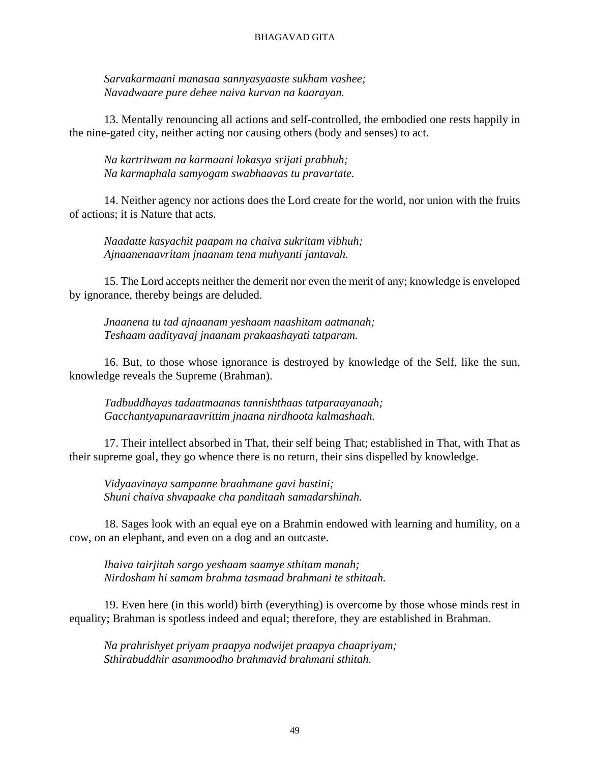*Sarvakarmaani manasaa sannyasyaaste sukham vashee; Navadwaare pure dehee naiva kurvan na kaarayan.*

13. Mentally renouncing all actions and self-controlled, the embodied one rests happily in the nine-gated city, neither acting nor causing others (body and senses) to act.

*Na kartritwam na karmaani lokasya srijati prabhuh; Na karmaphala samyogam swabhaavas tu pravartate.*

14. Neither agency nor actions does the Lord create for the world, nor union with the fruits of actions; it is Nature that acts.

*Naadatte kasyachit paapam na chaiva sukritam vibhuh; Ajnaanenaavritam jnaanam tena muhyanti jantavah.*

15. The Lord accepts neither the demerit nor even the merit of any; knowledge is enveloped by ignorance, thereby beings are deluded.

*Jnaanena tu tad ajnaanam yeshaam naashitam aatmanah; Teshaam aadityavaj jnaanam prakaashayati tatparam.*

16. But, to those whose ignorance is destroyed by knowledge of the Self, like the sun, knowledge reveals the Supreme (Brahman).

*Tadbuddhayas tadaatmaanas tannishthaas tatparaayanaah; Gacchantyapunaraavrittim jnaana nirdhoota kalmashaah.*

17. Their intellect absorbed in That, their self being That; established in That, with That as their supreme goal, they go whence there is no return, their sins dispelled by knowledge.

*Vidyaavinaya sampanne braahmane gavi hastini; Shuni chaiva shvapaake cha panditaah samadarshinah.*

18. Sages look with an equal eye on a Brahmin endowed with learning and humility, on a cow, on an elephant, and even on a dog and an outcaste.

*Ihaiva tairjitah sargo yeshaam saamye sthitam manah; Nirdosham hi samam brahma tasmaad brahmani te sthitaah.*

19. Even here (in this world) birth (everything) is overcome by those whose minds rest in equality; Brahman is spotless indeed and equal; therefore, they are established in Brahman.

*Na prahrishyet priyam praapya nodwijet praapya chaapriyam; Sthirabuddhir asammoodho brahmavid brahmani sthitah.*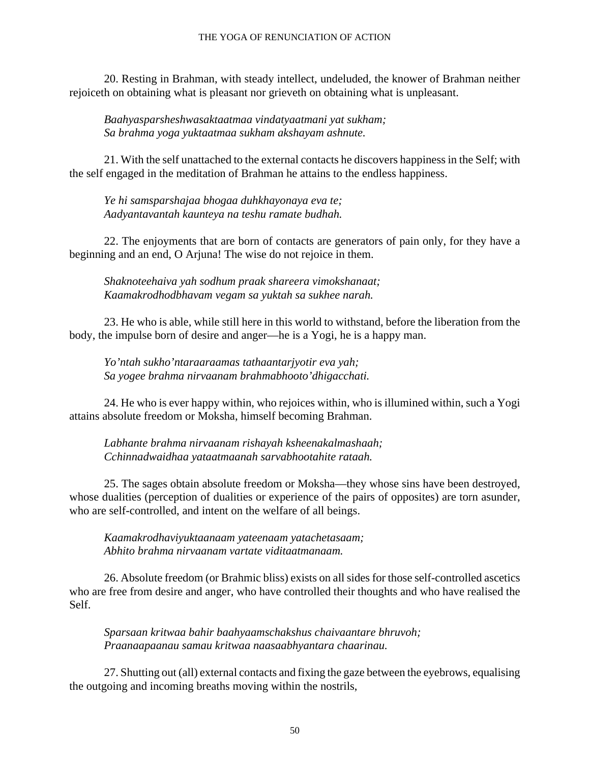#### THE YOGA OF RENUNCIATION OF ACTION

20. Resting in Brahman, with steady intellect, undeluded, the knower of Brahman neither rejoiceth on obtaining what is pleasant nor grieveth on obtaining what is unpleasant.

*Baahyasparsheshwasaktaatmaa vindatyaatmani yat sukham; Sa brahma yoga yuktaatmaa sukham akshayam ashnute.*

21. With the self unattached to the external contacts he discovers happiness in the Self; with the self engaged in the meditation of Brahman he attains to the endless happiness.

*Ye hi samsparshajaa bhogaa duhkhayonaya eva te; Aadyantavantah kaunteya na teshu ramate budhah.*

22. The enjoyments that are born of contacts are generators of pain only, for they have a beginning and an end, O Arjuna! The wise do not rejoice in them.

*Shaknoteehaiva yah sodhum praak shareera vimokshanaat; Kaamakrodhodbhavam vegam sa yuktah sa sukhee narah.*

23. He who is able, while still here in this world to withstand, before the liberation from the body, the impulse born of desire and anger—he is a Yogi, he is a happy man.

*Yo'ntah sukho'ntaraaraamas tathaantarjyotir eva yah; Sa yogee brahma nirvaanam brahmabhooto'dhigacchati.*

24. He who is ever happy within, who rejoices within, who is illumined within, such a Yogi attains absolute freedom or Moksha, himself becoming Brahman.

*Labhante brahma nirvaanam rishayah ksheenakalmashaah; Cchinnadwaidhaa yataatmaanah sarvabhootahite rataah.*

25. The sages obtain absolute freedom or Moksha—they whose sins have been destroyed, whose dualities (perception of dualities or experience of the pairs of opposites) are torn asunder, who are self-controlled, and intent on the welfare of all beings.

*Kaamakrodhaviyuktaanaam yateenaam yatachetasaam; Abhito brahma nirvaanam vartate viditaatmanaam.*

26. Absolute freedom (or Brahmic bliss) exists on all sides for those self-controlled ascetics who are free from desire and anger, who have controlled their thoughts and who have realised the Self.

*Sparsaan kritwaa bahir baahyaamschakshus chaivaantare bhruvoh; Praanaapaanau samau kritwaa naasaabhyantara chaarinau.*

27. Shutting out (all) external contacts and fixing the gaze between the eyebrows, equalising the outgoing and incoming breaths moving within the nostrils,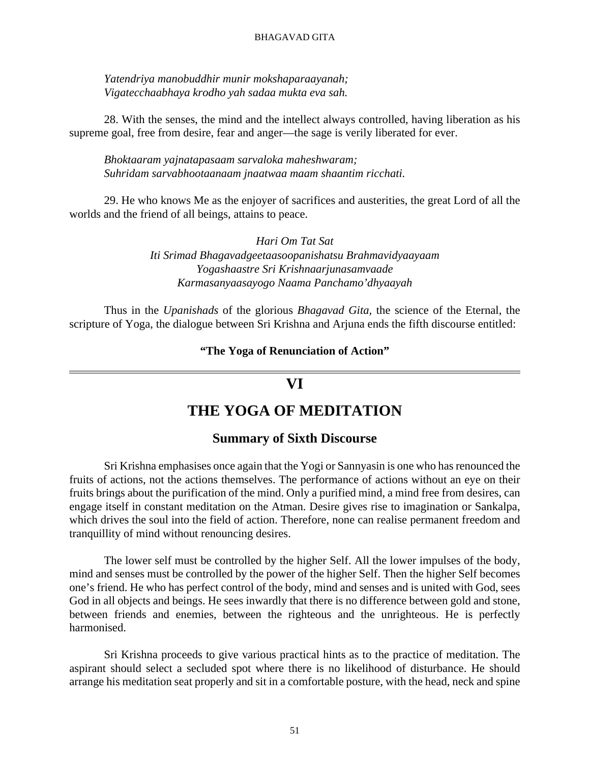*Yatendriya manobuddhir munir mokshaparaayanah; Vigatecchaabhaya krodho yah sadaa mukta eva sah.*

28. With the senses, the mind and the intellect always controlled, having liberation as his supreme goal, free from desire, fear and anger—the sage is verily liberated for ever.

*Bhoktaaram yajnatapasaam sarvaloka maheshwaram; Suhridam sarvabhootaanaam jnaatwaa maam shaantim ricchati.*

29. He who knows Me as the enjoyer of sacrifices and austerities, the great Lord of all the worlds and the friend of all beings, attains to peace.

> *Hari Om Tat Sat Iti Srimad Bhagavadgeetaasoopanishatsu Brahmavidyaayaam Yogashaastre Sri Krishnaarjunasamvaade Karmasanyaasayogo Naama Panchamo'dhyaayah*

Thus in the *Upanishads* of the glorious *Bhagavad Gita,* the science of the Eternal, the scripture of Yoga, the dialogue between Sri Krishna and Arjuna ends the fifth discourse entitled:

#### **"The Yoga of Renunciation of Action"**

## **VI**

## **THE YOGA OF MEDITATION**

### **Summary of Sixth Discourse**

Sri Krishna emphasises once again that the Yogi or Sannyasin is one who has renounced the fruits of actions, not the actions themselves. The performance of actions without an eye on their fruits brings about the purification of the mind. Only a purified mind, a mind free from desires, can engage itself in constant meditation on the Atman. Desire gives rise to imagination or Sankalpa, which drives the soul into the field of action. Therefore, none can realise permanent freedom and tranquillity of mind without renouncing desires.

The lower self must be controlled by the higher Self. All the lower impulses of the body, mind and senses must be controlled by the power of the higher Self. Then the higher Self becomes one's friend. He who has perfect control of the body, mind and senses and is united with God, sees God in all objects and beings. He sees inwardly that there is no difference between gold and stone, between friends and enemies, between the righteous and the unrighteous. He is perfectly harmonised.

Sri Krishna proceeds to give various practical hints as to the practice of meditation. The aspirant should select a secluded spot where there is no likelihood of disturbance. He should arrange his meditation seat properly and sit in a comfortable posture, with the head, neck and spine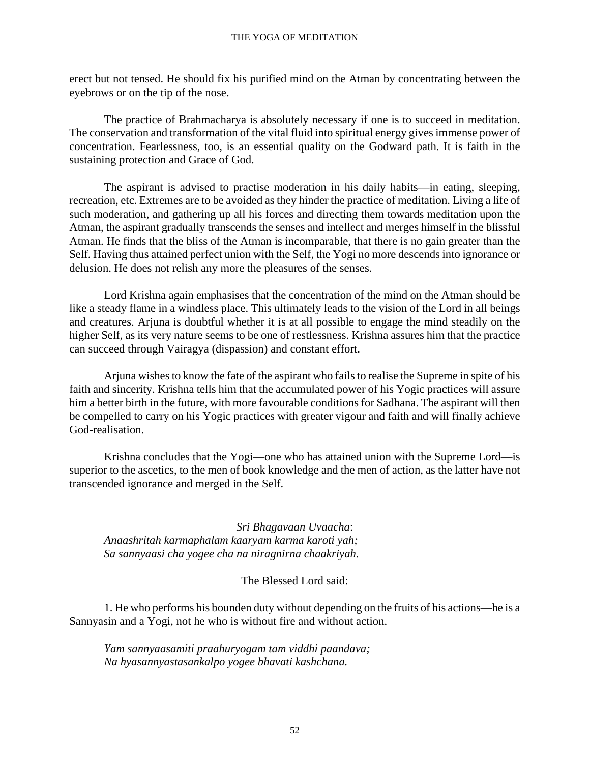erect but not tensed. He should fix his purified mind on the Atman by concentrating between the eyebrows or on the tip of the nose.

The practice of Brahmacharya is absolutely necessary if one is to succeed in meditation. The conservation and transformation of the vital fluid into spiritual energy gives immense power of concentration. Fearlessness, too, is an essential quality on the Godward path. It is faith in the sustaining protection and Grace of God.

The aspirant is advised to practise moderation in his daily habits—in eating, sleeping, recreation, etc. Extremes are to be avoided as they hinder the practice of meditation. Living a life of such moderation, and gathering up all his forces and directing them towards meditation upon the Atman, the aspirant gradually transcends the senses and intellect and merges himself in the blissful Atman. He finds that the bliss of the Atman is incomparable, that there is no gain greater than the Self. Having thus attained perfect union with the Self, the Yogi no more descends into ignorance or delusion. He does not relish any more the pleasures of the senses.

Lord Krishna again emphasises that the concentration of the mind on the Atman should be like a steady flame in a windless place. This ultimately leads to the vision of the Lord in all beings and creatures. Arjuna is doubtful whether it is at all possible to engage the mind steadily on the higher Self, as its very nature seems to be one of restlessness. Krishna assures him that the practice can succeed through Vairagya (dispassion) and constant effort.

Arjuna wishes to know the fate of the aspirant who fails to realise the Supreme in spite of his faith and sincerity. Krishna tells him that the accumulated power of his Yogic practices will assure him a better birth in the future, with more favourable conditions for Sadhana. The aspirant will then be compelled to carry on his Yogic practices with greater vigour and faith and will finally achieve God-realisation.

Krishna concludes that the Yogi—one who has attained union with the Supreme Lord—is superior to the ascetics, to the men of book knowledge and the men of action, as the latter have not transcended ignorance and merged in the Self.

*Sri Bhagavaan Uvaacha*: *Anaashritah karmaphalam kaaryam karma karoti yah; Sa sannyaasi cha yogee cha na niragnirna chaakriyah.*

The Blessed Lord said:

1. He who performs his bounden duty without depending on the fruits of his actions—he is a Sannyasin and a Yogi, not he who is without fire and without action.

*Yam sannyaasamiti praahuryogam tam viddhi paandava; Na hyasannyastasankalpo yogee bhavati kashchana.*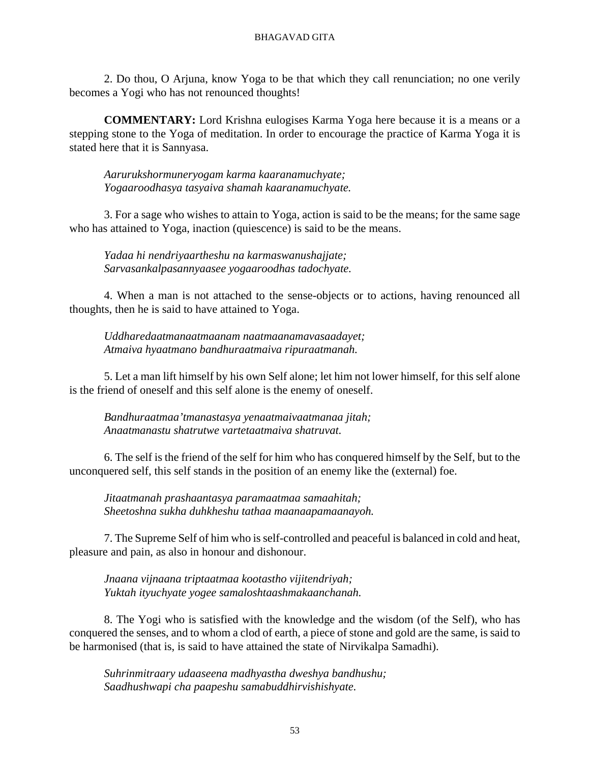2. Do thou, O Arjuna, know Yoga to be that which they call renunciation; no one verily becomes a Yogi who has not renounced thoughts!

**COMMENTARY:** Lord Krishna eulogises Karma Yoga here because it is a means or a stepping stone to the Yoga of meditation. In order to encourage the practice of Karma Yoga it is stated here that it is Sannyasa.

*Aarurukshormuneryogam karma kaaranamuchyate; Yogaaroodhasya tasyaiva shamah kaaranamuchyate.*

3. For a sage who wishes to attain to Yoga, action is said to be the means; for the same sage who has attained to Yoga, inaction (quiescence) is said to be the means.

*Yadaa hi nendriyaartheshu na karmaswanushajjate; Sarvasankalpasannyaasee yogaaroodhas tadochyate.*

4. When a man is not attached to the sense-objects or to actions, having renounced all thoughts, then he is said to have attained to Yoga.

*Uddharedaatmanaatmaanam naatmaanamavasaadayet; Atmaiva hyaatmano bandhuraatmaiva ripuraatmanah.*

5. Let a man lift himself by his own Self alone; let him not lower himself, for this self alone is the friend of oneself and this self alone is the enemy of oneself.

*Bandhuraatmaa'tmanastasya yenaatmaivaatmanaa jitah; Anaatmanastu shatrutwe vartetaatmaiva shatruvat.*

6. The self is the friend of the self for him who has conquered himself by the Self, but to the unconquered self, this self stands in the position of an enemy like the (external) foe.

*Jitaatmanah prashaantasya paramaatmaa samaahitah; Sheetoshna sukha duhkheshu tathaa maanaapamaanayoh.*

7. The Supreme Self of him who is self-controlled and peaceful is balanced in cold and heat, pleasure and pain, as also in honour and dishonour.

*Jnaana vijnaana triptaatmaa kootastho vijitendriyah; Yuktah ityuchyate yogee samaloshtaashmakaanchanah.*

8. The Yogi who is satisfied with the knowledge and the wisdom (of the Self), who has conquered the senses, and to whom a clod of earth, a piece of stone and gold are the same, is said to be harmonised (that is, is said to have attained the state of Nirvikalpa Samadhi).

*Suhrinmitraary udaaseena madhyastha dweshya bandhushu; Saadhushwapi cha paapeshu samabuddhirvishishyate.*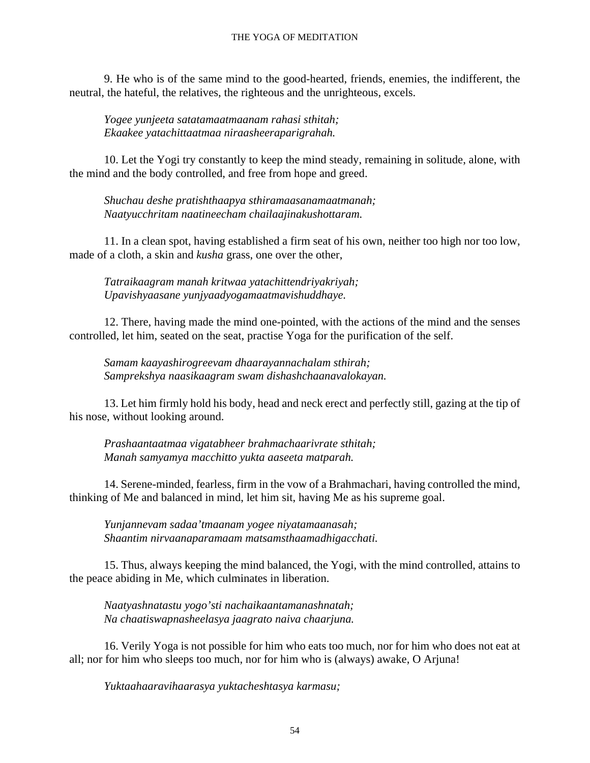9. He who is of the same mind to the good-hearted, friends, enemies, the indifferent, the neutral, the hateful, the relatives, the righteous and the unrighteous, excels.

*Yogee yunjeeta satatamaatmaanam rahasi sthitah; Ekaakee yatachittaatmaa niraasheeraparigrahah.*

10. Let the Yogi try constantly to keep the mind steady, remaining in solitude, alone, with the mind and the body controlled, and free from hope and greed.

*Shuchau deshe pratishthaapya sthiramaasanamaatmanah; Naatyucchritam naatineecham chailaajinakushottaram.*

11. In a clean spot, having established a firm seat of his own, neither too high nor too low, made of a cloth, a skin and *kusha* grass, one over the other,

*Tatraikaagram manah kritwaa yatachittendriyakriyah; Upavishyaasane yunjyaadyogamaatmavishuddhaye.*

12. There, having made the mind one-pointed, with the actions of the mind and the senses controlled, let him, seated on the seat, practise Yoga for the purification of the self.

*Samam kaayashirogreevam dhaarayannachalam sthirah; Samprekshya naasikaagram swam dishashchaanavalokayan.*

13. Let him firmly hold his body, head and neck erect and perfectly still, gazing at the tip of his nose, without looking around.

*Prashaantaatmaa vigatabheer brahmachaarivrate sthitah; Manah samyamya macchitto yukta aaseeta matparah.*

14. Serene-minded, fearless, firm in the vow of a Brahmachari, having controlled the mind, thinking of Me and balanced in mind, let him sit, having Me as his supreme goal.

*Yunjannevam sadaa'tmaanam yogee niyatamaanasah; Shaantim nirvaanaparamaam matsamsthaamadhigacchati.*

15. Thus, always keeping the mind balanced, the Yogi, with the mind controlled, attains to the peace abiding in Me, which culminates in liberation.

*Naatyashnatastu yogo'sti nachaikaantamanashnatah; Na chaatiswapnasheelasya jaagrato naiva chaarjuna.*

16. Verily Yoga is not possible for him who eats too much, nor for him who does not eat at all; nor for him who sleeps too much, nor for him who is (always) awake, O Arjuna!

*Yuktaahaaravihaarasya yuktacheshtasya karmasu;*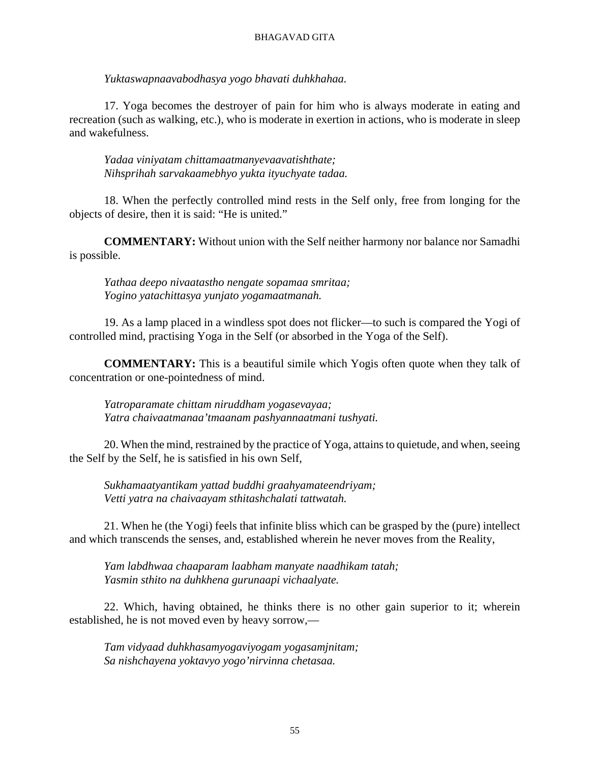*Yuktaswapnaavabodhasya yogo bhavati duhkhahaa.*

17. Yoga becomes the destroyer of pain for him who is always moderate in eating and recreation (such as walking, etc.), who is moderate in exertion in actions, who is moderate in sleep and wakefulness.

*Yadaa viniyatam chittamaatmanyevaavatishthate; Nihsprihah sarvakaamebhyo yukta ityuchyate tadaa.*

18. When the perfectly controlled mind rests in the Self only, free from longing for the objects of desire, then it is said: "He is united."

**COMMENTARY:** Without union with the Self neither harmony nor balance nor Samadhi is possible.

*Yathaa deepo nivaatastho nengate sopamaa smritaa; Yogino yatachittasya yunjato yogamaatmanah.*

19. As a lamp placed in a windless spot does not flicker—to such is compared the Yogi of controlled mind, practising Yoga in the Self (or absorbed in the Yoga of the Self).

**COMMENTARY:** This is a beautiful simile which Yogis often quote when they talk of concentration or one-pointedness of mind.

*Yatroparamate chittam niruddham yogasevayaa; Yatra chaivaatmanaa'tmaanam pashyannaatmani tushyati.*

20. When the mind, restrained by the practice of Yoga, attains to quietude, and when, seeing the Self by the Self, he is satisfied in his own Self,

*Sukhamaatyantikam yattad buddhi graahyamateendriyam; Vetti yatra na chaivaayam sthitashchalati tattwatah.*

21. When he (the Yogi) feels that infinite bliss which can be grasped by the (pure) intellect and which transcends the senses, and, established wherein he never moves from the Reality,

*Yam labdhwaa chaaparam laabham manyate naadhikam tatah; Yasmin sthito na duhkhena gurunaapi vichaalyate.*

22. Which, having obtained, he thinks there is no other gain superior to it; wherein established, he is not moved even by heavy sorrow,—

*Tam vidyaad duhkhasamyogaviyogam yogasamjnitam; Sa nishchayena yoktavyo yogo'nirvinna chetasaa.*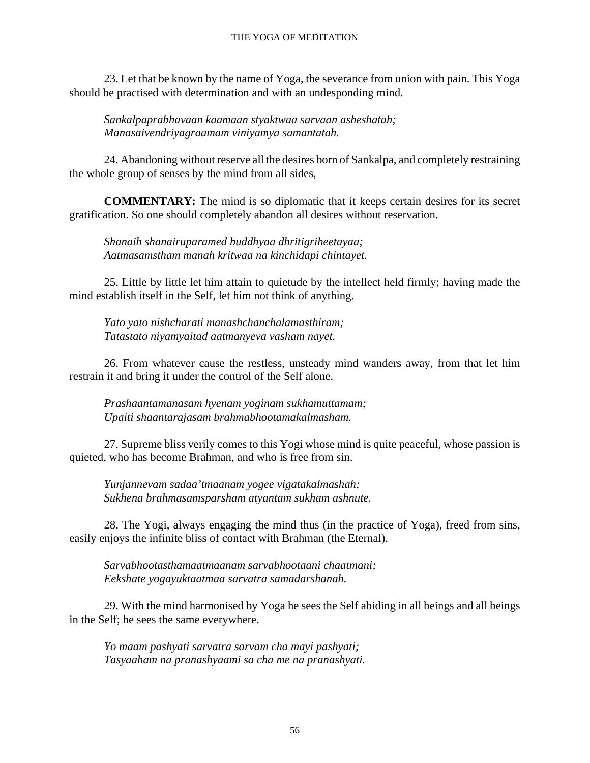#### THE YOGA OF MEDITATION

23. Let that be known by the name of Yoga, the severance from union with pain. This Yoga should be practised with determination and with an undesponding mind.

*Sankalpaprabhavaan kaamaan styaktwaa sarvaan asheshatah; Manasaivendriyagraamam viniyamya samantatah.*

24. Abandoning without reserve all the desires born of Sankalpa, and completely restraining the whole group of senses by the mind from all sides,

**COMMENTARY:** The mind is so diplomatic that it keeps certain desires for its secret gratification. So one should completely abandon all desires without reservation.

*Shanaih shanairuparamed buddhyaa dhritigriheetayaa; Aatmasamstham manah kritwaa na kinchidapi chintayet.*

25. Little by little let him attain to quietude by the intellect held firmly; having made the mind establish itself in the Self, let him not think of anything.

*Yato yato nishcharati manashchanchalamasthiram; Tatastato niyamyaitad aatmanyeva vasham nayet.*

26. From whatever cause the restless, unsteady mind wanders away, from that let him restrain it and bring it under the control of the Self alone.

*Prashaantamanasam hyenam yoginam sukhamuttamam; Upaiti shaantarajasam brahmabhootamakalmasham.*

27. Supreme bliss verily comes to this Yogi whose mind is quite peaceful, whose passion is quieted, who has become Brahman, and who is free from sin.

*Yunjannevam sadaa'tmaanam yogee vigatakalmashah; Sukhena brahmasamsparsham atyantam sukham ashnute.*

28. The Yogi, always engaging the mind thus (in the practice of Yoga), freed from sins, easily enjoys the infinite bliss of contact with Brahman (the Eternal).

*Sarvabhootasthamaatmaanam sarvabhootaani chaatmani; Eekshate yogayuktaatmaa sarvatra samadarshanah.*

29. With the mind harmonised by Yoga he sees the Self abiding in all beings and all beings in the Self; he sees the same everywhere.

*Yo maam pashyati sarvatra sarvam cha mayi pashyati; Tasyaaham na pranashyaami sa cha me na pranashyati.*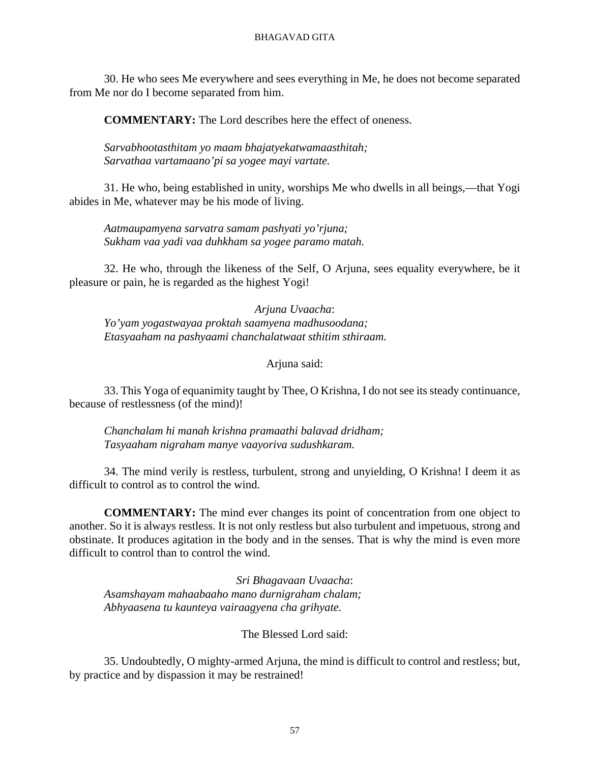30. He who sees Me everywhere and sees everything in Me, he does not become separated from Me nor do I become separated from him.

**COMMENTARY:** The Lord describes here the effect of oneness.

*Sarvabhootasthitam yo maam bhajatyekatwamaasthitah; Sarvathaa vartamaano'pi sa yogee mayi vartate.*

31. He who, being established in unity, worships Me who dwells in all beings,—that Yogi abides in Me, whatever may be his mode of living.

*Aatmaupamyena sarvatra samam pashyati yo'rjuna; Sukham vaa yadi vaa duhkham sa yogee paramo matah.*

32. He who, through the likeness of the Self, O Arjuna, sees equality everywhere, be it pleasure or pain, he is regarded as the highest Yogi!

*Arjuna Uvaacha*: *Yo'yam yogastwayaa proktah saamyena madhusoodana; Etasyaaham na pashyaami chanchalatwaat sthitim sthiraam.*

Arjuna said:

33. This Yoga of equanimity taught by Thee, O Krishna, I do not see its steady continuance, because of restlessness (of the mind)!

*Chanchalam hi manah krishna pramaathi balavad dridham; Tasyaaham nigraham manye vaayoriva sudushkaram.*

34. The mind verily is restless, turbulent, strong and unyielding, O Krishna! I deem it as difficult to control as to control the wind.

**COMMENTARY:** The mind ever changes its point of concentration from one object to another. So it is always restless. It is not only restless but also turbulent and impetuous, strong and obstinate. It produces agitation in the body and in the senses. That is why the mind is even more difficult to control than to control the wind.

*Sri Bhagavaan Uvaacha*: *Asamshayam mahaabaaho mano durnigraham chalam; Abhyaasena tu kaunteya vairaagyena cha grihyate.*

The Blessed Lord said:

35. Undoubtedly, O mighty-armed Arjuna, the mind is difficult to control and restless; but, by practice and by dispassion it may be restrained!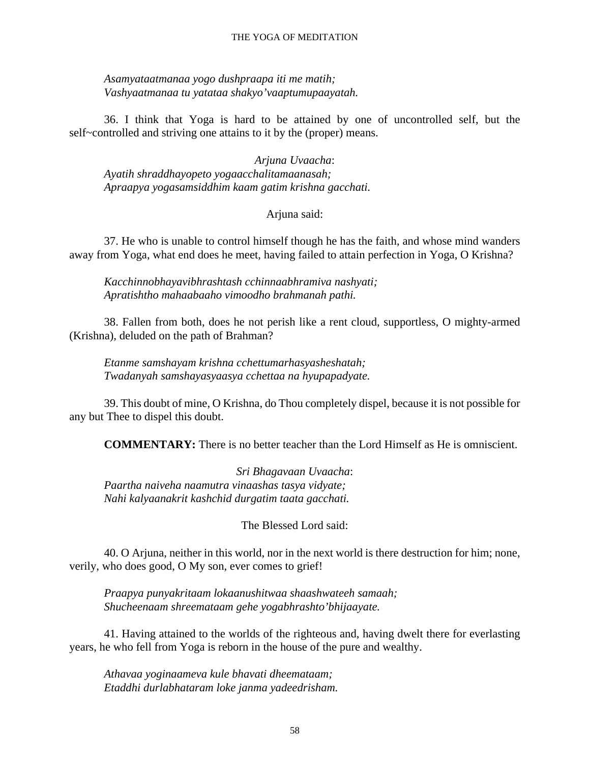#### THE YOGA OF MEDITATION

*Asamyataatmanaa yogo dushpraapa iti me matih; Vashyaatmanaa tu yatataa shakyo'vaaptumupaayatah.*

36. I think that Yoga is hard to be attained by one of uncontrolled self, but the self~controlled and striving one attains to it by the (proper) means.

*Arjuna Uvaacha*: *Ayatih shraddhayopeto yogaacchalitamaanasah; Apraapya yogasamsiddhim kaam gatim krishna gacchati.*

Arjuna said:

37. He who is unable to control himself though he has the faith, and whose mind wanders away from Yoga, what end does he meet, having failed to attain perfection in Yoga, O Krishna?

*Kacchinnobhayavibhrashtash cchinnaabhramiva nashyati; Apratishtho mahaabaaho vimoodho brahmanah pathi.*

38. Fallen from both, does he not perish like a rent cloud, supportless, O mighty-armed (Krishna), deluded on the path of Brahman?

*Etanme samshayam krishna cchettumarhasyasheshatah; Twadanyah samshayasyaasya cchettaa na hyupapadyate.*

39. This doubt of mine, O Krishna, do Thou completely dispel, because it is not possible for any but Thee to dispel this doubt.

**COMMENTARY:** There is no better teacher than the Lord Himself as He is omniscient.

*Sri Bhagavaan Uvaacha*: *Paartha naiveha naamutra vinaashas tasya vidyate; Nahi kalyaanakrit kashchid durgatim taata gacchati.*

The Blessed Lord said:

40. O Arjuna, neither in this world, nor in the next world is there destruction for him; none, verily, who does good, O My son, ever comes to grief!

*Praapya punyakritaam lokaanushitwaa shaashwateeh samaah; Shucheenaam shreemataam gehe yogabhrashto'bhijaayate.*

41. Having attained to the worlds of the righteous and, having dwelt there for everlasting years, he who fell from Yoga is reborn in the house of the pure and wealthy.

*Athavaa yoginaameva kule bhavati dheemataam; Etaddhi durlabhataram loke janma yadeedrisham.*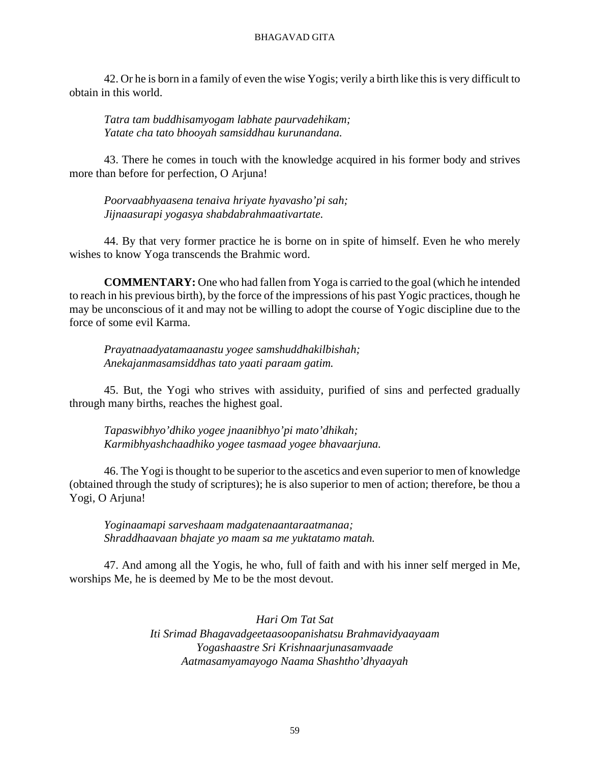42. Or he is born in a family of even the wise Yogis; verily a birth like this is very difficult to obtain in this world.

*Tatra tam buddhisamyogam labhate paurvadehikam; Yatate cha tato bhooyah samsiddhau kurunandana.*

43. There he comes in touch with the knowledge acquired in his former body and strives more than before for perfection, O Arjuna!

*Poorvaabhyaasena tenaiva hriyate hyavasho'pi sah; Jijnaasurapi yogasya shabdabrahmaativartate.*

44. By that very former practice he is borne on in spite of himself. Even he who merely wishes to know Yoga transcends the Brahmic word.

**COMMENTARY:** One who had fallen from Yoga is carried to the goal (which he intended to reach in his previous birth), by the force of the impressions of his past Yogic practices, though he may be unconscious of it and may not be willing to adopt the course of Yogic discipline due to the force of some evil Karma.

*Prayatnaadyatamaanastu yogee samshuddhakilbishah; Anekajanmasamsiddhas tato yaati paraam gatim.*

45. But, the Yogi who strives with assiduity, purified of sins and perfected gradually through many births, reaches the highest goal.

*Tapaswibhyo'dhiko yogee jnaanibhyo'pi mato'dhikah; Karmibhyashchaadhiko yogee tasmaad yogee bhavaarjuna.*

46. The Yogi is thought to be superior to the ascetics and even superior to men of knowledge (obtained through the study of scriptures); he is also superior to men of action; therefore, be thou a Yogi, O Arjuna!

*Yoginaamapi sarveshaam madgatenaantaraatmanaa; Shraddhaavaan bhajate yo maam sa me yuktatamo matah.*

47. And among all the Yogis, he who, full of faith and with his inner self merged in Me, worships Me, he is deemed by Me to be the most devout.

> *Hari Om Tat Sat Iti Srimad Bhagavadgeetaasoopanishatsu Brahmavidyaayaam Yogashaastre Sri Krishnaarjunasamvaade Aatmasamyamayogo Naama Shashtho'dhyaayah*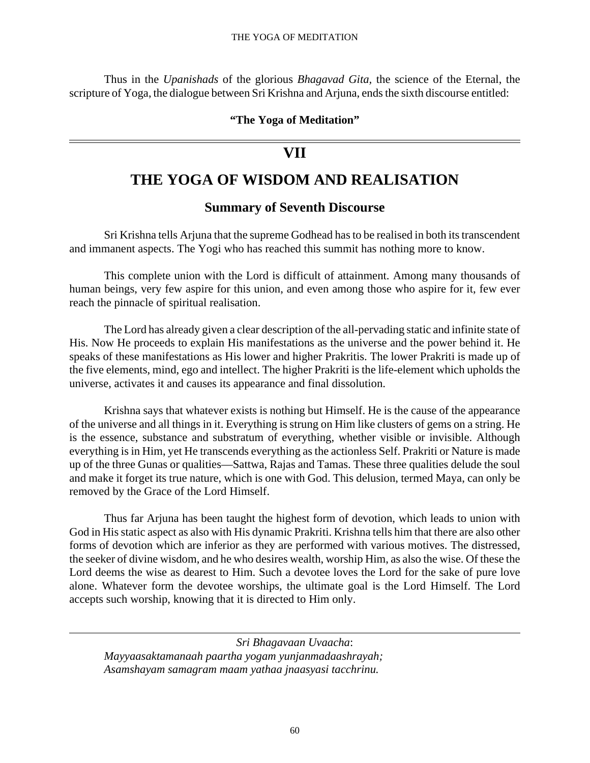#### THE YOGA OF MEDITATION

Thus in the *Upanishads* of the glorious *Bhagavad Gita,* the science of the Eternal, the scripture of Yoga, the dialogue between Sri Krishna and Arjuna, ends the sixth discourse entitled:

#### **"The Yoga of Meditation"**

## **VII**

## **THE YOGA OF WISDOM AND REALISATION**

### **Summary of Seventh Discourse**

Sri Krishna tells Arjuna that the supreme Godhead has to be realised in both its transcendent and immanent aspects. The Yogi who has reached this summit has nothing more to know.

This complete union with the Lord is difficult of attainment. Among many thousands of human beings, very few aspire for this union, and even among those who aspire for it, few ever reach the pinnacle of spiritual realisation.

The Lord has already given a clear description of the all-pervading static and infinite state of His. Now He proceeds to explain His manifestations as the universe and the power behind it. He speaks of these manifestations as His lower and higher Prakritis. The lower Prakriti is made up of the five elements, mind, ego and intellect. The higher Prakriti is the life-element which upholds the universe, activates it and causes its appearance and final dissolution.

Krishna says that whatever exists is nothing but Himself. He is the cause of the appearance of the universe and all things in it. Everything is strung on Him like clusters of gems on a string. He is the essence, substance and substratum of everything, whether visible or invisible. Although everything is in Him, yet He transcends everything as the actionless Self. Prakriti or Nature is made up of the three Gunas or qualities—Sattwa, Rajas and Tamas. These three qualities delude the soul and make it forget its true nature, which is one with God. This delusion, termed Maya, can only be removed by the Grace of the Lord Himself.

Thus far Arjuna has been taught the highest form of devotion, which leads to union with God in His static aspect as also with His dynamic Prakriti. Krishna tells him that there are also other forms of devotion which are inferior as they are performed with various motives. The distressed, the seeker of divine wisdom, and he who desires wealth, worship Him, as also the wise. Of these the Lord deems the wise as dearest to Him. Such a devotee loves the Lord for the sake of pure love alone. Whatever form the devotee worships, the ultimate goal is the Lord Himself. The Lord accepts such worship, knowing that it is directed to Him only.

*Sri Bhagavaan Uvaacha*: *Mayyaasaktamanaah paartha yogam yunjanmadaashrayah; Asamshayam samagram maam yathaa jnaasyasi tacchrinu.*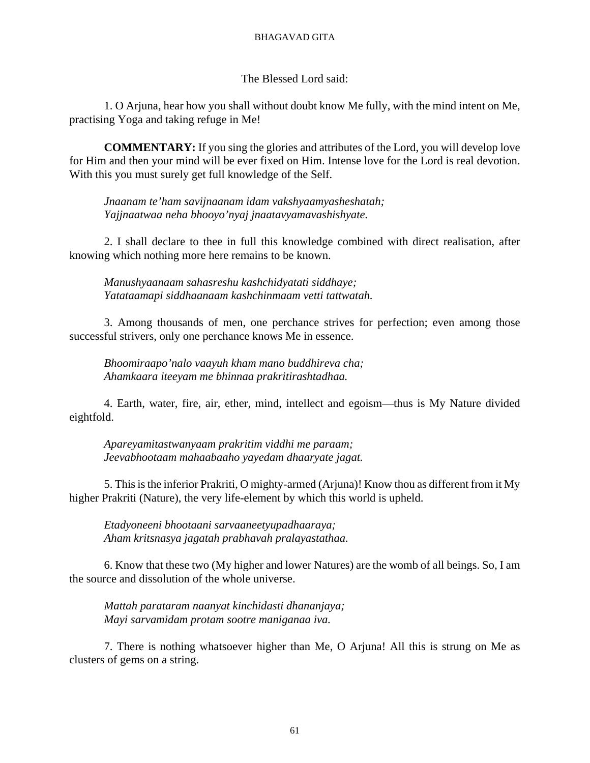The Blessed Lord said:

1. O Arjuna, hear how you shall without doubt know Me fully, with the mind intent on Me, practising Yoga and taking refuge in Me!

**COMMENTARY:** If you sing the glories and attributes of the Lord, you will develop love for Him and then your mind will be ever fixed on Him. Intense love for the Lord is real devotion. With this you must surely get full knowledge of the Self.

*Jnaanam te'ham savijnaanam idam vakshyaamyasheshatah; Yajjnaatwaa neha bhooyo'nyaj jnaatavyamavashishyate.*

2. I shall declare to thee in full this knowledge combined with direct realisation, after knowing which nothing more here remains to be known.

*Manushyaanaam sahasreshu kashchidyatati siddhaye; Yatataamapi siddhaanaam kashchinmaam vetti tattwatah.*

3. Among thousands of men, one perchance strives for perfection; even among those successful strivers, only one perchance knows Me in essence.

*Bhoomiraapo'nalo vaayuh kham mano buddhireva cha; Ahamkaara iteeyam me bhinnaa prakritirashtadhaa.*

4. Earth, water, fire, air, ether, mind, intellect and egoism—thus is My Nature divided eightfold.

*Apareyamitastwanyaam prakritim viddhi me paraam; Jeevabhootaam mahaabaaho yayedam dhaaryate jagat.*

5. This is the inferior Prakriti, O mighty-armed (Arjuna)! Know thou as different from it My higher Prakriti (Nature), the very life-element by which this world is upheld.

*Etadyoneeni bhootaani sarvaaneetyupadhaaraya; Aham kritsnasya jagatah prabhavah pralayastathaa.*

6. Know that these two (My higher and lower Natures) are the womb of all beings. So, I am the source and dissolution of the whole universe.

*Mattah parataram naanyat kinchidasti dhananjaya; Mayi sarvamidam protam sootre maniganaa iva.*

7. There is nothing whatsoever higher than Me, O Arjuna! All this is strung on Me as clusters of gems on a string.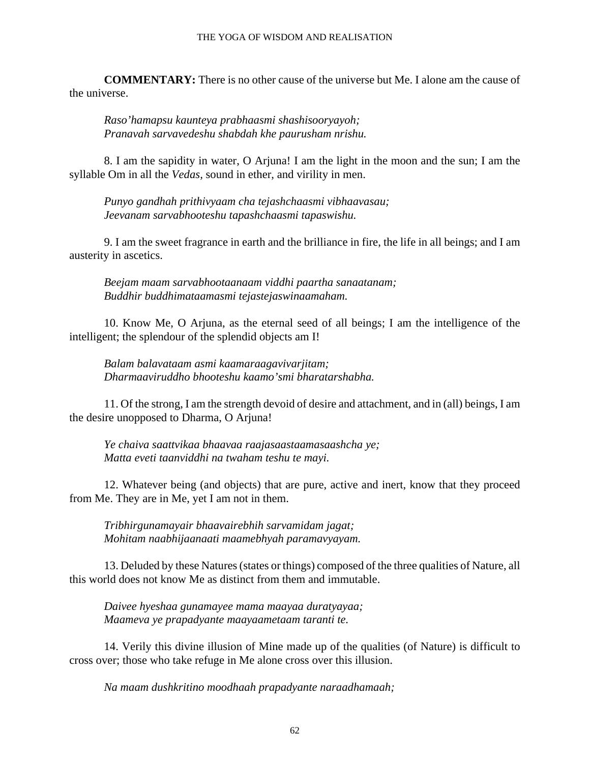### THE YOGA OF WISDOM AND REALISATION

**COMMENTARY:** There is no other cause of the universe but Me. I alone am the cause of the universe.

*Raso'hamapsu kaunteya prabhaasmi shashisooryayoh; Pranavah sarvavedeshu shabdah khe paurusham nrishu.*

8. I am the sapidity in water, O Arjuna! I am the light in the moon and the sun; I am the syllable Om in all the *Vedas,* sound in ether, and virility in men.

*Punyo gandhah prithivyaam cha tejashchaasmi vibhaavasau; Jeevanam sarvabhooteshu tapashchaasmi tapaswishu.*

9. I am the sweet fragrance in earth and the brilliance in fire, the life in all beings; and I am austerity in ascetics.

*Beejam maam sarvabhootaanaam viddhi paartha sanaatanam; Buddhir buddhimataamasmi tejastejaswinaamaham.*

10. Know Me, O Arjuna, as the eternal seed of all beings; I am the intelligence of the intelligent; the splendour of the splendid objects am I!

*Balam balavataam asmi kaamaraagavivarjitam; Dharmaaviruddho bhooteshu kaamo'smi bharatarshabha.*

11. Of the strong, I am the strength devoid of desire and attachment, and in (all) beings, I am the desire unopposed to Dharma, O Arjuna!

*Ye chaiva saattvikaa bhaavaa raajasaastaamasaashcha ye; Matta eveti taanviddhi na twaham teshu te mayi.*

12. Whatever being (and objects) that are pure, active and inert, know that they proceed from Me. They are in Me, yet I am not in them.

*Tribhirgunamayair bhaavairebhih sarvamidam jagat; Mohitam naabhijaanaati maamebhyah paramavyayam.*

13. Deluded by these Natures (states or things) composed of the three qualities of Nature, all this world does not know Me as distinct from them and immutable.

*Daivee hyeshaa gunamayee mama maayaa duratyayaa; Maameva ye prapadyante maayaametaam taranti te.*

14. Verily this divine illusion of Mine made up of the qualities (of Nature) is difficult to cross over; those who take refuge in Me alone cross over this illusion.

*Na maam dushkritino moodhaah prapadyante naraadhamaah;*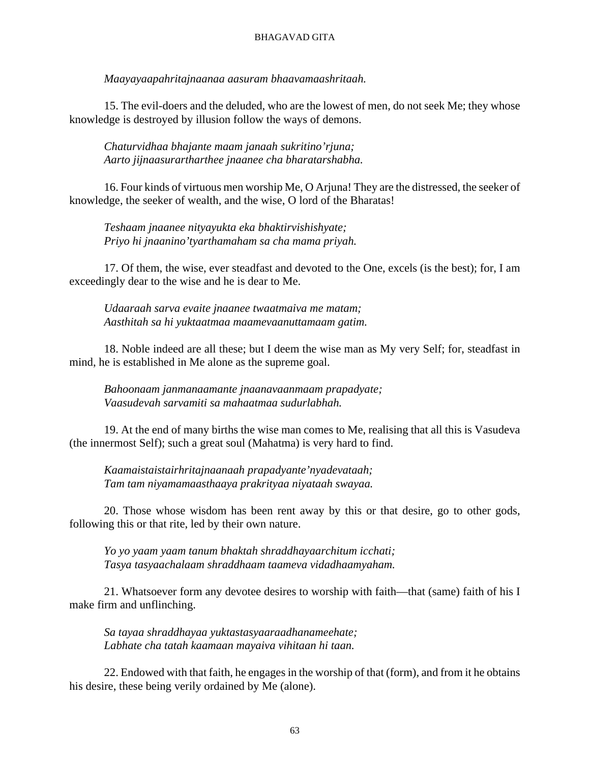*Maayayaapahritajnaanaa aasuram bhaavamaashritaah.*

15. The evil-doers and the deluded, who are the lowest of men, do not seek Me; they whose knowledge is destroyed by illusion follow the ways of demons.

*Chaturvidhaa bhajante maam janaah sukritino'rjuna; Aarto jijnaasurartharthee jnaanee cha bharatarshabha.*

16. Four kinds of virtuous men worship Me, O Arjuna! They are the distressed, the seeker of knowledge, the seeker of wealth, and the wise, O lord of the Bharatas!

*Teshaam jnaanee nityayukta eka bhaktirvishishyate; Priyo hi jnaanino'tyarthamaham sa cha mama priyah.*

17. Of them, the wise, ever steadfast and devoted to the One, excels (is the best); for, I am exceedingly dear to the wise and he is dear to Me.

*Udaaraah sarva evaite jnaanee twaatmaiva me matam; Aasthitah sa hi yuktaatmaa maamevaanuttamaam gatim.*

18. Noble indeed are all these; but I deem the wise man as My very Self; for, steadfast in mind, he is established in Me alone as the supreme goal.

*Bahoonaam janmanaamante jnaanavaanmaam prapadyate; Vaasudevah sarvamiti sa mahaatmaa sudurlabhah.*

19. At the end of many births the wise man comes to Me, realising that all this is Vasudeva (the innermost Self); such a great soul (Mahatma) is very hard to find.

*Kaamaistaistairhritajnaanaah prapadyante'nyadevataah; Tam tam niyamamaasthaaya prakrityaa niyataah swayaa.*

20. Those whose wisdom has been rent away by this or that desire, go to other gods, following this or that rite, led by their own nature.

*Yo yo yaam yaam tanum bhaktah shraddhayaarchitum icchati; Tasya tasyaachalaam shraddhaam taameva vidadhaamyaham.*

21. Whatsoever form any devotee desires to worship with faith—that (same) faith of his I make firm and unflinching.

*Sa tayaa shraddhayaa yuktastasyaaraadhanameehate; Labhate cha tatah kaamaan mayaiva vihitaan hi taan.*

22. Endowed with that faith, he engages in the worship of that (form), and from it he obtains his desire, these being verily ordained by Me (alone).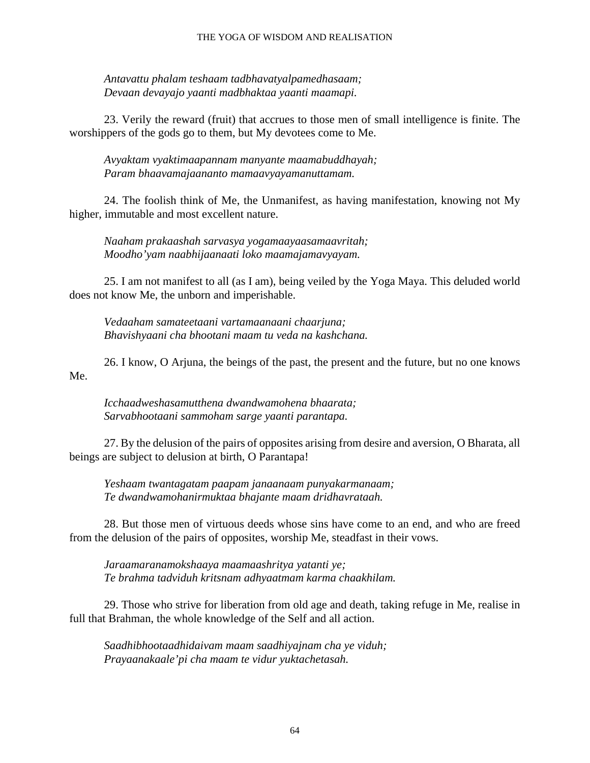*Antavattu phalam teshaam tadbhavatyalpamedhasaam; Devaan devayajo yaanti madbhaktaa yaanti maamapi.*

23. Verily the reward (fruit) that accrues to those men of small intelligence is finite. The worshippers of the gods go to them, but My devotees come to Me.

*Avyaktam vyaktimaapannam manyante maamabuddhayah; Param bhaavamajaananto mamaavyayamanuttamam.*

24. The foolish think of Me, the Unmanifest, as having manifestation, knowing not My higher, immutable and most excellent nature.

*Naaham prakaashah sarvasya yogamaayaasamaavritah; Moodho'yam naabhijaanaati loko maamajamavyayam.*

25. I am not manifest to all (as I am), being veiled by the Yoga Maya. This deluded world does not know Me, the unborn and imperishable.

*Vedaaham samateetaani vartamaanaani chaarjuna; Bhavishyaani cha bhootani maam tu veda na kashchana.*

26. I know, O Arjuna, the beings of the past, the present and the future, but no one knows Me.

*Icchaadweshasamutthena dwandwamohena bhaarata; Sarvabhootaani sammoham sarge yaanti parantapa.*

27. By the delusion of the pairs of opposites arising from desire and aversion, O Bharata, all beings are subject to delusion at birth, O Parantapa!

*Yeshaam twantagatam paapam janaanaam punyakarmanaam; Te dwandwamohanirmuktaa bhajante maam dridhavrataah.*

28. But those men of virtuous deeds whose sins have come to an end, and who are freed from the delusion of the pairs of opposites, worship Me, steadfast in their vows.

*Jaraamaranamokshaaya maamaashritya yatanti ye; Te brahma tadviduh kritsnam adhyaatmam karma chaakhilam.*

29. Those who strive for liberation from old age and death, taking refuge in Me, realise in full that Brahman, the whole knowledge of the Self and all action.

*Saadhibhootaadhidaivam maam saadhiyajnam cha ye viduh; Prayaanakaale'pi cha maam te vidur yuktachetasah.*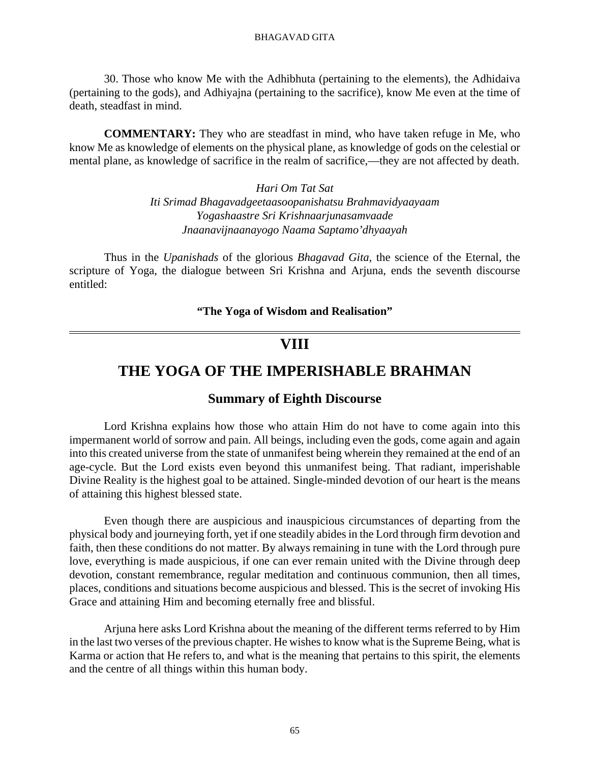30. Those who know Me with the Adhibhuta (pertaining to the elements), the Adhidaiva (pertaining to the gods), and Adhiyajna (pertaining to the sacrifice), know Me even at the time of death, steadfast in mind.

**COMMENTARY:** They who are steadfast in mind, who have taken refuge in Me, who know Me as knowledge of elements on the physical plane, as knowledge of gods on the celestial or mental plane, as knowledge of sacrifice in the realm of sacrifice,—they are not affected by death.

> *Hari Om Tat Sat Iti Srimad Bhagavadgeetaasoopanishatsu Brahmavidyaayaam Yogashaastre Sri Krishnaarjunasamvaade Jnaanavijnaanayogo Naama Saptamo'dhyaayah*

Thus in the *Upanishads* of the glorious *Bhagavad Gita,* the science of the Eternal, the scripture of Yoga, the dialogue between Sri Krishna and Arjuna, ends the seventh discourse entitled:

#### **"The Yoga of Wisdom and Realisation"**

# **VIII**

# **THE YOGA OF THE IMPERISHABLE BRAHMAN**

## **Summary of Eighth Discourse**

Lord Krishna explains how those who attain Him do not have to come again into this impermanent world of sorrow and pain. All beings, including even the gods, come again and again into this created universe from the state of unmanifest being wherein they remained at the end of an age-cycle. But the Lord exists even beyond this unmanifest being. That radiant, imperishable Divine Reality is the highest goal to be attained. Single-minded devotion of our heart is the means of attaining this highest blessed state.

Even though there are auspicious and inauspicious circumstances of departing from the physical body and journeying forth, yet if one steadily abides in the Lord through firm devotion and faith, then these conditions do not matter. By always remaining in tune with the Lord through pure love, everything is made auspicious, if one can ever remain united with the Divine through deep devotion, constant remembrance, regular meditation and continuous communion, then all times, places, conditions and situations become auspicious and blessed. This is the secret of invoking His Grace and attaining Him and becoming eternally free and blissful.

Arjuna here asks Lord Krishna about the meaning of the different terms referred to by Him in the last two verses of the previous chapter. He wishes to know what is the Supreme Being, what is Karma or action that He refers to, and what is the meaning that pertains to this spirit, the elements and the centre of all things within this human body.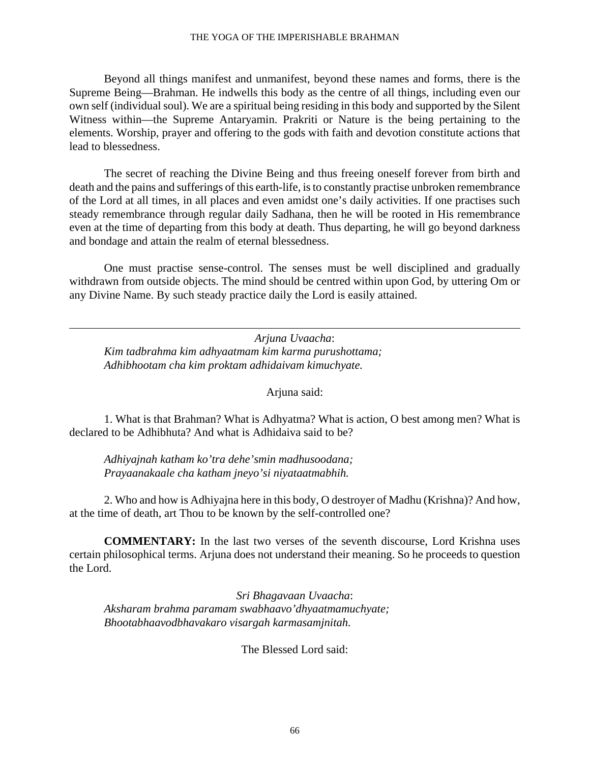#### THE YOGA OF THE IMPERISHABLE BRAHMAN

Beyond all things manifest and unmanifest, beyond these names and forms, there is the Supreme Being—Brahman. He indwells this body as the centre of all things, including even our own self (individual soul). We are a spiritual being residing in this body and supported by the Silent Witness within—the Supreme Antaryamin. Prakriti or Nature is the being pertaining to the elements. Worship, prayer and offering to the gods with faith and devotion constitute actions that lead to blessedness.

The secret of reaching the Divine Being and thus freeing oneself forever from birth and death and the pains and sufferings of this earth-life, is to constantly practise unbroken remembrance of the Lord at all times, in all places and even amidst one's daily activities. If one practises such steady remembrance through regular daily Sadhana, then he will be rooted in His remembrance even at the time of departing from this body at death. Thus departing, he will go beyond darkness and bondage and attain the realm of eternal blessedness.

One must practise sense-control. The senses must be well disciplined and gradually withdrawn from outside objects. The mind should be centred within upon God, by uttering Om or any Divine Name. By such steady practice daily the Lord is easily attained.

*Arjuna Uvaacha*: *Kim tadbrahma kim adhyaatmam kim karma purushottama; Adhibhootam cha kim proktam adhidaivam kimuchyate.*

Arjuna said:

1. What is that Brahman? What is Adhyatma? What is action, O best among men? What is declared to be Adhibhuta? And what is Adhidaiva said to be?

*Adhiyajnah katham ko'tra dehe'smin madhusoodana; Prayaanakaale cha katham jneyo'si niyataatmabhih.*

2. Who and how is Adhiyajna here in this body, O destroyer of Madhu (Krishna)? And how, at the time of death, art Thou to be known by the self-controlled one?

**COMMENTARY:** In the last two verses of the seventh discourse, Lord Krishna uses certain philosophical terms. Arjuna does not understand their meaning. So he proceeds to question the Lord.

*Sri Bhagavaan Uvaacha*: *Aksharam brahma paramam swabhaavo'dhyaatmamuchyate; Bhootabhaavodbhavakaro visargah karmasamjnitah.*

The Blessed Lord said: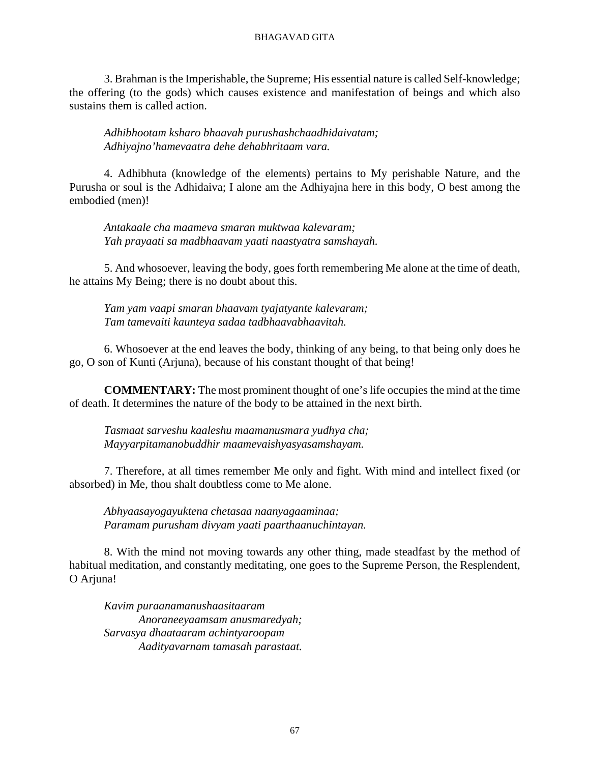3. Brahman is the Imperishable, the Supreme; His essential nature is called Self-knowledge; the offering (to the gods) which causes existence and manifestation of beings and which also sustains them is called action.

*Adhibhootam ksharo bhaavah purushashchaadhidaivatam; Adhiyajno'hamevaatra dehe dehabhritaam vara.*

4. Adhibhuta (knowledge of the elements) pertains to My perishable Nature, and the Purusha or soul is the Adhidaiva; I alone am the Adhiyajna here in this body, O best among the embodied (men)!

*Antakaale cha maameva smaran muktwaa kalevaram; Yah prayaati sa madbhaavam yaati naastyatra samshayah.*

5. And whosoever, leaving the body, goes forth remembering Me alone at the time of death, he attains My Being; there is no doubt about this.

*Yam yam vaapi smaran bhaavam tyajatyante kalevaram; Tam tamevaiti kaunteya sadaa tadbhaavabhaavitah.*

6. Whosoever at the end leaves the body, thinking of any being, to that being only does he go, O son of Kunti (Arjuna), because of his constant thought of that being!

**COMMENTARY:** The most prominent thought of one's life occupies the mind at the time of death. It determines the nature of the body to be attained in the next birth.

*Tasmaat sarveshu kaaleshu maamanusmara yudhya cha; Mayyarpitamanobuddhir maamevaishyasyasamshayam.*

7. Therefore, at all times remember Me only and fight. With mind and intellect fixed (or absorbed) in Me, thou shalt doubtless come to Me alone.

*Abhyaasayogayuktena chetasaa naanyagaaminaa; Paramam purusham divyam yaati paarthaanuchintayan.*

8. With the mind not moving towards any other thing, made steadfast by the method of habitual meditation, and constantly meditating, one goes to the Supreme Person, the Resplendent, O Arjuna!

*Kavim puraanamanushaasitaaram Anoraneeyaamsam anusmaredyah; Sarvasya dhaataaram achintyaroopam Aadityavarnam tamasah parastaat.*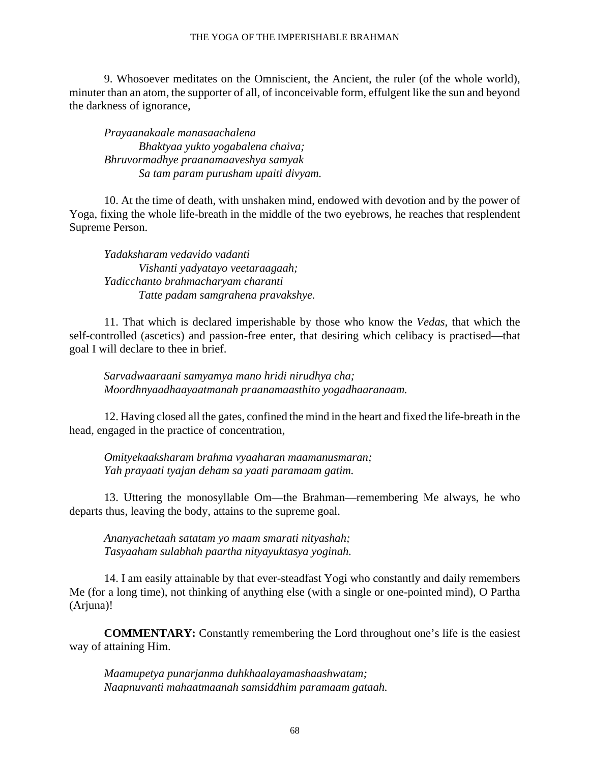9. Whosoever meditates on the Omniscient, the Ancient, the ruler (of the whole world), minuter than an atom, the supporter of all, of inconceivable form, effulgent like the sun and beyond the darkness of ignorance,

*Prayaanakaale manasaachalena Bhaktyaa yukto yogabalena chaiva; Bhruvormadhye praanamaaveshya samyak Sa tam param purusham upaiti divyam.*

10. At the time of death, with unshaken mind, endowed with devotion and by the power of Yoga, fixing the whole life-breath in the middle of the two eyebrows, he reaches that resplendent Supreme Person.

*Yadaksharam vedavido vadanti Vishanti yadyatayo veetaraagaah; Yadicchanto brahmacharyam charanti Tatte padam samgrahena pravakshye.*

11. That which is declared imperishable by those who know the *Vedas,* that which the self-controlled (ascetics) and passion-free enter, that desiring which celibacy is practised—that goal I will declare to thee in brief.

*Sarvadwaaraani samyamya mano hridi nirudhya cha; Moordhnyaadhaayaatmanah praanamaasthito yogadhaaranaam.*

12. Having closed all the gates, confined the mind in the heart and fixed the life-breath in the head, engaged in the practice of concentration,

*Omityekaaksharam brahma vyaaharan maamanusmaran; Yah prayaati tyajan deham sa yaati paramaam gatim.*

13. Uttering the monosyllable Om—the Brahman—remembering Me always, he who departs thus, leaving the body, attains to the supreme goal.

*Ananyachetaah satatam yo maam smarati nityashah; Tasyaaham sulabhah paartha nityayuktasya yoginah.*

14. I am easily attainable by that ever-steadfast Yogi who constantly and daily remembers Me (for a long time), not thinking of anything else (with a single or one-pointed mind), O Partha (Arjuna)!

**COMMENTARY:** Constantly remembering the Lord throughout one's life is the easiest way of attaining Him.

*Maamupetya punarjanma duhkhaalayamashaashwatam; Naapnuvanti mahaatmaanah samsiddhim paramaam gataah.*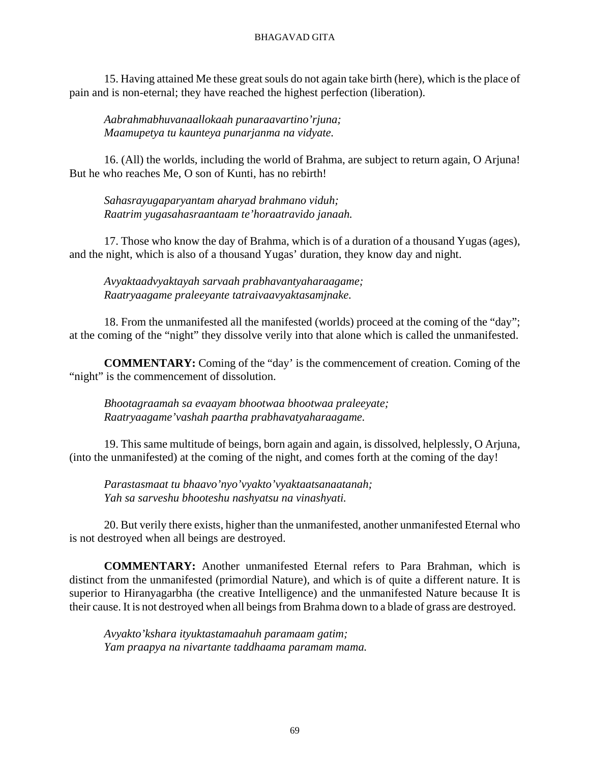15. Having attained Me these great souls do not again take birth (here), which is the place of pain and is non-eternal; they have reached the highest perfection (liberation).

*Aabrahmabhuvanaallokaah punaraavartino'rjuna; Maamupetya tu kaunteya punarjanma na vidyate.*

16. (All) the worlds, including the world of Brahma, are subject to return again, O Arjuna! But he who reaches Me, O son of Kunti, has no rebirth!

*Sahasrayugaparyantam aharyad brahmano viduh; Raatrim yugasahasraantaam te'horaatravido janaah.*

17. Those who know the day of Brahma, which is of a duration of a thousand Yugas (ages), and the night, which is also of a thousand Yugas' duration, they know day and night.

*Avyaktaadvyaktayah sarvaah prabhavantyaharaagame; Raatryaagame praleeyante tatraivaavyaktasamjnake.*

18. From the unmanifested all the manifested (worlds) proceed at the coming of the "day"; at the coming of the "night" they dissolve verily into that alone which is called the unmanifested.

**COMMENTARY:** Coming of the "day' is the commencement of creation. Coming of the "night" is the commencement of dissolution.

*Bhootagraamah sa evaayam bhootwaa bhootwaa praleeyate; Raatryaagame'vashah paartha prabhavatyaharaagame.*

19. This same multitude of beings, born again and again, is dissolved, helplessly, O Arjuna, (into the unmanifested) at the coming of the night, and comes forth at the coming of the day!

*Parastasmaat tu bhaavo'nyo'vyakto'vyaktaatsanaatanah; Yah sa sarveshu bhooteshu nashyatsu na vinashyati.*

20. But verily there exists, higher than the unmanifested, another unmanifested Eternal who is not destroyed when all beings are destroyed.

**COMMENTARY:** Another unmanifested Eternal refers to Para Brahman, which is distinct from the unmanifested (primordial Nature), and which is of quite a different nature. It is superior to Hiranyagarbha (the creative Intelligence) and the unmanifested Nature because It is their cause. It is not destroyed when all beings from Brahma down to a blade of grass are destroyed.

*Avyakto'kshara ityuktastamaahuh paramaam gatim; Yam praapya na nivartante taddhaama paramam mama.*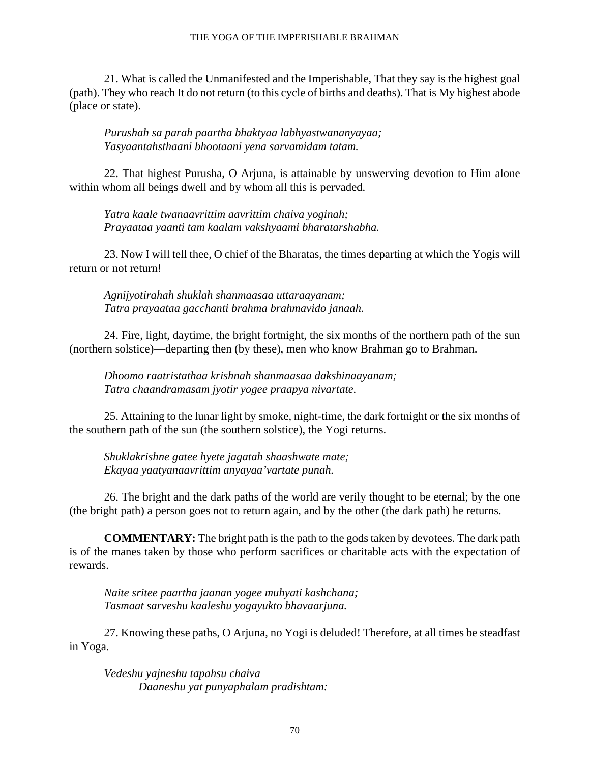#### THE YOGA OF THE IMPERISHABLE BRAHMAN

21. What is called the Unmanifested and the Imperishable, That they say is the highest goal (path). They who reach It do not return (to this cycle of births and deaths). That is My highest abode (place or state).

*Purushah sa parah paartha bhaktyaa labhyastwananyayaa; Yasyaantahsthaani bhootaani yena sarvamidam tatam.*

22. That highest Purusha, O Arjuna, is attainable by unswerving devotion to Him alone within whom all beings dwell and by whom all this is pervaded.

*Yatra kaale twanaavrittim aavrittim chaiva yoginah; Prayaataa yaanti tam kaalam vakshyaami bharatarshabha.*

23. Now I will tell thee, O chief of the Bharatas, the times departing at which the Yogis will return or not return!

*Agnijyotirahah shuklah shanmaasaa uttaraayanam; Tatra prayaataa gacchanti brahma brahmavido janaah.*

24. Fire, light, daytime, the bright fortnight, the six months of the northern path of the sun (northern solstice)—departing then (by these), men who know Brahman go to Brahman.

*Dhoomo raatristathaa krishnah shanmaasaa dakshinaayanam; Tatra chaandramasam jyotir yogee praapya nivartate.*

25. Attaining to the lunar light by smoke, night-time, the dark fortnight or the six months of the southern path of the sun (the southern solstice), the Yogi returns.

*Shuklakrishne gatee hyete jagatah shaashwate mate; Ekayaa yaatyanaavrittim anyayaa'vartate punah.*

26. The bright and the dark paths of the world are verily thought to be eternal; by the one (the bright path) a person goes not to return again, and by the other (the dark path) he returns.

**COMMENTARY:** The bright path is the path to the gods taken by devotees. The dark path is of the manes taken by those who perform sacrifices or charitable acts with the expectation of rewards.

*Naite sritee paartha jaanan yogee muhyati kashchana; Tasmaat sarveshu kaaleshu yogayukto bhavaarjuna.*

27. Knowing these paths, O Arjuna, no Yogi is deluded! Therefore, at all times be steadfast in Yoga.

*Vedeshu yajneshu tapahsu chaiva Daaneshu yat punyaphalam pradishtam:*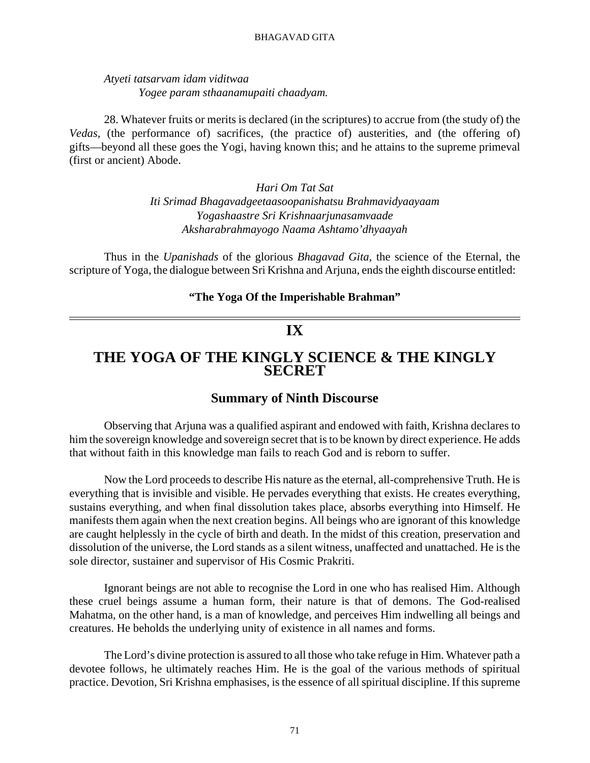### *Atyeti tatsarvam idam viditwaa Yogee param sthaanamupaiti chaadyam.*

28. Whatever fruits or merits is declared (in the scriptures) to accrue from (the study of) the *Vedas,* (the performance of) sacrifices, (the practice of) austerities, and (the offering of) gifts—beyond all these goes the Yogi, having known this; and he attains to the supreme primeval (first or ancient) Abode.

> *Hari Om Tat Sat Iti Srimad Bhagavadgeetaasoopanishatsu Brahmavidyaayaam Yogashaastre Sri Krishnaarjunasamvaade Aksharabrahmayogo Naama Ashtamo'dhyaayah*

Thus in the *Upanishads* of the glorious *Bhagavad Gita,* the science of the Eternal, the scripture of Yoga, the dialogue between Sri Krishna and Arjuna, ends the eighth discourse entitled:

#### **"The Yoga Of the Imperishable Brahman"**

## **IX**

# **THE YOGA OF THE KINGLY SCIENCE & THE KINGLY SECRET**

### **Summary of Ninth Discourse**

Observing that Arjuna was a qualified aspirant and endowed with faith, Krishna declares to him the sovereign knowledge and sovereign secret that is to be known by direct experience. He adds that without faith in this knowledge man fails to reach God and is reborn to suffer.

Now the Lord proceeds to describe His nature as the eternal, all-comprehensive Truth. He is everything that is invisible and visible. He pervades everything that exists. He creates everything, sustains everything, and when final dissolution takes place, absorbs everything into Himself. He manifests them again when the next creation begins. All beings who are ignorant of this knowledge are caught helplessly in the cycle of birth and death. In the midst of this creation, preservation and dissolution of the universe, the Lord stands as a silent witness, unaffected and unattached. He is the sole director, sustainer and supervisor of His Cosmic Prakriti.

Ignorant beings are not able to recognise the Lord in one who has realised Him. Although these cruel beings assume a human form, their nature is that of demons. The God-realised Mahatma, on the other hand, is a man of knowledge, and perceives Him indwelling all beings and creatures. He beholds the underlying unity of existence in all names and forms.

The Lord's divine protection is assured to all those who take refuge in Him. Whatever path a devotee follows, he ultimately reaches Him. He is the goal of the various methods of spiritual practice. Devotion, Sri Krishna emphasises, is the essence of all spiritual discipline. If this supreme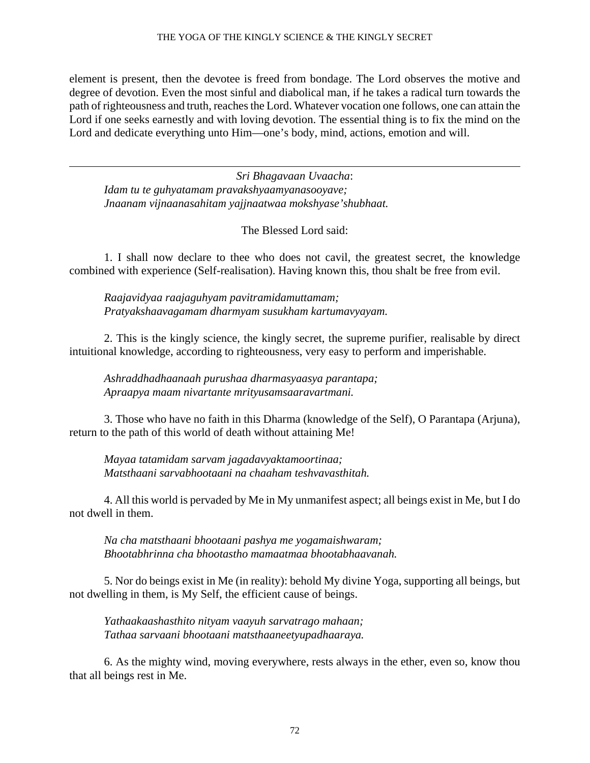element is present, then the devotee is freed from bondage. The Lord observes the motive and degree of devotion. Even the most sinful and diabolical man, if he takes a radical turn towards the path of righteousness and truth, reaches the Lord. Whatever vocation one follows, one can attain the Lord if one seeks earnestly and with loving devotion. The essential thing is to fix the mind on the Lord and dedicate everything unto Him—one's body, mind, actions, emotion and will.

*Sri Bhagavaan Uvaacha*: *Idam tu te guhyatamam pravakshyaamyanasooyave; Jnaanam vijnaanasahitam yajjnaatwaa mokshyase'shubhaat.*

The Blessed Lord said:

1. I shall now declare to thee who does not cavil, the greatest secret, the knowledge combined with experience (Self-realisation). Having known this, thou shalt be free from evil.

*Raajavidyaa raajaguhyam pavitramidamuttamam; Pratyakshaavagamam dharmyam susukham kartumavyayam.*

2. This is the kingly science, the kingly secret, the supreme purifier, realisable by direct intuitional knowledge, according to righteousness, very easy to perform and imperishable.

*Ashraddhadhaanaah purushaa dharmasyaasya parantapa; Apraapya maam nivartante mrityusamsaaravartmani.*

3. Those who have no faith in this Dharma (knowledge of the Self), O Parantapa (Arjuna), return to the path of this world of death without attaining Me!

*Mayaa tatamidam sarvam jagadavyaktamoortinaa; Matsthaani sarvabhootaani na chaaham teshvavasthitah.*

4. All this world is pervaded by Me in My unmanifest aspect; all beings exist in Me, but I do not dwell in them.

*Na cha matsthaani bhootaani pashya me yogamaishwaram; Bhootabhrinna cha bhootastho mamaatmaa bhootabhaavanah.*

5. Nor do beings exist in Me (in reality): behold My divine Yoga, supporting all beings, but not dwelling in them, is My Self, the efficient cause of beings.

*Yathaakaashasthito nityam vaayuh sarvatrago mahaan; Tathaa sarvaani bhootaani matsthaaneetyupadhaaraya.*

6. As the mighty wind, moving everywhere, rests always in the ether, even so, know thou that all beings rest in Me.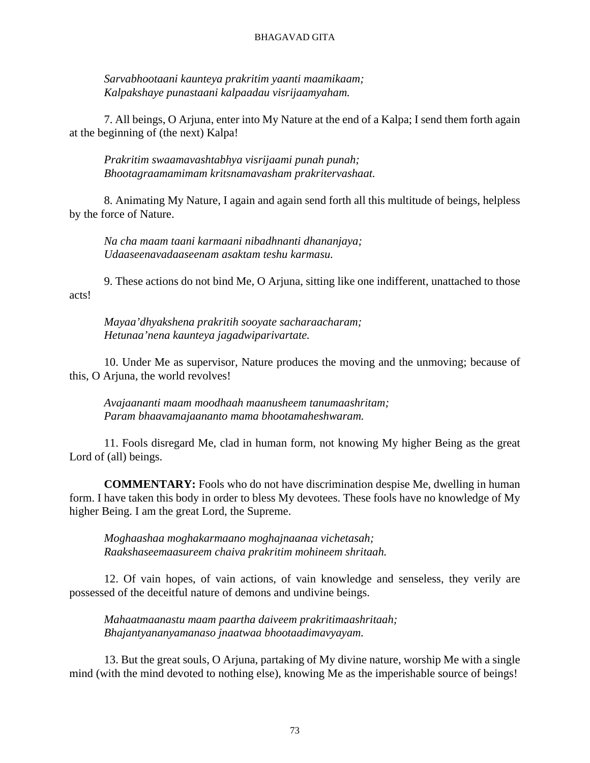*Sarvabhootaani kaunteya prakritim yaanti maamikaam; Kalpakshaye punastaani kalpaadau visrijaamyaham.*

7. All beings, O Arjuna, enter into My Nature at the end of a Kalpa; I send them forth again at the beginning of (the next) Kalpa!

*Prakritim swaamavashtabhya visrijaami punah punah; Bhootagraamamimam kritsnamavasham prakritervashaat.*

8. Animating My Nature, I again and again send forth all this multitude of beings, helpless by the force of Nature.

*Na cha maam taani karmaani nibadhnanti dhananjaya; Udaaseenavadaaseenam asaktam teshu karmasu.*

9. These actions do not bind Me, O Arjuna, sitting like one indifferent, unattached to those acts!

*Mayaa'dhyakshena prakritih sooyate sacharaacharam; Hetunaa'nena kaunteya jagadwiparivartate.*

10. Under Me as supervisor, Nature produces the moving and the unmoving; because of this, O Arjuna, the world revolves!

*Avajaananti maam moodhaah maanusheem tanumaashritam; Param bhaavamajaananto mama bhootamaheshwaram.*

11. Fools disregard Me, clad in human form, not knowing My higher Being as the great Lord of (all) beings.

**COMMENTARY:** Fools who do not have discrimination despise Me, dwelling in human form. I have taken this body in order to bless My devotees. These fools have no knowledge of My higher Being. I am the great Lord, the Supreme.

*Moghaashaa moghakarmaano moghajnaanaa vichetasah; Raakshaseemaasureem chaiva prakritim mohineem shritaah.*

12. Of vain hopes, of vain actions, of vain knowledge and senseless, they verily are possessed of the deceitful nature of demons and undivine beings.

*Mahaatmaanastu maam paartha daiveem prakritimaashritaah; Bhajantyananyamanaso jnaatwaa bhootaadimavyayam.*

13. But the great souls, O Arjuna, partaking of My divine nature, worship Me with a single mind (with the mind devoted to nothing else), knowing Me as the imperishable source of beings!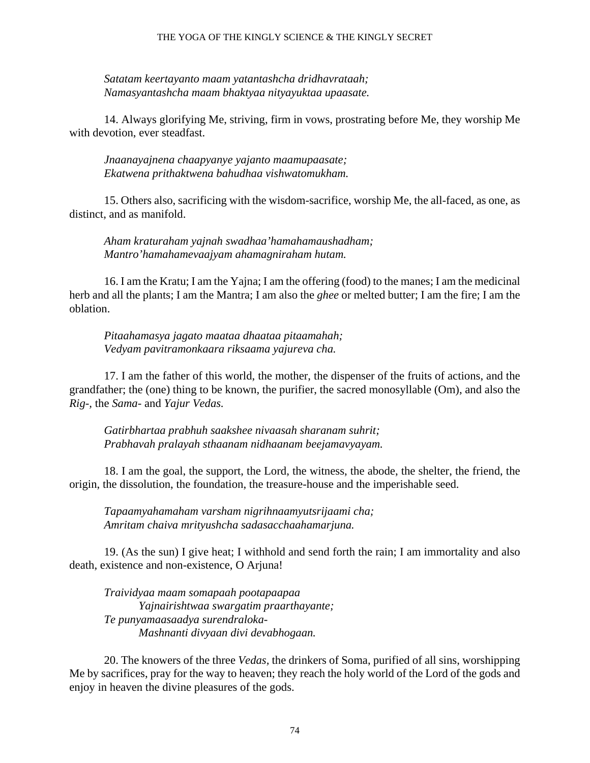*Satatam keertayanto maam yatantashcha dridhavrataah; Namasyantashcha maam bhaktyaa nityayuktaa upaasate.*

14. Always glorifying Me, striving, firm in vows, prostrating before Me, they worship Me with devotion, ever steadfast.

*Jnaanayajnena chaapyanye yajanto maamupaasate; Ekatwena prithaktwena bahudhaa vishwatomukham.*

15. Others also, sacrificing with the wisdom-sacrifice, worship Me, the all-faced, as one, as distinct, and as manifold.

*Aham kraturaham yajnah swadhaa'hamahamaushadham; Mantro'hamahamevaajyam ahamagniraham hutam.*

16. I am the Kratu; I am the Yajna; I am the offering (food) to the manes; I am the medicinal herb and all the plants; I am the Mantra; I am also the *ghee* or melted butter; I am the fire; I am the oblation.

*Pitaahamasya jagato maataa dhaataa pitaamahah; Vedyam pavitramonkaara riksaama yajureva cha.*

17. I am the father of this world, the mother, the dispenser of the fruits of actions, and the grandfather; the (one) thing to be known, the purifier, the sacred monosyllable (Om), and also the *Rig-,* the *Sama-* and *Yajur Vedas.*

*Gatirbhartaa prabhuh saakshee nivaasah sharanam suhrit; Prabhavah pralayah sthaanam nidhaanam beejamavyayam.*

18. I am the goal, the support, the Lord, the witness, the abode, the shelter, the friend, the origin, the dissolution, the foundation, the treasure-house and the imperishable seed.

*Tapaamyahamaham varsham nigrihnaamyutsrijaami cha; Amritam chaiva mrityushcha sadasacchaahamarjuna.*

19. (As the sun) I give heat; I withhold and send forth the rain; I am immortality and also death, existence and non-existence, O Arjuna!

*Traividyaa maam somapaah pootapaapaa Yajnairishtwaa swargatim praarthayante; Te punyamaasaadya surendraloka-Mashnanti divyaan divi devabhogaan.*

20. The knowers of the three *Vedas,* the drinkers of Soma, purified of all sins, worshipping Me by sacrifices, pray for the way to heaven; they reach the holy world of the Lord of the gods and enjoy in heaven the divine pleasures of the gods.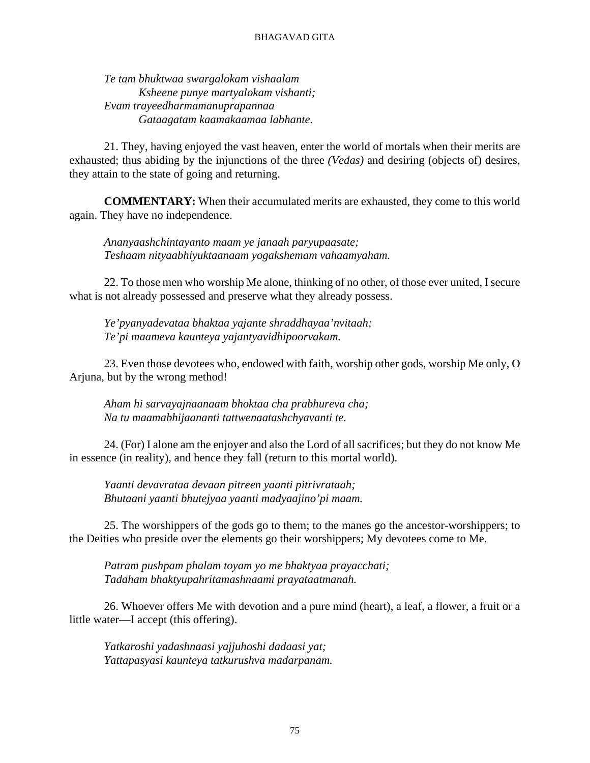*Te tam bhuktwaa swargalokam vishaalam Ksheene punye martyalokam vishanti; Evam trayeedharmamanuprapannaa Gataagatam kaamakaamaa labhante.*

21. They, having enjoyed the vast heaven, enter the world of mortals when their merits are exhausted; thus abiding by the injunctions of the three *(Vedas)* and desiring (objects of) desires, they attain to the state of going and returning.

**COMMENTARY:** When their accumulated merits are exhausted, they come to this world again. They have no independence.

*Ananyaashchintayanto maam ye janaah paryupaasate; Teshaam nityaabhiyuktaanaam yogakshemam vahaamyaham.*

22. To those men who worship Me alone, thinking of no other, of those ever united, I secure what is not already possessed and preserve what they already possess.

*Ye'pyanyadevataa bhaktaa yajante shraddhayaa'nvitaah; Te'pi maameva kaunteya yajantyavidhipoorvakam.*

23. Even those devotees who, endowed with faith, worship other gods, worship Me only, O Arjuna, but by the wrong method!

*Aham hi sarvayajnaanaam bhoktaa cha prabhureva cha; Na tu maamabhijaananti tattwenaatashchyavanti te.*

24. (For) I alone am the enjoyer and also the Lord of all sacrifices; but they do not know Me in essence (in reality), and hence they fall (return to this mortal world).

*Yaanti devavrataa devaan pitreen yaanti pitrivrataah; Bhutaani yaanti bhutejyaa yaanti madyaajino'pi maam.*

25. The worshippers of the gods go to them; to the manes go the ancestor-worshippers; to the Deities who preside over the elements go their worshippers; My devotees come to Me.

*Patram pushpam phalam toyam yo me bhaktyaa prayacchati; Tadaham bhaktyupahritamashnaami prayataatmanah.*

26. Whoever offers Me with devotion and a pure mind (heart), a leaf, a flower, a fruit or a little water—I accept (this offering).

*Yatkaroshi yadashnaasi yajjuhoshi dadaasi yat; Yattapasyasi kaunteya tatkurushva madarpanam.*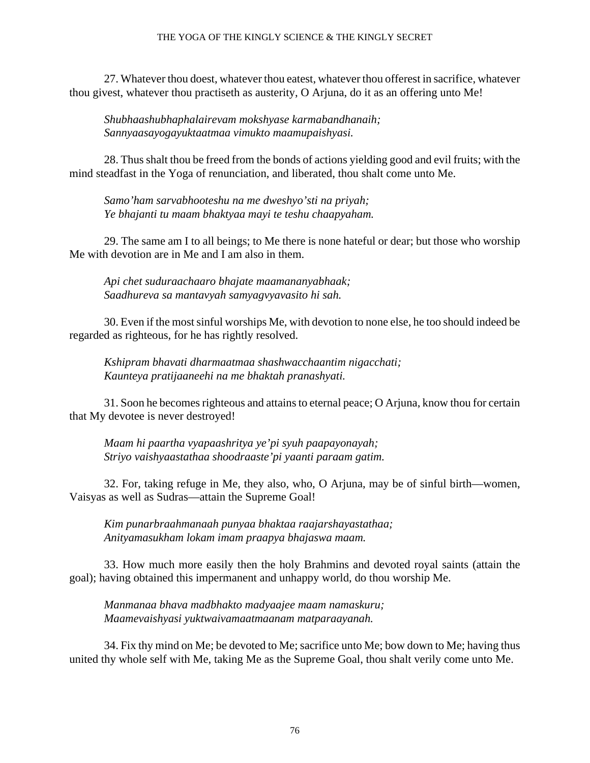#### THE YOGA OF THE KINGLY SCIENCE & THE KINGLY SECRET

27. Whatever thou doest, whatever thou eatest, whatever thou offerest in sacrifice, whatever thou givest, whatever thou practiseth as austerity, O Arjuna, do it as an offering unto Me!

*Shubhaashubhaphalairevam mokshyase karmabandhanaih; Sannyaasayogayuktaatmaa vimukto maamupaishyasi.*

28. Thus shalt thou be freed from the bonds of actions yielding good and evil fruits; with the mind steadfast in the Yoga of renunciation, and liberated, thou shalt come unto Me.

*Samo'ham sarvabhooteshu na me dweshyo'sti na priyah; Ye bhajanti tu maam bhaktyaa mayi te teshu chaapyaham.*

29. The same am I to all beings; to Me there is none hateful or dear; but those who worship Me with devotion are in Me and I am also in them.

*Api chet suduraachaaro bhajate maamananyabhaak; Saadhureva sa mantavyah samyagvyavasito hi sah.*

30. Even if the most sinful worships Me, with devotion to none else, he too should indeed be regarded as righteous, for he has rightly resolved.

*Kshipram bhavati dharmaatmaa shashwacchaantim nigacchati; Kaunteya pratijaaneehi na me bhaktah pranashyati.*

31. Soon he becomes righteous and attains to eternal peace; O Arjuna, know thou for certain that My devotee is never destroyed!

*Maam hi paartha vyapaashritya ye'pi syuh paapayonayah; Striyo vaishyaastathaa shoodraaste'pi yaanti paraam gatim.*

32. For, taking refuge in Me, they also, who, O Arjuna, may be of sinful birth—women, Vaisyas as well as Sudras—attain the Supreme Goal!

*Kim punarbraahmanaah punyaa bhaktaa raajarshayastathaa; Anityamasukham lokam imam praapya bhajaswa maam.*

33. How much more easily then the holy Brahmins and devoted royal saints (attain the goal); having obtained this impermanent and unhappy world, do thou worship Me.

*Manmanaa bhava madbhakto madyaajee maam namaskuru; Maamevaishyasi yuktwaivamaatmaanam matparaayanah.*

34. Fix thy mind on Me; be devoted to Me; sacrifice unto Me; bow down to Me; having thus united thy whole self with Me, taking Me as the Supreme Goal, thou shalt verily come unto Me.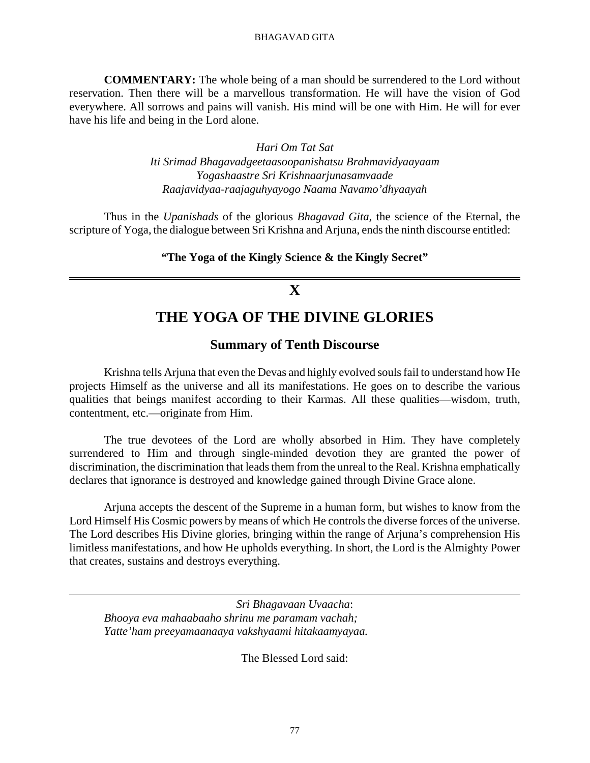**COMMENTARY:** The whole being of a man should be surrendered to the Lord without reservation. Then there will be a marvellous transformation. He will have the vision of God everywhere. All sorrows and pains will vanish. His mind will be one with Him. He will for ever have his life and being in the Lord alone.

> *Hari Om Tat Sat Iti Srimad Bhagavadgeetaasoopanishatsu Brahmavidyaayaam Yogashaastre Sri Krishnaarjunasamvaade Raajavidyaa-raajaguhyayogo Naama Navamo'dhyaayah*

Thus in the *Upanishads* of the glorious *Bhagavad Gita,* the science of the Eternal, the scripture of Yoga, the dialogue between Sri Krishna and Arjuna, ends the ninth discourse entitled:

**"The Yoga of the Kingly Science & the Kingly Secret"**

# **X**

# **THE YOGA OF THE DIVINE GLORIES**

## **Summary of Tenth Discourse**

Krishna tells Arjuna that even the Devas and highly evolved souls fail to understand how He projects Himself as the universe and all its manifestations. He goes on to describe the various qualities that beings manifest according to their Karmas. All these qualities—wisdom, truth, contentment, etc.—originate from Him.

The true devotees of the Lord are wholly absorbed in Him. They have completely surrendered to Him and through single-minded devotion they are granted the power of discrimination, the discrimination that leads them from the unreal to the Real. Krishna emphatically declares that ignorance is destroyed and knowledge gained through Divine Grace alone.

Arjuna accepts the descent of the Supreme in a human form, but wishes to know from the Lord Himself His Cosmic powers by means of which He controls the diverse forces of the universe. The Lord describes His Divine glories, bringing within the range of Arjuna's comprehension His limitless manifestations, and how He upholds everything. In short, the Lord is the Almighty Power that creates, sustains and destroys everything.

*Sri Bhagavaan Uvaacha*: *Bhooya eva mahaabaaho shrinu me paramam vachah; Yatte'ham preeyamaanaaya vakshyaami hitakaamyayaa.*

The Blessed Lord said: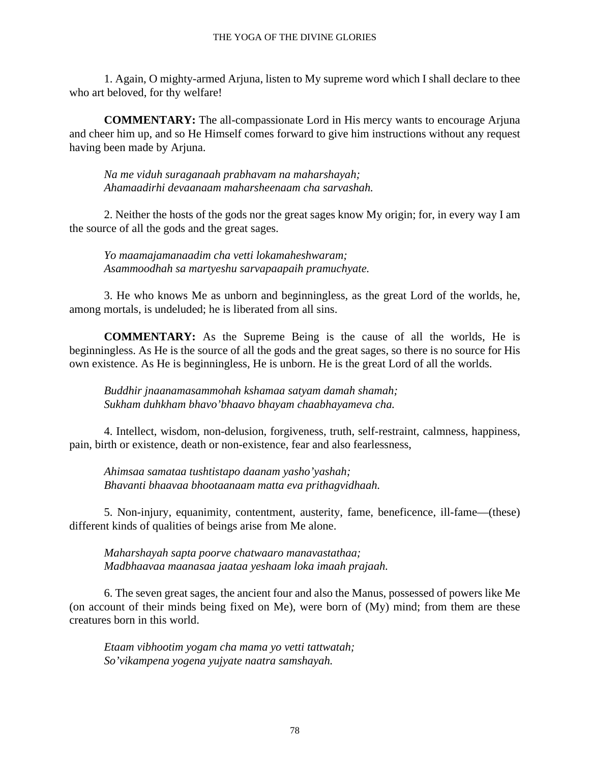1. Again, O mighty-armed Arjuna, listen to My supreme word which I shall declare to thee who art beloved, for thy welfare!

**COMMENTARY:** The all-compassionate Lord in His mercy wants to encourage Arjuna and cheer him up, and so He Himself comes forward to give him instructions without any request having been made by Arjuna.

*Na me viduh suraganaah prabhavam na maharshayah; Ahamaadirhi devaanaam maharsheenaam cha sarvashah.*

2. Neither the hosts of the gods nor the great sages know My origin; for, in every way I am the source of all the gods and the great sages.

*Yo maamajamanaadim cha vetti lokamaheshwaram; Asammoodhah sa martyeshu sarvapaapaih pramuchyate.*

3. He who knows Me as unborn and beginningless, as the great Lord of the worlds, he, among mortals, is undeluded; he is liberated from all sins.

**COMMENTARY:** As the Supreme Being is the cause of all the worlds, He is beginningless. As He is the source of all the gods and the great sages, so there is no source for His own existence. As He is beginningless, He is unborn. He is the great Lord of all the worlds.

*Buddhir jnaanamasammohah kshamaa satyam damah shamah; Sukham duhkham bhavo'bhaavo bhayam chaabhayameva cha.*

4. Intellect, wisdom, non-delusion, forgiveness, truth, self-restraint, calmness, happiness, pain, birth or existence, death or non-existence, fear and also fearlessness,

*Ahimsaa samataa tushtistapo daanam yasho'yashah; Bhavanti bhaavaa bhootaanaam matta eva prithagvidhaah.*

5. Non-injury, equanimity, contentment, austerity, fame, beneficence, ill-fame—(these) different kinds of qualities of beings arise from Me alone.

*Maharshayah sapta poorve chatwaaro manavastathaa; Madbhaavaa maanasaa jaataa yeshaam loka imaah prajaah.*

6. The seven great sages, the ancient four and also the Manus, possessed of powers like Me (on account of their minds being fixed on Me), were born of  $(My)$  mind; from them are these creatures born in this world.

*Etaam vibhootim yogam cha mama yo vetti tattwatah; So'vikampena yogena yujyate naatra samshayah.*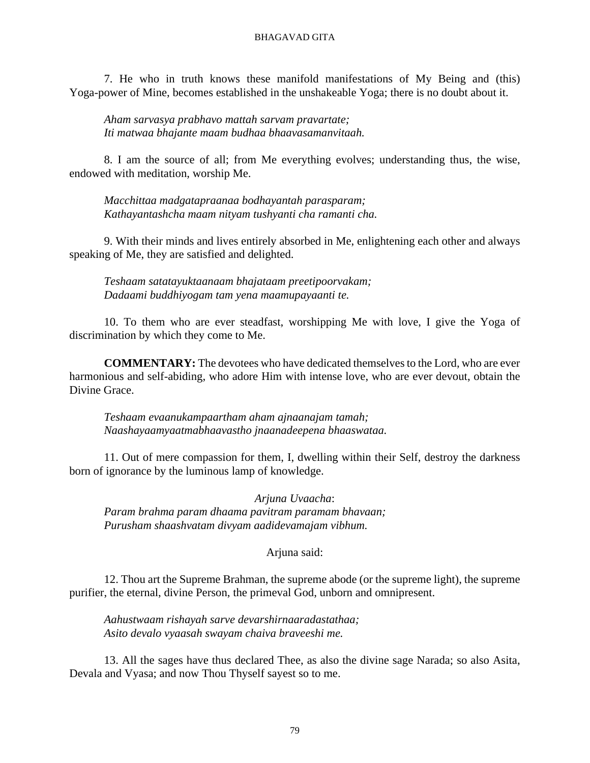7. He who in truth knows these manifold manifestations of My Being and (this) Yoga-power of Mine, becomes established in the unshakeable Yoga; there is no doubt about it.

*Aham sarvasya prabhavo mattah sarvam pravartate; Iti matwaa bhajante maam budhaa bhaavasamanvitaah.*

8. I am the source of all; from Me everything evolves; understanding thus, the wise, endowed with meditation, worship Me.

*Macchittaa madgatapraanaa bodhayantah parasparam; Kathayantashcha maam nityam tushyanti cha ramanti cha.*

9. With their minds and lives entirely absorbed in Me, enlightening each other and always speaking of Me, they are satisfied and delighted.

*Teshaam satatayuktaanaam bhajataam preetipoorvakam; Dadaami buddhiyogam tam yena maamupayaanti te.*

10. To them who are ever steadfast, worshipping Me with love, I give the Yoga of discrimination by which they come to Me.

**COMMENTARY:** The devotees who have dedicated themselves to the Lord, who are ever harmonious and self-abiding, who adore Him with intense love, who are ever devout, obtain the Divine Grace.

*Teshaam evaanukampaartham aham ajnaanajam tamah; Naashayaamyaatmabhaavastho jnaanadeepena bhaaswataa.*

11. Out of mere compassion for them, I, dwelling within their Self, destroy the darkness born of ignorance by the luminous lamp of knowledge.

*Arjuna Uvaacha*: *Param brahma param dhaama pavitram paramam bhavaan; Purusham shaashvatam divyam aadidevamajam vibhum.*

### Arjuna said:

12. Thou art the Supreme Brahman, the supreme abode (or the supreme light), the supreme purifier, the eternal, divine Person, the primeval God, unborn and omnipresent.

*Aahustwaam rishayah sarve devarshirnaaradastathaa; Asito devalo vyaasah swayam chaiva braveeshi me.*

13. All the sages have thus declared Thee, as also the divine sage Narada; so also Asita, Devala and Vyasa; and now Thou Thyself sayest so to me.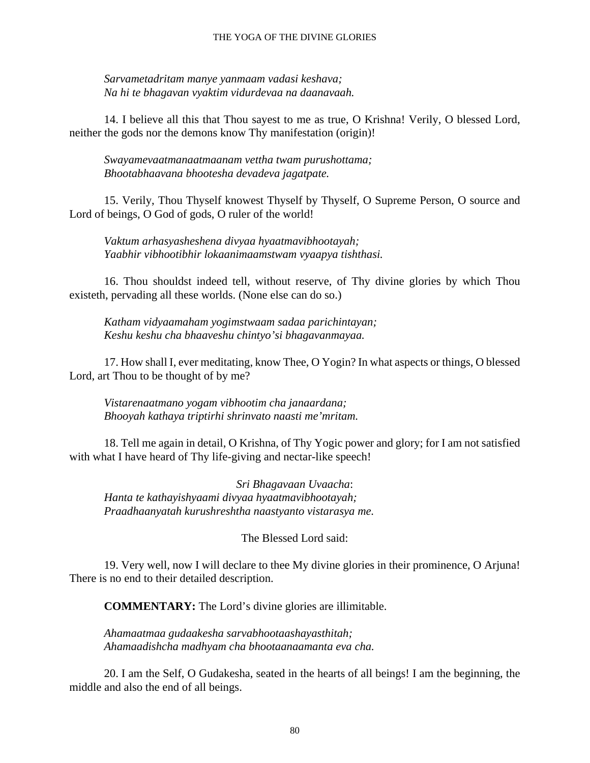#### THE YOGA OF THE DIVINE GLORIES

*Sarvametadritam manye yanmaam vadasi keshava; Na hi te bhagavan vyaktim vidurdevaa na daanavaah.*

14. I believe all this that Thou sayest to me as true, O Krishna! Verily, O blessed Lord, neither the gods nor the demons know Thy manifestation (origin)!

*Swayamevaatmanaatmaanam vettha twam purushottama; Bhootabhaavana bhootesha devadeva jagatpate.*

15. Verily, Thou Thyself knowest Thyself by Thyself, O Supreme Person, O source and Lord of beings, O God of gods, O ruler of the world!

*Vaktum arhasyasheshena divyaa hyaatmavibhootayah; Yaabhir vibhootibhir lokaanimaamstwam vyaapya tishthasi.*

16. Thou shouldst indeed tell, without reserve, of Thy divine glories by which Thou existeth, pervading all these worlds. (None else can do so.)

*Katham vidyaamaham yogimstwaam sadaa parichintayan; Keshu keshu cha bhaaveshu chintyo'si bhagavanmayaa.*

17. How shall I, ever meditating, know Thee, O Yogin? In what aspects or things, O blessed Lord, art Thou to be thought of by me?

*Vistarenaatmano yogam vibhootim cha janaardana; Bhooyah kathaya triptirhi shrinvato naasti me'mritam.*

18. Tell me again in detail, O Krishna, of Thy Yogic power and glory; for I am not satisfied with what I have heard of Thy life-giving and nectar-like speech!

*Sri Bhagavaan Uvaacha*: *Hanta te kathayishyaami divyaa hyaatmavibhootayah; Praadhaanyatah kurushreshtha naastyanto vistarasya me.*

The Blessed Lord said:

19. Very well, now I will declare to thee My divine glories in their prominence, O Arjuna! There is no end to their detailed description.

**COMMENTARY:** The Lord's divine glories are illimitable.

*Ahamaatmaa gudaakesha sarvabhootaashayasthitah; Ahamaadishcha madhyam cha bhootaanaamanta eva cha.*

20. I am the Self, O Gudakesha, seated in the hearts of all beings! I am the beginning, the middle and also the end of all beings.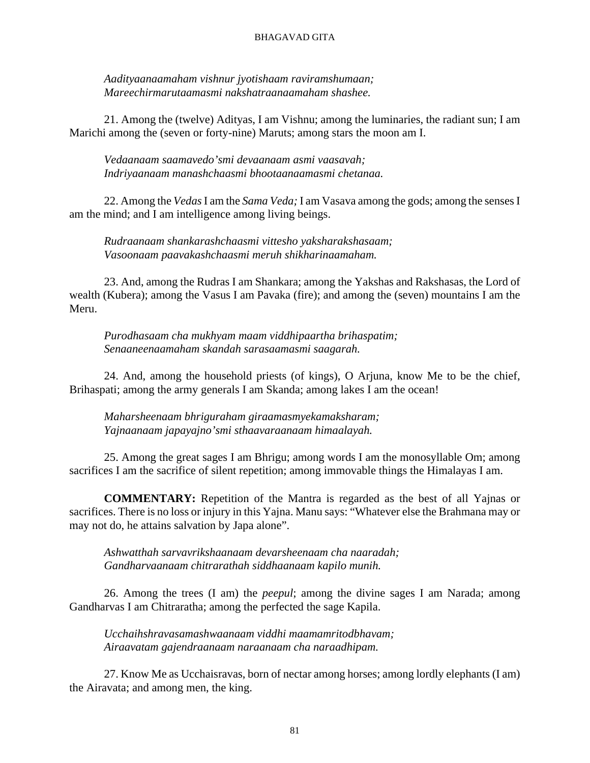*Aadityaanaamaham vishnur jyotishaam raviramshumaan; Mareechirmarutaamasmi nakshatraanaamaham shashee.*

21. Among the (twelve) Adityas, I am Vishnu; among the luminaries, the radiant sun; I am Marichi among the (seven or forty-nine) Maruts; among stars the moon am I.

*Vedaanaam saamavedo'smi devaanaam asmi vaasavah; Indriyaanaam manashchaasmi bhootaanaamasmi chetanaa.*

22. Among the *Vedas*I am the *Sama Veda;* I am Vasava among the gods; among the senses I am the mind; and I am intelligence among living beings.

*Rudraanaam shankarashchaasmi vittesho yaksharakshasaam; Vasoonaam paavakashchaasmi meruh shikharinaamaham.*

23. And, among the Rudras I am Shankara; among the Yakshas and Rakshasas, the Lord of wealth (Kubera); among the Vasus I am Pavaka (fire); and among the (seven) mountains I am the Meru.

*Purodhasaam cha mukhyam maam viddhipaartha brihaspatim; Senaaneenaamaham skandah sarasaamasmi saagarah.*

24. And, among the household priests (of kings), O Arjuna, know Me to be the chief, Brihaspati; among the army generals I am Skanda; among lakes I am the ocean!

*Maharsheenaam bhriguraham giraamasmyekamaksharam; Yajnaanaam japayajno'smi sthaavaraanaam himaalayah.*

25. Among the great sages I am Bhrigu; among words I am the monosyllable Om; among sacrifices I am the sacrifice of silent repetition; among immovable things the Himalayas I am.

**COMMENTARY:** Repetition of the Mantra is regarded as the best of all Yajnas or sacrifices. There is no loss or injury in this Yajna. Manu says: "Whatever else the Brahmana may or may not do, he attains salvation by Japa alone".

*Ashwatthah sarvavrikshaanaam devarsheenaam cha naaradah; Gandharvaanaam chitrarathah siddhaanaam kapilo munih.*

26. Among the trees (I am) the *peepul*; among the divine sages I am Narada; among Gandharvas I am Chitraratha; among the perfected the sage Kapila.

*Ucchaihshravasamashwaanaam viddhi maamamritodbhavam; Airaavatam gajendraanaam naraanaam cha naraadhipam.*

27. Know Me as Ucchaisravas, born of nectar among horses; among lordly elephants (I am) the Airavata; and among men, the king.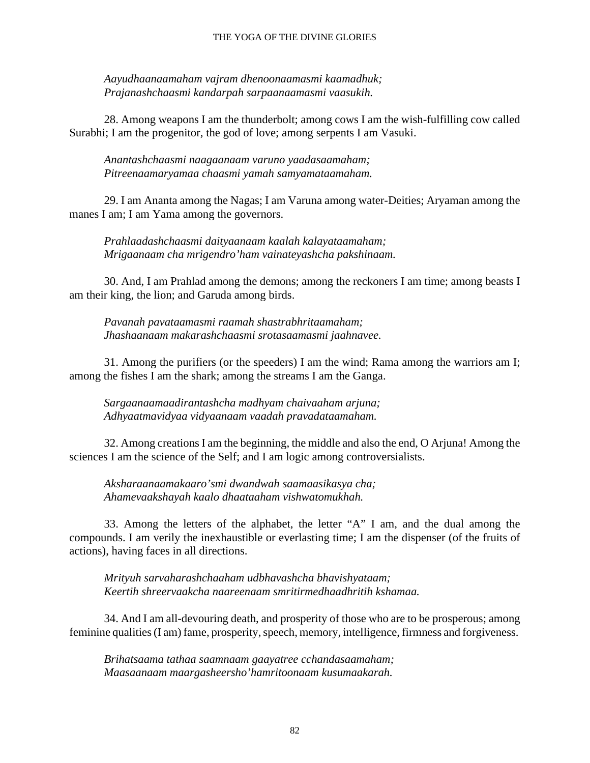*Aayudhaanaamaham vajram dhenoonaamasmi kaamadhuk; Prajanashchaasmi kandarpah sarpaanaamasmi vaasukih.*

28. Among weapons I am the thunderbolt; among cows I am the wish-fulfilling cow called Surabhi; I am the progenitor, the god of love; among serpents I am Vasuki.

*Anantashchaasmi naagaanaam varuno yaadasaamaham; Pitreenaamaryamaa chaasmi yamah samyamataamaham.*

29. I am Ananta among the Nagas; I am Varuna among water-Deities; Aryaman among the manes I am; I am Yama among the governors.

*Prahlaadashchaasmi daityaanaam kaalah kalayataamaham; Mrigaanaam cha mrigendro'ham vainateyashcha pakshinaam.*

30. And, I am Prahlad among the demons; among the reckoners I am time; among beasts I am their king, the lion; and Garuda among birds.

*Pavanah pavataamasmi raamah shastrabhritaamaham; Jhashaanaam makarashchaasmi srotasaamasmi jaahnavee.*

31. Among the purifiers (or the speeders) I am the wind; Rama among the warriors am I; among the fishes I am the shark; among the streams I am the Ganga.

*Sargaanaamaadirantashcha madhyam chaivaaham arjuna; Adhyaatmavidyaa vidyaanaam vaadah pravadataamaham.*

32. Among creations I am the beginning, the middle and also the end, O Arjuna! Among the sciences I am the science of the Self; and I am logic among controversialists.

*Aksharaanaamakaaro'smi dwandwah saamaasikasya cha; Ahamevaakshayah kaalo dhaataaham vishwatomukhah.*

33. Among the letters of the alphabet, the letter "A" I am, and the dual among the compounds. I am verily the inexhaustible or everlasting time; I am the dispenser (of the fruits of actions), having faces in all directions.

*Mrityuh sarvaharashchaaham udbhavashcha bhavishyataam; Keertih shreervaakcha naareenaam smritirmedhaadhritih kshamaa.*

34. And I am all-devouring death, and prosperity of those who are to be prosperous; among feminine qualities (I am) fame, prosperity, speech, memory, intelligence, firmness and forgiveness.

*Brihatsaama tathaa saamnaam gaayatree cchandasaamaham; Maasaanaam maargasheersho'hamritoonaam kusumaakarah.*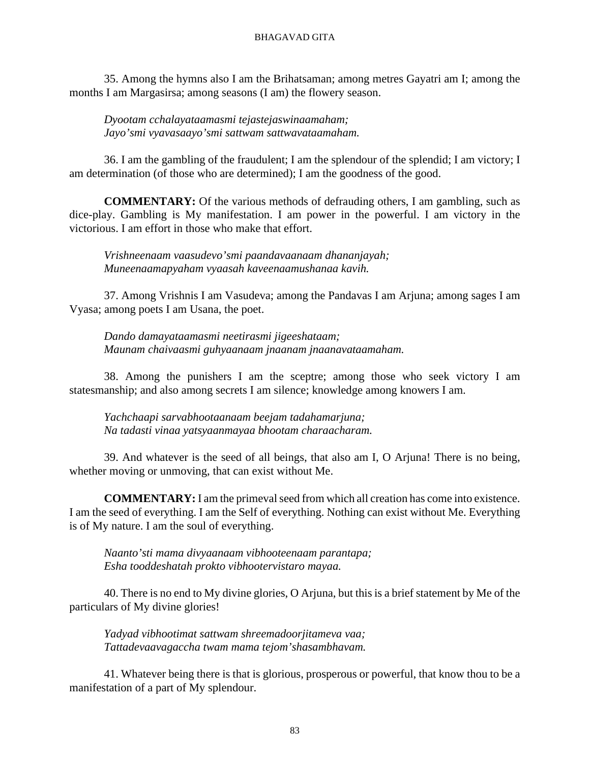35. Among the hymns also I am the Brihatsaman; among metres Gayatri am I; among the months I am Margasirsa; among seasons (I am) the flowery season.

*Dyootam cchalayataamasmi tejastejaswinaamaham; Jayo'smi vyavasaayo'smi sattwam sattwavataamaham.*

36. I am the gambling of the fraudulent; I am the splendour of the splendid; I am victory; I am determination (of those who are determined); I am the goodness of the good.

**COMMENTARY:** Of the various methods of defrauding others, I am gambling, such as dice-play. Gambling is My manifestation. I am power in the powerful. I am victory in the victorious. I am effort in those who make that effort.

*Vrishneenaam vaasudevo'smi paandavaanaam dhananjayah; Muneenaamapyaham vyaasah kaveenaamushanaa kavih.*

37. Among Vrishnis I am Vasudeva; among the Pandavas I am Arjuna; among sages I am Vyasa; among poets I am Usana, the poet.

*Dando damayataamasmi neetirasmi jigeeshataam; Maunam chaivaasmi guhyaanaam jnaanam jnaanavataamaham.*

38. Among the punishers I am the sceptre; among those who seek victory I am statesmanship; and also among secrets I am silence; knowledge among knowers I am.

*Yachchaapi sarvabhootaanaam beejam tadahamarjuna; Na tadasti vinaa yatsyaanmayaa bhootam charaacharam.*

39. And whatever is the seed of all beings, that also am I, O Arjuna! There is no being, whether moving or unmoving, that can exist without Me.

**COMMENTARY:** I am the primeval seed from which all creation has come into existence. I am the seed of everything. I am the Self of everything. Nothing can exist without Me. Everything is of My nature. I am the soul of everything.

*Naanto'sti mama divyaanaam vibhooteenaam parantapa; Esha tooddeshatah prokto vibhootervistaro mayaa.*

40. There is no end to My divine glories, O Arjuna, but this is a brief statement by Me of the particulars of My divine glories!

*Yadyad vibhootimat sattwam shreemadoorjitameva vaa; Tattadevaavagaccha twam mama tejom'shasambhavam.*

41. Whatever being there is that is glorious, prosperous or powerful, that know thou to be a manifestation of a part of My splendour.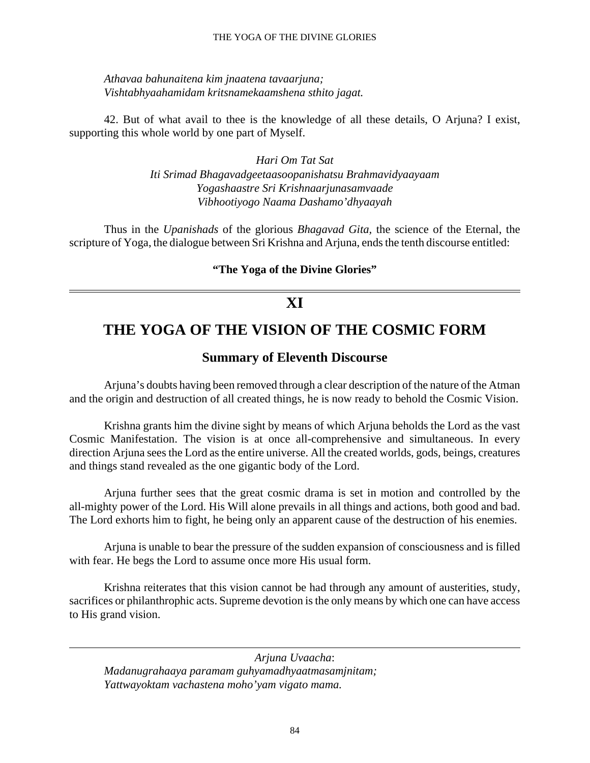#### THE YOGA OF THE DIVINE GLORIES

*Athavaa bahunaitena kim jnaatena tavaarjuna; Vishtabhyaahamidam kritsnamekaamshena sthito jagat.*

42. But of what avail to thee is the knowledge of all these details, O Arjuna? I exist, supporting this whole world by one part of Myself.

> *Hari Om Tat Sat Iti Srimad Bhagavadgeetaasoopanishatsu Brahmavidyaayaam Yogashaastre Sri Krishnaarjunasamvaade Vibhootiyogo Naama Dashamo'dhyaayah*

Thus in the *Upanishads* of the glorious *Bhagavad Gita,* the science of the Eternal, the scripture of Yoga, the dialogue between Sri Krishna and Arjuna, ends the tenth discourse entitled:

**"The Yoga of the Divine Glories"**

## **XI**

# **THE YOGA OF THE VISION OF THE COSMIC FORM**

## **Summary of Eleventh Discourse**

Arjuna's doubts having been removed through a clear description of the nature of the Atman and the origin and destruction of all created things, he is now ready to behold the Cosmic Vision.

Krishna grants him the divine sight by means of which Arjuna beholds the Lord as the vast Cosmic Manifestation. The vision is at once all-comprehensive and simultaneous. In every direction Arjuna sees the Lord as the entire universe. All the created worlds, gods, beings, creatures and things stand revealed as the one gigantic body of the Lord.

Arjuna further sees that the great cosmic drama is set in motion and controlled by the all-mighty power of the Lord. His Will alone prevails in all things and actions, both good and bad. The Lord exhorts him to fight, he being only an apparent cause of the destruction of his enemies.

Arjuna is unable to bear the pressure of the sudden expansion of consciousness and is filled with fear. He begs the Lord to assume once more His usual form.

Krishna reiterates that this vision cannot be had through any amount of austerities, study, sacrifices or philanthrophic acts. Supreme devotion is the only means by which one can have access to His grand vision.

*Arjuna Uvaacha*: *Madanugrahaaya paramam guhyamadhyaatmasamjnitam; Yattwayoktam vachastena moho'yam vigato mama.*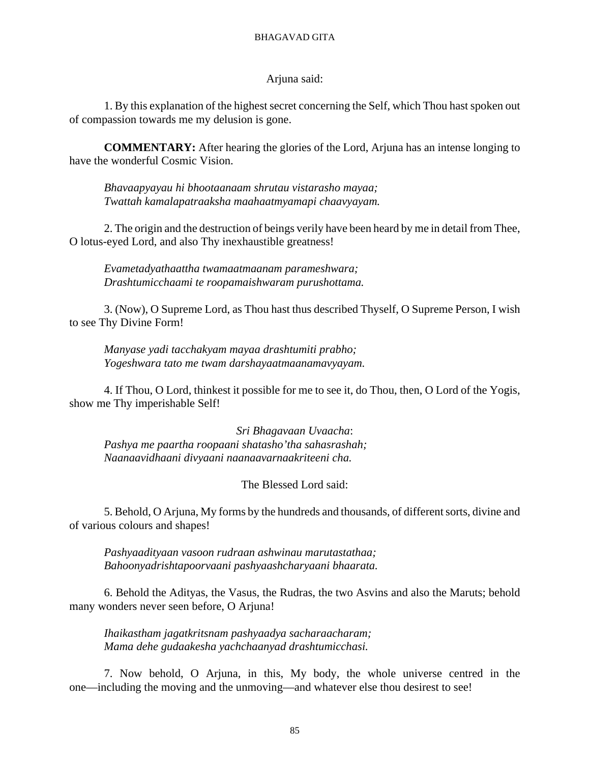#### Arjuna said:

1. By this explanation of the highest secret concerning the Self, which Thou hast spoken out of compassion towards me my delusion is gone.

**COMMENTARY:** After hearing the glories of the Lord, Arjuna has an intense longing to have the wonderful Cosmic Vision.

*Bhavaapyayau hi bhootaanaam shrutau vistarasho mayaa; Twattah kamalapatraaksha maahaatmyamapi chaavyayam.*

2. The origin and the destruction of beings verily have been heard by me in detail from Thee, O lotus-eyed Lord, and also Thy inexhaustible greatness!

*Evametadyathaattha twamaatmaanam parameshwara; Drashtumicchaami te roopamaishwaram purushottama.*

3. (Now), O Supreme Lord, as Thou hast thus described Thyself, O Supreme Person, I wish to see Thy Divine Form!

*Manyase yadi tacchakyam mayaa drashtumiti prabho; Yogeshwara tato me twam darshayaatmaanamavyayam.*

4. If Thou, O Lord, thinkest it possible for me to see it, do Thou, then, O Lord of the Yogis, show me Thy imperishable Self!

*Sri Bhagavaan Uvaacha*: *Pashya me paartha roopaani shatasho'tha sahasrashah; Naanaavidhaani divyaani naanaavarnaakriteeni cha.*

The Blessed Lord said:

5. Behold, O Arjuna, My forms by the hundreds and thousands, of different sorts, divine and of various colours and shapes!

*Pashyaadityaan vasoon rudraan ashwinau marutastathaa; Bahoonyadrishtapoorvaani pashyaashcharyaani bhaarata.*

6. Behold the Adityas, the Vasus, the Rudras, the two Asvins and also the Maruts; behold many wonders never seen before, O Arjuna!

*Ihaikastham jagatkritsnam pashyaadya sacharaacharam; Mama dehe gudaakesha yachchaanyad drashtumicchasi.*

7. Now behold, O Arjuna, in this, My body, the whole universe centred in the one—including the moving and the unmoving—and whatever else thou desirest to see!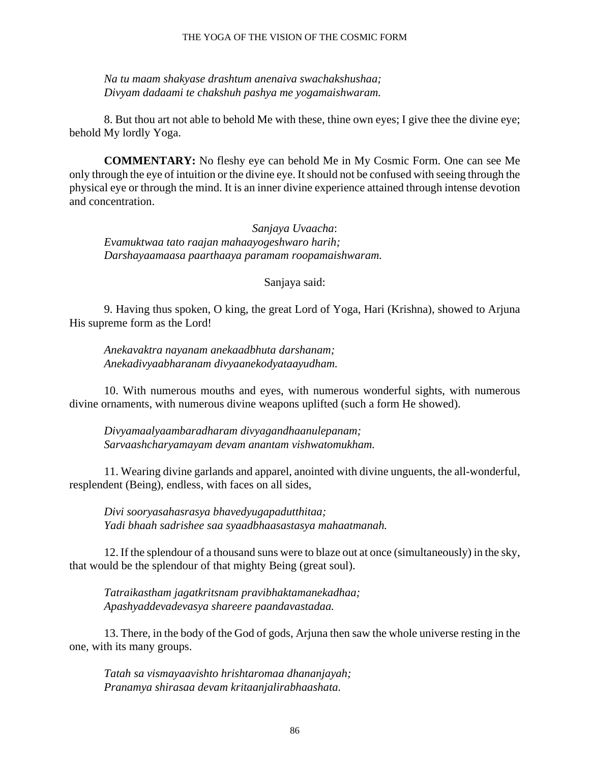#### THE YOGA OF THE VISION OF THE COSMIC FORM

*Na tu maam shakyase drashtum anenaiva swachakshushaa; Divyam dadaami te chakshuh pashya me yogamaishwaram.*

8. But thou art not able to behold Me with these, thine own eyes; I give thee the divine eye; behold My lordly Yoga.

**COMMENTARY:** No fleshy eye can behold Me in My Cosmic Form. One can see Me only through the eye of intuition or the divine eye. It should not be confused with seeing through the physical eye or through the mind. It is an inner divine experience attained through intense devotion and concentration.

*Sanjaya Uvaacha*: *Evamuktwaa tato raajan mahaayogeshwaro harih; Darshayaamaasa paarthaaya paramam roopamaishwaram.*

Sanjaya said:

9. Having thus spoken, O king, the great Lord of Yoga, Hari (Krishna), showed to Arjuna His supreme form as the Lord!

*Anekavaktra nayanam anekaadbhuta darshanam; Anekadivyaabharanam divyaanekodyataayudham.*

10. With numerous mouths and eyes, with numerous wonderful sights, with numerous divine ornaments, with numerous divine weapons uplifted (such a form He showed).

*Divyamaalyaambaradharam divyagandhaanulepanam; Sarvaashcharyamayam devam anantam vishwatomukham.*

11. Wearing divine garlands and apparel, anointed with divine unguents, the all-wonderful, resplendent (Being), endless, with faces on all sides,

*Divi sooryasahasrasya bhavedyugapadutthitaa; Yadi bhaah sadrishee saa syaadbhaasastasya mahaatmanah.*

12. If the splendour of a thousand suns were to blaze out at once (simultaneously) in the sky, that would be the splendour of that mighty Being (great soul).

*Tatraikastham jagatkritsnam pravibhaktamanekadhaa; Apashyaddevadevasya shareere paandavastadaa.*

13. There, in the body of the God of gods, Arjuna then saw the whole universe resting in the one, with its many groups.

*Tatah sa vismayaavishto hrishtaromaa dhananjayah; Pranamya shirasaa devam kritaanjalirabhaashata.*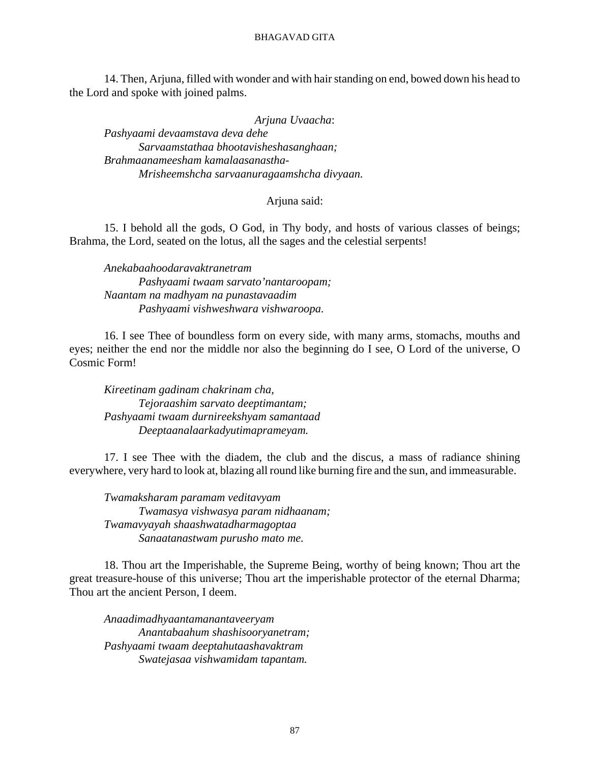14. Then, Arjuna, filled with wonder and with hair standing on end, bowed down his head to the Lord and spoke with joined palms.

*Arjuna Uvaacha*:

*Pashyaami devaamstava deva dehe Sarvaamstathaa bhootavisheshasanghaan; Brahmaanameesham kamalaasanastha-Mrisheemshcha sarvaanuragaamshcha divyaan.*

### Arjuna said:

15. I behold all the gods, O God, in Thy body, and hosts of various classes of beings; Brahma, the Lord, seated on the lotus, all the sages and the celestial serpents!

*Anekabaahoodaravaktranetram Pashyaami twaam sarvato'nantaroopam; Naantam na madhyam na punastavaadim Pashyaami vishweshwara vishwaroopa.*

16. I see Thee of boundless form on every side, with many arms, stomachs, mouths and eyes; neither the end nor the middle nor also the beginning do I see, O Lord of the universe, O Cosmic Form!

*Kireetinam gadinam chakrinam cha, Tejoraashim sarvato deeptimantam; Pashyaami twaam durnireekshyam samantaad Deeptaanalaarkadyutimaprameyam.*

17. I see Thee with the diadem, the club and the discus, a mass of radiance shining everywhere, very hard to look at, blazing all round like burning fire and the sun, and immeasurable.

*Twamaksharam paramam veditavyam Twamasya vishwasya param nidhaanam; Twamavyayah shaashwatadharmagoptaa Sanaatanastwam purusho mato me.*

18. Thou art the Imperishable, the Supreme Being, worthy of being known; Thou art the great treasure-house of this universe; Thou art the imperishable protector of the eternal Dharma; Thou art the ancient Person, I deem.

*Anaadimadhyaantamanantaveeryam Anantabaahum shashisooryanetram; Pashyaami twaam deeptahutaashavaktram Swatejasaa vishwamidam tapantam.*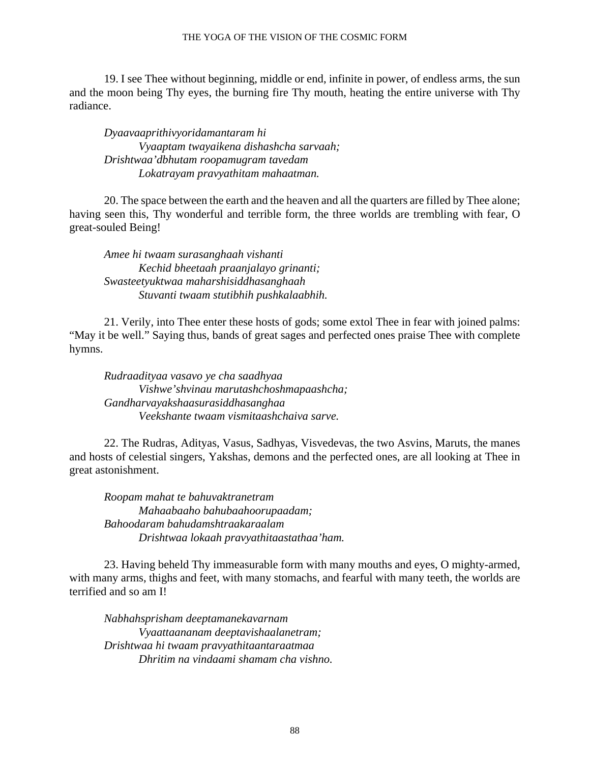19. I see Thee without beginning, middle or end, infinite in power, of endless arms, the sun and the moon being Thy eyes, the burning fire Thy mouth, heating the entire universe with Thy radiance.

*Dyaavaaprithivyoridamantaram hi Vyaaptam twayaikena dishashcha sarvaah; Drishtwaa'dbhutam roopamugram tavedam Lokatrayam pravyathitam mahaatman.*

20. The space between the earth and the heaven and all the quarters are filled by Thee alone; having seen this, Thy wonderful and terrible form, the three worlds are trembling with fear, O great-souled Being!

*Amee hi twaam surasanghaah vishanti Kechid bheetaah praanjalayo grinanti; Swasteetyuktwaa maharshisiddhasanghaah Stuvanti twaam stutibhih pushkalaabhih.*

21. Verily, into Thee enter these hosts of gods; some extol Thee in fear with joined palms: "May it be well." Saying thus, bands of great sages and perfected ones praise Thee with complete hymns.

*Rudraadityaa vasavo ye cha saadhyaa Vishwe'shvinau marutashchoshmapaashcha; Gandharvayakshaasurasiddhasanghaa Veekshante twaam vismitaashchaiva sarve.*

22. The Rudras, Adityas, Vasus, Sadhyas, Visvedevas, the two Asvins, Maruts, the manes and hosts of celestial singers, Yakshas, demons and the perfected ones, are all looking at Thee in great astonishment.

*Roopam mahat te bahuvaktranetram Mahaabaaho bahubaahoorupaadam; Bahoodaram bahudamshtraakaraalam Drishtwaa lokaah pravyathitaastathaa'ham.*

23. Having beheld Thy immeasurable form with many mouths and eyes, O mighty-armed, with many arms, thighs and feet, with many stomachs, and fearful with many teeth, the worlds are terrified and so am I!

*Nabhahsprisham deeptamanekavarnam Vyaattaananam deeptavishaalanetram; Drishtwaa hi twaam pravyathitaantaraatmaa Dhritim na vindaami shamam cha vishno.*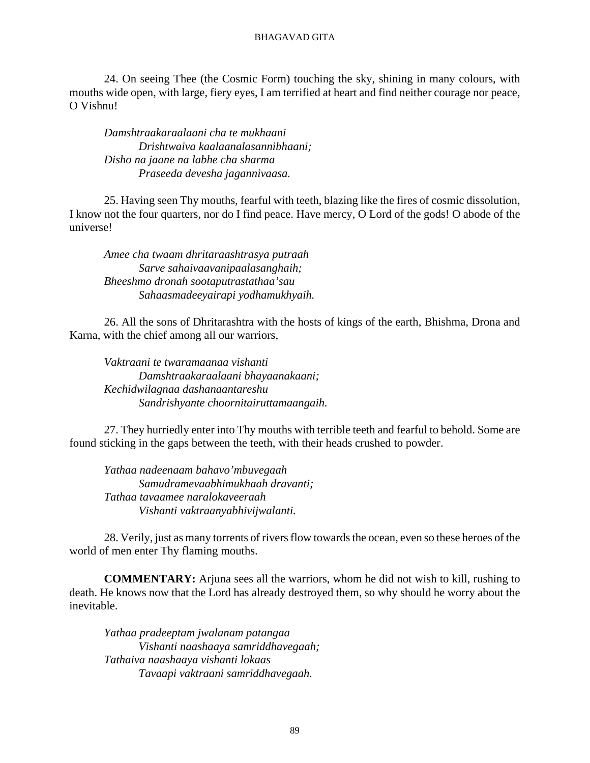24. On seeing Thee (the Cosmic Form) touching the sky, shining in many colours, with mouths wide open, with large, fiery eyes, I am terrified at heart and find neither courage nor peace, O Vishnu!

*Damshtraakaraalaani cha te mukhaani Drishtwaiva kaalaanalasannibhaani; Disho na jaane na labhe cha sharma Praseeda devesha jagannivaasa.*

25. Having seen Thy mouths, fearful with teeth, blazing like the fires of cosmic dissolution, I know not the four quarters, nor do I find peace. Have mercy, O Lord of the gods! O abode of the universe!

*Amee cha twaam dhritaraashtrasya putraah Sarve sahaivaavanipaalasanghaih; Bheeshmo dronah sootaputrastathaa'sau Sahaasmadeeyairapi yodhamukhyaih.*

26. All the sons of Dhritarashtra with the hosts of kings of the earth, Bhishma, Drona and Karna, with the chief among all our warriors,

*Vaktraani te twaramaanaa vishanti Damshtraakaraalaani bhayaanakaani; Kechidwilagnaa dashanaantareshu Sandrishyante choornitairuttamaangaih.*

27. They hurriedly enter into Thy mouths with terrible teeth and fearful to behold. Some are found sticking in the gaps between the teeth, with their heads crushed to powder.

*Yathaa nadeenaam bahavo'mbuvegaah Samudramevaabhimukhaah dravanti; Tathaa tavaamee naralokaveeraah Vishanti vaktraanyabhivijwalanti.*

28. Verily, just as many torrents of rivers flow towards the ocean, even so these heroes of the world of men enter Thy flaming mouths.

**COMMENTARY:** Arjuna sees all the warriors, whom he did not wish to kill, rushing to death. He knows now that the Lord has already destroyed them, so why should he worry about the inevitable.

*Yathaa pradeeptam jwalanam patangaa Vishanti naashaaya samriddhavegaah; Tathaiva naashaaya vishanti lokaas Tavaapi vaktraani samriddhavegaah.*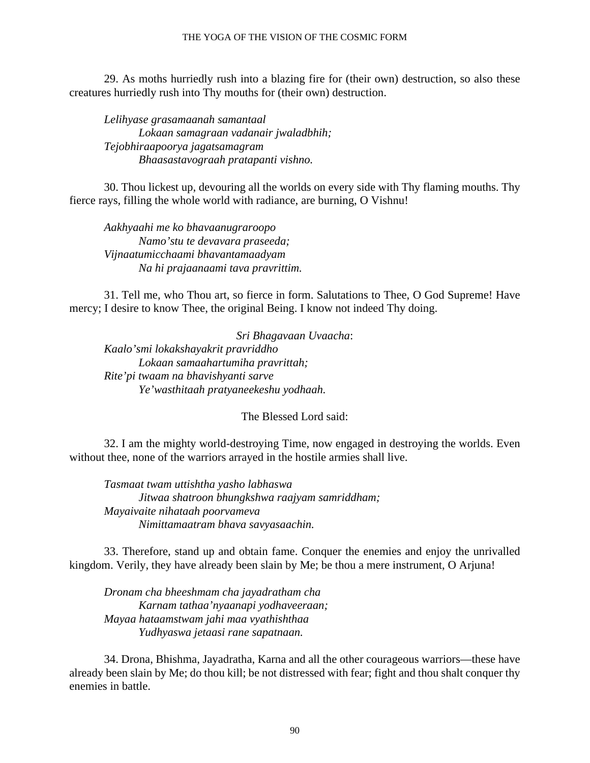#### THE YOGA OF THE VISION OF THE COSMIC FORM

29. As moths hurriedly rush into a blazing fire for (their own) destruction, so also these creatures hurriedly rush into Thy mouths for (their own) destruction.

*Lelihyase grasamaanah samantaal Lokaan samagraan vadanair jwaladbhih; Tejobhiraapoorya jagatsamagram Bhaasastavograah pratapanti vishno.*

30. Thou lickest up, devouring all the worlds on every side with Thy flaming mouths. Thy fierce rays, filling the whole world with radiance, are burning, O Vishnu!

*Aakhyaahi me ko bhavaanugraroopo Namo'stu te devavara praseeda; Vijnaatumicchaami bhavantamaadyam Na hi prajaanaami tava pravrittim.*

31. Tell me, who Thou art, so fierce in form. Salutations to Thee, O God Supreme! Have mercy; I desire to know Thee, the original Being. I know not indeed Thy doing.

*Sri Bhagavaan Uvaacha*: *Kaalo'smi lokakshayakrit pravriddho Lokaan samaahartumiha pravrittah; Rite'pi twaam na bhavishyanti sarve Ye'wasthitaah pratyaneekeshu yodhaah.*

The Blessed Lord said:

32. I am the mighty world-destroying Time, now engaged in destroying the worlds. Even without thee, none of the warriors arrayed in the hostile armies shall live.

*Tasmaat twam uttishtha yasho labhaswa Jitwaa shatroon bhungkshwa raajyam samriddham; Mayaivaite nihataah poorvameva Nimittamaatram bhava savyasaachin.*

33. Therefore, stand up and obtain fame. Conquer the enemies and enjoy the unrivalled kingdom. Verily, they have already been slain by Me; be thou a mere instrument, O Arjuna!

*Dronam cha bheeshmam cha jayadratham cha Karnam tathaa'nyaanapi yodhaveeraan; Mayaa hataamstwam jahi maa vyathishthaa Yudhyaswa jetaasi rane sapatnaan.*

34. Drona, Bhishma, Jayadratha, Karna and all the other courageous warriors—these have already been slain by Me; do thou kill; be not distressed with fear; fight and thou shalt conquer thy enemies in battle.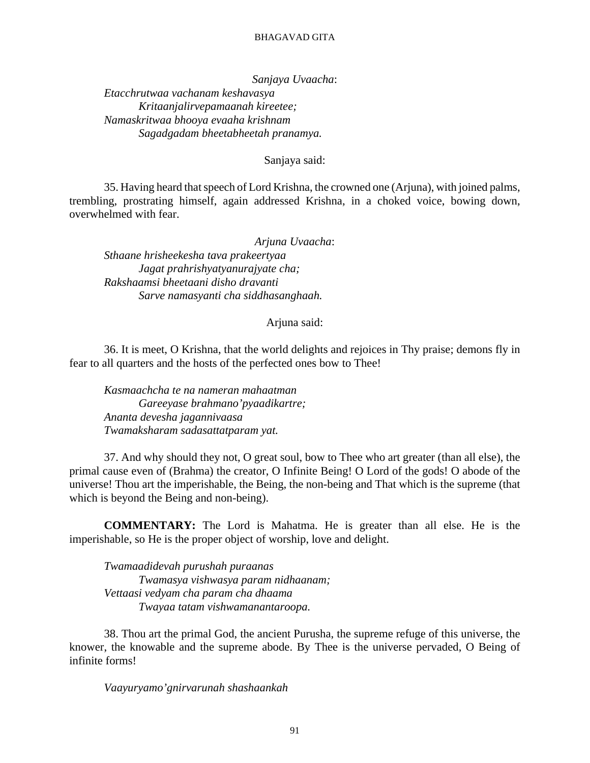*Sanjaya Uvaacha*: *Etacchrutwaa vachanam keshavasya Kritaanjalirvepamaanah kireetee; Namaskritwaa bhooya evaaha krishnam Sagadgadam bheetabheetah pranamya.*

Sanjaya said:

35. Having heard that speech of Lord Krishna, the crowned one (Arjuna), with joined palms, trembling, prostrating himself, again addressed Krishna, in a choked voice, bowing down, overwhelmed with fear.

*Arjuna Uvaacha*: *Sthaane hrisheekesha tava prakeertyaa Jagat prahrishyatyanurajyate cha; Rakshaamsi bheetaani disho dravanti Sarve namasyanti cha siddhasanghaah.*

Arjuna said:

36. It is meet, O Krishna, that the world delights and rejoices in Thy praise; demons fly in fear to all quarters and the hosts of the perfected ones bow to Thee!

*Kasmaachcha te na nameran mahaatman Gareeyase brahmano'pyaadikartre; Ananta devesha jagannivaasa Twamaksharam sadasattatparam yat.*

37. And why should they not, O great soul, bow to Thee who art greater (than all else), the primal cause even of (Brahma) the creator, O Infinite Being! O Lord of the gods! O abode of the universe! Thou art the imperishable, the Being, the non-being and That which is the supreme (that which is beyond the Being and non-being).

**COMMENTARY:** The Lord is Mahatma. He is greater than all else. He is the imperishable, so He is the proper object of worship, love and delight.

*Twamaadidevah purushah puraanas Twamasya vishwasya param nidhaanam; Vettaasi vedyam cha param cha dhaama Twayaa tatam vishwamanantaroopa.*

38. Thou art the primal God, the ancient Purusha, the supreme refuge of this universe, the knower, the knowable and the supreme abode. By Thee is the universe pervaded, O Being of infinite forms!

*Vaayuryamo'gnirvarunah shashaankah*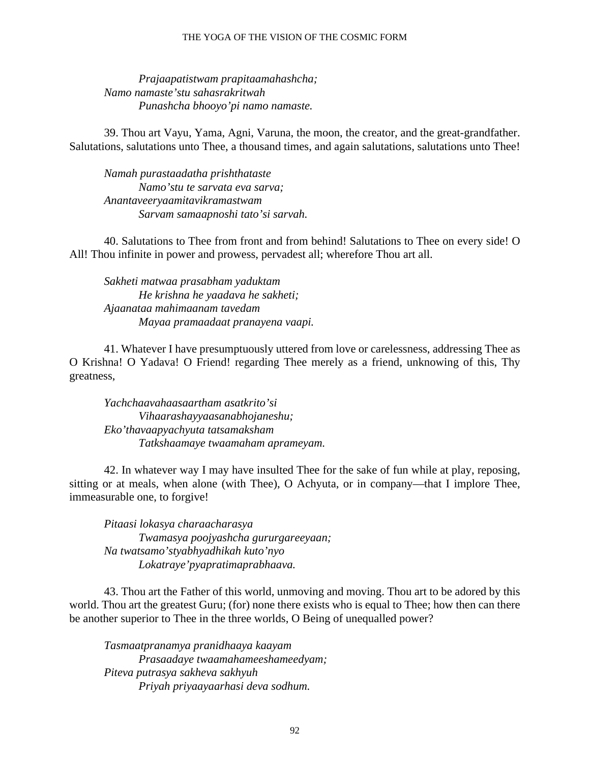#### THE YOGA OF THE VISION OF THE COSMIC FORM

*Prajaapatistwam prapitaamahashcha; Namo namaste'stu sahasrakritwah Punashcha bhooyo'pi namo namaste.*

39. Thou art Vayu, Yama, Agni, Varuna, the moon, the creator, and the great-grandfather. Salutations, salutations unto Thee, a thousand times, and again salutations, salutations unto Thee!

*Namah purastaadatha prishthataste Namo'stu te sarvata eva sarva; Anantaveeryaamitavikramastwam Sarvam samaapnoshi tato'si sarvah.*

40. Salutations to Thee from front and from behind! Salutations to Thee on every side! O All! Thou infinite in power and prowess, pervadest all; wherefore Thou art all.

*Sakheti matwaa prasabham yaduktam He krishna he yaadava he sakheti; Ajaanataa mahimaanam tavedam Mayaa pramaadaat pranayena vaapi.*

41. Whatever I have presumptuously uttered from love or carelessness, addressing Thee as O Krishna! O Yadava! O Friend! regarding Thee merely as a friend, unknowing of this, Thy greatness,

*Yachchaavahaasaartham asatkrito'si Vihaarashayyaasanabhojaneshu; Eko'thavaapyachyuta tatsamaksham Tatkshaamaye twaamaham aprameyam.*

42. In whatever way I may have insulted Thee for the sake of fun while at play, reposing, sitting or at meals, when alone (with Thee), O Achyuta, or in company—that I implore Thee, immeasurable one, to forgive!

*Pitaasi lokasya charaacharasya Twamasya poojyashcha gururgareeyaan; Na twatsamo'styabhyadhikah kuto'nyo Lokatraye'pyapratimaprabhaava.*

43. Thou art the Father of this world, unmoving and moving. Thou art to be adored by this world. Thou art the greatest Guru; (for) none there exists who is equal to Thee; how then can there be another superior to Thee in the three worlds, O Being of unequalled power?

*Tasmaatpranamya pranidhaaya kaayam Prasaadaye twaamahameeshameedyam; Piteva putrasya sakheva sakhyuh Priyah priyaayaarhasi deva sodhum.*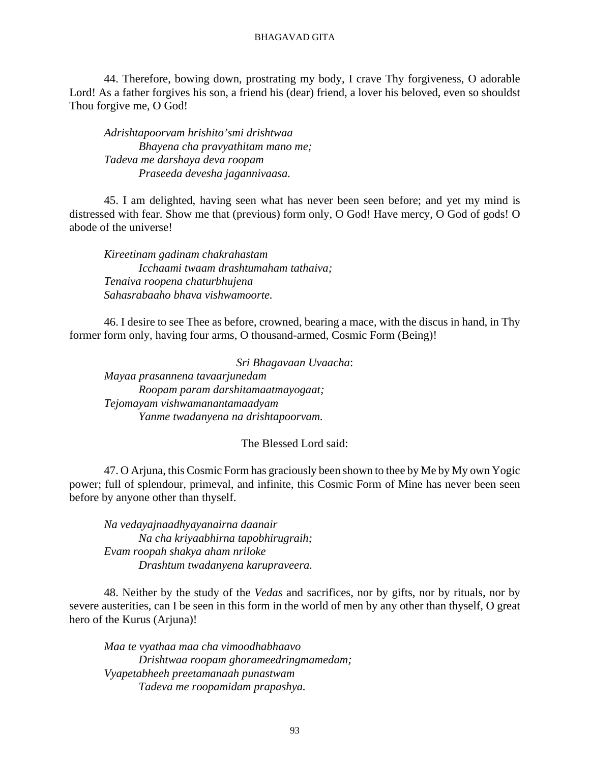44. Therefore, bowing down, prostrating my body, I crave Thy forgiveness, O adorable Lord! As a father forgives his son, a friend his (dear) friend, a lover his beloved, even so shouldst Thou forgive me, O God!

*Adrishtapoorvam hrishito'smi drishtwaa Bhayena cha pravyathitam mano me; Tadeva me darshaya deva roopam Praseeda devesha jagannivaasa.*

45. I am delighted, having seen what has never been seen before; and yet my mind is distressed with fear. Show me that (previous) form only, O God! Have mercy, O God of gods! O abode of the universe!

*Kireetinam gadinam chakrahastam Icchaami twaam drashtumaham tathaiva; Tenaiva roopena chaturbhujena Sahasrabaaho bhava vishwamoorte.*

46. I desire to see Thee as before, crowned, bearing a mace, with the discus in hand, in Thy former form only, having four arms, O thousand-armed, Cosmic Form (Being)!

*Sri Bhagavaan Uvaacha*: *Mayaa prasannena tavaarjunedam Roopam param darshitamaatmayogaat; Tejomayam vishwamanantamaadyam Yanme twadanyena na drishtapoorvam.*

The Blessed Lord said:

47. O Arjuna, this Cosmic Form has graciously been shown to thee by Me by My own Yogic power; full of splendour, primeval, and infinite, this Cosmic Form of Mine has never been seen before by anyone other than thyself.

*Na vedayajnaadhyayanairna daanair Na cha kriyaabhirna tapobhirugraih; Evam roopah shakya aham nriloke Drashtum twadanyena karupraveera.*

48. Neither by the study of the *Vedas* and sacrifices, nor by gifts, nor by rituals, nor by severe austerities, can I be seen in this form in the world of men by any other than thyself, O great hero of the Kurus (Arjuna)!

*Maa te vyathaa maa cha vimoodhabhaavo Drishtwaa roopam ghorameedringmamedam; Vyapetabheeh preetamanaah punastwam Tadeva me roopamidam prapashya.*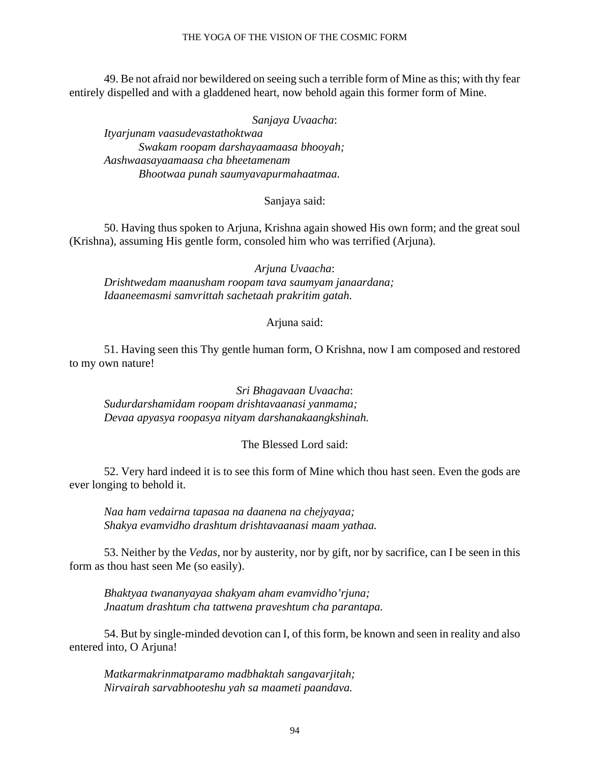49. Be not afraid nor bewildered on seeing such a terrible form of Mine as this; with thy fear entirely dispelled and with a gladdened heart, now behold again this former form of Mine.

*Sanjaya Uvaacha*:

*Ityarjunam vaasudevastathoktwaa Swakam roopam darshayaamaasa bhooyah; Aashwaasayaamaasa cha bheetamenam Bhootwaa punah saumyavapurmahaatmaa.*

## Sanjaya said:

50. Having thus spoken to Arjuna, Krishna again showed His own form; and the great soul (Krishna), assuming His gentle form, consoled him who was terrified (Arjuna).

*Arjuna Uvaacha*: *Drishtwedam maanusham roopam tava saumyam janaardana; Idaaneemasmi samvrittah sachetaah prakritim gatah.*

Arjuna said:

51. Having seen this Thy gentle human form, O Krishna, now I am composed and restored to my own nature!

*Sri Bhagavaan Uvaacha*: *Sudurdarshamidam roopam drishtavaanasi yanmama; Devaa apyasya roopasya nityam darshanakaangkshinah.*

## The Blessed Lord said:

52. Very hard indeed it is to see this form of Mine which thou hast seen. Even the gods are ever longing to behold it.

*Naa ham vedairna tapasaa na daanena na chejyayaa; Shakya evamvidho drashtum drishtavaanasi maam yathaa.*

53. Neither by the *Vedas,* nor by austerity, nor by gift, nor by sacrifice, can I be seen in this form as thou hast seen Me (so easily).

*Bhaktyaa twananyayaa shakyam aham evamvidho'rjuna; Jnaatum drashtum cha tattwena praveshtum cha parantapa.*

54. But by single-minded devotion can I, of this form, be known and seen in reality and also entered into, O Arjuna!

*Matkarmakrinmatparamo madbhaktah sangavarjitah; Nirvairah sarvabhooteshu yah sa maameti paandava.*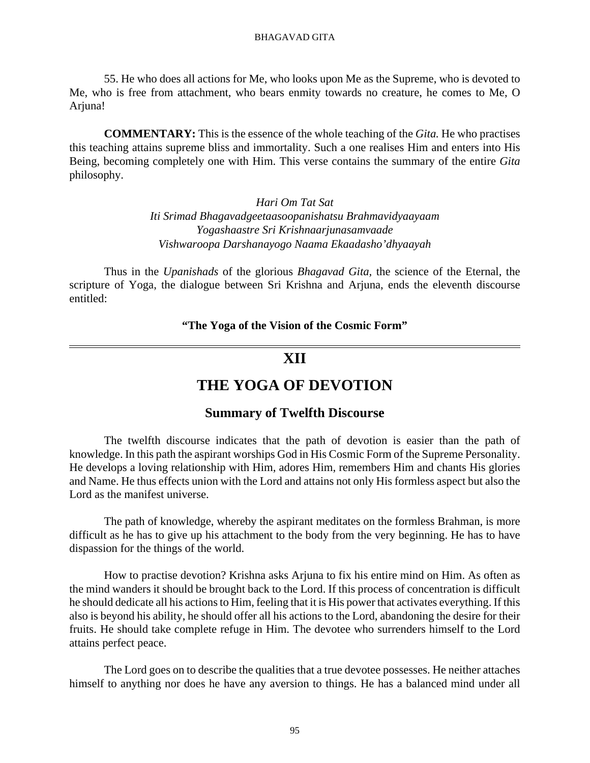55. He who does all actions for Me, who looks upon Me as the Supreme, who is devoted to Me, who is free from attachment, who bears enmity towards no creature, he comes to Me, O Arjuna!

**COMMENTARY:** This is the essence of the whole teaching of the *Gita.* He who practises this teaching attains supreme bliss and immortality. Such a one realises Him and enters into His Being, becoming completely one with Him. This verse contains the summary of the entire *Gita* philosophy.

> *Hari Om Tat Sat Iti Srimad Bhagavadgeetaasoopanishatsu Brahmavidyaayaam Yogashaastre Sri Krishnaarjunasamvaade Vishwaroopa Darshanayogo Naama Ekaadasho'dhyaayah*

Thus in the *Upanishads* of the glorious *Bhagavad Gita,* the science of the Eternal, the scripture of Yoga, the dialogue between Sri Krishna and Arjuna, ends the eleventh discourse entitled:

**"The Yoga of the Vision of the Cosmic Form"**

# **XII**

# **THE YOGA OF DEVOTION**

## **Summary of Twelfth Discourse**

The twelfth discourse indicates that the path of devotion is easier than the path of knowledge. In this path the aspirant worships God in His Cosmic Form of the Supreme Personality. He develops a loving relationship with Him, adores Him, remembers Him and chants His glories and Name. He thus effects union with the Lord and attains not only His formless aspect but also the Lord as the manifest universe.

The path of knowledge, whereby the aspirant meditates on the formless Brahman, is more difficult as he has to give up his attachment to the body from the very beginning. He has to have dispassion for the things of the world.

How to practise devotion? Krishna asks Arjuna to fix his entire mind on Him. As often as the mind wanders it should be brought back to the Lord. If this process of concentration is difficult he should dedicate all his actions to Him, feeling that it is His power that activates everything. If this also is beyond his ability, he should offer all his actions to the Lord, abandoning the desire for their fruits. He should take complete refuge in Him. The devotee who surrenders himself to the Lord attains perfect peace.

The Lord goes on to describe the qualities that a true devotee possesses. He neither attaches himself to anything nor does he have any aversion to things. He has a balanced mind under all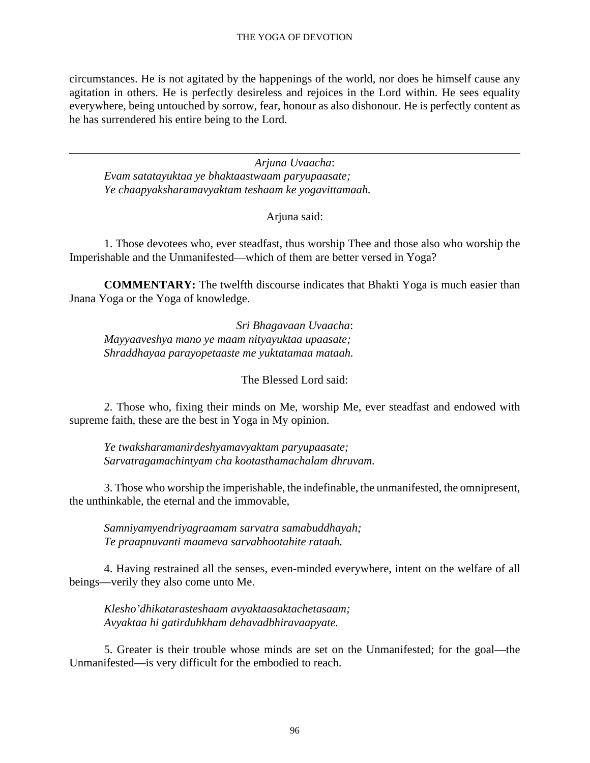circumstances. He is not agitated by the happenings of the world, nor does he himself cause any agitation in others. He is perfectly desireless and rejoices in the Lord within. He sees equality everywhere, being untouched by sorrow, fear, honour as also dishonour. He is perfectly content as he has surrendered his entire being to the Lord.

*Arjuna Uvaacha*: *Evam satatayuktaa ye bhaktaastwaam paryupaasate; Ye chaapyaksharamavyaktam teshaam ke yogavittamaah.*

Arjuna said:

1. Those devotees who, ever steadfast, thus worship Thee and those also who worship the Imperishable and the Unmanifested—which of them are better versed in Yoga?

**COMMENTARY:** The twelfth discourse indicates that Bhakti Yoga is much easier than Jnana Yoga or the Yoga of knowledge.

*Sri Bhagavaan Uvaacha*: *Mayyaaveshya mano ye maam nityayuktaa upaasate; Shraddhayaa parayopetaaste me yuktatamaa mataah.*

The Blessed Lord said:

2. Those who, fixing their minds on Me, worship Me, ever steadfast and endowed with supreme faith, these are the best in Yoga in My opinion.

*Ye twaksharamanirdeshyamavyaktam paryupaasate; Sarvatragamachintyam cha kootasthamachalam dhruvam.*

3. Those who worship the imperishable, the indefinable, the unmanifested, the omnipresent, the unthinkable, the eternal and the immovable,

*Samniyamyendriyagraamam sarvatra samabuddhayah; Te praapnuvanti maameva sarvabhootahite rataah.*

4. Having restrained all the senses, even-minded everywhere, intent on the welfare of all beings—verily they also come unto Me.

*Klesho'dhikatarasteshaam avyaktaasaktachetasaam; Avyaktaa hi gatirduhkham dehavadbhiravaapyate.*

5. Greater is their trouble whose minds are set on the Unmanifested; for the goal—the Unmanifested—is very difficult for the embodied to reach.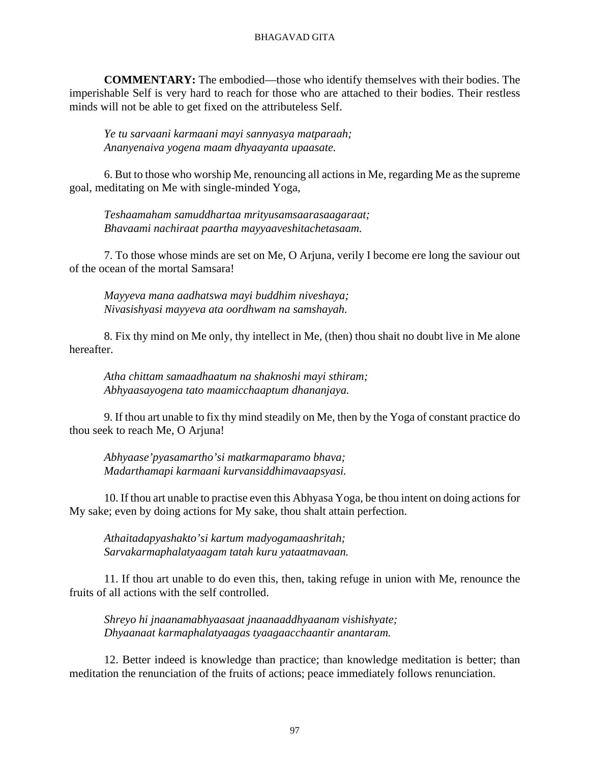**COMMENTARY:** The embodied—those who identify themselves with their bodies. The imperishable Self is very hard to reach for those who are attached to their bodies. Their restless minds will not be able to get fixed on the attributeless Self.

*Ye tu sarvaani karmaani mayi sannyasya matparaah; Ananyenaiva yogena maam dhyaayanta upaasate.*

6. But to those who worship Me, renouncing all actions in Me, regarding Me as the supreme goal, meditating on Me with single-minded Yoga,

*Teshaamaham samuddhartaa mrityusamsaarasaagaraat; Bhavaami nachiraat paartha mayyaaveshitachetasaam.*

7. To those whose minds are set on Me, O Arjuna, verily I become ere long the saviour out of the ocean of the mortal Samsara!

*Mayyeva mana aadhatswa mayi buddhim niveshaya; Nivasishyasi mayyeva ata oordhwam na samshayah.*

8. Fix thy mind on Me only, thy intellect in Me, (then) thou shait no doubt live in Me alone hereafter.

*Atha chittam samaadhaatum na shaknoshi mayi sthiram; Abhyaasayogena tato maamicchaaptum dhananjaya.*

9. If thou art unable to fix thy mind steadily on Me, then by the Yoga of constant practice do thou seek to reach Me, O Arjuna!

*Abhyaase'pyasamartho'si matkarmaparamo bhava; Madarthamapi karmaani kurvansiddhimavaapsyasi.*

10. If thou art unable to practise even this Abhyasa Yoga, be thou intent on doing actions for My sake; even by doing actions for My sake, thou shalt attain perfection.

*Athaitadapyashakto'si kartum madyogamaashritah; Sarvakarmaphalatyaagam tatah kuru yataatmavaan.*

11. If thou art unable to do even this, then, taking refuge in union with Me, renounce the fruits of all actions with the self controlled.

*Shreyo hi jnaanamabhyaasaat jnaanaaddhyaanam vishishyate; Dhyaanaat karmaphalatyaagas tyaagaacchaantir anantaram.*

12. Better indeed is knowledge than practice; than knowledge meditation is better; than meditation the renunciation of the fruits of actions; peace immediately follows renunciation.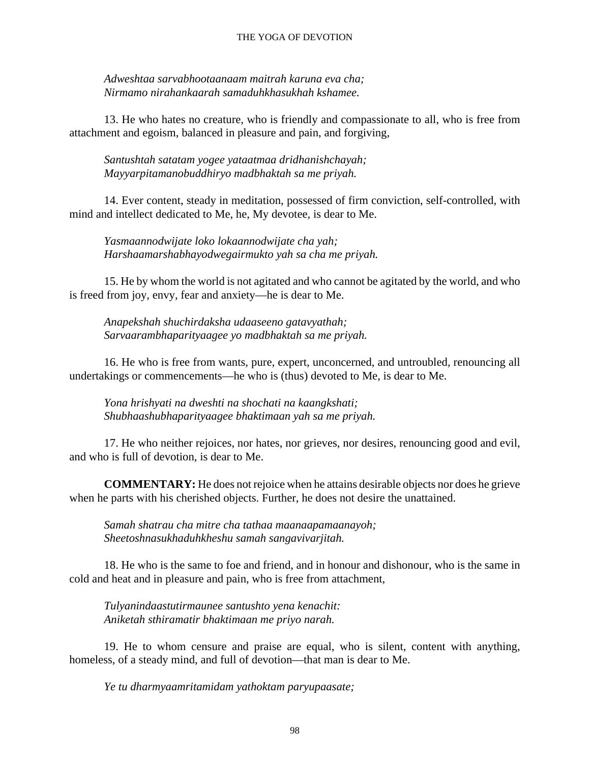### THE YOGA OF DEVOTION

*Adweshtaa sarvabhootaanaam maitrah karuna eva cha; Nirmamo nirahankaarah samaduhkhasukhah kshamee.*

13. He who hates no creature, who is friendly and compassionate to all, who is free from attachment and egoism, balanced in pleasure and pain, and forgiving,

*Santushtah satatam yogee yataatmaa dridhanishchayah; Mayyarpitamanobuddhiryo madbhaktah sa me priyah.*

14. Ever content, steady in meditation, possessed of firm conviction, self-controlled, with mind and intellect dedicated to Me, he, My devotee, is dear to Me.

*Yasmaannodwijate loko lokaannodwijate cha yah; Harshaamarshabhayodwegairmukto yah sa cha me priyah.*

15. He by whom the world is not agitated and who cannot be agitated by the world, and who is freed from joy, envy, fear and anxiety—he is dear to Me.

*Anapekshah shuchirdaksha udaaseeno gatavyathah; Sarvaarambhaparityaagee yo madbhaktah sa me priyah.*

16. He who is free from wants, pure, expert, unconcerned, and untroubled, renouncing all undertakings or commencements—he who is (thus) devoted to Me, is dear to Me.

*Yona hrishyati na dweshti na shochati na kaangkshati; Shubhaashubhaparityaagee bhaktimaan yah sa me priyah.*

17. He who neither rejoices, nor hates, nor grieves, nor desires, renouncing good and evil, and who is full of devotion, is dear to Me.

**COMMENTARY:** He does not rejoice when he attains desirable objects nor does he grieve when he parts with his cherished objects. Further, he does not desire the unattained.

*Samah shatrau cha mitre cha tathaa maanaapamaanayoh; Sheetoshnasukhaduhkheshu samah sangavivarjitah.*

18. He who is the same to foe and friend, and in honour and dishonour, who is the same in cold and heat and in pleasure and pain, who is free from attachment,

*Tulyanindaastutirmaunee santushto yena kenachit: Aniketah sthiramatir bhaktimaan me priyo narah.*

19. He to whom censure and praise are equal, who is silent, content with anything, homeless, of a steady mind, and full of devotion—that man is dear to Me.

*Ye tu dharmyaamritamidam yathoktam paryupaasate;*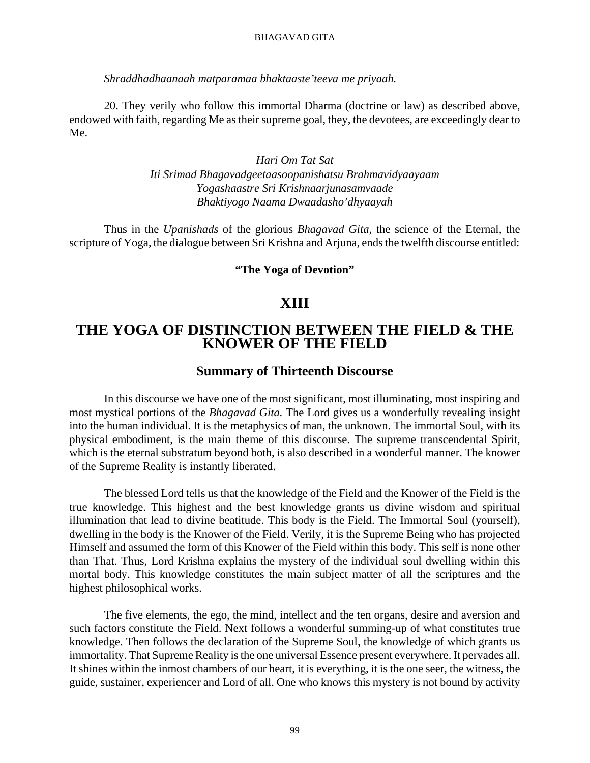*Shraddhadhaanaah matparamaa bhaktaaste'teeva me priyaah.*

20. They verily who follow this immortal Dharma (doctrine or law) as described above, endowed with faith, regarding Me as their supreme goal, they, the devotees, are exceedingly dear to Me.

> *Hari Om Tat Sat Iti Srimad Bhagavadgeetaasoopanishatsu Brahmavidyaayaam Yogashaastre Sri Krishnaarjunasamvaade Bhaktiyogo Naama Dwaadasho'dhyaayah*

Thus in the *Upanishads* of the glorious *Bhagavad Gita,* the science of the Eternal, the scripture of Yoga, the dialogue between Sri Krishna and Arjuna, ends the twelfth discourse entitled:

**"The Yoga of Devotion"**

# **XIII**

# **THE YOGA OF DISTINCTION BETWEEN THE FIELD & THE KNOWER OF THE FIELD**

## **Summary of Thirteenth Discourse**

In this discourse we have one of the most significant, most illuminating, most inspiring and most mystical portions of the *Bhagavad Gita.* The Lord gives us a wonderfully revealing insight into the human individual. It is the metaphysics of man, the unknown. The immortal Soul, with its physical embodiment, is the main theme of this discourse. The supreme transcendental Spirit, which is the eternal substratum beyond both, is also described in a wonderful manner. The knower of the Supreme Reality is instantly liberated.

The blessed Lord tells us that the knowledge of the Field and the Knower of the Field is the true knowledge. This highest and the best knowledge grants us divine wisdom and spiritual illumination that lead to divine beatitude. This body is the Field. The Immortal Soul (yourself), dwelling in the body is the Knower of the Field. Verily, it is the Supreme Being who has projected Himself and assumed the form of this Knower of the Field within this body. This self is none other than That. Thus, Lord Krishna explains the mystery of the individual soul dwelling within this mortal body. This knowledge constitutes the main subject matter of all the scriptures and the highest philosophical works.

The five elements, the ego, the mind, intellect and the ten organs, desire and aversion and such factors constitute the Field. Next follows a wonderful summing-up of what constitutes true knowledge. Then follows the declaration of the Supreme Soul, the knowledge of which grants us immortality. That Supreme Reality is the one universal Essence present everywhere. It pervades all. It shines within the inmost chambers of our heart, it is everything, it is the one seer, the witness, the guide, sustainer, experiencer and Lord of all. One who knows this mystery is not bound by activity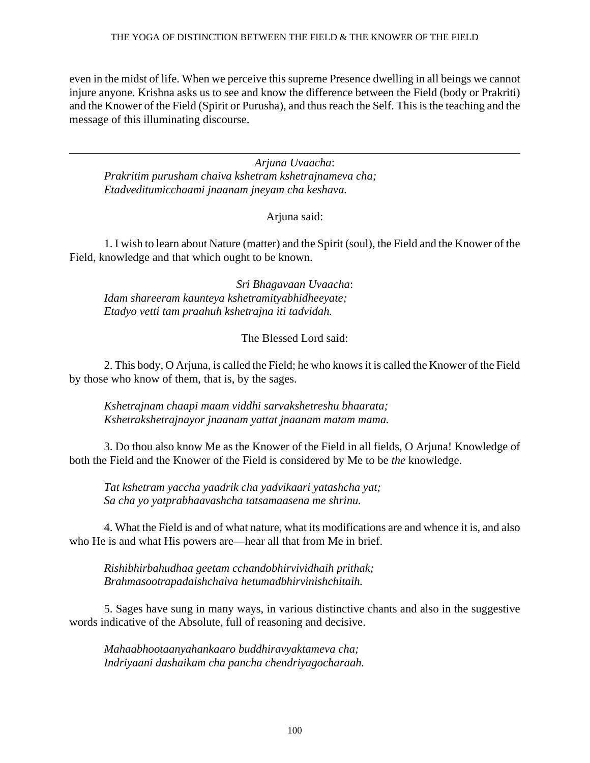even in the midst of life. When we perceive this supreme Presence dwelling in all beings we cannot injure anyone. Krishna asks us to see and know the difference between the Field (body or Prakriti) and the Knower of the Field (Spirit or Purusha), and thus reach the Self. This is the teaching and the message of this illuminating discourse.

*Arjuna Uvaacha*: *Prakritim purusham chaiva kshetram kshetrajnameva cha; Etadveditumicchaami jnaanam jneyam cha keshava.*

Arjuna said:

1. I wish to learn about Nature (matter) and the Spirit (soul), the Field and the Knower of the Field, knowledge and that which ought to be known.

*Sri Bhagavaan Uvaacha*: *Idam shareeram kaunteya kshetramityabhidheeyate; Etadyo vetti tam praahuh kshetrajna iti tadvidah.*

The Blessed Lord said:

2. This body, O Arjuna, is called the Field; he who knows it is called the Knower of the Field by those who know of them, that is, by the sages.

*Kshetrajnam chaapi maam viddhi sarvakshetreshu bhaarata; Kshetrakshetrajnayor jnaanam yattat jnaanam matam mama.*

3. Do thou also know Me as the Knower of the Field in all fields, O Arjuna! Knowledge of both the Field and the Knower of the Field is considered by Me to be *the* knowledge.

*Tat kshetram yaccha yaadrik cha yadvikaari yatashcha yat; Sa cha yo yatprabhaavashcha tatsamaasena me shrinu.*

4. What the Field is and of what nature, what its modifications are and whence it is, and also who He is and what His powers are—hear all that from Me in brief.

*Rishibhirbahudhaa geetam cchandobhirvividhaih prithak; Brahmasootrapadaishchaiva hetumadbhirvinishchitaih.*

5. Sages have sung in many ways, in various distinctive chants and also in the suggestive words indicative of the Absolute, full of reasoning and decisive.

*Mahaabhootaanyahankaaro buddhiravyaktameva cha; Indriyaani dashaikam cha pancha chendriyagocharaah.*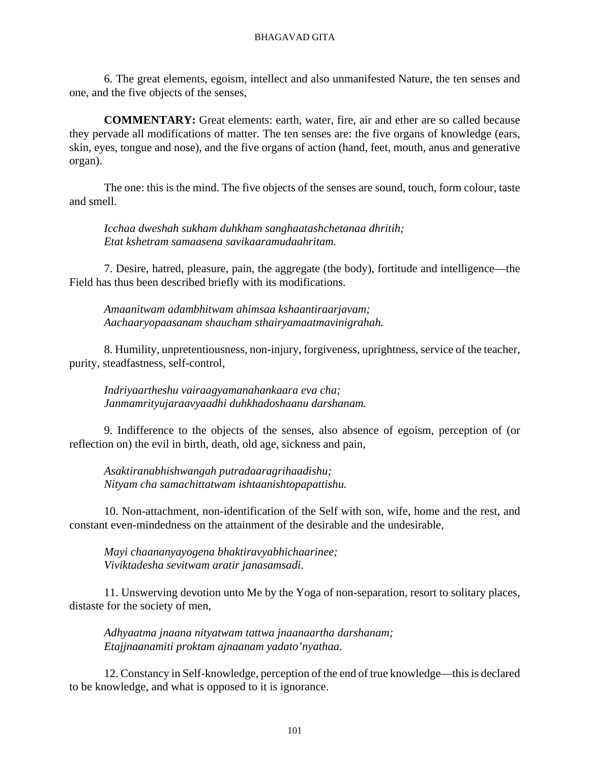6. The great elements, egoism, intellect and also unmanifested Nature, the ten senses and one, and the five objects of the senses,

**COMMENTARY:** Great elements: earth, water, fire, air and ether are so called because they pervade all modifications of matter. The ten senses are: the five organs of knowledge (ears, skin, eyes, tongue and nose), and the five organs of action (hand, feet, mouth, anus and generative organ).

The one: this is the mind. The five objects of the senses are sound, touch, form colour, taste and smell.

*Icchaa dweshah sukham duhkham sanghaatashchetanaa dhritih; Etat kshetram samaasena savikaaramudaahritam.*

7. Desire, hatred, pleasure, pain, the aggregate (the body), fortitude and intelligence—the Field has thus been described briefly with its modifications.

*Amaanitwam adambhitwam ahimsaa kshaantiraarjavam; Aachaaryopaasanam shaucham sthairyamaatmavinigrahah.*

8. Humility, unpretentiousness, non-injury, forgiveness, uprightness, service of the teacher, purity, steadfastness, self-control,

*Indriyaartheshu vairaagyamanahankaara eva cha; Janmamrityujaraavyaadhi duhkhadoshaanu darshanam.*

9. Indifference to the objects of the senses, also absence of egoism, perception of (or reflection on) the evil in birth, death, old age, sickness and pain,

*Asaktiranabhishwangah putradaaragrihaadishu; Nityam cha samachittatwam ishtaanishtopapattishu.*

10. Non-attachment, non-identification of the Self with son, wife, home and the rest, and constant even-mindedness on the attainment of the desirable and the undesirable,

*Mayi chaananyayogena bhaktiravyabhichaarinee; Viviktadesha sevitwam aratir janasamsadi.*

11. Unswerving devotion unto Me by the Yoga of non-separation, resort to solitary places, distaste for the society of men,

*Adhyaatma jnaana nityatwam tattwa jnaanaartha darshanam; Etajjnaanamiti proktam ajnaanam yadato'nyathaa.*

12. Constancy in Self-knowledge, perception of the end of true knowledge—this is declared to be knowledge, and what is opposed to it is ignorance.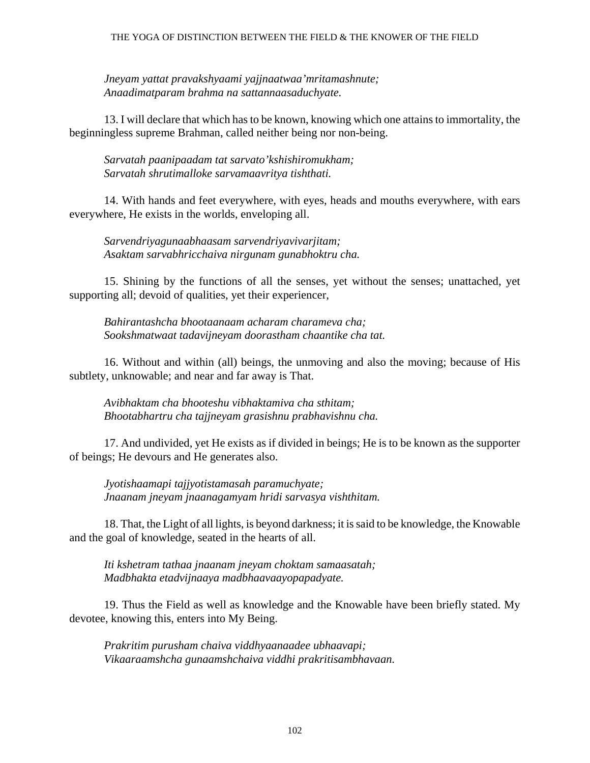*Jneyam yattat pravakshyaami yajjnaatwaa'mritamashnute; Anaadimatparam brahma na sattannaasaduchyate.*

13. I will declare that which has to be known, knowing which one attains to immortality, the beginningless supreme Brahman, called neither being nor non-being.

*Sarvatah paanipaadam tat sarvato'kshishiromukham; Sarvatah shrutimalloke sarvamaavritya tishthati.*

14. With hands and feet everywhere, with eyes, heads and mouths everywhere, with ears everywhere, He exists in the worlds, enveloping all.

*Sarvendriyagunaabhaasam sarvendriyavivarjitam; Asaktam sarvabhricchaiva nirgunam gunabhoktru cha.*

15. Shining by the functions of all the senses, yet without the senses; unattached, yet supporting all; devoid of qualities, yet their experiencer,

*Bahirantashcha bhootaanaam acharam charameva cha; Sookshmatwaat tadavijneyam doorastham chaantike cha tat.*

16. Without and within (all) beings, the unmoving and also the moving; because of His subtlety, unknowable; and near and far away is That.

*Avibhaktam cha bhooteshu vibhaktamiva cha sthitam; Bhootabhartru cha tajjneyam grasishnu prabhavishnu cha.*

17. And undivided, yet He exists as if divided in beings; He is to be known as the supporter of beings; He devours and He generates also.

*Jyotishaamapi tajjyotistamasah paramuchyate; Jnaanam jneyam jnaanagamyam hridi sarvasya vishthitam.*

18. That, the Light of all lights, is beyond darkness; it is said to be knowledge, the Knowable and the goal of knowledge, seated in the hearts of all.

*Iti kshetram tathaa jnaanam jneyam choktam samaasatah; Madbhakta etadvijnaaya madbhaavaayopapadyate.*

19. Thus the Field as well as knowledge and the Knowable have been briefly stated. My devotee, knowing this, enters into My Being.

*Prakritim purusham chaiva viddhyaanaadee ubhaavapi; Vikaaraamshcha gunaamshchaiva viddhi prakritisambhavaan.*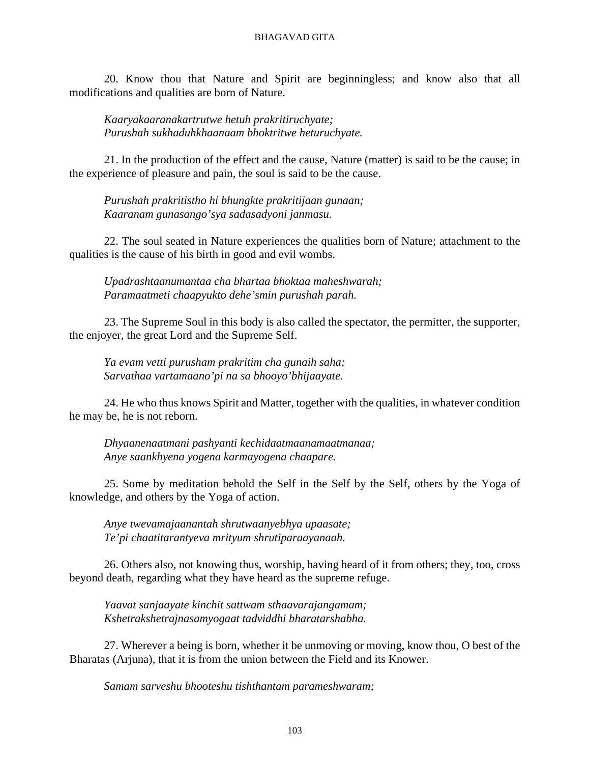20. Know thou that Nature and Spirit are beginningless; and know also that all modifications and qualities are born of Nature.

*Kaaryakaaranakartrutwe hetuh prakritiruchyate; Purushah sukhaduhkhaanaam bhoktritwe heturuchyate.*

21. In the production of the effect and the cause, Nature (matter) is said to be the cause; in the experience of pleasure and pain, the soul is said to be the cause.

*Purushah prakritistho hi bhungkte prakritijaan gunaan; Kaaranam gunasango'sya sadasadyoni janmasu.*

22. The soul seated in Nature experiences the qualities born of Nature; attachment to the qualities is the cause of his birth in good and evil wombs.

*Upadrashtaanumantaa cha bhartaa bhoktaa maheshwarah; Paramaatmeti chaapyukto dehe'smin purushah parah.*

23. The Supreme Soul in this body is also called the spectator, the permitter, the supporter, the enjoyer, the great Lord and the Supreme Self.

*Ya evam vetti purusham prakritim cha gunaih saha; Sarvathaa vartamaano'pi na sa bhooyo'bhijaayate.*

24. He who thus knows Spirit and Matter, together with the qualities, in whatever condition he may be, he is not reborn.

*Dhyaanenaatmani pashyanti kechidaatmaanamaatmanaa; Anye saankhyena yogena karmayogena chaapare.*

25. Some by meditation behold the Self in the Self by the Self, others by the Yoga of knowledge, and others by the Yoga of action.

*Anye twevamajaanantah shrutwaanyebhya upaasate; Te'pi chaatitarantyeva mrityum shrutiparaayanaah.*

26. Others also, not knowing thus, worship, having heard of it from others; they, too, cross beyond death, regarding what they have heard as the supreme refuge.

*Yaavat sanjaayate kinchit sattwam sthaavarajangamam; Kshetrakshetrajnasamyogaat tadviddhi bharatarshabha.*

27. Wherever a being is born, whether it be unmoving or moving, know thou, O best of the Bharatas (Arjuna), that it is from the union between the Field and its Knower.

*Samam sarveshu bhooteshu tishthantam parameshwaram;*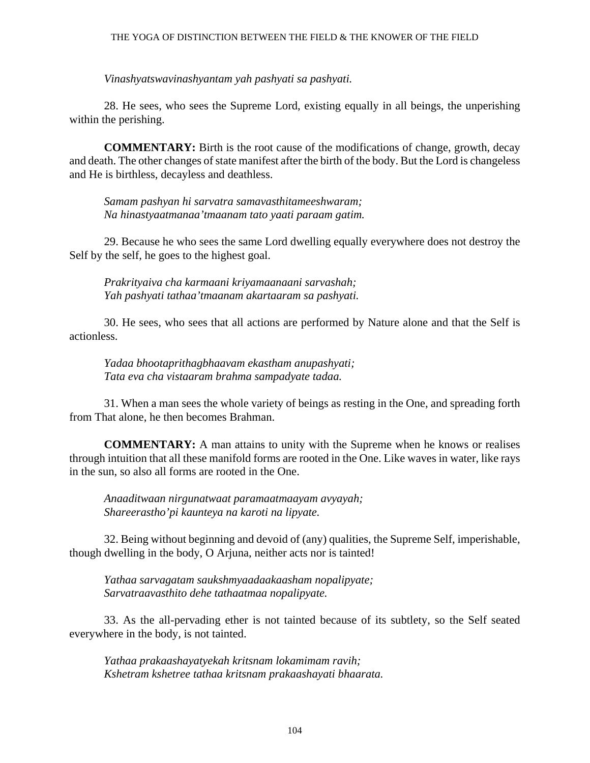### THE YOGA OF DISTINCTION BETWEEN THE FIELD & THE KNOWER OF THE FIELD

*Vinashyatswavinashyantam yah pashyati sa pashyati.*

28. He sees, who sees the Supreme Lord, existing equally in all beings, the unperishing within the perishing.

**COMMENTARY:** Birth is the root cause of the modifications of change, growth, decay and death. The other changes of state manifest after the birth of the body. But the Lord is changeless and He is birthless, decayless and deathless.

*Samam pashyan hi sarvatra samavasthitameeshwaram; Na hinastyaatmanaa'tmaanam tato yaati paraam gatim.*

29. Because he who sees the same Lord dwelling equally everywhere does not destroy the Self by the self, he goes to the highest goal.

*Prakrityaiva cha karmaani kriyamaanaani sarvashah; Yah pashyati tathaa'tmaanam akartaaram sa pashyati.*

30. He sees, who sees that all actions are performed by Nature alone and that the Self is actionless.

*Yadaa bhootaprithagbhaavam ekastham anupashyati; Tata eva cha vistaaram brahma sampadyate tadaa.*

31. When a man sees the whole variety of beings as resting in the One, and spreading forth from That alone, he then becomes Brahman.

**COMMENTARY:** A man attains to unity with the Supreme when he knows or realises through intuition that all these manifold forms are rooted in the One. Like waves in water, like rays in the sun, so also all forms are rooted in the One.

*Anaaditwaan nirgunatwaat paramaatmaayam avyayah; Shareerastho'pi kaunteya na karoti na lipyate.*

32. Being without beginning and devoid of (any) qualities, the Supreme Self, imperishable, though dwelling in the body, O Arjuna, neither acts nor is tainted!

*Yathaa sarvagatam saukshmyaadaakaasham nopalipyate; Sarvatraavasthito dehe tathaatmaa nopalipyate.*

33. As the all-pervading ether is not tainted because of its subtlety, so the Self seated everywhere in the body, is not tainted.

*Yathaa prakaashayatyekah kritsnam lokamimam ravih; Kshetram kshetree tathaa kritsnam prakaashayati bhaarata.*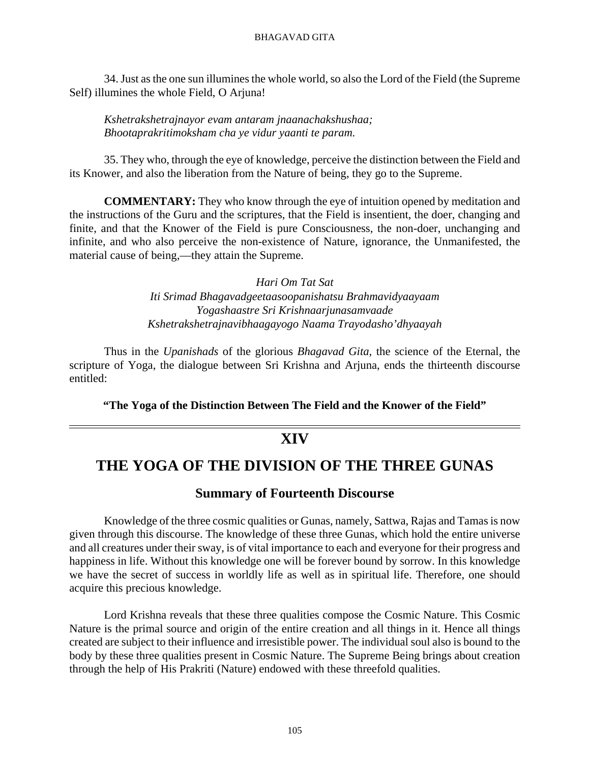34. Just as the one sun illumines the whole world, so also the Lord of the Field (the Supreme Self) illumines the whole Field, O Arjuna!

*Kshetrakshetrajnayor evam antaram jnaanachakshushaa; Bhootaprakritimoksham cha ye vidur yaanti te param.*

35. They who, through the eye of knowledge, perceive the distinction between the Field and its Knower, and also the liberation from the Nature of being, they go to the Supreme.

**COMMENTARY:** They who know through the eye of intuition opened by meditation and the instructions of the Guru and the scriptures, that the Field is insentient, the doer, changing and finite, and that the Knower of the Field is pure Consciousness, the non-doer, unchanging and infinite, and who also perceive the non-existence of Nature, ignorance, the Unmanifested, the material cause of being,—they attain the Supreme.

> *Hari Om Tat Sat Iti Srimad Bhagavadgeetaasoopanishatsu Brahmavidyaayaam Yogashaastre Sri Krishnaarjunasamvaade Kshetrakshetrajnavibhaagayogo Naama Trayodasho'dhyaayah*

Thus in the *Upanishads* of the glorious *Bhagavad Gita,* the science of the Eternal, the scripture of Yoga, the dialogue between Sri Krishna and Arjuna, ends the thirteenth discourse entitled:

**"The Yoga of the Distinction Between The Field and the Knower of the Field"**

# **XIV**

# **THE YOGA OF THE DIVISION OF THE THREE GUNAS**

## **Summary of Fourteenth Discourse**

Knowledge of the three cosmic qualities or Gunas, namely, Sattwa, Rajas and Tamas is now given through this discourse. The knowledge of these three Gunas, which hold the entire universe and all creatures under their sway, is of vital importance to each and everyone for their progress and happiness in life. Without this knowledge one will be forever bound by sorrow. In this knowledge we have the secret of success in worldly life as well as in spiritual life. Therefore, one should acquire this precious knowledge.

Lord Krishna reveals that these three qualities compose the Cosmic Nature. This Cosmic Nature is the primal source and origin of the entire creation and all things in it. Hence all things created are subject to their influence and irresistible power. The individual soul also is bound to the body by these three qualities present in Cosmic Nature. The Supreme Being brings about creation through the help of His Prakriti (Nature) endowed with these threefold qualities.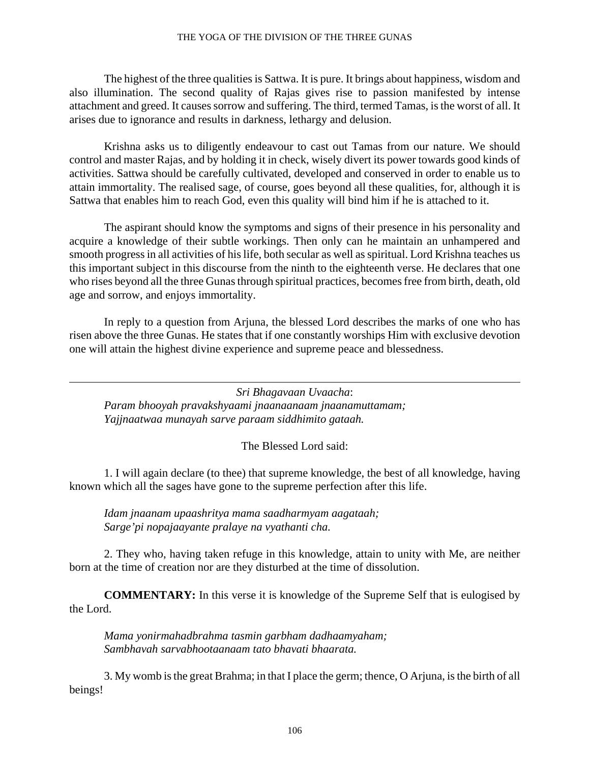### THE YOGA OF THE DIVISION OF THE THREE GUNAS

The highest of the three qualities is Sattwa. It is pure. It brings about happiness, wisdom and also illumination. The second quality of Rajas gives rise to passion manifested by intense attachment and greed. It causes sorrow and suffering. The third, termed Tamas, is the worst of all. It arises due to ignorance and results in darkness, lethargy and delusion.

Krishna asks us to diligently endeavour to cast out Tamas from our nature. We should control and master Rajas, and by holding it in check, wisely divert its power towards good kinds of activities. Sattwa should be carefully cultivated, developed and conserved in order to enable us to attain immortality. The realised sage, of course, goes beyond all these qualities, for, although it is Sattwa that enables him to reach God, even this quality will bind him if he is attached to it.

The aspirant should know the symptoms and signs of their presence in his personality and acquire a knowledge of their subtle workings. Then only can he maintain an unhampered and smooth progress in all activities of his life, both secular as well as spiritual. Lord Krishna teaches us this important subject in this discourse from the ninth to the eighteenth verse. He declares that one who rises beyond all the three Gunas through spiritual practices, becomes free from birth, death, old age and sorrow, and enjoys immortality.

In reply to a question from Arjuna, the blessed Lord describes the marks of one who has risen above the three Gunas. He states that if one constantly worships Him with exclusive devotion one will attain the highest divine experience and supreme peace and blessedness.

*Sri Bhagavaan Uvaacha*: *Param bhooyah pravakshyaami jnaanaanaam jnaanamuttamam; Yajjnaatwaa munayah sarve paraam siddhimito gataah.*

## The Blessed Lord said:

1. I will again declare (to thee) that supreme knowledge, the best of all knowledge, having known which all the sages have gone to the supreme perfection after this life.

*Idam jnaanam upaashritya mama saadharmyam aagataah; Sarge'pi nopajaayante pralaye na vyathanti cha.*

2. They who, having taken refuge in this knowledge, attain to unity with Me, are neither born at the time of creation nor are they disturbed at the time of dissolution.

**COMMENTARY:** In this verse it is knowledge of the Supreme Self that is eulogised by the Lord.

*Mama yonirmahadbrahma tasmin garbham dadhaamyaham; Sambhavah sarvabhootaanaam tato bhavati bhaarata.*

3. My womb is the great Brahma; in that I place the germ; thence, O Arjuna, is the birth of all beings!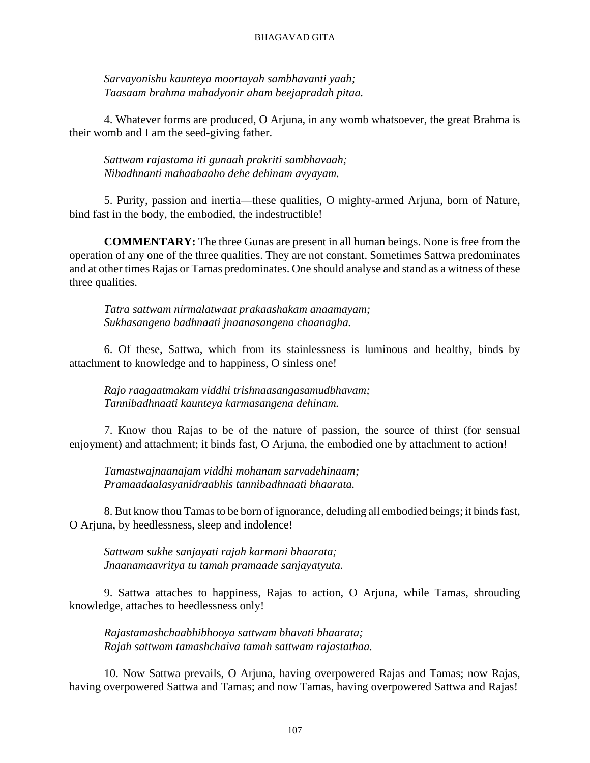*Sarvayonishu kaunteya moortayah sambhavanti yaah; Taasaam brahma mahadyonir aham beejapradah pitaa.*

4. Whatever forms are produced, O Arjuna, in any womb whatsoever, the great Brahma is their womb and I am the seed-giving father.

*Sattwam rajastama iti gunaah prakriti sambhavaah; Nibadhnanti mahaabaaho dehe dehinam avyayam.*

5. Purity, passion and inertia—these qualities, O mighty-armed Arjuna, born of Nature, bind fast in the body, the embodied, the indestructible!

**COMMENTARY:** The three Gunas are present in all human beings. None is free from the operation of any one of the three qualities. They are not constant. Sometimes Sattwa predominates and at other times Rajas or Tamas predominates. One should analyse and stand as a witness of these three qualities.

*Tatra sattwam nirmalatwaat prakaashakam anaamayam; Sukhasangena badhnaati jnaanasangena chaanagha.*

6. Of these, Sattwa, which from its stainlessness is luminous and healthy, binds by attachment to knowledge and to happiness, O sinless one!

*Rajo raagaatmakam viddhi trishnaasangasamudbhavam; Tannibadhnaati kaunteya karmasangena dehinam.*

7. Know thou Rajas to be of the nature of passion, the source of thirst (for sensual enjoyment) and attachment; it binds fast, O Arjuna, the embodied one by attachment to action!

*Tamastwajnaanajam viddhi mohanam sarvadehinaam; Pramaadaalasyanidraabhis tannibadhnaati bhaarata.*

8. But know thou Tamas to be born of ignorance, deluding all embodied beings; it binds fast, O Arjuna, by heedlessness, sleep and indolence!

*Sattwam sukhe sanjayati rajah karmani bhaarata; Jnaanamaavritya tu tamah pramaade sanjayatyuta.*

9. Sattwa attaches to happiness, Rajas to action, O Arjuna, while Tamas, shrouding knowledge, attaches to heedlessness only!

*Rajastamashchaabhibhooya sattwam bhavati bhaarata; Rajah sattwam tamashchaiva tamah sattwam rajastathaa.*

10. Now Sattwa prevails, O Arjuna, having overpowered Rajas and Tamas; now Rajas, having overpowered Sattwa and Tamas; and now Tamas, having overpowered Sattwa and Rajas!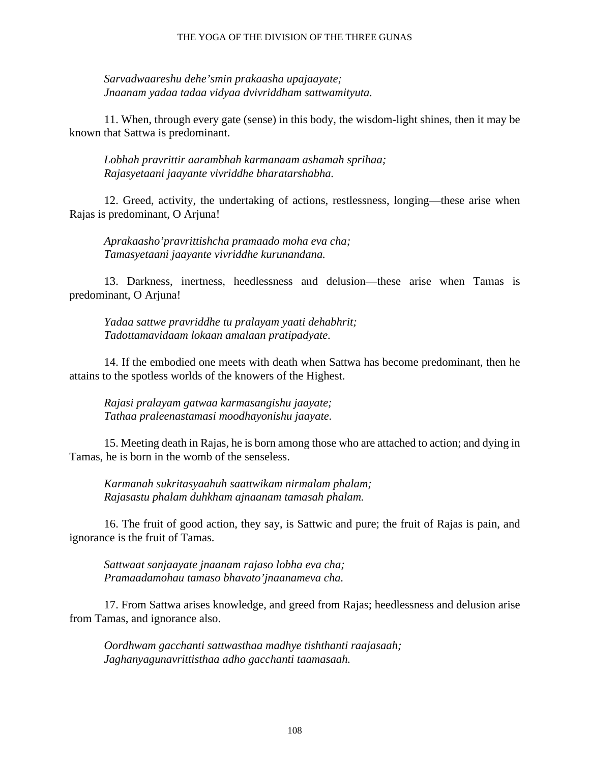#### THE YOGA OF THE DIVISION OF THE THREE GUNAS

*Sarvadwaareshu dehe'smin prakaasha upajaayate; Jnaanam yadaa tadaa vidyaa dvivriddham sattwamityuta.*

11. When, through every gate (sense) in this body, the wisdom-light shines, then it may be known that Sattwa is predominant.

*Lobhah pravrittir aarambhah karmanaam ashamah sprihaa; Rajasyetaani jaayante vivriddhe bharatarshabha.*

12. Greed, activity, the undertaking of actions, restlessness, longing—these arise when Rajas is predominant, O Arjuna!

*Aprakaasho'pravrittishcha pramaado moha eva cha; Tamasyetaani jaayante vivriddhe kurunandana.*

13. Darkness, inertness, heedlessness and delusion—these arise when Tamas is predominant, O Arjuna!

*Yadaa sattwe pravriddhe tu pralayam yaati dehabhrit; Tadottamavidaam lokaan amalaan pratipadyate.*

14. If the embodied one meets with death when Sattwa has become predominant, then he attains to the spotless worlds of the knowers of the Highest.

*Rajasi pralayam gatwaa karmasangishu jaayate; Tathaa praleenastamasi moodhayonishu jaayate.*

15. Meeting death in Rajas, he is born among those who are attached to action; and dying in Tamas, he is born in the womb of the senseless.

*Karmanah sukritasyaahuh saattwikam nirmalam phalam; Rajasastu phalam duhkham ajnaanam tamasah phalam.*

16. The fruit of good action, they say, is Sattwic and pure; the fruit of Rajas is pain, and ignorance is the fruit of Tamas.

*Sattwaat sanjaayate jnaanam rajaso lobha eva cha; Pramaadamohau tamaso bhavato'jnaanameva cha.*

17. From Sattwa arises knowledge, and greed from Rajas; heedlessness and delusion arise from Tamas, and ignorance also.

*Oordhwam gacchanti sattwasthaa madhye tishthanti raajasaah; Jaghanyagunavrittisthaa adho gacchanti taamasaah.*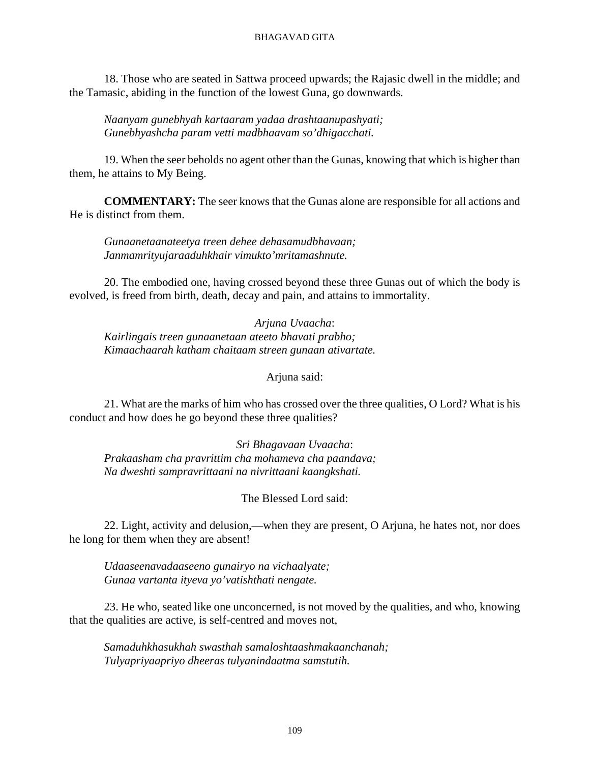18. Those who are seated in Sattwa proceed upwards; the Rajasic dwell in the middle; and the Tamasic, abiding in the function of the lowest Guna, go downwards.

*Naanyam gunebhyah kartaaram yadaa drashtaanupashyati; Gunebhyashcha param vetti madbhaavam so'dhigacchati.*

19. When the seer beholds no agent other than the Gunas, knowing that which is higher than them, he attains to My Being.

**COMMENTARY:** The seer knows that the Gunas alone are responsible for all actions and He is distinct from them.

*Gunaanetaanateetya treen dehee dehasamudbhavaan; Janmamrityujaraaduhkhair vimukto'mritamashnute.*

20. The embodied one, having crossed beyond these three Gunas out of which the body is evolved, is freed from birth, death, decay and pain, and attains to immortality.

*Arjuna Uvaacha*: *Kairlingais treen gunaanetaan ateeto bhavati prabho; Kimaachaarah katham chaitaam streen gunaan ativartate.*

Arjuna said:

21. What are the marks of him who has crossed over the three qualities, O Lord? What is his conduct and how does he go beyond these three qualities?

*Sri Bhagavaan Uvaacha*: *Prakaasham cha pravrittim cha mohameva cha paandava; Na dweshti sampravrittaani na nivrittaani kaangkshati.*

### The Blessed Lord said:

22. Light, activity and delusion,—when they are present, O Arjuna, he hates not, nor does he long for them when they are absent!

*Udaaseenavadaaseeno gunairyo na vichaalyate; Gunaa vartanta ityeva yo'vatishthati nengate.*

23. He who, seated like one unconcerned, is not moved by the qualities, and who, knowing that the qualities are active, is self-centred and moves not,

*Samaduhkhasukhah swasthah samaloshtaashmakaanchanah; Tulyapriyaapriyo dheeras tulyanindaatma samstutih.*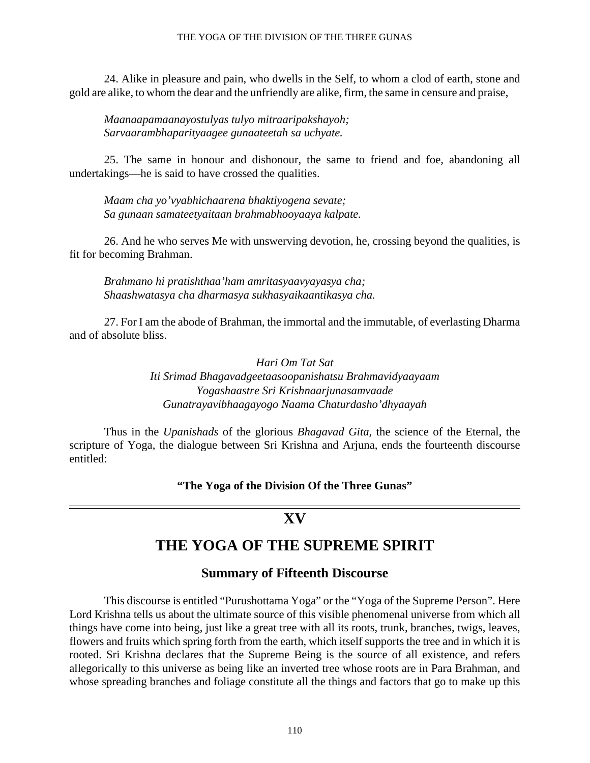#### THE YOGA OF THE DIVISION OF THE THREE GUNAS

24. Alike in pleasure and pain, who dwells in the Self, to whom a clod of earth, stone and gold are alike, to whom the dear and the unfriendly are alike, firm, the same in censure and praise,

*Maanaapamaanayostulyas tulyo mitraaripakshayoh; Sarvaarambhaparityaagee gunaateetah sa uchyate.*

25. The same in honour and dishonour, the same to friend and foe, abandoning all undertakings—he is said to have crossed the qualities.

*Maam cha yo'vyabhichaarena bhaktiyogena sevate; Sa gunaan samateetyaitaan brahmabhooyaaya kalpate.*

26. And he who serves Me with unswerving devotion, he, crossing beyond the qualities, is fit for becoming Brahman.

*Brahmano hi pratishthaa'ham amritasyaavyayasya cha; Shaashwatasya cha dharmasya sukhasyaikaantikasya cha.*

27. For I am the abode of Brahman, the immortal and the immutable, of everlasting Dharma and of absolute bliss.

> *Hari Om Tat Sat Iti Srimad Bhagavadgeetaasoopanishatsu Brahmavidyaayaam Yogashaastre Sri Krishnaarjunasamvaade Gunatrayavibhaagayogo Naama Chaturdasho'dhyaayah*

Thus in the *Upanishads* of the glorious *Bhagavad Gita,* the science of the Eternal, the scripture of Yoga, the dialogue between Sri Krishna and Arjuna, ends the fourteenth discourse entitled:

**"The Yoga of the Division Of the Three Gunas"**

## **XV**

# **THE YOGA OF THE SUPREME SPIRIT**

## **Summary of Fifteenth Discourse**

This discourse is entitled "Purushottama Yoga" or the "Yoga of the Supreme Person". Here Lord Krishna tells us about the ultimate source of this visible phenomenal universe from which all things have come into being, just like a great tree with all its roots, trunk, branches, twigs, leaves, flowers and fruits which spring forth from the earth, which itself supports the tree and in which it is rooted. Sri Krishna declares that the Supreme Being is the source of all existence, and refers allegorically to this universe as being like an inverted tree whose roots are in Para Brahman, and whose spreading branches and foliage constitute all the things and factors that go to make up this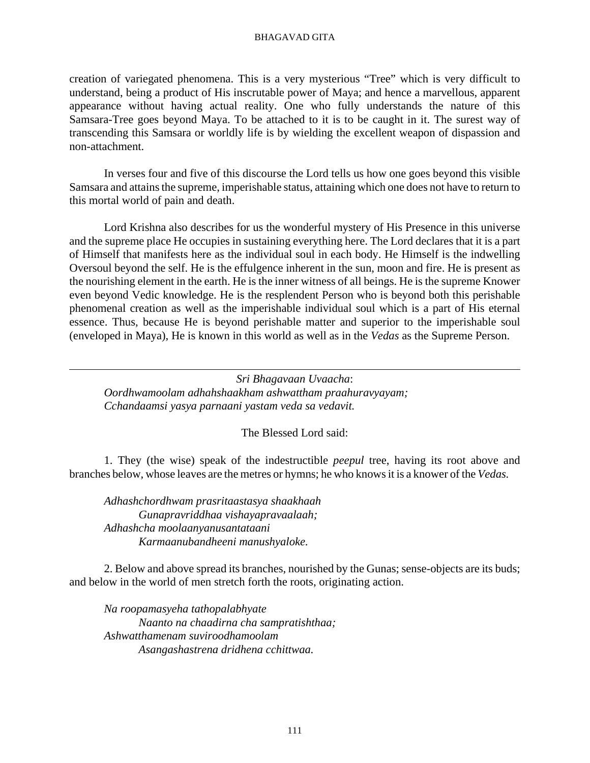creation of variegated phenomena. This is a very mysterious "Tree" which is very difficult to understand, being a product of His inscrutable power of Maya; and hence a marvellous, apparent appearance without having actual reality. One who fully understands the nature of this Samsara-Tree goes beyond Maya. To be attached to it is to be caught in it. The surest way of transcending this Samsara or worldly life is by wielding the excellent weapon of dispassion and non-attachment.

In verses four and five of this discourse the Lord tells us how one goes beyond this visible Samsara and attains the supreme, imperishable status, attaining which one does not have to return to this mortal world of pain and death.

Lord Krishna also describes for us the wonderful mystery of His Presence in this universe and the supreme place He occupies in sustaining everything here. The Lord declares that it is a part of Himself that manifests here as the individual soul in each body. He Himself is the indwelling Oversoul beyond the self. He is the effulgence inherent in the sun, moon and fire. He is present as the nourishing element in the earth. He is the inner witness of all beings. He is the supreme Knower even beyond Vedic knowledge. He is the resplendent Person who is beyond both this perishable phenomenal creation as well as the imperishable individual soul which is a part of His eternal essence. Thus, because He is beyond perishable matter and superior to the imperishable soul (enveloped in Maya), He is known in this world as well as in the *Vedas* as the Supreme Person.

*Sri Bhagavaan Uvaacha*: *Oordhwamoolam adhahshaakham ashwattham praahuravyayam; Cchandaamsi yasya parnaani yastam veda sa vedavit.*

The Blessed Lord said:

1. They (the wise) speak of the indestructible *peepul* tree, having its root above and branches below, whose leaves are the metres or hymns; he who knows it is a knower of the *Vedas.*

*Adhashchordhwam prasritaastasya shaakhaah Gunapravriddhaa vishayapravaalaah; Adhashcha moolaanyanusantataani Karmaanubandheeni manushyaloke.*

2. Below and above spread its branches, nourished by the Gunas; sense-objects are its buds; and below in the world of men stretch forth the roots, originating action.

*Na roopamasyeha tathopalabhyate Naanto na chaadirna cha sampratishthaa; Ashwatthamenam suviroodhamoolam Asangashastrena dridhena cchittwaa.*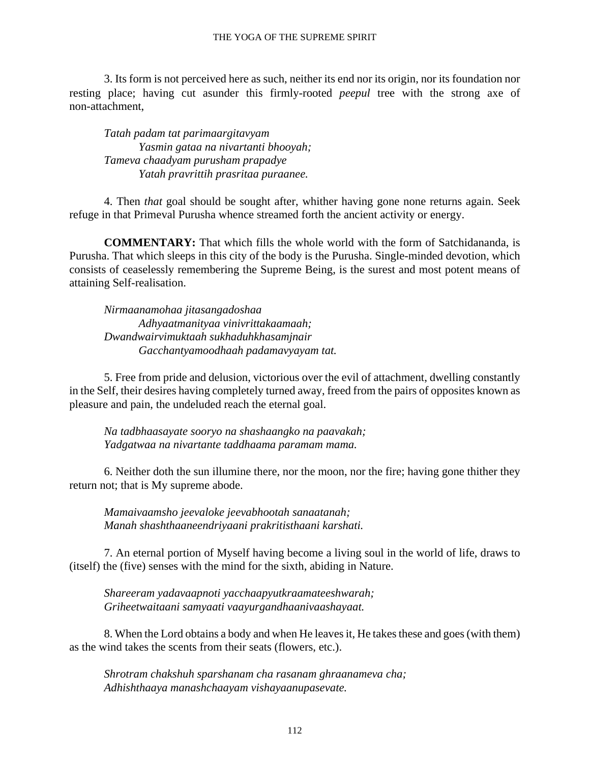3. Its form is not perceived here as such, neither its end nor its origin, nor its foundation nor resting place; having cut asunder this firmly-rooted *peepul* tree with the strong axe of non-attachment,

*Tatah padam tat parimaargitavyam Yasmin gataa na nivartanti bhooyah; Tameva chaadyam purusham prapadye Yatah pravrittih prasritaa puraanee.*

4. Then *that* goal should be sought after, whither having gone none returns again. Seek refuge in that Primeval Purusha whence streamed forth the ancient activity or energy.

**COMMENTARY:** That which fills the whole world with the form of Satchidananda, is Purusha. That which sleeps in this city of the body is the Purusha. Single-minded devotion, which consists of ceaselessly remembering the Supreme Being, is the surest and most potent means of attaining Self-realisation.

*Nirmaanamohaa jitasangadoshaa Adhyaatmanityaa vinivrittakaamaah; Dwandwairvimuktaah sukhaduhkhasamjnair Gacchantyamoodhaah padamavyayam tat.*

5. Free from pride and delusion, victorious over the evil of attachment, dwelling constantly in the Self, their desires having completely turned away, freed from the pairs of opposites known as pleasure and pain, the undeluded reach the eternal goal.

*Na tadbhaasayate sooryo na shashaangko na paavakah; Yadgatwaa na nivartante taddhaama paramam mama.*

6. Neither doth the sun illumine there, nor the moon, nor the fire; having gone thither they return not; that is My supreme abode.

*Mamaivaamsho jeevaloke jeevabhootah sanaatanah; Manah shashthaaneendriyaani prakritisthaani karshati.*

7. An eternal portion of Myself having become a living soul in the world of life, draws to (itself) the (five) senses with the mind for the sixth, abiding in Nature.

*Shareeram yadavaapnoti yacchaapyutkraamateeshwarah; Griheetwaitaani samyaati vaayurgandhaanivaashayaat.*

8. When the Lord obtains a body and when He leaves it, He takes these and goes (with them) as the wind takes the scents from their seats (flowers, etc.).

*Shrotram chakshuh sparshanam cha rasanam ghraanameva cha; Adhishthaaya manashchaayam vishayaanupasevate.*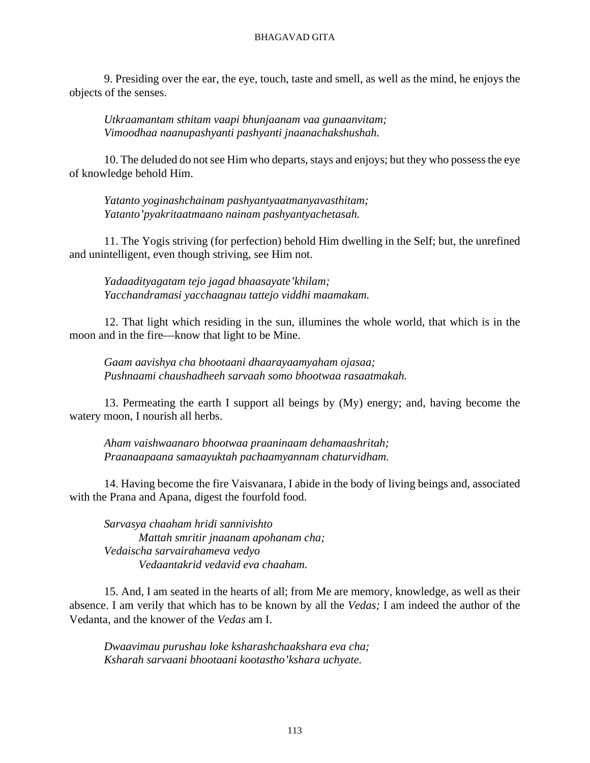9. Presiding over the ear, the eye, touch, taste and smell, as well as the mind, he enjoys the objects of the senses.

*Utkraamantam sthitam vaapi bhunjaanam vaa gunaanvitam; Vimoodhaa naanupashyanti pashyanti jnaanachakshushah.*

10. The deluded do not see Him who departs, stays and enjoys; but they who possess the eye of knowledge behold Him.

*Yatanto yoginashchainam pashyantyaatmanyavasthitam; Yatanto'pyakritaatmaano nainam pashyantyachetasah.*

11. The Yogis striving (for perfection) behold Him dwelling in the Self; but, the unrefined and unintelligent, even though striving, see Him not.

*Yadaadityagatam tejo jagad bhaasayate'khilam; Yacchandramasi yacchaagnau tattejo viddhi maamakam.*

12. That light which residing in the sun, illumines the whole world, that which is in the moon and in the fire—know that light to be Mine.

*Gaam aavishya cha bhootaani dhaarayaamyaham ojasaa; Pushnaami chaushadheeh sarvaah somo bhootwaa rasaatmakah.*

13. Permeating the earth I support all beings by (My) energy; and, having become the watery moon, I nourish all herbs.

*Aham vaishwaanaro bhootwaa praaninaam dehamaashritah; Praanaapaana samaayuktah pachaamyannam chaturvidham.*

14. Having become the fire Vaisvanara, I abide in the body of living beings and, associated with the Prana and Apana, digest the fourfold food.

*Sarvasya chaaham hridi sannivishto Mattah smritir jnaanam apohanam cha; Vedaischa sarvairahameva vedyo Vedaantakrid vedavid eva chaaham.*

15. And, I am seated in the hearts of all; from Me are memory, knowledge, as well as their absence. I am verily that which has to be known by all the *Vedas;* I am indeed the author of the Vedanta, and the knower of the *Vedas* am I.

*Dwaavimau purushau loke ksharashchaakshara eva cha; Ksharah sarvaani bhootaani kootastho'kshara uchyate.*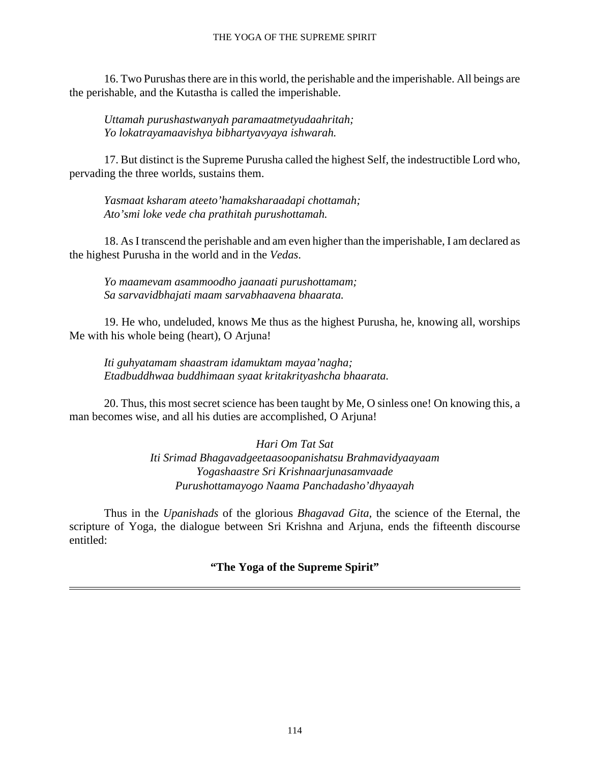#### THE YOGA OF THE SUPREME SPIRIT

16. Two Purushas there are in this world, the perishable and the imperishable. All beings are the perishable, and the Kutastha is called the imperishable.

*Uttamah purushastwanyah paramaatmetyudaahritah; Yo lokatrayamaavishya bibhartyavyaya ishwarah.*

17. But distinct is the Supreme Purusha called the highest Self, the indestructible Lord who, pervading the three worlds, sustains them.

*Yasmaat ksharam ateeto'hamaksharaadapi chottamah; Ato'smi loke vede cha prathitah purushottamah.*

18. As I transcend the perishable and am even higher than the imperishable, I am declared as the highest Purusha in the world and in the *Vedas*.

*Yo maamevam asammoodho jaanaati purushottamam; Sa sarvavidbhajati maam sarvabhaavena bhaarata.*

19. He who, undeluded, knows Me thus as the highest Purusha, he, knowing all, worships Me with his whole being (heart), O Arjuna!

*Iti guhyatamam shaastram idamuktam mayaa'nagha; Etadbuddhwaa buddhimaan syaat kritakrityashcha bhaarata.*

20. Thus, this most secret science has been taught by Me, O sinless one! On knowing this, a man becomes wise, and all his duties are accomplished, O Arjuna!

> *Hari Om Tat Sat Iti Srimad Bhagavadgeetaasoopanishatsu Brahmavidyaayaam Yogashaastre Sri Krishnaarjunasamvaade Purushottamayogo Naama Panchadasho'dhyaayah*

Thus in the *Upanishads* of the glorious *Bhagavad Gita,* the science of the Eternal, the scripture of Yoga, the dialogue between Sri Krishna and Arjuna, ends the fifteenth discourse entitled:

**"The Yoga of the Supreme Spirit"**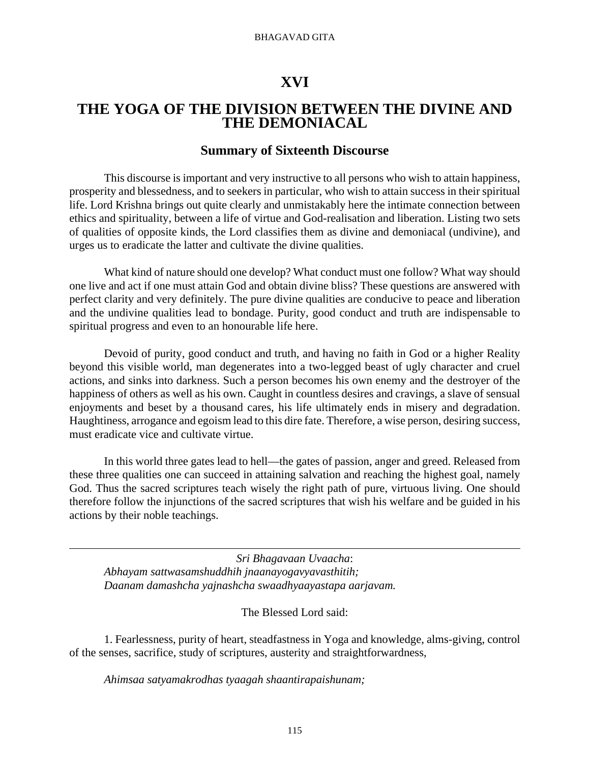# **XVI**

# **THE YOGA OF THE DIVISION BETWEEN THE DIVINE AND THE DEMONIACAL**

# **Summary of Sixteenth Discourse**

This discourse is important and very instructive to all persons who wish to attain happiness, prosperity and blessedness, and to seekers in particular, who wish to attain success in their spiritual life. Lord Krishna brings out quite clearly and unmistakably here the intimate connection between ethics and spirituality, between a life of virtue and God-realisation and liberation. Listing two sets of qualities of opposite kinds, the Lord classifies them as divine and demoniacal (undivine), and urges us to eradicate the latter and cultivate the divine qualities.

What kind of nature should one develop? What conduct must one follow? What way should one live and act if one must attain God and obtain divine bliss? These questions are answered with perfect clarity and very definitely. The pure divine qualities are conducive to peace and liberation and the undivine qualities lead to bondage. Purity, good conduct and truth are indispensable to spiritual progress and even to an honourable life here.

Devoid of purity, good conduct and truth, and having no faith in God or a higher Reality beyond this visible world, man degenerates into a two-legged beast of ugly character and cruel actions, and sinks into darkness. Such a person becomes his own enemy and the destroyer of the happiness of others as well as his own. Caught in countless desires and cravings, a slave of sensual enjoyments and beset by a thousand cares, his life ultimately ends in misery and degradation. Haughtiness, arrogance and egoism lead to this dire fate. Therefore, a wise person, desiring success, must eradicate vice and cultivate virtue.

In this world three gates lead to hell—the gates of passion, anger and greed. Released from these three qualities one can succeed in attaining salvation and reaching the highest goal, namely God. Thus the sacred scriptures teach wisely the right path of pure, virtuous living. One should therefore follow the injunctions of the sacred scriptures that wish his welfare and be guided in his actions by their noble teachings.

*Sri Bhagavaan Uvaacha*: *Abhayam sattwasamshuddhih jnaanayogavyavasthitih; Daanam damashcha yajnashcha swaadhyaayastapa aarjavam.*

## The Blessed Lord said:

1. Fearlessness, purity of heart, steadfastness in Yoga and knowledge, alms-giving, control of the senses, sacrifice, study of scriptures, austerity and straightforwardness,

*Ahimsaa satyamakrodhas tyaagah shaantirapaishunam;*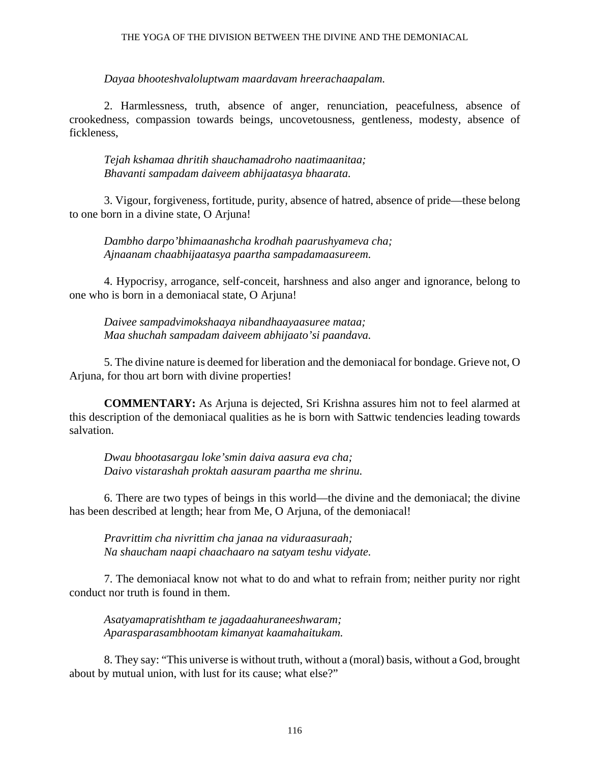#### THE YOGA OF THE DIVISION BETWEEN THE DIVINE AND THE DEMONIACAL

*Dayaa bhooteshvaloluptwam maardavam hreerachaapalam.*

2. Harmlessness, truth, absence of anger, renunciation, peacefulness, absence of crookedness, compassion towards beings, uncovetousness, gentleness, modesty, absence of fickleness,

*Tejah kshamaa dhritih shauchamadroho naatimaanitaa; Bhavanti sampadam daiveem abhijaatasya bhaarata.*

3. Vigour, forgiveness, fortitude, purity, absence of hatred, absence of pride—these belong to one born in a divine state, O Arjuna!

*Dambho darpo'bhimaanashcha krodhah paarushyameva cha; Ajnaanam chaabhijaatasya paartha sampadamaasureem.*

4. Hypocrisy, arrogance, self-conceit, harshness and also anger and ignorance, belong to one who is born in a demoniacal state, O Arjuna!

*Daivee sampadvimokshaaya nibandhaayaasuree mataa; Maa shuchah sampadam daiveem abhijaato'si paandava.*

5. The divine nature is deemed for liberation and the demoniacal for bondage. Grieve not, O Arjuna, for thou art born with divine properties!

**COMMENTARY:** As Arjuna is dejected, Sri Krishna assures him not to feel alarmed at this description of the demoniacal qualities as he is born with Sattwic tendencies leading towards salvation.

*Dwau bhootasargau loke'smin daiva aasura eva cha; Daivo vistarashah proktah aasuram paartha me shrinu.*

6. There are two types of beings in this world—the divine and the demoniacal; the divine has been described at length; hear from Me, O Arjuna, of the demoniacal!

*Pravrittim cha nivrittim cha janaa na viduraasuraah; Na shaucham naapi chaachaaro na satyam teshu vidyate.*

7. The demoniacal know not what to do and what to refrain from; neither purity nor right conduct nor truth is found in them.

*Asatyamapratishtham te jagadaahuraneeshwaram; Aparasparasambhootam kimanyat kaamahaitukam.*

8. They say: "This universe is without truth, without a (moral) basis, without a God, brought about by mutual union, with lust for its cause; what else?"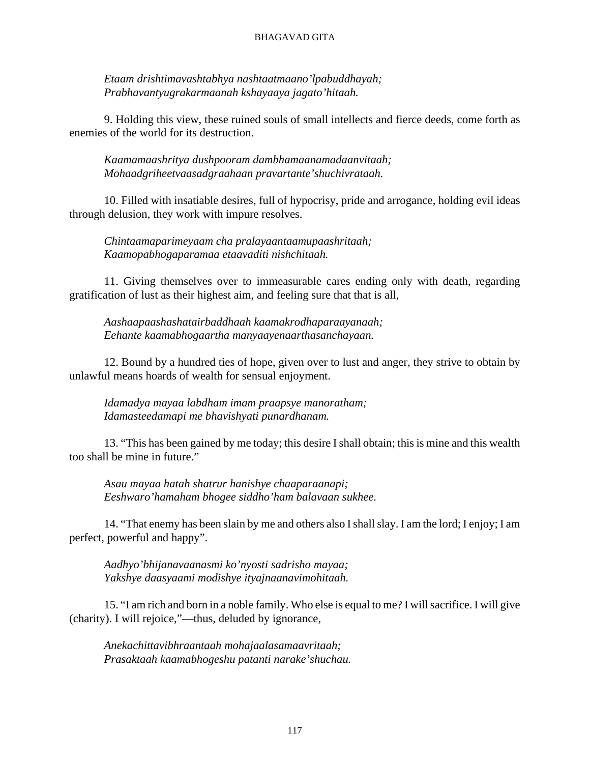*Etaam drishtimavashtabhya nashtaatmaano'lpabuddhayah; Prabhavantyugrakarmaanah kshayaaya jagato'hitaah.*

9. Holding this view, these ruined souls of small intellects and fierce deeds, come forth as enemies of the world for its destruction.

*Kaamamaashritya dushpooram dambhamaanamadaanvitaah; Mohaadgriheetvaasadgraahaan pravartante'shuchivrataah.*

10. Filled with insatiable desires, full of hypocrisy, pride and arrogance, holding evil ideas through delusion, they work with impure resolves.

*Chintaamaparimeyaam cha pralayaantaamupaashritaah; Kaamopabhogaparamaa etaavaditi nishchitaah.*

11. Giving themselves over to immeasurable cares ending only with death, regarding gratification of lust as their highest aim, and feeling sure that that is all,

*Aashaapaashashatairbaddhaah kaamakrodhaparaayanaah; Eehante kaamabhogaartha manyaayenaarthasanchayaan.*

12. Bound by a hundred ties of hope, given over to lust and anger, they strive to obtain by unlawful means hoards of wealth for sensual enjoyment.

*Idamadya mayaa labdham imam praapsye manoratham; Idamasteedamapi me bhavishyati punardhanam.*

13. "This has been gained by me today; this desire I shall obtain; this is mine and this wealth too shall be mine in future."

*Asau mayaa hatah shatrur hanishye chaaparaanapi; Eeshwaro'hamaham bhogee siddho'ham balavaan sukhee.*

14. "That enemy has been slain by me and others also I shall slay. I am the lord; I enjoy; I am perfect, powerful and happy".

*Aadhyo'bhijanavaanasmi ko'nyosti sadrisho mayaa; Yakshye daasyaami modishye ityajnaanavimohitaah.*

15. "I am rich and born in a noble family. Who else is equal to me? I will sacrifice. I will give (charity). I will rejoice,"—thus, deluded by ignorance,

*Anekachittavibhraantaah mohajaalasamaavritaah; Prasaktaah kaamabhogeshu patanti narake'shuchau.*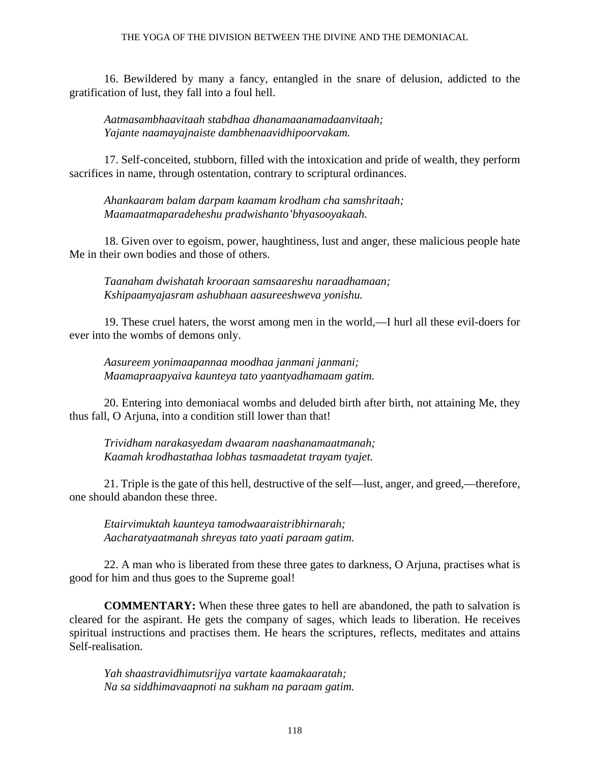### THE YOGA OF THE DIVISION BETWEEN THE DIVINE AND THE DEMONIACAL

16. Bewildered by many a fancy, entangled in the snare of delusion, addicted to the gratification of lust, they fall into a foul hell.

*Aatmasambhaavitaah stabdhaa dhanamaanamadaanvitaah; Yajante naamayajnaiste dambhenaavidhipoorvakam.*

17. Self-conceited, stubborn, filled with the intoxication and pride of wealth, they perform sacrifices in name, through ostentation, contrary to scriptural ordinances.

*Ahankaaram balam darpam kaamam krodham cha samshritaah; Maamaatmaparadeheshu pradwishanto'bhyasooyakaah.*

18. Given over to egoism, power, haughtiness, lust and anger, these malicious people hate Me in their own bodies and those of others.

*Taanaham dwishatah krooraan samsaareshu naraadhamaan; Kshipaamyajasram ashubhaan aasureeshweva yonishu.*

19. These cruel haters, the worst among men in the world,—I hurl all these evil-doers for ever into the wombs of demons only.

*Aasureem yonimaapannaa moodhaa janmani janmani; Maamapraapyaiva kaunteya tato yaantyadhamaam gatim.*

20. Entering into demoniacal wombs and deluded birth after birth, not attaining Me, they thus fall, O Arjuna, into a condition still lower than that!

*Trividham narakasyedam dwaaram naashanamaatmanah; Kaamah krodhastathaa lobhas tasmaadetat trayam tyajet.*

21. Triple is the gate of this hell, destructive of the self—lust, anger, and greed,—therefore, one should abandon these three.

*Etairvimuktah kaunteya tamodwaaraistribhirnarah; Aacharatyaatmanah shreyas tato yaati paraam gatim.*

22. A man who is liberated from these three gates to darkness, O Arjuna, practises what is good for him and thus goes to the Supreme goal!

**COMMENTARY:** When these three gates to hell are abandoned, the path to salvation is cleared for the aspirant. He gets the company of sages, which leads to liberation. He receives spiritual instructions and practises them. He hears the scriptures, reflects, meditates and attains Self-realisation.

*Yah shaastravidhimutsrijya vartate kaamakaaratah; Na sa siddhimavaapnoti na sukham na paraam gatim.*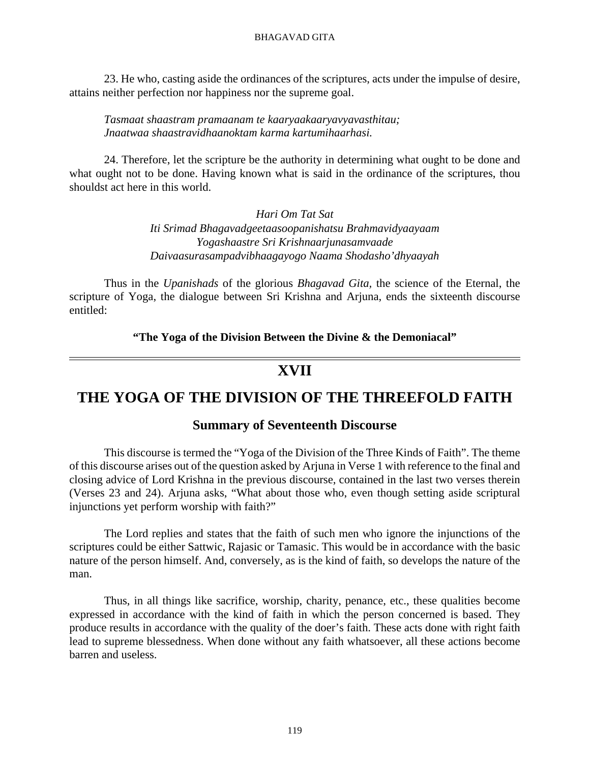23. He who, casting aside the ordinances of the scriptures, acts under the impulse of desire, attains neither perfection nor happiness nor the supreme goal.

*Tasmaat shaastram pramaanam te kaaryaakaaryavyavasthitau; Jnaatwaa shaastravidhaanoktam karma kartumihaarhasi.*

24. Therefore, let the scripture be the authority in determining what ought to be done and what ought not to be done. Having known what is said in the ordinance of the scriptures, thou shouldst act here in this world.

> *Hari Om Tat Sat Iti Srimad Bhagavadgeetaasoopanishatsu Brahmavidyaayaam Yogashaastre Sri Krishnaarjunasamvaade Daivaasurasampadvibhaagayogo Naama Shodasho'dhyaayah*

Thus in the *Upanishads* of the glorious *Bhagavad Gita,* the science of the Eternal, the scripture of Yoga, the dialogue between Sri Krishna and Arjuna, ends the sixteenth discourse entitled:

**"The Yoga of the Division Between the Divine & the Demoniacal"**

# **XVII**

# **THE YOGA OF THE DIVISION OF THE THREEFOLD FAITH**

## **Summary of Seventeenth Discourse**

This discourse is termed the "Yoga of the Division of the Three Kinds of Faith". The theme of this discourse arises out of the question asked by Arjuna in Verse 1 with reference to the final and closing advice of Lord Krishna in the previous discourse, contained in the last two verses therein (Verses 23 and 24). Arjuna asks, "What about those who, even though setting aside scriptural injunctions yet perform worship with faith?"

The Lord replies and states that the faith of such men who ignore the injunctions of the scriptures could be either Sattwic, Rajasic or Tamasic. This would be in accordance with the basic nature of the person himself. And, conversely, as is the kind of faith, so develops the nature of the man.

Thus, in all things like sacrifice, worship, charity, penance, etc., these qualities become expressed in accordance with the kind of faith in which the person concerned is based. They produce results in accordance with the quality of the doer's faith. These acts done with right faith lead to supreme blessedness. When done without any faith whatsoever, all these actions become barren and useless.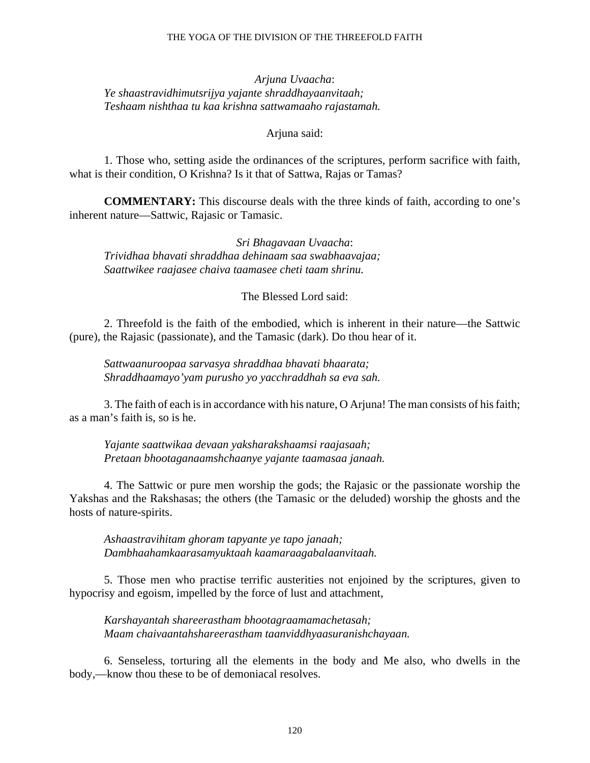#### THE YOGA OF THE DIVISION OF THE THREEFOLD FAITH

*Arjuna Uvaacha*: *Ye shaastravidhimutsrijya yajante shraddhayaanvitaah; Teshaam nishthaa tu kaa krishna sattwamaaho rajastamah.*

Arjuna said:

1. Those who, setting aside the ordinances of the scriptures, perform sacrifice with faith, what is their condition, O Krishna? Is it that of Sattwa, Rajas or Tamas?

**COMMENTARY:** This discourse deals with the three kinds of faith, according to one's inherent nature—Sattwic, Rajasic or Tamasic.

*Sri Bhagavaan Uvaacha*: *Trividhaa bhavati shraddhaa dehinaam saa swabhaavajaa; Saattwikee raajasee chaiva taamasee cheti taam shrinu.*

The Blessed Lord said:

2. Threefold is the faith of the embodied, which is inherent in their nature—the Sattwic (pure), the Rajasic (passionate), and the Tamasic (dark). Do thou hear of it.

*Sattwaanuroopaa sarvasya shraddhaa bhavati bhaarata; Shraddhaamayo'yam purusho yo yacchraddhah sa eva sah.*

3. The faith of each is in accordance with his nature, O Arjuna! The man consists of his faith; as a man's faith is, so is he.

*Yajante saattwikaa devaan yaksharakshaamsi raajasaah; Pretaan bhootaganaamshchaanye yajante taamasaa janaah.*

4. The Sattwic or pure men worship the gods; the Rajasic or the passionate worship the Yakshas and the Rakshasas; the others (the Tamasic or the deluded) worship the ghosts and the hosts of nature-spirits.

*Ashaastravihitam ghoram tapyante ye tapo janaah; Dambhaahamkaarasamyuktaah kaamaraagabalaanvitaah.*

5. Those men who practise terrific austerities not enjoined by the scriptures, given to hypocrisy and egoism, impelled by the force of lust and attachment,

*Karshayantah shareerastham bhootagraamamachetasah; Maam chaivaantahshareerastham taanviddhyaasuranishchayaan.*

6. Senseless, torturing all the elements in the body and Me also, who dwells in the body,—know thou these to be of demoniacal resolves.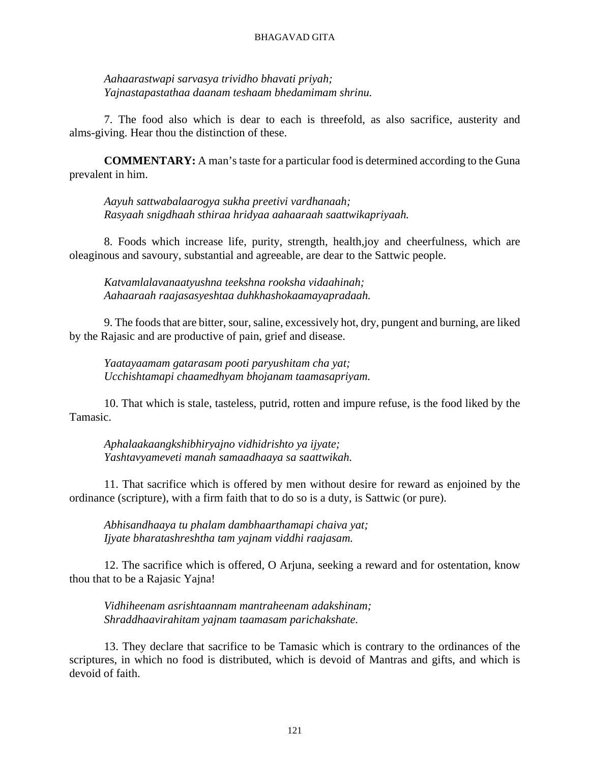*Aahaarastwapi sarvasya trividho bhavati priyah; Yajnastapastathaa daanam teshaam bhedamimam shrinu.*

7. The food also which is dear to each is threefold, as also sacrifice, austerity and alms-giving. Hear thou the distinction of these.

**COMMENTARY:** A man's taste for a particular food is determined according to the Guna prevalent in him.

*Aayuh sattwabalaarogya sukha preetivi vardhanaah; Rasyaah snigdhaah sthiraa hridyaa aahaaraah saattwikapriyaah.*

8. Foods which increase life, purity, strength, health,joy and cheerfulness, which are oleaginous and savoury, substantial and agreeable, are dear to the Sattwic people.

*Katvamlalavanaatyushna teekshna rooksha vidaahinah; Aahaaraah raajasasyeshtaa duhkhashokaamayapradaah.*

9. The foods that are bitter, sour, saline, excessively hot, dry, pungent and burning, are liked by the Rajasic and are productive of pain, grief and disease.

*Yaatayaamam gatarasam pooti paryushitam cha yat; Ucchishtamapi chaamedhyam bhojanam taamasapriyam.*

10. That which is stale, tasteless, putrid, rotten and impure refuse, is the food liked by the Tamasic.

*Aphalaakaangkshibhiryajno vidhidrishto ya ijyate; Yashtavyameveti manah samaadhaaya sa saattwikah.*

11. That sacrifice which is offered by men without desire for reward as enjoined by the ordinance (scripture), with a firm faith that to do so is a duty, is Sattwic (or pure).

*Abhisandhaaya tu phalam dambhaarthamapi chaiva yat; Ijyate bharatashreshtha tam yajnam viddhi raajasam.*

12. The sacrifice which is offered, O Arjuna, seeking a reward and for ostentation, know thou that to be a Rajasic Yajna!

*Vidhiheenam asrishtaannam mantraheenam adakshinam; Shraddhaavirahitam yajnam taamasam parichakshate.*

13. They declare that sacrifice to be Tamasic which is contrary to the ordinances of the scriptures, in which no food is distributed, which is devoid of Mantras and gifts, and which is devoid of faith.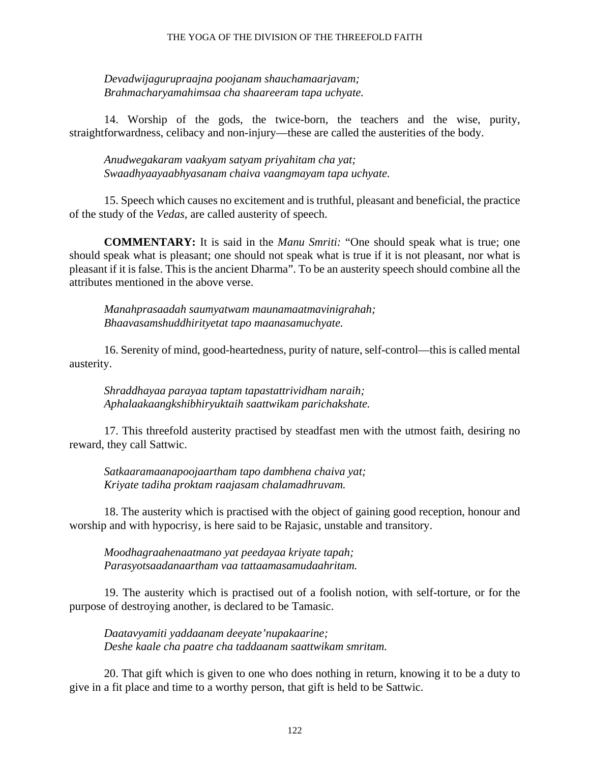#### THE YOGA OF THE DIVISION OF THE THREEFOLD FAITH

*Devadwijagurupraajna poojanam shauchamaarjavam; Brahmacharyamahimsaa cha shaareeram tapa uchyate.*

14. Worship of the gods, the twice-born, the teachers and the wise, purity, straightforwardness, celibacy and non-injury—these are called the austerities of the body.

*Anudwegakaram vaakyam satyam priyahitam cha yat; Swaadhyaayaabhyasanam chaiva vaangmayam tapa uchyate.*

15. Speech which causes no excitement and is truthful, pleasant and beneficial, the practice of the study of the *Vedas,* are called austerity of speech.

**COMMENTARY:** It is said in the *Manu Smriti:* "One should speak what is true; one should speak what is pleasant; one should not speak what is true if it is not pleasant, nor what is pleasant if it is false. This is the ancient Dharma". To be an austerity speech should combine all the attributes mentioned in the above verse.

*Manahprasaadah saumyatwam maunamaatmavinigrahah; Bhaavasamshuddhirityetat tapo maanasamuchyate.*

16. Serenity of mind, good-heartedness, purity of nature, self-control—this is called mental austerity.

*Shraddhayaa parayaa taptam tapastattrividham naraih; Aphalaakaangkshibhiryuktaih saattwikam parichakshate.*

17. This threefold austerity practised by steadfast men with the utmost faith, desiring no reward, they call Sattwic.

*Satkaaramaanapoojaartham tapo dambhena chaiva yat; Kriyate tadiha proktam raajasam chalamadhruvam.*

18. The austerity which is practised with the object of gaining good reception, honour and worship and with hypocrisy, is here said to be Rajasic, unstable and transitory.

*Moodhagraahenaatmano yat peedayaa kriyate tapah; Parasyotsaadanaartham vaa tattaamasamudaahritam.*

19. The austerity which is practised out of a foolish notion, with self-torture, or for the purpose of destroying another, is declared to be Tamasic.

*Daatavyamiti yaddaanam deeyate'nupakaarine; Deshe kaale cha paatre cha taddaanam saattwikam smritam.*

20. That gift which is given to one who does nothing in return, knowing it to be a duty to give in a fit place and time to a worthy person, that gift is held to be Sattwic.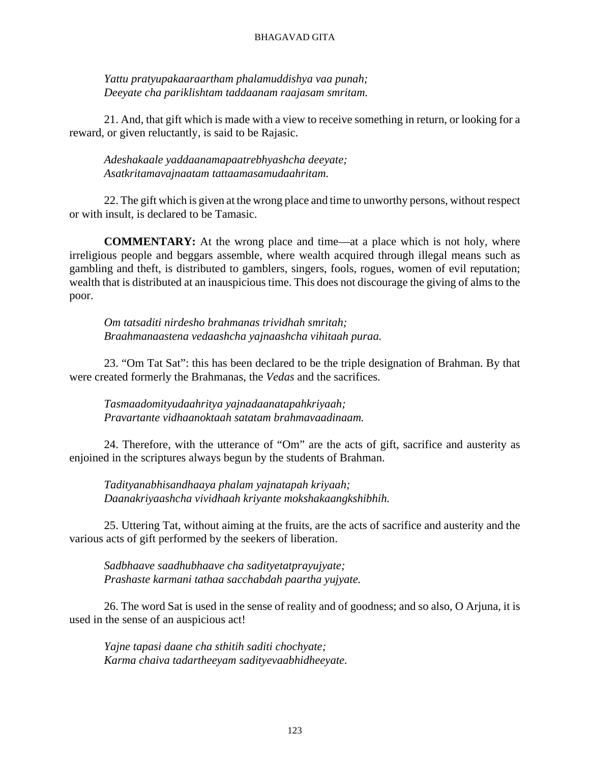*Yattu pratyupakaaraartham phalamuddishya vaa punah; Deeyate cha pariklishtam taddaanam raajasam smritam.*

21. And, that gift which is made with a view to receive something in return, or looking for a reward, or given reluctantly, is said to be Rajasic.

*Adeshakaale yaddaanamapaatrebhyashcha deeyate; Asatkritamavajnaatam tattaamasamudaahritam.*

22. The gift which is given at the wrong place and time to unworthy persons, without respect or with insult, is declared to be Tamasic.

**COMMENTARY:** At the wrong place and time—at a place which is not holy, where irreligious people and beggars assemble, where wealth acquired through illegal means such as gambling and theft, is distributed to gamblers, singers, fools, rogues, women of evil reputation; wealth that is distributed at an inauspicious time. This does not discourage the giving of alms to the poor.

*Om tatsaditi nirdesho brahmanas trividhah smritah; Braahmanaastena vedaashcha yajnaashcha vihitaah puraa.*

23. "Om Tat Sat": this has been declared to be the triple designation of Brahman. By that were created formerly the Brahmanas, the *Vedas* and the sacrifices.

*Tasmaadomityudaahritya yajnadaanatapahkriyaah; Pravartante vidhaanoktaah satatam brahmavaadinaam.*

24. Therefore, with the utterance of "Om" are the acts of gift, sacrifice and austerity as enjoined in the scriptures always begun by the students of Brahman.

*Tadityanabhisandhaaya phalam yajnatapah kriyaah; Daanakriyaashcha vividhaah kriyante mokshakaangkshibhih.*

25. Uttering Tat, without aiming at the fruits, are the acts of sacrifice and austerity and the various acts of gift performed by the seekers of liberation.

*Sadbhaave saadhubhaave cha sadityetatprayujyate; Prashaste karmani tathaa sacchabdah paartha yujyate.*

26. The word Sat is used in the sense of reality and of goodness; and so also, O Arjuna, it is used in the sense of an auspicious act!

*Yajne tapasi daane cha sthitih saditi chochyate; Karma chaiva tadartheeyam sadityevaabhidheeyate.*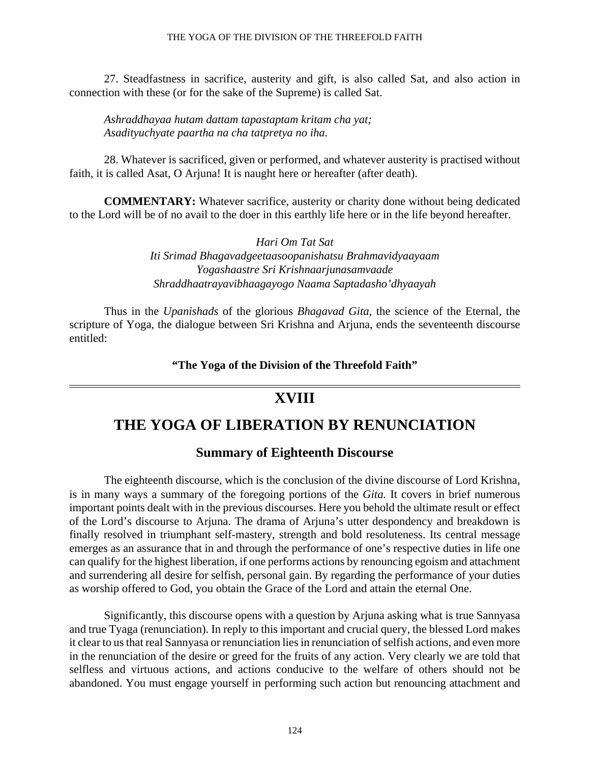#### THE YOGA OF THE DIVISION OF THE THREEFOLD FAITH

27. Steadfastness in sacrifice, austerity and gift, is also called Sat, and also action in connection with these (or for the sake of the Supreme) is called Sat.

*Ashraddhayaa hutam dattam tapastaptam kritam cha yat; Asadityuchyate paartha na cha tatpretya no iha.*

28. Whatever is sacrificed, given or performed, and whatever austerity is practised without faith, it is called Asat, O Arjuna! It is naught here or hereafter (after death).

**COMMENTARY:** Whatever sacrifice, austerity or charity done without being dedicated to the Lord will be of no avail to the doer in this earthly life here or in the life beyond hereafter.

> *Hari Om Tat Sat Iti Srimad Bhagavadgeetaasoopanishatsu Brahmavidyaayaam Yogashaastre Sri Krishnaarjunasamvaade Shraddhaatrayavibhaagayogo Naama Saptadasho'dhyaayah*

Thus in the *Upanishads* of the glorious *Bhagavad Gita,* the science of the Eternal, the scripture of Yoga, the dialogue between Sri Krishna and Arjuna, ends the seventeenth discourse entitled:

**"The Yoga of the Division of the Threefold Faith"**

# **XVIII**

# **THE YOGA OF LIBERATION BY RENUNCIATION**

# **Summary of Eighteenth Discourse**

The eighteenth discourse, which is the conclusion of the divine discourse of Lord Krishna, is in many ways a summary of the foregoing portions of the *Gita.* It covers in brief numerous important points dealt with in the previous discourses. Here you behold the ultimate result or effect of the Lord's discourse to Arjuna. The drama of Arjuna's utter despondency and breakdown is finally resolved in triumphant self-mastery, strength and bold resoluteness. Its central message emerges as an assurance that in and through the performance of one's respective duties in life one can qualify for the highest liberation, if one performs actions by renouncing egoism and attachment and surrendering all desire for selfish, personal gain. By regarding the performance of your duties as worship offered to God, you obtain the Grace of the Lord and attain the eternal One.

Significantly, this discourse opens with a question by Arjuna asking what is true Sannyasa and true Tyaga (renunciation). In reply to this important and crucial query, the blessed Lord makes it clear to us that real Sannyasa or renunciation lies in renunciation of selfish actions, and even more in the renunciation of the desire or greed for the fruits of any action. Very clearly we are told that selfless and virtuous actions, and actions conducive to the welfare of others should not be abandoned. You must engage yourself in performing such action but renouncing attachment and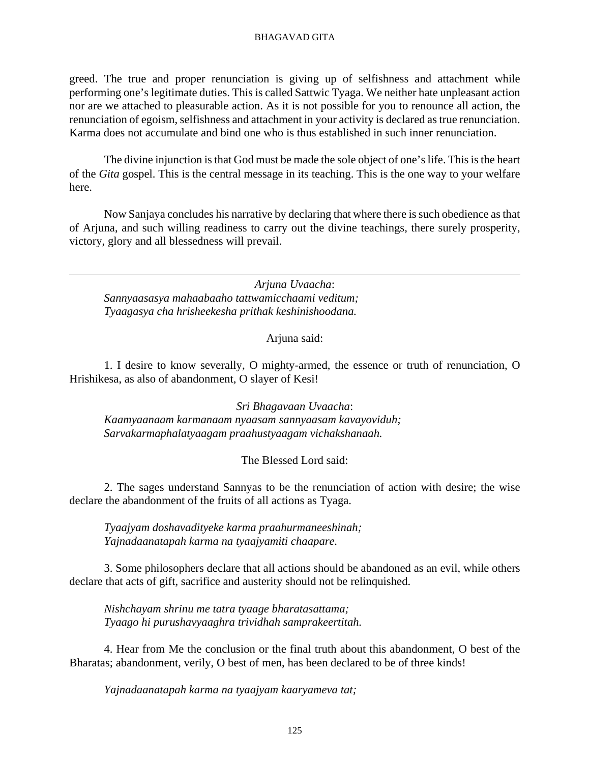greed. The true and proper renunciation is giving up of selfishness and attachment while performing one's legitimate duties. This is called Sattwic Tyaga. We neither hate unpleasant action nor are we attached to pleasurable action. As it is not possible for you to renounce all action, the renunciation of egoism, selfishness and attachment in your activity is declared as true renunciation. Karma does not accumulate and bind one who is thus established in such inner renunciation.

The divine injunction is that God must be made the sole object of one's life. This is the heart of the *Gita* gospel. This is the central message in its teaching. This is the one way to your welfare here.

Now Sanjaya concludes his narrative by declaring that where there is such obedience as that of Arjuna, and such willing readiness to carry out the divine teachings, there surely prosperity, victory, glory and all blessedness will prevail.

*Arjuna Uvaacha*: *Sannyaasasya mahaabaaho tattwamicchaami veditum; Tyaagasya cha hrisheekesha prithak keshinishoodana.*

## Arjuna said:

1. I desire to know severally, O mighty-armed, the essence or truth of renunciation, O Hrishikesa, as also of abandonment, O slayer of Kesi!

*Sri Bhagavaan Uvaacha*: *Kaamyaanaam karmanaam nyaasam sannyaasam kavayoviduh; Sarvakarmaphalatyaagam praahustyaagam vichakshanaah.*

## The Blessed Lord said:

2. The sages understand Sannyas to be the renunciation of action with desire; the wise declare the abandonment of the fruits of all actions as Tyaga.

*Tyaajyam doshavadityeke karma praahurmaneeshinah; Yajnadaanatapah karma na tyaajyamiti chaapare.*

3. Some philosophers declare that all actions should be abandoned as an evil, while others declare that acts of gift, sacrifice and austerity should not be relinquished.

*Nishchayam shrinu me tatra tyaage bharatasattama; Tyaago hi purushavyaaghra trividhah samprakeertitah.*

4. Hear from Me the conclusion or the final truth about this abandonment, O best of the Bharatas; abandonment, verily, O best of men, has been declared to be of three kinds!

*Yajnadaanatapah karma na tyaajyam kaaryameva tat;*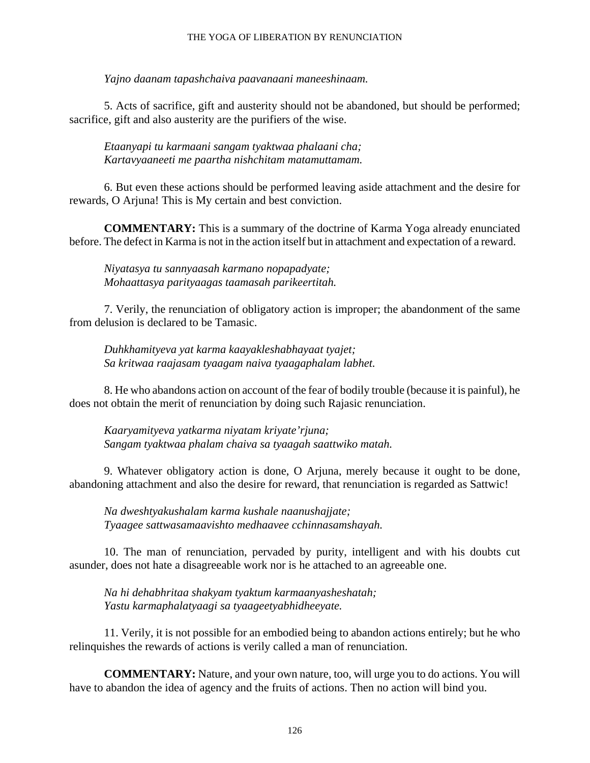### THE YOGA OF LIBERATION BY RENUNCIATION

*Yajno daanam tapashchaiva paavanaani maneeshinaam.*

5. Acts of sacrifice, gift and austerity should not be abandoned, but should be performed; sacrifice, gift and also austerity are the purifiers of the wise.

*Etaanyapi tu karmaani sangam tyaktwaa phalaani cha; Kartavyaaneeti me paartha nishchitam matamuttamam.*

6. But even these actions should be performed leaving aside attachment and the desire for rewards, O Arjuna! This is My certain and best conviction.

**COMMENTARY:** This is a summary of the doctrine of Karma Yoga already enunciated before. The defect in Karma is not in the action itself but in attachment and expectation of a reward.

*Niyatasya tu sannyaasah karmano nopapadyate; Mohaattasya parityaagas taamasah parikeertitah.*

7. Verily, the renunciation of obligatory action is improper; the abandonment of the same from delusion is declared to be Tamasic.

*Duhkhamityeva yat karma kaayakleshabhayaat tyajet; Sa kritwaa raajasam tyaagam naiva tyaagaphalam labhet.*

8. He who abandons action on account of the fear of bodily trouble (because it is painful), he does not obtain the merit of renunciation by doing such Rajasic renunciation.

*Kaaryamityeva yatkarma niyatam kriyate'rjuna; Sangam tyaktwaa phalam chaiva sa tyaagah saattwiko matah.*

9. Whatever obligatory action is done, O Arjuna, merely because it ought to be done, abandoning attachment and also the desire for reward, that renunciation is regarded as Sattwic!

*Na dweshtyakushalam karma kushale naanushajjate; Tyaagee sattwasamaavishto medhaavee cchinnasamshayah.*

10. The man of renunciation, pervaded by purity, intelligent and with his doubts cut asunder, does not hate a disagreeable work nor is he attached to an agreeable one.

*Na hi dehabhritaa shakyam tyaktum karmaanyasheshatah; Yastu karmaphalatyaagi sa tyaageetyabhidheeyate.*

11. Verily, it is not possible for an embodied being to abandon actions entirely; but he who relinquishes the rewards of actions is verily called a man of renunciation.

**COMMENTARY:** Nature, and your own nature, too, will urge you to do actions. You will have to abandon the idea of agency and the fruits of actions. Then no action will bind you.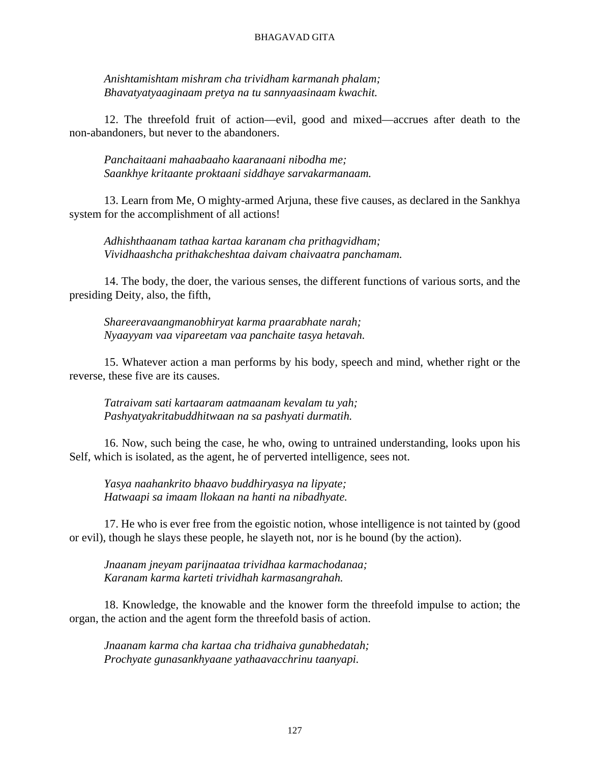*Anishtamishtam mishram cha trividham karmanah phalam; Bhavatyatyaaginaam pretya na tu sannyaasinaam kwachit.*

12. The threefold fruit of action—evil, good and mixed—accrues after death to the non-abandoners, but never to the abandoners.

*Panchaitaani mahaabaaho kaaranaani nibodha me; Saankhye kritaante proktaani siddhaye sarvakarmanaam.*

13. Learn from Me, O mighty-armed Arjuna, these five causes, as declared in the Sankhya system for the accomplishment of all actions!

*Adhishthaanam tathaa kartaa karanam cha prithagvidham; Vividhaashcha prithakcheshtaa daivam chaivaatra panchamam.*

14. The body, the doer, the various senses, the different functions of various sorts, and the presiding Deity, also, the fifth,

*Shareeravaangmanobhiryat karma praarabhate narah; Nyaayyam vaa vipareetam vaa panchaite tasya hetavah.*

15. Whatever action a man performs by his body, speech and mind, whether right or the reverse, these five are its causes.

*Tatraivam sati kartaaram aatmaanam kevalam tu yah; Pashyatyakritabuddhitwaan na sa pashyati durmatih.*

16. Now, such being the case, he who, owing to untrained understanding, looks upon his Self, which is isolated, as the agent, he of perverted intelligence, sees not.

*Yasya naahankrito bhaavo buddhiryasya na lipyate; Hatwaapi sa imaam llokaan na hanti na nibadhyate.*

17. He who is ever free from the egoistic notion, whose intelligence is not tainted by (good or evil), though he slays these people, he slayeth not, nor is he bound (by the action).

*Jnaanam jneyam parijnaataa trividhaa karmachodanaa; Karanam karma karteti trividhah karmasangrahah.*

18. Knowledge, the knowable and the knower form the threefold impulse to action; the organ, the action and the agent form the threefold basis of action.

*Jnaanam karma cha kartaa cha tridhaiva gunabhedatah; Prochyate gunasankhyaane yathaavacchrinu taanyapi.*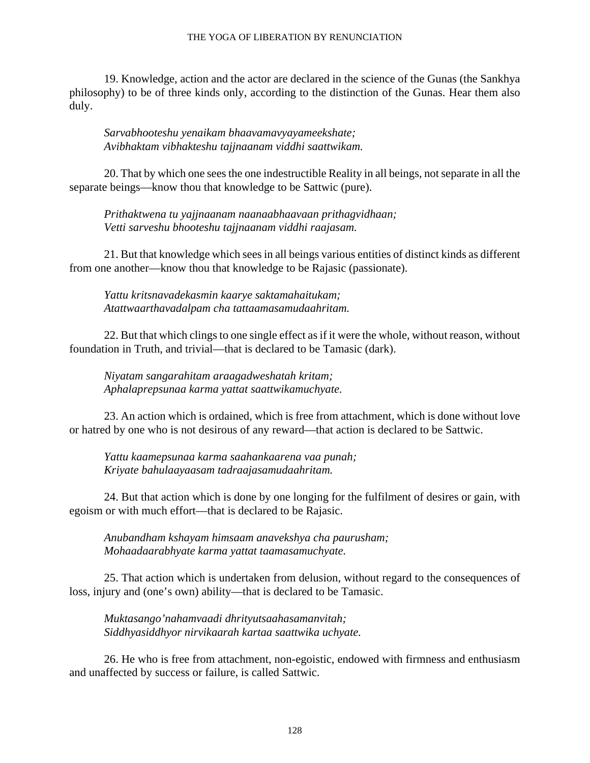## THE YOGA OF LIBERATION BY RENUNCIATION

19. Knowledge, action and the actor are declared in the science of the Gunas (the Sankhya philosophy) to be of three kinds only, according to the distinction of the Gunas. Hear them also duly.

*Sarvabhooteshu yenaikam bhaavamavyayameekshate; Avibhaktam vibhakteshu tajjnaanam viddhi saattwikam.*

20. That by which one sees the one indestructible Reality in all beings, not separate in all the separate beings—know thou that knowledge to be Sattwic (pure).

*Prithaktwena tu yajjnaanam naanaabhaavaan prithagvidhaan; Vetti sarveshu bhooteshu tajjnaanam viddhi raajasam.*

21. But that knowledge which sees in all beings various entities of distinct kinds as different from one another—know thou that knowledge to be Rajasic (passionate).

*Yattu kritsnavadekasmin kaarye saktamahaitukam; Atattwaarthavadalpam cha tattaamasamudaahritam.*

22. But that which clings to one single effect as if it were the whole, without reason, without foundation in Truth, and trivial—that is declared to be Tamasic (dark).

*Niyatam sangarahitam araagadweshatah kritam; Aphalaprepsunaa karma yattat saattwikamuchyate.*

23. An action which is ordained, which is free from attachment, which is done without love or hatred by one who is not desirous of any reward—that action is declared to be Sattwic.

*Yattu kaamepsunaa karma saahankaarena vaa punah; Kriyate bahulaayaasam tadraajasamudaahritam.*

24. But that action which is done by one longing for the fulfilment of desires or gain, with egoism or with much effort—that is declared to be Rajasic.

*Anubandham kshayam himsaam anavekshya cha paurusham; Mohaadaarabhyate karma yattat taamasamuchyate.*

25. That action which is undertaken from delusion, without regard to the consequences of loss, injury and (one's own) ability—that is declared to be Tamasic.

*Muktasango'nahamvaadi dhrityutsaahasamanvitah; Siddhyasiddhyor nirvikaarah kartaa saattwika uchyate.*

26. He who is free from attachment, non-egoistic, endowed with firmness and enthusiasm and unaffected by success or failure, is called Sattwic.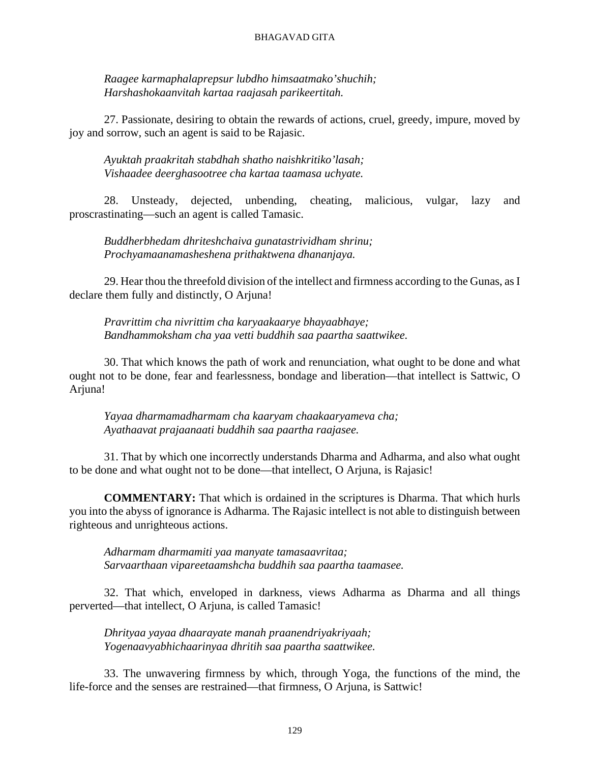*Raagee karmaphalaprepsur lubdho himsaatmako'shuchih; Harshashokaanvitah kartaa raajasah parikeertitah.*

27. Passionate, desiring to obtain the rewards of actions, cruel, greedy, impure, moved by joy and sorrow, such an agent is said to be Rajasic.

*Ayuktah praakritah stabdhah shatho naishkritiko'lasah; Vishaadee deerghasootree cha kartaa taamasa uchyate.*

28. Unsteady, dejected, unbending, cheating, malicious, vulgar, lazy and proscrastinating—such an agent is called Tamasic.

*Buddherbhedam dhriteshchaiva gunatastrividham shrinu; Prochyamaanamasheshena prithaktwena dhananjaya.*

29. Hear thou the threefold division of the intellect and firmness according to the Gunas, as I declare them fully and distinctly, O Arjuna!

*Pravrittim cha nivrittim cha karyaakaarye bhayaabhaye; Bandhammoksham cha yaa vetti buddhih saa paartha saattwikee.*

30. That which knows the path of work and renunciation, what ought to be done and what ought not to be done, fear and fearlessness, bondage and liberation—that intellect is Sattwic, O Arjuna!

*Yayaa dharmamadharmam cha kaaryam chaakaaryameva cha; Ayathaavat prajaanaati buddhih saa paartha raajasee.*

31. That by which one incorrectly understands Dharma and Adharma, and also what ought to be done and what ought not to be done—that intellect, O Arjuna, is Rajasic!

**COMMENTARY:** That which is ordained in the scriptures is Dharma. That which hurls you into the abyss of ignorance is Adharma. The Rajasic intellect is not able to distinguish between righteous and unrighteous actions.

*Adharmam dharmamiti yaa manyate tamasaavritaa; Sarvaarthaan vipareetaamshcha buddhih saa paartha taamasee.*

32. That which, enveloped in darkness, views Adharma as Dharma and all things perverted—that intellect, O Arjuna, is called Tamasic!

*Dhrityaa yayaa dhaarayate manah praanendriyakriyaah; Yogenaavyabhichaarinyaa dhritih saa paartha saattwikee.*

33. The unwavering firmness by which, through Yoga, the functions of the mind, the life-force and the senses are restrained—that firmness, O Arjuna, is Sattwic!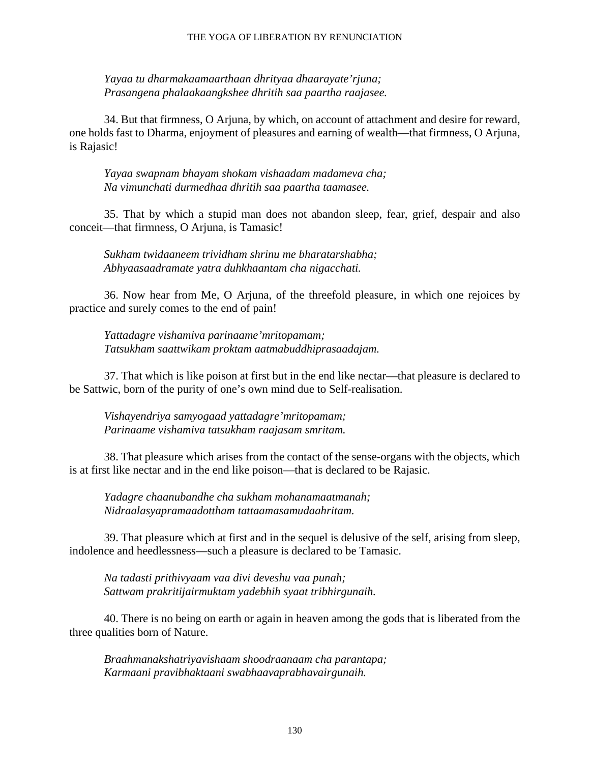*Yayaa tu dharmakaamaarthaan dhrityaa dhaarayate'rjuna; Prasangena phalaakaangkshee dhritih saa paartha raajasee.*

34. But that firmness, O Arjuna, by which, on account of attachment and desire for reward, one holds fast to Dharma, enjoyment of pleasures and earning of wealth—that firmness, O Arjuna, is Rajasic!

*Yayaa swapnam bhayam shokam vishaadam madameva cha; Na vimunchati durmedhaa dhritih saa paartha taamasee.*

35. That by which a stupid man does not abandon sleep, fear, grief, despair and also conceit—that firmness, O Arjuna, is Tamasic!

*Sukham twidaaneem trividham shrinu me bharatarshabha; Abhyaasaadramate yatra duhkhaantam cha nigacchati.*

36. Now hear from Me, O Arjuna, of the threefold pleasure, in which one rejoices by practice and surely comes to the end of pain!

*Yattadagre vishamiva parinaame'mritopamam; Tatsukham saattwikam proktam aatmabuddhiprasaadajam.*

37. That which is like poison at first but in the end like nectar—that pleasure is declared to be Sattwic, born of the purity of one's own mind due to Self-realisation.

*Vishayendriya samyogaad yattadagre'mritopamam; Parinaame vishamiva tatsukham raajasam smritam.*

38. That pleasure which arises from the contact of the sense-organs with the objects, which is at first like nectar and in the end like poison—that is declared to be Rajasic.

*Yadagre chaanubandhe cha sukham mohanamaatmanah; Nidraalasyapramaadottham tattaamasamudaahritam.*

39. That pleasure which at first and in the sequel is delusive of the self, arising from sleep, indolence and heedlessness—such a pleasure is declared to be Tamasic.

*Na tadasti prithivyaam vaa divi deveshu vaa punah; Sattwam prakritijairmuktam yadebhih syaat tribhirgunaih.*

40. There is no being on earth or again in heaven among the gods that is liberated from the three qualities born of Nature.

*Braahmanakshatriyavishaam shoodraanaam cha parantapa; Karmaani pravibhaktaani swabhaavaprabhavairgunaih.*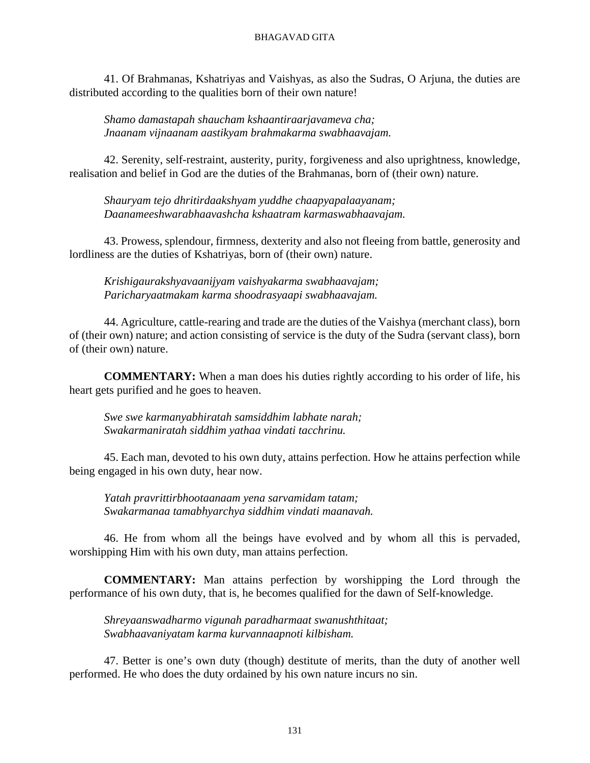41. Of Brahmanas, Kshatriyas and Vaishyas, as also the Sudras, O Arjuna, the duties are distributed according to the qualities born of their own nature!

*Shamo damastapah shaucham kshaantiraarjavameva cha; Jnaanam vijnaanam aastikyam brahmakarma swabhaavajam.*

42. Serenity, self-restraint, austerity, purity, forgiveness and also uprightness, knowledge, realisation and belief in God are the duties of the Brahmanas, born of (their own) nature.

*Shauryam tejo dhritirdaakshyam yuddhe chaapyapalaayanam; Daanameeshwarabhaavashcha kshaatram karmaswabhaavajam.*

43. Prowess, splendour, firmness, dexterity and also not fleeing from battle, generosity and lordliness are the duties of Kshatriyas, born of (their own) nature.

*Krishigaurakshyavaanijyam vaishyakarma swabhaavajam; Paricharyaatmakam karma shoodrasyaapi swabhaavajam.*

44. Agriculture, cattle-rearing and trade are the duties of the Vaishya (merchant class), born of (their own) nature; and action consisting of service is the duty of the Sudra (servant class), born of (their own) nature.

**COMMENTARY:** When a man does his duties rightly according to his order of life, his heart gets purified and he goes to heaven.

*Swe swe karmanyabhiratah samsiddhim labhate narah; Swakarmaniratah siddhim yathaa vindati tacchrinu.*

45. Each man, devoted to his own duty, attains perfection. How he attains perfection while being engaged in his own duty, hear now.

*Yatah pravrittirbhootaanaam yena sarvamidam tatam; Swakarmanaa tamabhyarchya siddhim vindati maanavah.*

46. He from whom all the beings have evolved and by whom all this is pervaded, worshipping Him with his own duty, man attains perfection.

**COMMENTARY:** Man attains perfection by worshipping the Lord through the performance of his own duty, that is, he becomes qualified for the dawn of Self-knowledge.

*Shreyaanswadharmo vigunah paradharmaat swanushthitaat; Swabhaavaniyatam karma kurvannaapnoti kilbisham.*

47. Better is one's own duty (though) destitute of merits, than the duty of another well performed. He who does the duty ordained by his own nature incurs no sin.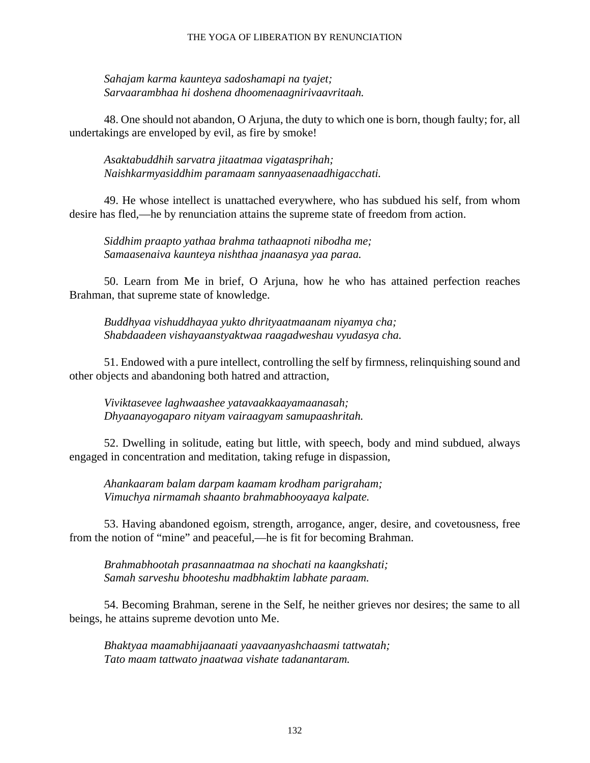### THE YOGA OF LIBERATION BY RENUNCIATION

*Sahajam karma kaunteya sadoshamapi na tyajet; Sarvaarambhaa hi doshena dhoomenaagnirivaavritaah.*

48. One should not abandon, O Arjuna, the duty to which one is born, though faulty; for, all undertakings are enveloped by evil, as fire by smoke!

*Asaktabuddhih sarvatra jitaatmaa vigatasprihah; Naishkarmyasiddhim paramaam sannyaasenaadhigacchati.*

49. He whose intellect is unattached everywhere, who has subdued his self, from whom desire has fled,—he by renunciation attains the supreme state of freedom from action.

*Siddhim praapto yathaa brahma tathaapnoti nibodha me; Samaasenaiva kaunteya nishthaa jnaanasya yaa paraa.*

50. Learn from Me in brief, O Arjuna, how he who has attained perfection reaches Brahman, that supreme state of knowledge.

*Buddhyaa vishuddhayaa yukto dhrityaatmaanam niyamya cha; Shabdaadeen vishayaanstyaktwaa raagadweshau vyudasya cha.*

51. Endowed with a pure intellect, controlling the self by firmness, relinquishing sound and other objects and abandoning both hatred and attraction,

*Viviktasevee laghwaashee yatavaakkaayamaanasah; Dhyaanayogaparo nityam vairaagyam samupaashritah.*

52. Dwelling in solitude, eating but little, with speech, body and mind subdued, always engaged in concentration and meditation, taking refuge in dispassion,

*Ahankaaram balam darpam kaamam krodham parigraham; Vimuchya nirmamah shaanto brahmabhooyaaya kalpate.*

53. Having abandoned egoism, strength, arrogance, anger, desire, and covetousness, free from the notion of "mine" and peaceful,—he is fit for becoming Brahman.

*Brahmabhootah prasannaatmaa na shochati na kaangkshati; Samah sarveshu bhooteshu madbhaktim labhate paraam.*

54. Becoming Brahman, serene in the Self, he neither grieves nor desires; the same to all beings, he attains supreme devotion unto Me.

*Bhaktyaa maamabhijaanaati yaavaanyashchaasmi tattwatah; Tato maam tattwato jnaatwaa vishate tadanantaram.*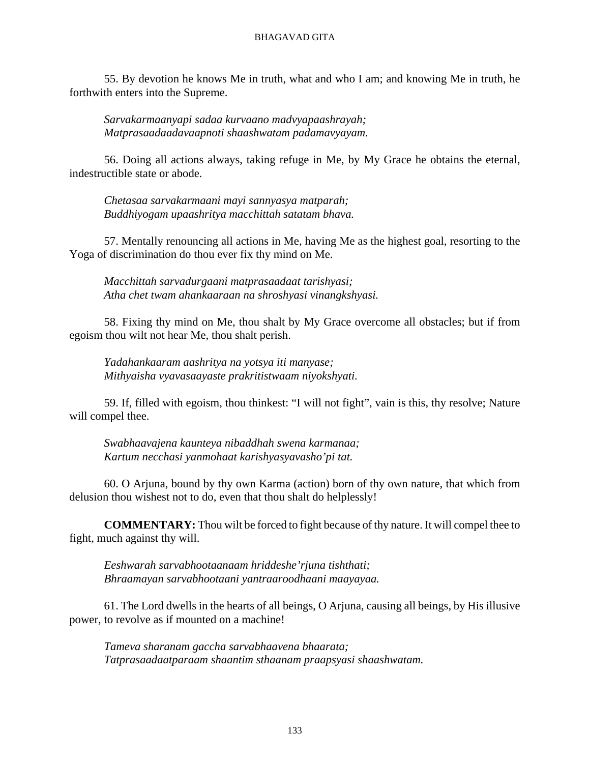55. By devotion he knows Me in truth, what and who I am; and knowing Me in truth, he forthwith enters into the Supreme.

*Sarvakarmaanyapi sadaa kurvaano madvyapaashrayah; Matprasaadaadavaapnoti shaashwatam padamavyayam.*

56. Doing all actions always, taking refuge in Me, by My Grace he obtains the eternal, indestructible state or abode.

*Chetasaa sarvakarmaani mayi sannyasya matparah; Buddhiyogam upaashritya macchittah satatam bhava.*

57. Mentally renouncing all actions in Me, having Me as the highest goal, resorting to the Yoga of discrimination do thou ever fix thy mind on Me.

*Macchittah sarvadurgaani matprasaadaat tarishyasi; Atha chet twam ahankaaraan na shroshyasi vinangkshyasi.*

58. Fixing thy mind on Me, thou shalt by My Grace overcome all obstacles; but if from egoism thou wilt not hear Me, thou shalt perish.

*Yadahankaaram aashritya na yotsya iti manyase; Mithyaisha vyavasaayaste prakritistwaam niyokshyati.*

59. If, filled with egoism, thou thinkest: "I will not fight", vain is this, thy resolve; Nature will compel thee.

*Swabhaavajena kaunteya nibaddhah swena karmanaa; Kartum necchasi yanmohaat karishyasyavasho'pi tat.*

60. O Arjuna, bound by thy own Karma (action) born of thy own nature, that which from delusion thou wishest not to do, even that thou shalt do helplessly!

**COMMENTARY:** Thou wilt be forced to fight because of thy nature. It will compel thee to fight, much against thy will.

*Eeshwarah sarvabhootaanaam hriddeshe'rjuna tishthati; Bhraamayan sarvabhootaani yantraaroodhaani maayayaa.*

61. The Lord dwells in the hearts of all beings, O Arjuna, causing all beings, by His illusive power, to revolve as if mounted on a machine!

*Tameva sharanam gaccha sarvabhaavena bhaarata; Tatprasaadaatparaam shaantim sthaanam praapsyasi shaashwatam.*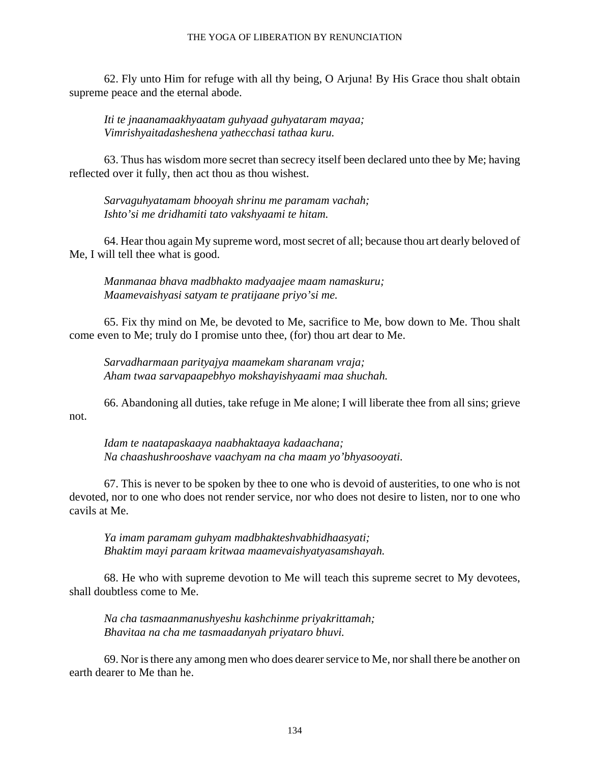### THE YOGA OF LIBERATION BY RENUNCIATION

62. Fly unto Him for refuge with all thy being, O Arjuna! By His Grace thou shalt obtain supreme peace and the eternal abode.

*Iti te jnaanamaakhyaatam guhyaad guhyataram mayaa; Vimrishyaitadasheshena yathecchasi tathaa kuru.*

63. Thus has wisdom more secret than secrecy itself been declared unto thee by Me; having reflected over it fully, then act thou as thou wishest.

*Sarvaguhyatamam bhooyah shrinu me paramam vachah; Ishto'si me dridhamiti tato vakshyaami te hitam.*

64. Hear thou again My supreme word, most secret of all; because thou art dearly beloved of Me, I will tell thee what is good.

*Manmanaa bhava madbhakto madyaajee maam namaskuru; Maamevaishyasi satyam te pratijaane priyo'si me.*

65. Fix thy mind on Me, be devoted to Me, sacrifice to Me, bow down to Me. Thou shalt come even to Me; truly do I promise unto thee, (for) thou art dear to Me.

*Sarvadharmaan parityajya maamekam sharanam vraja; Aham twaa sarvapaapebhyo mokshayishyaami maa shuchah.*

66. Abandoning all duties, take refuge in Me alone; I will liberate thee from all sins; grieve not.

*Idam te naatapaskaaya naabhaktaaya kadaachana; Na chaashushrooshave vaachyam na cha maam yo'bhyasooyati.*

67. This is never to be spoken by thee to one who is devoid of austerities, to one who is not devoted, nor to one who does not render service, nor who does not desire to listen, nor to one who cavils at Me.

*Ya imam paramam guhyam madbhakteshvabhidhaasyati; Bhaktim mayi paraam kritwaa maamevaishyatyasamshayah.*

68. He who with supreme devotion to Me will teach this supreme secret to My devotees, shall doubtless come to Me.

*Na cha tasmaanmanushyeshu kashchinme priyakrittamah; Bhavitaa na cha me tasmaadanyah priyataro bhuvi.*

69. Nor is there any among men who does dearer service to Me, nor shall there be another on earth dearer to Me than he.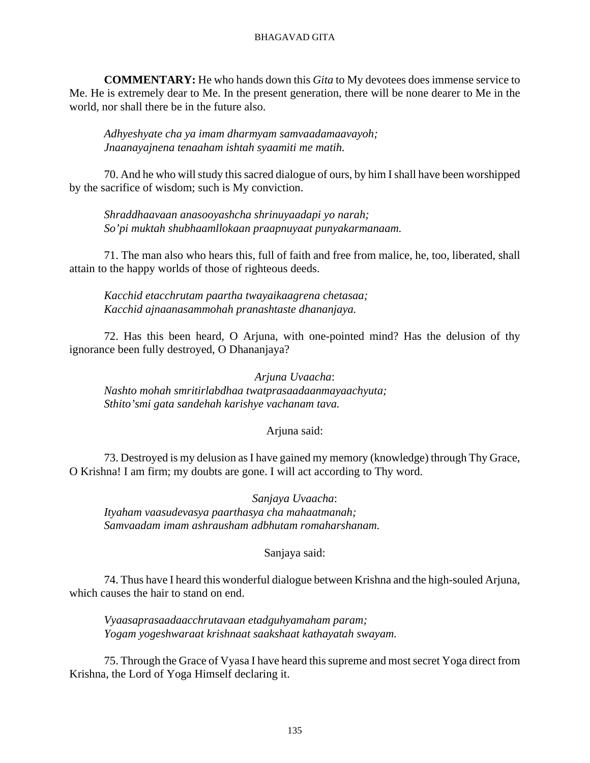**COMMENTARY:** He who hands down this *Gita* to My devotees does immense service to Me. He is extremely dear to Me. In the present generation, there will be none dearer to Me in the world, nor shall there be in the future also.

*Adhyeshyate cha ya imam dharmyam samvaadamaavayoh; Jnaanayajnena tenaaham ishtah syaamiti me matih.*

70. And he who will study this sacred dialogue of ours, by him I shall have been worshipped by the sacrifice of wisdom; such is My conviction.

*Shraddhaavaan anasooyashcha shrinuyaadapi yo narah; So'pi muktah shubhaamllokaan praapnuyaat punyakarmanaam.*

71. The man also who hears this, full of faith and free from malice, he, too, liberated, shall attain to the happy worlds of those of righteous deeds.

*Kacchid etacchrutam paartha twayaikaagrena chetasaa; Kacchid ajnaanasammohah pranashtaste dhananjaya.*

72. Has this been heard, O Arjuna, with one-pointed mind? Has the delusion of thy ignorance been fully destroyed, O Dhananjaya?

*Arjuna Uvaacha*: *Nashto mohah smritirlabdhaa twatprasaadaanmayaachyuta; Sthito'smi gata sandehah karishye vachanam tava.*

## Arjuna said:

73. Destroyed is my delusion as I have gained my memory (knowledge) through Thy Grace, O Krishna! I am firm; my doubts are gone. I will act according to Thy word.

*Sanjaya Uvaacha*: *Ityaham vaasudevasya paarthasya cha mahaatmanah; Samvaadam imam ashrausham adbhutam romaharshanam.*

## Sanjaya said:

74. Thus have I heard this wonderful dialogue between Krishna and the high-souled Arjuna, which causes the hair to stand on end.

*Vyaasaprasaadaacchrutavaan etadguhyamaham param; Yogam yogeshwaraat krishnaat saakshaat kathayatah swayam.*

75. Through the Grace of Vyasa I have heard this supreme and most secret Yoga direct from Krishna, the Lord of Yoga Himself declaring it.